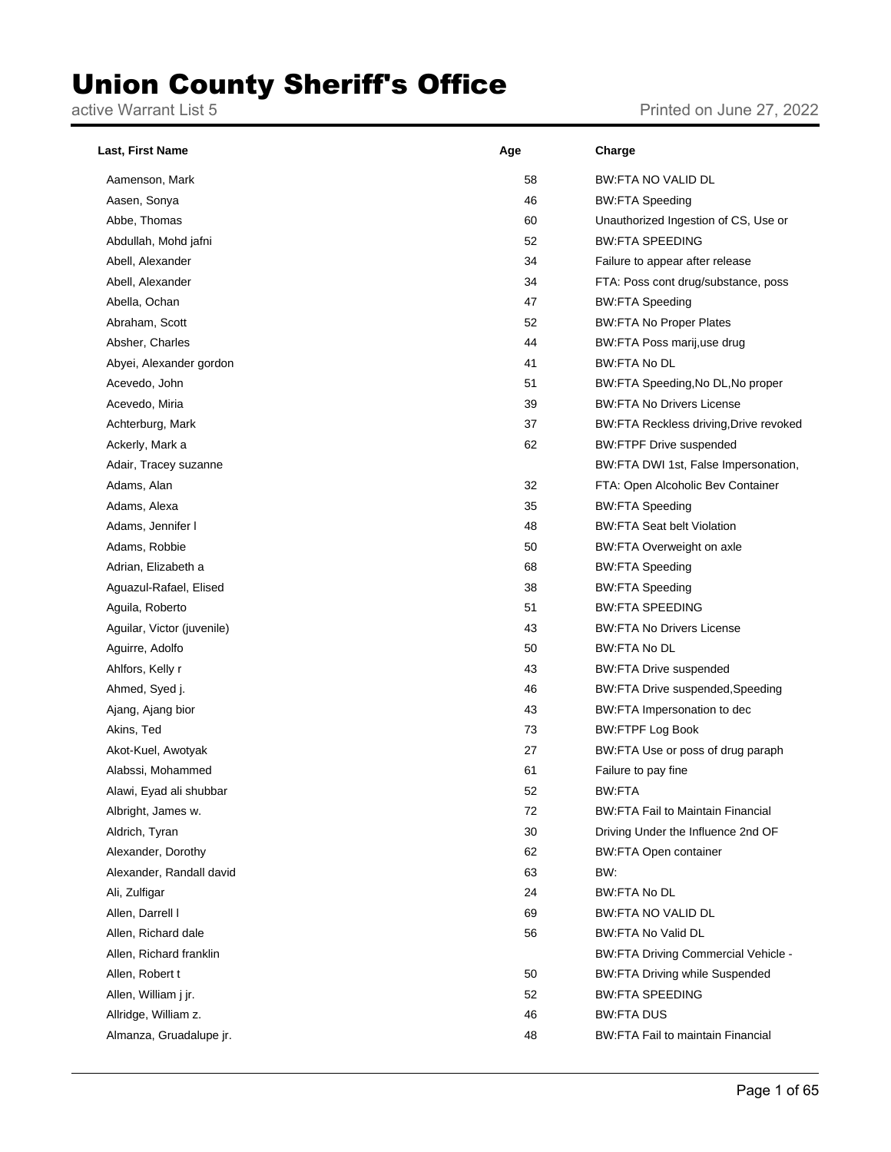## **Union County Sheriff's Office**<br>active Warrant List 5

| Last, First Name           | Age | Charge                                   |
|----------------------------|-----|------------------------------------------|
| Aamenson, Mark             | 58  | <b>BW:FTA NO VALID DL</b>                |
| Aasen, Sonya               | 46  | <b>BW:FTA Speeding</b>                   |
| Abbe, Thomas               | 60  | Unauthorized Ingestion of CS, Use or     |
| Abdullah, Mohd jafni       | 52  | <b>BW:FTA SPEEDING</b>                   |
| Abell, Alexander           | 34  | Failure to appear after release          |
| Abell, Alexander           | 34  | FTA: Poss cont drug/substance, poss      |
| Abella, Ochan              | 47  | <b>BW:FTA Speeding</b>                   |
| Abraham, Scott             | 52  | <b>BW:FTA No Proper Plates</b>           |
| Absher, Charles            | 44  | BW:FTA Poss marij, use drug              |
| Abyei, Alexander gordon    | 41  | <b>BW:FTA No DL</b>                      |
| Acevedo, John              | 51  | BW:FTA Speeding, No DL, No proper        |
| Acevedo, Miria             | 39  | <b>BW:FTA No Drivers License</b>         |
| Achterburg, Mark           | 37  | BW:FTA Reckless driving, Drive revoked   |
| Ackerly, Mark a            | 62  | <b>BW:FTPF Drive suspended</b>           |
| Adair, Tracey suzanne      |     | BW:FTA DWI 1st, False Impersonation,     |
| Adams, Alan                | 32  | FTA: Open Alcoholic Bev Container        |
| Adams, Alexa               | 35  | <b>BW:FTA Speeding</b>                   |
| Adams, Jennifer I          | 48  | <b>BW:FTA Seat belt Violation</b>        |
| Adams, Robbie              | 50  | BW:FTA Overweight on axle                |
| Adrian, Elizabeth a        | 68  | <b>BW:FTA Speeding</b>                   |
| Aguazul-Rafael, Elised     | 38  | <b>BW:FTA Speeding</b>                   |
| Aguila, Roberto            | 51  | <b>BW:FTA SPEEDING</b>                   |
| Aguilar, Victor (juvenile) | 43  | <b>BW:FTA No Drivers License</b>         |
| Aguirre, Adolfo            | 50  | <b>BW:FTA No DL</b>                      |
| Ahlfors, Kelly r           | 43  | <b>BW:FTA Drive suspended</b>            |
| Ahmed, Syed j.             | 46  | BW:FTA Drive suspended, Speeding         |
| Ajang, Ajang bior          | 43  | BW:FTA Impersonation to dec              |
| Akins, Ted                 | 73  | <b>BW:FTPF Log Book</b>                  |
| Akot-Kuel, Awotyak         | 27  | BW:FTA Use or poss of drug paraph        |
| Alabssi, Mohammed          | 61  | Failure to pay fine                      |
| Alawi, Eyad ali shubbar    | 52  | BW:FTA                                   |
| Albright, James w.         | 72  | <b>BW:FTA Fail to Maintain Financial</b> |
| Aldrich, Tyran             | 30  | Driving Under the Influence 2nd OF       |
| Alexander, Dorothy         | 62  | <b>BW:FTA Open container</b>             |
| Alexander, Randall david   | 63  | BW.                                      |
| Ali, Zulfigar              | 24  | BW:FTA No DL                             |
| Allen, Darrell I           | 69  | <b>BW:FTA NO VALID DL</b>                |
| Allen, Richard dale        | 56  | <b>BW:FTA No Valid DL</b>                |
| Allen, Richard franklin    |     | BW:FTA Driving Commercial Vehicle -      |
| Allen, Robert t            | 50  | <b>BW:FTA Driving while Suspended</b>    |
| Allen, William j jr.       | 52  | <b>BW:FTA SPEEDING</b>                   |
| Allridge, William z.       | 46  | <b>BW:FTA DUS</b>                        |
| Almanza, Gruadalupe jr.    | 48  | BW:FTA Fail to maintain Financial        |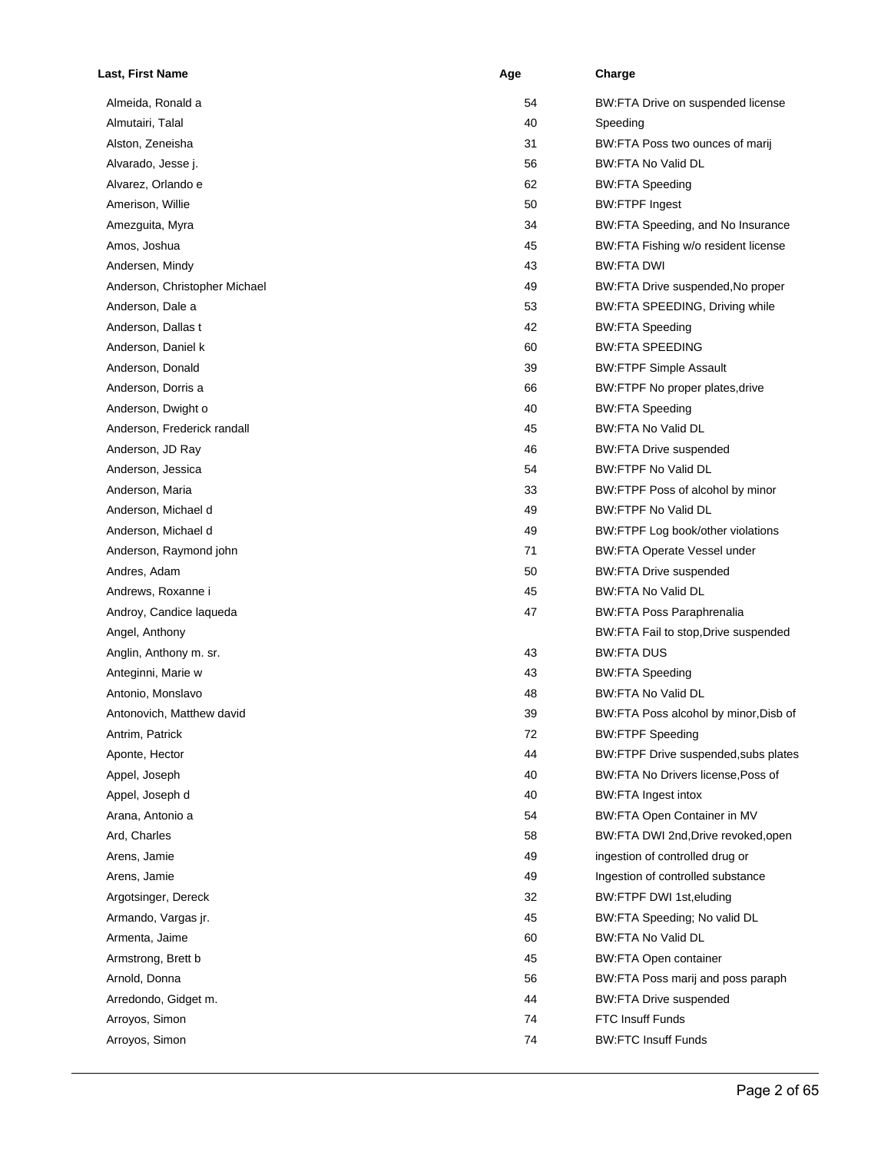| Last, First Name              | Age | Charge                                |
|-------------------------------|-----|---------------------------------------|
| Almeida, Ronald a             | 54  | BW:FTA Drive on suspended license     |
| Almutairi, Talal              | 40  | Speeding                              |
| Alston, Zeneisha              | 31  | BW:FTA Poss two ounces of marij       |
| Alvarado, Jesse j.            | 56  | <b>BW:FTA No Valid DL</b>             |
| Alvarez, Orlando e            | 62  | <b>BW:FTA Speeding</b>                |
| Amerison, Willie              | 50  | <b>BW:FTPF Ingest</b>                 |
| Amezguita, Myra               | 34  | BW:FTA Speeding, and No Insurance     |
| Amos, Joshua                  | 45  | BW:FTA Fishing w/o resident license   |
| Andersen, Mindy               | 43  | <b>BW:FTA DWI</b>                     |
| Anderson, Christopher Michael | 49  | BW:FTA Drive suspended, No proper     |
| Anderson, Dale a              | 53  | BW:FTA SPEEDING, Driving while        |
| Anderson, Dallas t            | 42  | <b>BW:FTA Speeding</b>                |
| Anderson, Daniel k            | 60  | <b>BW:FTA SPEEDING</b>                |
| Anderson, Donald              | 39  | <b>BW:FTPF Simple Assault</b>         |
| Anderson, Dorris a            | 66  | BW:FTPF No proper plates, drive       |
| Anderson, Dwight o            | 40  | <b>BW:FTA Speeding</b>                |
| Anderson, Frederick randall   | 45  | <b>BW:FTA No Valid DL</b>             |
| Anderson, JD Ray              | 46  | <b>BW:FTA Drive suspended</b>         |
| Anderson, Jessica             | 54  | <b>BW:FTPF No Valid DL</b>            |
| Anderson, Maria               | 33  | BW:FTPF Poss of alcohol by minor      |
| Anderson, Michael d           | 49  | <b>BW:FTPF No Valid DL</b>            |
| Anderson, Michael d           | 49  | BW:FTPF Log book/other violations     |
| Anderson, Raymond john        | 71  | <b>BW:FTA Operate Vessel under</b>    |
| Andres, Adam                  | 50  | <b>BW:FTA Drive suspended</b>         |
| Andrews, Roxanne i            | 45  | BW:FTA No Valid DL                    |
| Androy, Candice laqueda       | 47  | <b>BW:FTA Poss Paraphrenalia</b>      |
| Angel, Anthony                |     | BW:FTA Fail to stop, Drive suspended  |
| Anglin, Anthony m. sr.        | 43  | <b>BW:FTA DUS</b>                     |
| Anteginni, Marie w            | 43  | <b>BW:FTA Speeding</b>                |
| Antonio, Monslavo             | 48  | BW:FTA No Valid DL                    |
| Antonovich, Matthew david     | 39  | BW:FTA Poss alcohol by minor, Disb of |
| Antrim, Patrick               | 72  | <b>BW:FTPF Speeding</b>               |
| Aponte, Hector                | 44  | BW:FTPF Drive suspended, subs plates  |
| Appel, Joseph                 | 40  | BW:FTA No Drivers license, Poss of    |
| Appel, Joseph d               | 40  | BW:FTA Ingest intox                   |
| Arana, Antonio a              | 54  | BW:FTA Open Container in MV           |
| Ard, Charles                  | 58  | BW:FTA DWI 2nd, Drive revoked, open   |
| Arens, Jamie                  | 49  | ingestion of controlled drug or       |
| Arens, Jamie                  | 49  | Ingestion of controlled substance     |
| Argotsinger, Dereck           | 32  | BW:FTPF DWI 1st, eluding              |
| Armando, Vargas jr.           | 45  | BW:FTA Speeding; No valid DL          |
| Armenta, Jaime                | 60  | <b>BW:FTA No Valid DL</b>             |
| Armstrong, Brett b            | 45  | <b>BW:FTA Open container</b>          |
| Arnold, Donna                 | 56  | BW:FTA Poss marij and poss paraph     |
| Arredondo, Gidget m.          | 44  | <b>BW:FTA Drive suspended</b>         |
| Arroyos, Simon                | 74  | <b>FTC Insuff Funds</b>               |
| Arroyos, Simon                | 74  | <b>BW:FTC Insuff Funds</b>            |
|                               |     |                                       |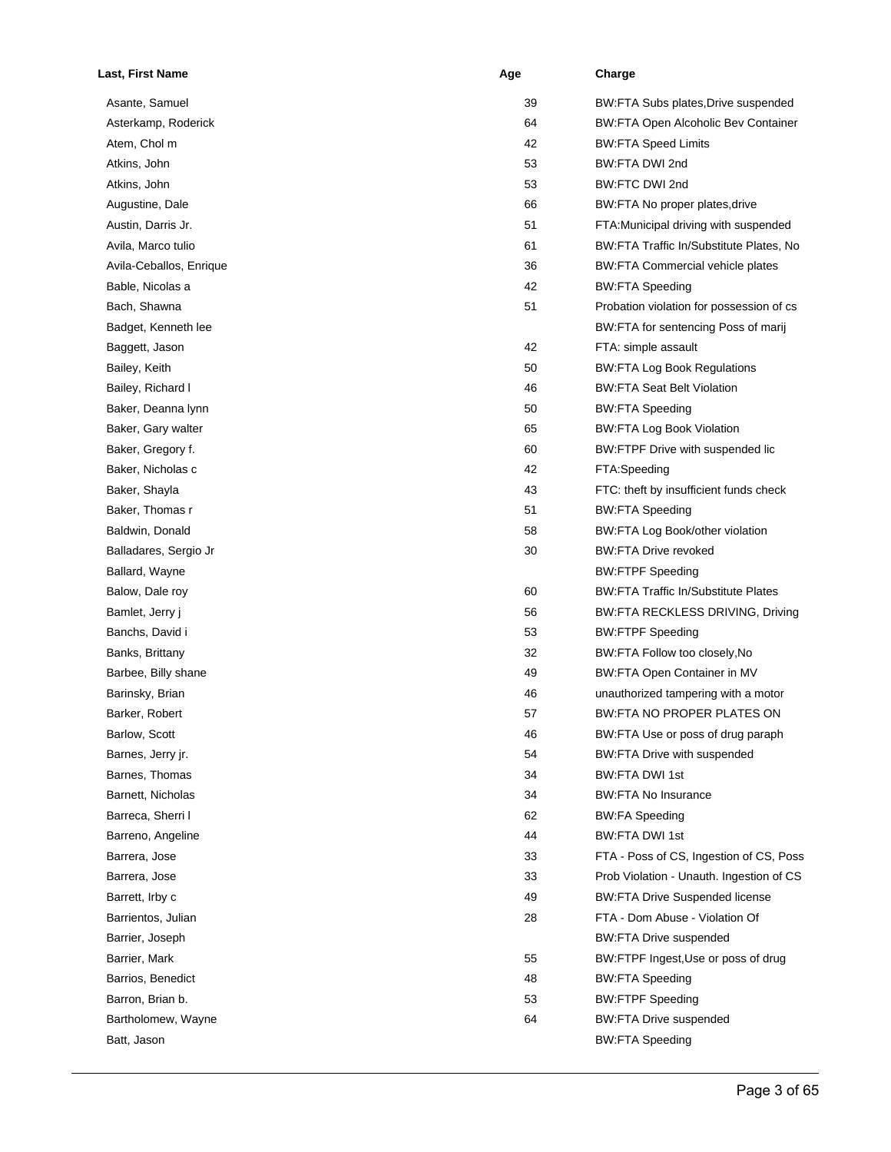| Last, First Name        | Age | Charge                                     |
|-------------------------|-----|--------------------------------------------|
| Asante, Samuel          | 39  | BW:FTA Subs plates, Drive suspended        |
| Asterkamp, Roderick     | 64  | BW:FTA Open Alcoholic Bev Container        |
| Atem, Chol m            | 42  | <b>BW:FTA Speed Limits</b>                 |
| Atkins, John            | 53  | BW:FTA DWI 2nd                             |
| Atkins, John            | 53  | BW:FTC DWI 2nd                             |
| Augustine, Dale         | 66  | BW:FTA No proper plates, drive             |
| Austin, Darris Jr.      | 51  | FTA: Municipal driving with suspended      |
| Avila, Marco tulio      | 61  | BW:FTA Traffic In/Substitute Plates, No    |
| Avila-Ceballos, Enrique | 36  | <b>BW:FTA Commercial vehicle plates</b>    |
| Bable, Nicolas a        | 42  | <b>BW:FTA Speeding</b>                     |
| Bach, Shawna            | 51  | Probation violation for possession of cs   |
| Badget, Kenneth lee     |     | BW:FTA for sentencing Poss of marij        |
| Baggett, Jason          | 42  | FTA: simple assault                        |
| Bailey, Keith           | 50  | <b>BW:FTA Log Book Regulations</b>         |
| Bailey, Richard I       | 46  | <b>BW:FTA Seat Belt Violation</b>          |
| Baker, Deanna lynn      | 50  | <b>BW:FTA Speeding</b>                     |
| Baker, Gary walter      | 65  | <b>BW:FTA Log Book Violation</b>           |
| Baker, Gregory f.       | 60  | BW:FTPF Drive with suspended lic           |
| Baker, Nicholas c       | 42  | FTA:Speeding                               |
| Baker, Shayla           | 43  | FTC: theft by insufficient funds check     |
| Baker, Thomas r         | 51  | <b>BW:FTA Speeding</b>                     |
| Baldwin, Donald         | 58  | BW:FTA Log Book/other violation            |
| Balladares, Sergio Jr   | 30  | <b>BW:FTA Drive revoked</b>                |
| Ballard, Wayne          |     | <b>BW:FTPF Speeding</b>                    |
| Balow, Dale roy         | 60  | <b>BW:FTA Traffic In/Substitute Plates</b> |
| Bamlet, Jerry j         | 56  | BW:FTA RECKLESS DRIVING, Driving           |
| Banchs, David i         | 53  | <b>BW:FTPF Speeding</b>                    |
| Banks, Brittany         | 32  | BW:FTA Follow too closely, No              |
| Barbee, Billy shane     | 49  | BW:FTA Open Container in MV                |
| Barinsky, Brian         | 46  | unauthorized tampering with a motor        |
| Barker, Robert          | 57  | BW:FTA NO PROPER PLATES ON                 |
| Barlow, Scott           | 46  | BW:FTA Use or poss of drug paraph          |
| Barnes, Jerry jr.       | 54  | BW:FTA Drive with suspended                |
| Barnes, Thomas          | 34  | BW:FTA DWI 1st                             |
| Barnett, Nicholas       | 34  | <b>BW:FTA No Insurance</b>                 |
| Barreca, Sherri I       | 62  | <b>BW:FA Speeding</b>                      |
| Barreno, Angeline       | 44  | <b>BW:FTA DWI 1st</b>                      |
| Barrera, Jose           | 33  | FTA - Poss of CS, Ingestion of CS, Poss    |
| Barrera, Jose           | 33  | Prob Violation - Unauth. Ingestion of CS   |
| Barrett, Irby c         | 49  | <b>BW:FTA Drive Suspended license</b>      |
| Barrientos, Julian      | 28  | FTA - Dom Abuse - Violation Of             |
| Barrier, Joseph         |     | <b>BW:FTA Drive suspended</b>              |
| Barrier, Mark           | 55  | BW:FTPF Ingest, Use or poss of drug        |
| Barrios, Benedict       | 48  | <b>BW:FTA Speeding</b>                     |
| Barron, Brian b.        | 53  | <b>BW:FTPF Speeding</b>                    |
| Bartholomew, Wayne      | 64  | <b>BW:FTA Drive suspended</b>              |
| Batt, Jason             |     | <b>BW:FTA Speeding</b>                     |
|                         |     |                                            |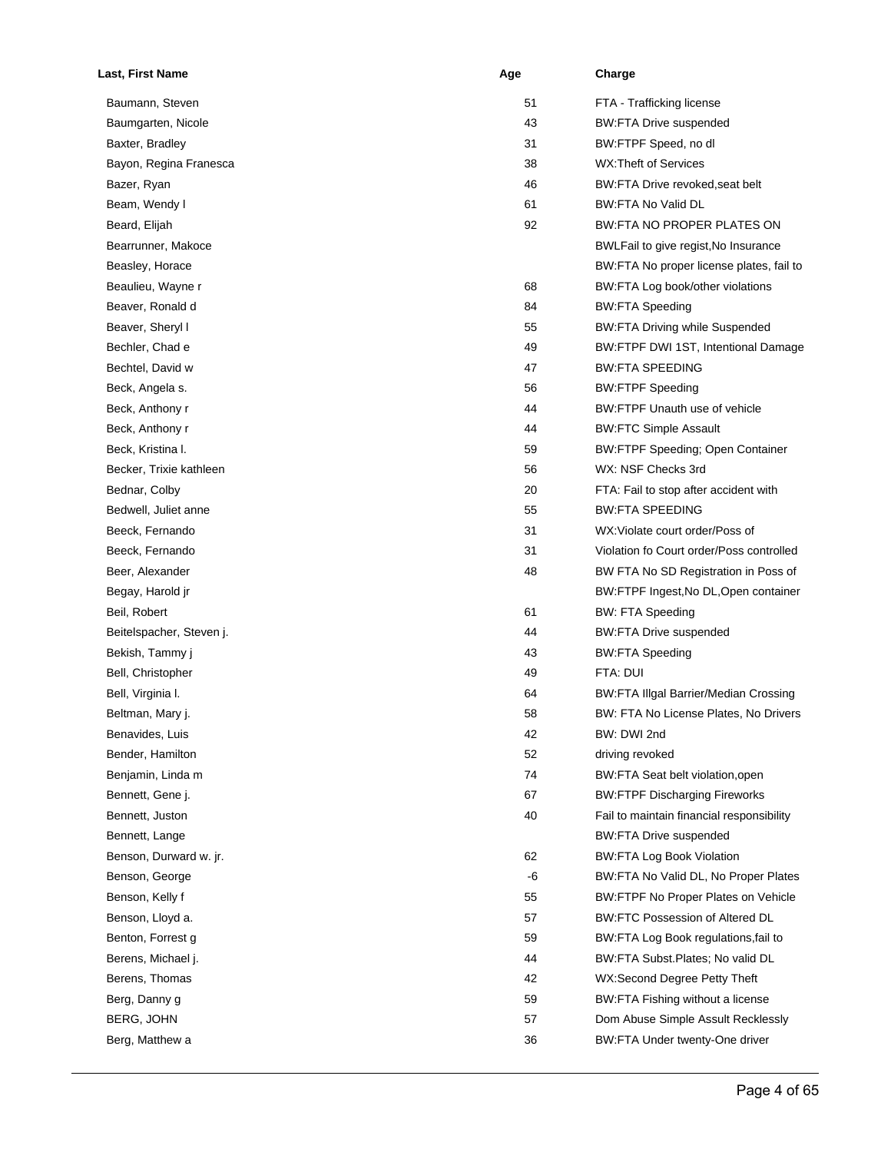| Last, First Name         | Age | Charge                                       |
|--------------------------|-----|----------------------------------------------|
| Baumann, Steven          | 51  | FTA - Trafficking license                    |
| Baumgarten, Nicole       | 43  | <b>BW:FTA Drive suspended</b>                |
| Baxter, Bradley          | 31  | BW:FTPF Speed, no dl                         |
| Bayon, Regina Franesca   | 38  | <b>WX: Theft of Services</b>                 |
| Bazer, Ryan              | 46  | BW:FTA Drive revoked, seat belt              |
| Beam, Wendy I            | 61  | BW:FTA No Valid DL                           |
| Beard, Elijah            | 92  | BW:FTA NO PROPER PLATES ON                   |
| Bearrunner, Makoce       |     | BWLFail to give regist, No Insurance         |
| Beasley, Horace          |     | BW:FTA No proper license plates, fail to     |
| Beaulieu, Wayne r        | 68  | BW:FTA Log book/other violations             |
| Beaver, Ronald d         | 84  | <b>BW:FTA Speeding</b>                       |
| Beaver, Sheryl I         | 55  | <b>BW:FTA Driving while Suspended</b>        |
| Bechler, Chad e          | 49  | BW:FTPF DWI 1ST, Intentional Damage          |
| Bechtel, David w         | 47  | <b>BW:FTA SPEEDING</b>                       |
| Beck, Angela s.          | 56  | <b>BW:FTPF Speeding</b>                      |
| Beck, Anthony r          | 44  | BW:FTPF Unauth use of vehicle                |
| Beck, Anthony r          | 44  | <b>BW:FTC Simple Assault</b>                 |
| Beck, Kristina I.        | 59  | <b>BW:FTPF Speeding; Open Container</b>      |
| Becker, Trixie kathleen  | 56  | WX: NSF Checks 3rd                           |
| Bednar, Colby            | 20  | FTA: Fail to stop after accident with        |
| Bedwell, Juliet anne     | 55  | <b>BW:FTA SPEEDING</b>                       |
| Beeck, Fernando          | 31  | WX: Violate court order/Poss of              |
| Beeck, Fernando          | 31  | Violation fo Court order/Poss controlled     |
| Beer, Alexander          | 48  | BW FTA No SD Registration in Poss of         |
| Begay, Harold jr         |     | BW:FTPF Ingest, No DL, Open container        |
| Beil, Robert             | 61  | <b>BW: FTA Speeding</b>                      |
| Beitelspacher, Steven j. | 44  | <b>BW:FTA Drive suspended</b>                |
| Bekish, Tammy j          | 43  | <b>BW:FTA Speeding</b>                       |
| Bell, Christopher        | 49  | FTA: DUI                                     |
| Bell, Virginia I.        | 64  | <b>BW:FTA Illgal Barrier/Median Crossing</b> |
| Beltman, Mary j.         | 58  | BW: FTA No License Plates, No Drivers        |
| Benavides, Luis          | 42  | BW: DWI 2nd                                  |
| Bender, Hamilton         | 52  | driving revoked                              |
| Benjamin, Linda m        | 74  | BW:FTA Seat belt violation, open             |
| Bennett, Gene j.         | 67  | <b>BW:FTPF Discharging Fireworks</b>         |
| Bennett, Juston          | 40  | Fail to maintain financial responsibility    |
|                          |     |                                              |
| Bennett, Lange           |     | BW:FTA Drive suspended                       |
| Benson, Durward w. jr.   | 62  | <b>BW:FTA Log Book Violation</b>             |
| Benson, George           | -6  | BW:FTA No Valid DL, No Proper Plates         |
| Benson, Kelly f          | 55  | BW:FTPF No Proper Plates on Vehicle          |
| Benson, Lloyd a.         | 57  | BW:FTC Possession of Altered DL              |
| Benton, Forrest g        | 59  | BW:FTA Log Book regulations, fail to         |
| Berens, Michael j.       | 44  | BW:FTA Subst.Plates; No valid DL             |
| Berens, Thomas           | 42  | WX:Second Degree Petty Theft                 |
| Berg, Danny g            | 59  | BW:FTA Fishing without a license             |
| BERG, JOHN               | 57  | Dom Abuse Simple Assult Recklessly           |
| Berg, Matthew a          | 36  | BW:FTA Under twenty-One driver               |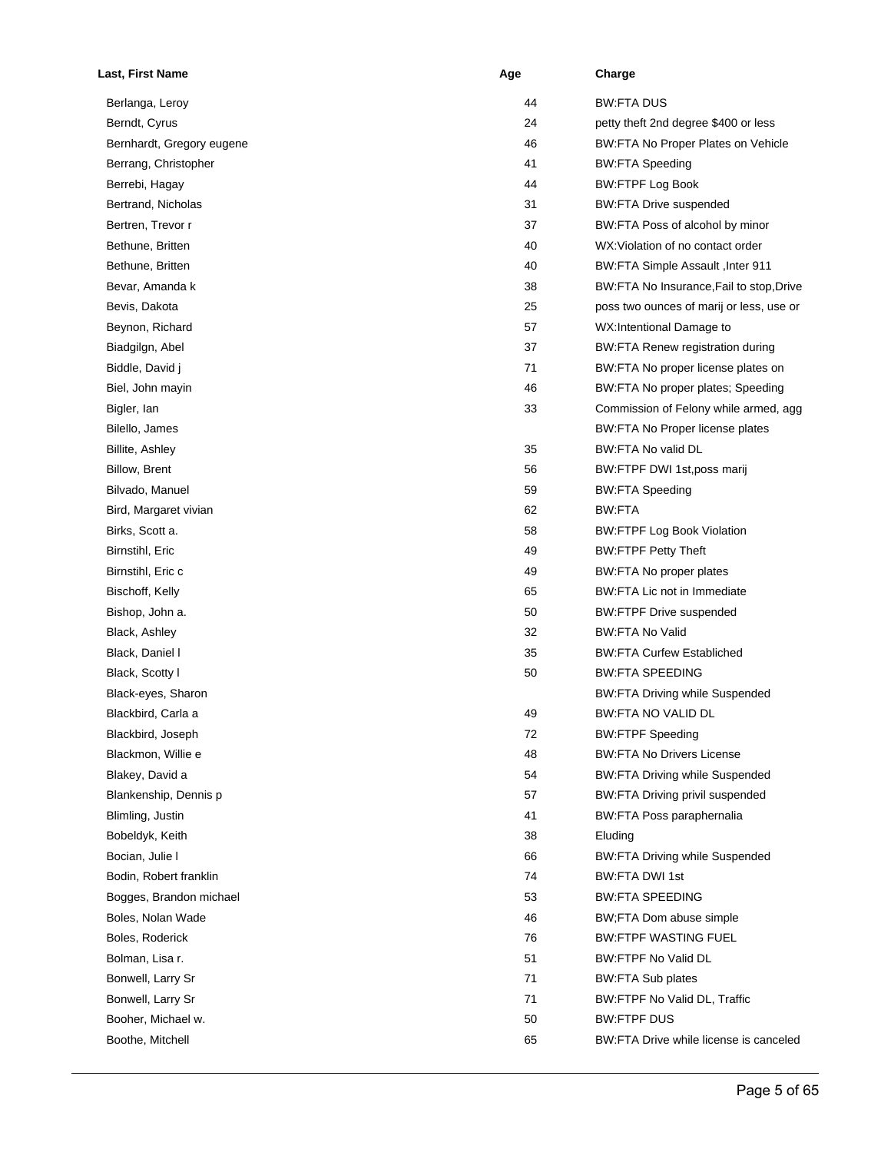| Last, First Name          | Age | Charge                                   |
|---------------------------|-----|------------------------------------------|
| Berlanga, Leroy           | 44  | <b>BW:FTA DUS</b>                        |
| Berndt, Cyrus             | 24  | petty theft 2nd degree \$400 or less     |
| Bernhardt, Gregory eugene | 46  | BW:FTA No Proper Plates on Vehicle       |
| Berrang, Christopher      | 41  | <b>BW:FTA Speeding</b>                   |
| Berrebi, Hagay            | 44  | <b>BW:FTPF Log Book</b>                  |
| Bertrand, Nicholas        | 31  | <b>BW:FTA Drive suspended</b>            |
| Bertren, Trevor r         | 37  | BW:FTA Poss of alcohol by minor          |
| Bethune, Britten          | 40  | WX: Violation of no contact order        |
| Bethune, Britten          | 40  | <b>BW:FTA Simple Assault , Inter 911</b> |
| Bevar, Amanda k           | 38  | BW:FTA No Insurance, Fail to stop, Drive |
| Bevis, Dakota             | 25  | poss two ounces of marij or less, use or |
| Beynon, Richard           | 57  | WX:Intentional Damage to                 |
| Biadgilgn, Abel           | 37  | BW:FTA Renew registration during         |
| Biddle, David j           | 71  | BW:FTA No proper license plates on       |
| Biel, John mayin          | 46  | BW:FTA No proper plates; Speeding        |
| Bigler, lan               | 33  | Commission of Felony while armed, agg    |
| Bilello, James            |     | BW:FTA No Proper license plates          |
| Billite, Ashley           | 35  | BW:FTA No valid DL                       |
| Billow, Brent             | 56  | BW:FTPF DWI 1st, poss marij              |
| Bilvado, Manuel           | 59  | <b>BW:FTA Speeding</b>                   |
| Bird, Margaret vivian     | 62  | BW:FTA                                   |
| Birks, Scott a.           | 58  | <b>BW:FTPF Log Book Violation</b>        |
| Birnstihl, Eric           | 49  | <b>BW:FTPF Petty Theft</b>               |
| Birnstihl, Eric c         | 49  | BW:FTA No proper plates                  |
| Bischoff, Kelly           | 65  | BW:FTA Lic not in Immediate              |
| Bishop, John a.           | 50  | <b>BW:FTPF Drive suspended</b>           |
| Black, Ashley             | 32  | <b>BW:FTA No Valid</b>                   |
| Black, Daniel I           | 35  | <b>BW:FTA Curfew Establiched</b>         |
| Black, Scotty I           | 50  | <b>BW:FTA SPEEDING</b>                   |
| Black-eyes, Sharon        |     | <b>BW:FTA Driving while Suspended</b>    |
| Blackbird, Carla a        | 49  | BW:FTA NO VALID DL                       |
| Blackbird, Joseph         | 72  | <b>BW:FTPF Speeding</b>                  |
| Blackmon, Willie e        | 48  | <b>BW:FTA No Drivers License</b>         |
| Blakey, David a           | 54  | <b>BW:FTA Driving while Suspended</b>    |
| Blankenship, Dennis p     | 57  | BW:FTA Driving privil suspended          |
| Blimling, Justin          | 41  | BW:FTA Poss paraphernalia                |
| Bobeldyk, Keith           | 38  | Eluding                                  |
| Bocian, Julie I           | 66  | <b>BW:FTA Driving while Suspended</b>    |
| Bodin, Robert franklin    | 74  | BW:FTA DWI 1st                           |
| Bogges, Brandon michael   | 53  | <b>BW:FTA SPEEDING</b>                   |
| Boles, Nolan Wade         | 46  | BW;FTA Dom abuse simple                  |
| Boles, Roderick           | 76  | <b>BW:FTPF WASTING FUEL</b>              |
| Bolman, Lisa r.           | 51  | BW:FTPF No Valid DL                      |
| Bonwell, Larry Sr         | 71  | <b>BW:FTA Sub plates</b>                 |
| Bonwell, Larry Sr         | 71  | BW:FTPF No Valid DL, Traffic             |
| Booher, Michael w.        | 50  | <b>BW:FTPF DUS</b>                       |
| Boothe, Mitchell          | 65  | BW:FTA Drive while license is canceled   |
|                           |     |                                          |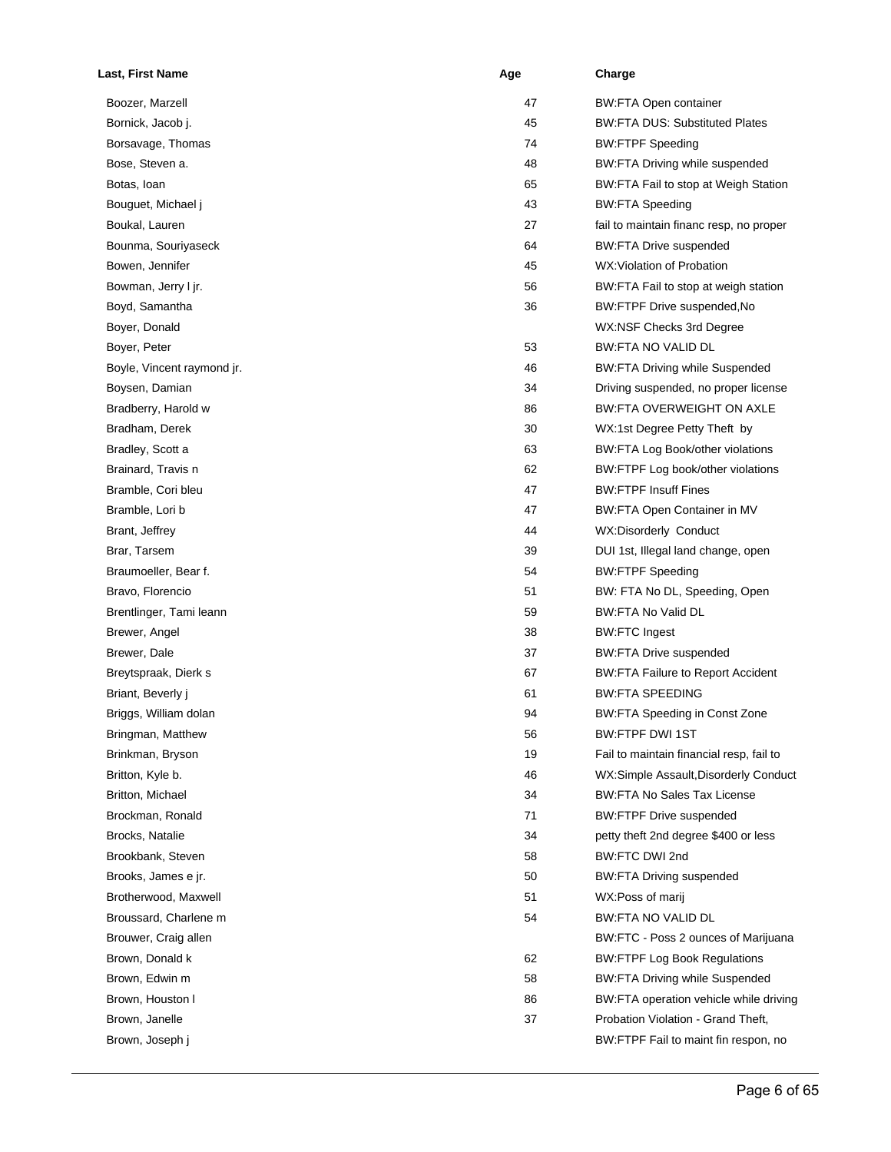| Last, First Name           | Age | Charge                                   |
|----------------------------|-----|------------------------------------------|
| Boozer, Marzell            | 47  | <b>BW:FTA Open container</b>             |
| Bornick, Jacob j.          | 45  | <b>BW:FTA DUS: Substituted Plates</b>    |
| Borsavage, Thomas          | 74  | <b>BW:FTPF Speeding</b>                  |
| Bose, Steven a.            | 48  | BW:FTA Driving while suspended           |
| Botas, Ioan                | 65  | BW:FTA Fail to stop at Weigh Station     |
| Bouguet, Michael j         | 43  | <b>BW:FTA Speeding</b>                   |
| Boukal, Lauren             | 27  | fail to maintain financ resp, no proper  |
| Bounma, Souriyaseck        | 64  | <b>BW:FTA Drive suspended</b>            |
| Bowen, Jennifer            | 45  | WX: Violation of Probation               |
| Bowman, Jerry I jr.        | 56  | BW:FTA Fail to stop at weigh station     |
| Boyd, Samantha             | 36  | BW:FTPF Drive suspended, No              |
| Boyer, Donald              |     | WX:NSF Checks 3rd Degree                 |
| Boyer, Peter               | 53  | BW:FTA NO VALID DL                       |
| Boyle, Vincent raymond jr. | 46  | <b>BW:FTA Driving while Suspended</b>    |
| Boysen, Damian             | 34  | Driving suspended, no proper license     |
| Bradberry, Harold w        | 86  | BW:FTA OVERWEIGHT ON AXLE                |
| Bradham, Derek             | 30  | WX:1st Degree Petty Theft by             |
| Bradley, Scott a           | 63  | BW:FTA Log Book/other violations         |
| Brainard, Travis n         | 62  | BW:FTPF Log book/other violations        |
| Bramble, Cori bleu         | 47  | <b>BW:FTPF Insuff Fines</b>              |
| Bramble, Lori b            | 47  | BW:FTA Open Container in MV              |
| Brant, Jeffrey             | 44  | WX:Disorderly Conduct                    |
| Brar, Tarsem               | 39  | DUI 1st, Illegal land change, open       |
| Braumoeller, Bear f.       | 54  | <b>BW:FTPF Speeding</b>                  |
| Bravo, Florencio           | 51  | BW: FTA No DL, Speeding, Open            |
| Brentlinger, Tami leann    | 59  | <b>BW:FTA No Valid DL</b>                |
| Brewer, Angel              | 38  | <b>BW:FTC Ingest</b>                     |
| Brewer, Dale               | 37  | <b>BW:FTA Drive suspended</b>            |
| Breytspraak, Dierk s       | 67  | <b>BW:FTA Failure to Report Accident</b> |
| Briant, Beverly j          | 61  | <b>BW:FTA SPEEDING</b>                   |
| Briggs, William dolan      | 94  | BW:FTA Speeding in Const Zone            |
| Bringman, Matthew          | 56  | <b>BW:FTPF DWI 1ST</b>                   |
| Brinkman, Bryson           | 19  | Fail to maintain financial resp, fail to |
| Britton, Kyle b.           | 46  | WX:Simple Assault, Disorderly Conduct    |
| Britton, Michael           | 34  | <b>BW:FTA No Sales Tax License</b>       |
| Brockman, Ronald           | 71  | <b>BW:FTPF Drive suspended</b>           |
| Brocks, Natalie            | 34  | petty theft 2nd degree \$400 or less     |
| Brookbank, Steven          | 58  | BW:FTC DWI 2nd                           |
| Brooks, James e jr.        | 50  | <b>BW:FTA Driving suspended</b>          |
| Brotherwood, Maxwell       | 51  | WX:Poss of marij                         |
| Broussard, Charlene m      | 54  | <b>BW:FTA NO VALID DL</b>                |
| Brouwer, Craig allen       |     | BW:FTC - Poss 2 ounces of Marijuana      |
| Brown, Donald k            | 62  | <b>BW:FTPF Log Book Regulations</b>      |
| Brown, Edwin m             | 58  | <b>BW:FTA Driving while Suspended</b>    |
| Brown, Houston I           | 86  | BW:FTA operation vehicle while driving   |
| Brown, Janelle             | 37  | Probation Violation - Grand Theft,       |
| Brown, Joseph j            |     | BW:FTPF Fail to maint fin respon, no     |
|                            |     |                                          |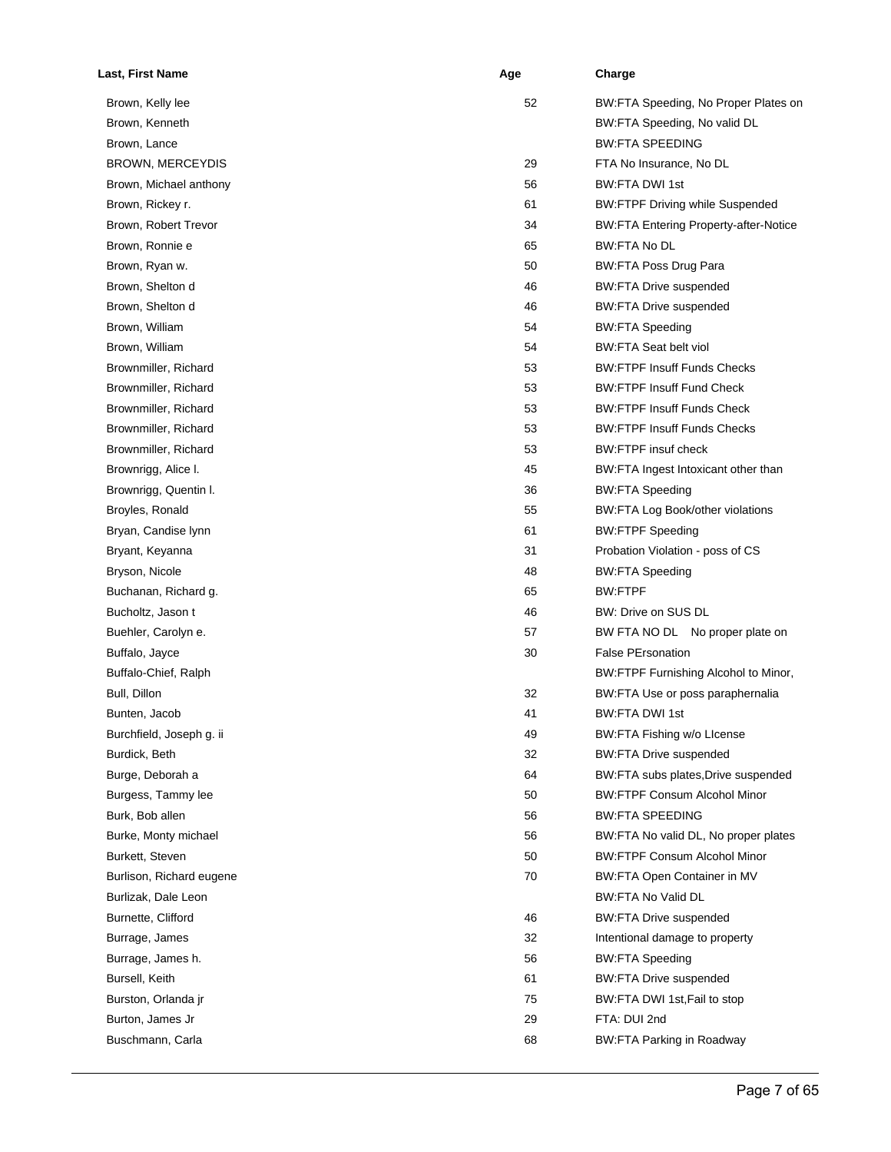| Last, First Name         | Age | Charge                                       |
|--------------------------|-----|----------------------------------------------|
| Brown, Kelly lee         | 52  | BW:FTA Speeding, No Proper Plates on         |
| Brown, Kenneth           |     | BW:FTA Speeding, No valid DL                 |
| Brown, Lance             |     | <b>BW:FTA SPEEDING</b>                       |
| <b>BROWN, MERCEYDIS</b>  | 29  | FTA No Insurance, No DL                      |
| Brown, Michael anthony   | 56  | <b>BW:FTA DWI 1st</b>                        |
| Brown, Rickey r.         | 61  | <b>BW:FTPF Driving while Suspended</b>       |
| Brown, Robert Trevor     | 34  | <b>BW:FTA Entering Property-after-Notice</b> |
| Brown, Ronnie e          | 65  | <b>BW:FTA No DL</b>                          |
| Brown, Ryan w.           | 50  | BW:FTA Poss Drug Para                        |
| Brown, Shelton d         | 46  | <b>BW:FTA Drive suspended</b>                |
| Brown, Shelton d         | 46  | <b>BW:FTA Drive suspended</b>                |
| Brown, William           | 54  | <b>BW:FTA Speeding</b>                       |
| Brown, William           | 54  | <b>BW:FTA Seat belt viol</b>                 |
| Brownmiller, Richard     | 53  | <b>BW:FTPF Insuff Funds Checks</b>           |
| Brownmiller, Richard     | 53  | <b>BW:FTPF Insuff Fund Check</b>             |
| Brownmiller, Richard     | 53  | <b>BW:FTPF Insuff Funds Check</b>            |
| Brownmiller, Richard     | 53  | <b>BW:FTPF Insuff Funds Checks</b>           |
| Brownmiller, Richard     | 53  | <b>BW:FTPF insuf check</b>                   |
| Brownrigg, Alice I.      | 45  | BW:FTA Ingest Intoxicant other than          |
| Brownrigg, Quentin I.    | 36  | <b>BW:FTA Speeding</b>                       |
| Broyles, Ronald          | 55  | BW:FTA Log Book/other violations             |
| Bryan, Candise lynn      | 61  | <b>BW:FTPF Speeding</b>                      |
| Bryant, Keyanna          | 31  | Probation Violation - poss of CS             |
| Bryson, Nicole           | 48  | <b>BW:FTA Speeding</b>                       |
| Buchanan, Richard g.     | 65  | <b>BW:FTPF</b>                               |
| Bucholtz, Jason t        | 46  | BW: Drive on SUS DL                          |
| Buehler, Carolyn e.      | 57  | BW FTA NO DL No proper plate on              |
| Buffalo, Jayce           | 30  | <b>False PErsonation</b>                     |
| Buffalo-Chief, Ralph     |     | BW:FTPF Furnishing Alcohol to Minor,         |
| Bull, Dillon             | 32  | BW:FTA Use or poss paraphernalia             |
| Bunten, Jacob            | 41  | BW:FTA DWI 1st                               |
| Burchfield, Joseph g. ii | 49  | BW:FTA Fishing w/o LIcense                   |
| Burdick, Beth            | 32  | <b>BW:FTA Drive suspended</b>                |
| Burge, Deborah a         | 64  | BW:FTA subs plates, Drive suspended          |
| Burgess, Tammy lee       | 50  | <b>BW:FTPF Consum Alcohol Minor</b>          |
| Burk, Bob allen          | 56  | <b>BW:FTA SPEEDING</b>                       |
| Burke, Monty michael     | 56  | BW:FTA No valid DL, No proper plates         |
| Burkett, Steven          | 50  | <b>BW:FTPF Consum Alcohol Minor</b>          |
| Burlison, Richard eugene | 70  | BW:FTA Open Container in MV                  |
| Burlizak, Dale Leon      |     | <b>BW:FTA No Valid DL</b>                    |
| Burnette, Clifford       | 46  | <b>BW:FTA Drive suspended</b>                |
| Burrage, James           | 32  | Intentional damage to property               |
| Burrage, James h.        | 56  | <b>BW:FTA Speeding</b>                       |
| Bursell, Keith           | 61  | <b>BW:FTA Drive suspended</b>                |
| Burston, Orlanda jr      | 75  | BW:FTA DWI 1st, Fail to stop                 |
| Burton, James Jr         | 29  | FTA: DUI 2nd                                 |
| Buschmann, Carla         | 68  | <b>BW:FTA Parking in Roadway</b>             |
|                          |     |                                              |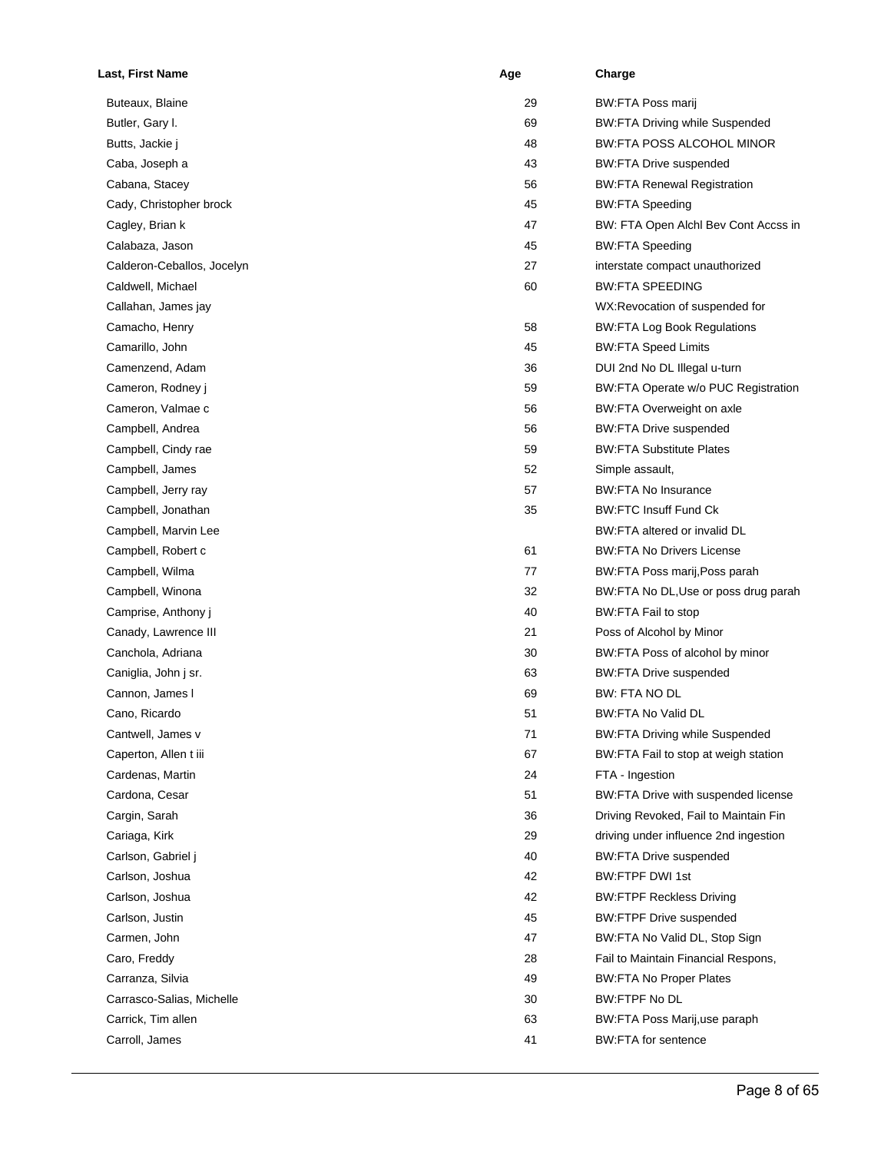| Last, First Name           | Age | Charge                                |
|----------------------------|-----|---------------------------------------|
| Buteaux, Blaine            | 29  | BW:FTA Poss marij                     |
| Butler, Gary I.            | 69  | <b>BW:FTA Driving while Suspended</b> |
| Butts, Jackie j            | 48  | <b>BW:FTA POSS ALCOHOL MINOR</b>      |
| Caba, Joseph a             | 43  | <b>BW:FTA Drive suspended</b>         |
| Cabana, Stacey             | 56  | <b>BW:FTA Renewal Registration</b>    |
| Cady, Christopher brock    | 45  | <b>BW:FTA Speeding</b>                |
| Cagley, Brian k            | 47  | BW: FTA Open Alchl Bev Cont Accss in  |
| Calabaza, Jason            | 45  | <b>BW:FTA Speeding</b>                |
| Calderon-Ceballos, Jocelyn | 27  | interstate compact unauthorized       |
| Caldwell, Michael          | 60  | <b>BW:FTA SPEEDING</b>                |
| Callahan, James jay        |     | WX:Revocation of suspended for        |
| Camacho, Henry             | 58  | <b>BW:FTA Log Book Regulations</b>    |
| Camarillo, John            | 45  | <b>BW:FTA Speed Limits</b>            |
| Camenzend, Adam            | 36  | DUI 2nd No DL Illegal u-turn          |
| Cameron, Rodney j          | 59  | BW:FTA Operate w/o PUC Registration   |
| Cameron, Valmae c          | 56  | BW:FTA Overweight on axle             |
| Campbell, Andrea           | 56  | <b>BW:FTA Drive suspended</b>         |
| Campbell, Cindy rae        | 59  | <b>BW:FTA Substitute Plates</b>       |
| Campbell, James            | 52  | Simple assault,                       |
| Campbell, Jerry ray        | 57  | <b>BW:FTA No Insurance</b>            |
| Campbell, Jonathan         | 35  | <b>BW:FTC Insuff Fund Ck</b>          |
| Campbell, Marvin Lee       |     | BW:FTA altered or invalid DL          |
| Campbell, Robert c         | 61  | <b>BW:FTA No Drivers License</b>      |
| Campbell, Wilma            | 77  | BW:FTA Poss marij, Poss parah         |
| Campbell, Winona           | 32  | BW:FTA No DL, Use or poss drug parah  |
| Camprise, Anthony j        | 40  | BW:FTA Fail to stop                   |
| Canady, Lawrence III       | 21  | Poss of Alcohol by Minor              |
| Canchola, Adriana          | 30  | BW:FTA Poss of alcohol by minor       |
| Caniglia, John j sr.       | 63  | <b>BW:FTA Drive suspended</b>         |
| Cannon, James I            | 69  | BW: FTA NO DL                         |
| Cano, Ricardo              | 51  | BW:FTA No Valid DL                    |
| Cantwell, James v          | 71  | <b>BW:FTA Driving while Suspended</b> |
| Caperton, Allen t iii      | 67  | BW:FTA Fail to stop at weigh station  |
| Cardenas, Martin           | 24  | FTA - Ingestion                       |
| Cardona, Cesar             | 51  | BW:FTA Drive with suspended license   |
| Cargin, Sarah              | 36  | Driving Revoked, Fail to Maintain Fin |
| Cariaga, Kirk              | 29  | driving under influence 2nd ingestion |
| Carlson, Gabriel j         | 40  | <b>BW:FTA Drive suspended</b>         |
| Carlson, Joshua            | 42  | <b>BW:FTPF DWI 1st</b>                |
| Carlson, Joshua            | 42  | <b>BW:FTPF Reckless Driving</b>       |
| Carlson, Justin            | 45  | <b>BW:FTPF Drive suspended</b>        |
| Carmen, John               | 47  | BW:FTA No Valid DL, Stop Sign         |
| Caro, Freddy               | 28  | Fail to Maintain Financial Respons,   |
| Carranza, Silvia           | 49  | <b>BW:FTA No Proper Plates</b>        |
| Carrasco-Salias, Michelle  | 30  | <b>BW:FTPF No DL</b>                  |
| Carrick, Tim allen         | 63  | BW:FTA Poss Marij, use paraph         |
| Carroll, James             | 41  | <b>BW:FTA for sentence</b>            |
|                            |     |                                       |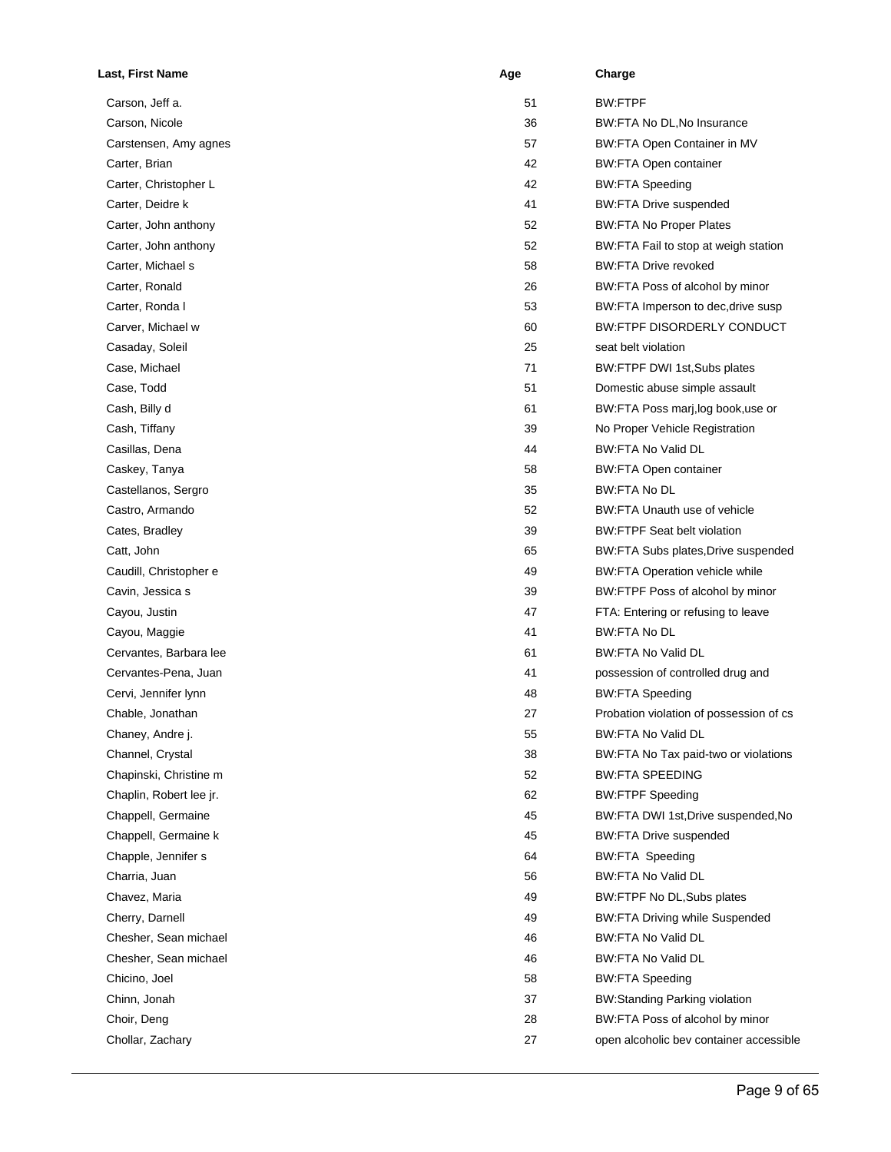| Last, First Name        | Age | Charge                                       |
|-------------------------|-----|----------------------------------------------|
| Carson, Jeff a.         | 51  | <b>BW:FTPF</b>                               |
| Carson, Nicole          | 36  | BW:FTA No DL, No Insurance                   |
| Carstensen, Amy agnes   | 57  | BW:FTA Open Container in MV                  |
| Carter, Brian           | 42  | <b>BW:FTA Open container</b>                 |
| Carter, Christopher L   | 42  | <b>BW:FTA Speeding</b>                       |
| Carter, Deidre k        | 41  | <b>BW:FTA Drive suspended</b>                |
| Carter, John anthony    | 52  | <b>BW:FTA No Proper Plates</b>               |
| Carter, John anthony    | 52  | BW:FTA Fail to stop at weigh station         |
| Carter, Michael s       | 58  | <b>BW:FTA Drive revoked</b>                  |
| Carter, Ronald          | 26  | BW:FTA Poss of alcohol by minor              |
| Carter, Ronda I         | 53  | BW:FTA Imperson to dec, drive susp           |
| Carver, Michael w       | 60  | <b>BW:FTPF DISORDERLY CONDUCT</b>            |
| Casaday, Soleil         | 25  | seat belt violation                          |
| Case, Michael           | 71  | BW:FTPF DWI 1st, Subs plates                 |
| Case, Todd              | 51  | Domestic abuse simple assault                |
| Cash, Billy d           | 61  | BW:FTA Poss marj, log book, use or           |
| Cash, Tiffany           | 39  | No Proper Vehicle Registration               |
| Casillas, Dena          | 44  | <b>BW:FTA No Valid DL</b>                    |
| Caskey, Tanya           | 58  | <b>BW:FTA Open container</b>                 |
| Castellanos, Sergro     | 35  | <b>BW:FTA No DL</b>                          |
| Castro, Armando         | 52  | BW:FTA Unauth use of vehicle                 |
| Cates, Bradley          | 39  | <b>BW:FTPF Seat belt violation</b>           |
| Catt, John              | 65  | BW:FTA Subs plates, Drive suspended          |
| Caudill, Christopher e  | 49  | <b>BW:FTA Operation vehicle while</b>        |
| Cavin, Jessica s        | 39  | BW:FTPF Poss of alcohol by minor             |
| Cayou, Justin           | 47  | FTA: Entering or refusing to leave           |
| Cayou, Maggie           | 41  | <b>BW:FTA No DL</b>                          |
| Cervantes, Barbara lee  | 61  | <b>BW:FTA No Valid DL</b>                    |
| Cervantes-Pena, Juan    | 41  | possession of controlled drug and            |
| Cervi, Jennifer lynn    | 48  | <b>BW:FTA Speeding</b>                       |
| Chable, Jonathan        | 27  | Probation violation of possession of cs      |
| Chaney, Andre j.        | 55  | BW:FTA No Valid DL                           |
| Channel, Crystal        | 38  | BW:FTA No Tax paid-two or violations         |
| Chapinski, Christine m  | 52  | <b>BW:FTA SPEEDING</b>                       |
| Chaplin, Robert lee jr. | 62  | <b>BW:FTPF Speeding</b>                      |
| Chappell, Germaine      | 45  | BW:FTA DWI 1st, Drive suspended, No          |
| Chappell, Germaine k    | 45  | <b>BW:FTA Drive suspended</b>                |
| Chapple, Jennifer s     | 64  | <b>BW:FTA Speeding</b>                       |
| Charria, Juan           | 56  | <b>BW:FTA No Valid DL</b>                    |
| Chavez, Maria           | 49  | BW:FTPF No DL, Subs plates                   |
| Cherry, Darnell         | 49  | <b>BW:FTA Driving while Suspended</b>        |
| Chesher, Sean michael   | 46  | BW:FTA No Valid DL                           |
|                         |     |                                              |
| Chesher, Sean michael   | 46  | BW:FTA No Valid DL<br><b>BW:FTA Speeding</b> |
| Chicino, Joel           | 58  |                                              |
| Chinn, Jonah            | 37  | <b>BW:Standing Parking violation</b>         |
| Choir, Deng             | 28  | BW:FTA Poss of alcohol by minor              |
| Chollar, Zachary        | 27  | open alcoholic bev container accessible      |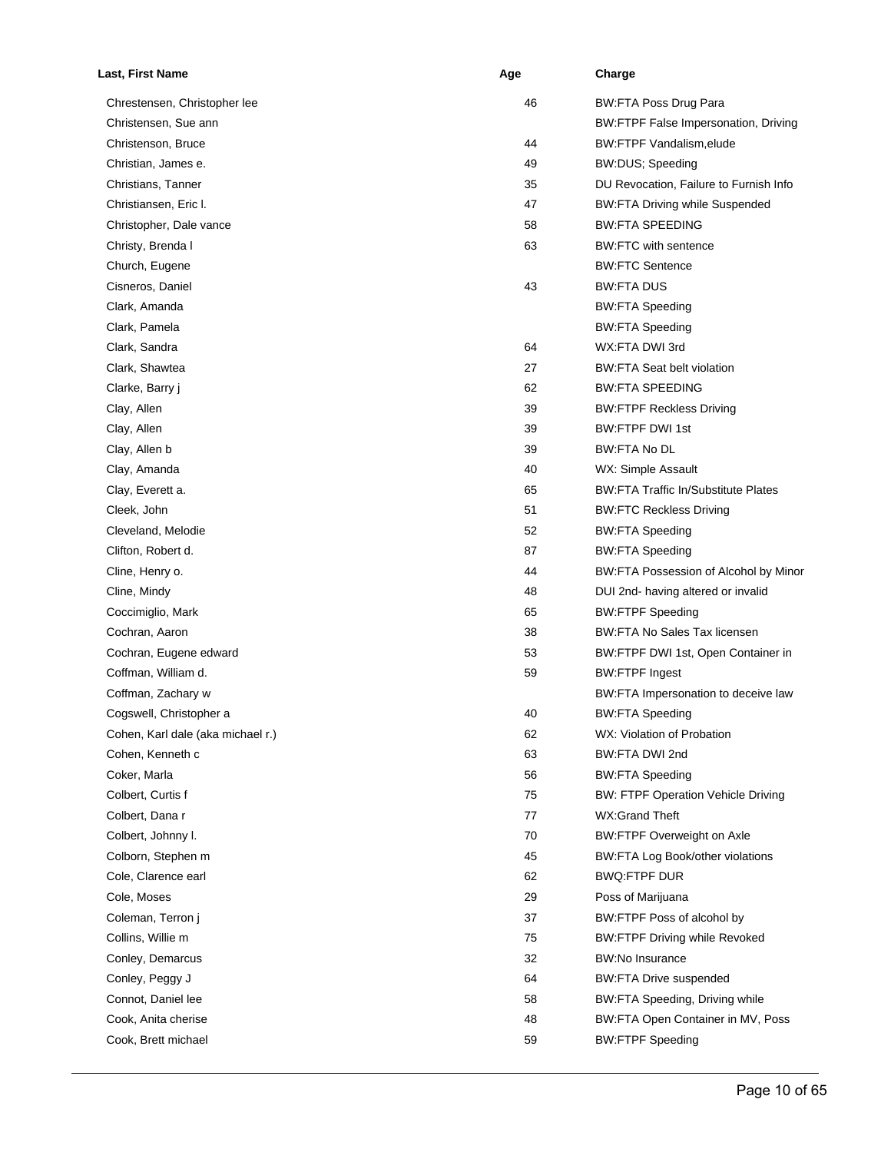| Last, First Name                  | Age | Charge                                     |
|-----------------------------------|-----|--------------------------------------------|
| Chrestensen, Christopher lee      | 46  | BW:FTA Poss Drug Para                      |
| Christensen, Sue ann              |     | BW:FTPF False Impersonation, Driving       |
| Christenson, Bruce                | 44  | BW:FTPF Vandalism, elude                   |
| Christian, James e.               | 49  | <b>BW:DUS; Speeding</b>                    |
| Christians, Tanner                | 35  | DU Revocation, Failure to Furnish Info     |
| Christiansen, Eric I.             | 47  | <b>BW:FTA Driving while Suspended</b>      |
| Christopher, Dale vance           | 58  | <b>BW:FTA SPEEDING</b>                     |
| Christy, Brenda I                 | 63  | <b>BW:FTC with sentence</b>                |
| Church, Eugene                    |     | <b>BW:FTC Sentence</b>                     |
| Cisneros, Daniel                  | 43  | <b>BW:FTA DUS</b>                          |
| Clark, Amanda                     |     | <b>BW:FTA Speeding</b>                     |
| Clark, Pamela                     |     | <b>BW:FTA Speeding</b>                     |
| Clark, Sandra                     | 64  | WX:FTA DWI 3rd                             |
| Clark, Shawtea                    | 27  | <b>BW:FTA Seat belt violation</b>          |
| Clarke, Barry j                   | 62  | <b>BW:FTA SPEEDING</b>                     |
| Clay, Allen                       | 39  | <b>BW:FTPF Reckless Driving</b>            |
| Clay, Allen                       | 39  | <b>BW:FTPF DWI 1st</b>                     |
| Clay, Allen b                     | 39  | BW:FTA No DL                               |
| Clay, Amanda                      | 40  | WX: Simple Assault                         |
| Clay, Everett a.                  | 65  | <b>BW:FTA Traffic In/Substitute Plates</b> |
| Cleek, John                       | 51  | <b>BW:FTC Reckless Driving</b>             |
| Cleveland, Melodie                | 52  | <b>BW:FTA Speeding</b>                     |
| Clifton, Robert d.                | 87  | <b>BW:FTA Speeding</b>                     |
| Cline, Henry o.                   | 44  | BW:FTA Possession of Alcohol by Minor      |
| Cline, Mindy                      | 48  | DUI 2nd- having altered or invalid         |
| Coccimiglio, Mark                 | 65  | <b>BW:FTPF Speeding</b>                    |
| Cochran, Aaron                    | 38  | <b>BW:FTA No Sales Tax licensen</b>        |
| Cochran, Eugene edward            | 53  | BW:FTPF DWI 1st, Open Container in         |
| Coffman, William d.               | 59  | <b>BW:FTPF Ingest</b>                      |
| Coffman, Zachary w                |     | BW:FTA Impersonation to deceive law        |
| Cogswell, Christopher a           | 40  | <b>BW:FTA Speeding</b>                     |
| Cohen, Karl dale (aka michael r.) | 62  | WX: Violation of Probation                 |
| Cohen, Kenneth c                  | 63  | BW:FTA DWI 2nd                             |
| Coker, Marla                      | 56  | <b>BW:FTA Speeding</b>                     |
| Colbert, Curtis f                 | 75  | <b>BW: FTPF Operation Vehicle Driving</b>  |
| Colbert, Dana r                   | 77  | WX:Grand Theft                             |
| Colbert, Johnny I.                | 70  | BW:FTPF Overweight on Axle                 |
| Colborn, Stephen m                | 45  | BW:FTA Log Book/other violations           |
| Cole, Clarence earl               | 62  | <b>BWQ:FTPF DUR</b>                        |
| Cole, Moses                       | 29  | Poss of Marijuana                          |
| Coleman, Terron j                 | 37  | BW:FTPF Poss of alcohol by                 |
| Collins, Willie m                 | 75  | <b>BW:FTPF Driving while Revoked</b>       |
| Conley, Demarcus                  | 32  | <b>BW:No Insurance</b>                     |
| Conley, Peggy J                   | 64  | <b>BW:FTA Drive suspended</b>              |
| Connot, Daniel lee                | 58  | BW:FTA Speeding, Driving while             |
| Cook, Anita cherise               | 48  | BW:FTA Open Container in MV, Poss          |
| Cook, Brett michael               | 59  | <b>BW:FTPF Speeding</b>                    |
|                                   |     |                                            |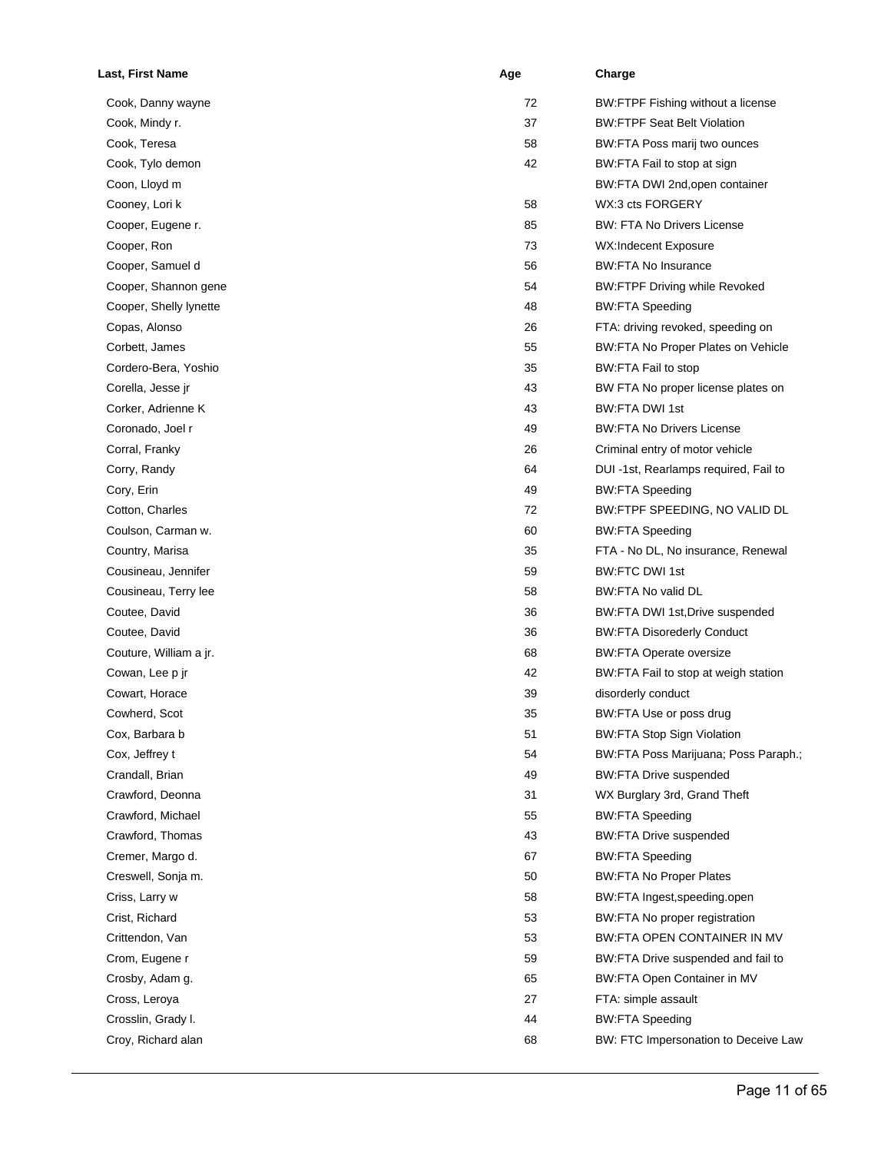| Last, First Name       | Age | Charge                               |
|------------------------|-----|--------------------------------------|
| Cook, Danny wayne      | 72  | BW:FTPF Fishing without a license    |
| Cook, Mindy r.         | 37  | <b>BW:FTPF Seat Belt Violation</b>   |
| Cook, Teresa           | 58  | BW:FTA Poss marij two ounces         |
| Cook, Tylo demon       | 42  | BW:FTA Fail to stop at sign          |
| Coon, Lloyd m          |     | BW:FTA DWI 2nd, open container       |
| Cooney, Lori k         | 58  | WX:3 cts FORGERY                     |
| Cooper, Eugene r.      | 85  | <b>BW: FTA No Drivers License</b>    |
| Cooper, Ron            | 73  | WX:Indecent Exposure                 |
| Cooper, Samuel d       | 56  | <b>BW:FTA No Insurance</b>           |
| Cooper, Shannon gene   | 54  | <b>BW:FTPF Driving while Revoked</b> |
| Cooper, Shelly lynette | 48  | <b>BW:FTA Speeding</b>               |
| Copas, Alonso          | 26  | FTA: driving revoked, speeding on    |
| Corbett, James         | 55  | BW:FTA No Proper Plates on Vehicle   |
| Cordero-Bera, Yoshio   | 35  | BW:FTA Fail to stop                  |
| Corella, Jesse jr      | 43  | BW FTA No proper license plates on   |
| Corker, Adrienne K     | 43  | <b>BW:FTA DWI 1st</b>                |
| Coronado, Joel r       | 49  | <b>BW:FTA No Drivers License</b>     |
| Corral, Franky         | 26  | Criminal entry of motor vehicle      |
| Corry, Randy           | 64  | DUI-1st, Rearlamps required, Fail to |
| Cory, Erin             | 49  | <b>BW:FTA Speeding</b>               |
| Cotton, Charles        | 72  | BW:FTPF SPEEDING, NO VALID DL        |
| Coulson, Carman w.     | 60  | <b>BW:FTA Speeding</b>               |
| Country, Marisa        | 35  | FTA - No DL, No insurance, Renewal   |
| Cousineau, Jennifer    | 59  | <b>BW:FTC DWI 1st</b>                |
| Cousineau, Terry lee   | 58  | BW:FTA No valid DL                   |
| Coutee, David          | 36  | BW:FTA DWI 1st, Drive suspended      |
| Coutee, David          | 36  | <b>BW:FTA Disorederly Conduct</b>    |
| Couture, William a jr. | 68  | <b>BW:FTA Operate oversize</b>       |
| Cowan, Lee p jr        | 42  | BW:FTA Fail to stop at weigh station |
| Cowart, Horace         | 39  | disorderly conduct                   |
| Cowherd, Scot          | 35  | BW:FTA Use or poss drug              |
| Cox, Barbara b         | 51  | <b>BW:FTA Stop Sign Violation</b>    |
| Cox, Jeffrey t         | 54  | BW:FTA Poss Marijuana; Poss Paraph.; |
| Crandall, Brian        | 49  | <b>BW:FTA Drive suspended</b>        |
| Crawford, Deonna       | 31  | WX Burglary 3rd, Grand Theft         |
| Crawford, Michael      | 55  | <b>BW:FTA Speeding</b>               |
| Crawford, Thomas       | 43  | <b>BW:FTA Drive suspended</b>        |
| Cremer, Margo d.       | 67  | <b>BW:FTA Speeding</b>               |
| Creswell, Sonja m.     | 50  | <b>BW:FTA No Proper Plates</b>       |
| Criss, Larry w         | 58  | BW:FTA Ingest, speeding.open         |
| Crist, Richard         | 53  | BW:FTA No proper registration        |
| Crittendon, Van        | 53  | BW:FTA OPEN CONTAINER IN MV          |
| Crom, Eugene r         | 59  | BW:FTA Drive suspended and fail to   |
| Crosby, Adam g.        | 65  | BW:FTA Open Container in MV          |
| Cross, Leroya          | 27  | FTA: simple assault                  |
| Crosslin, Grady I.     | 44  | <b>BW:FTA Speeding</b>               |
| Croy, Richard alan     | 68  | BW: FTC Impersonation to Deceive Law |
|                        |     |                                      |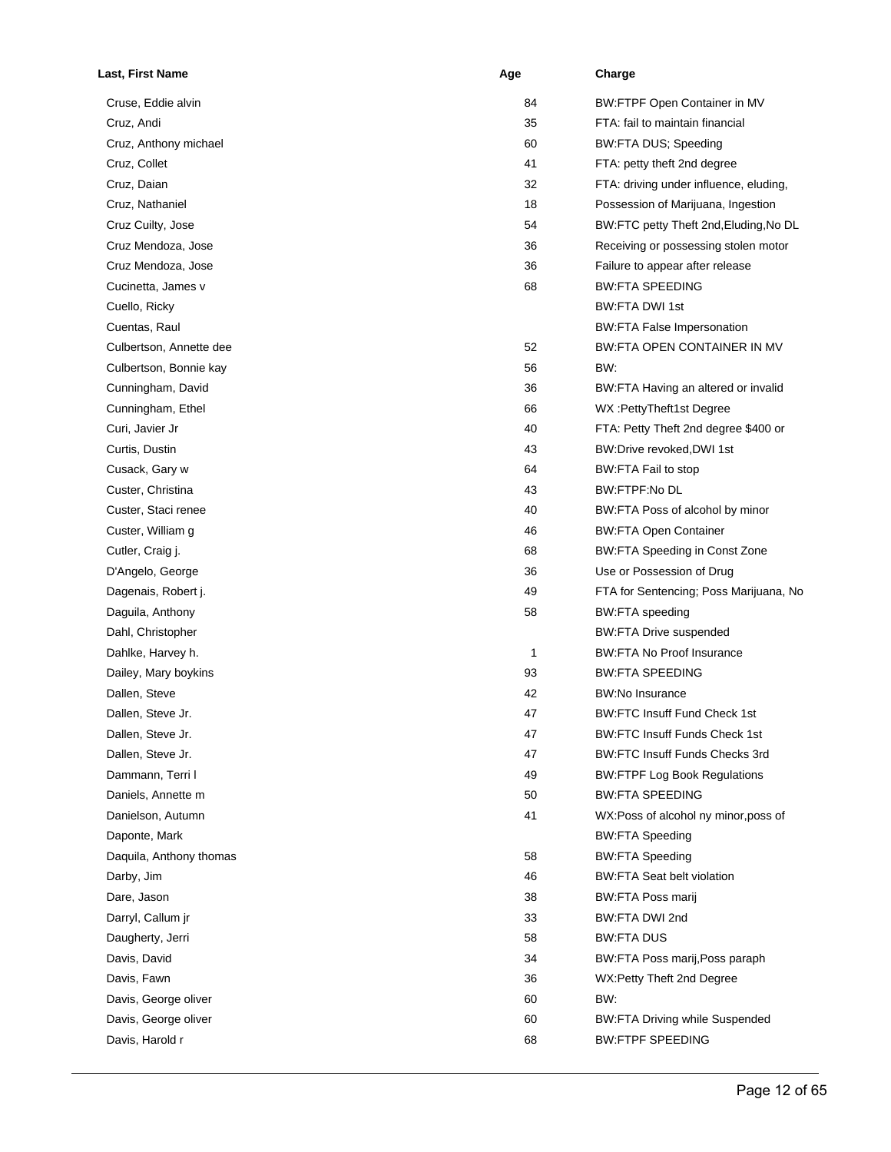| Last, First Name        | Age | Charge                                 |
|-------------------------|-----|----------------------------------------|
| Cruse, Eddie alvin      | 84  | BW:FTPF Open Container in MV           |
| Cruz, Andi              | 35  | FTA: fail to maintain financial        |
| Cruz, Anthony michael   | 60  | <b>BW:FTA DUS; Speeding</b>            |
| Cruz, Collet            | 41  | FTA: petty theft 2nd degree            |
| Cruz, Daian             | 32  | FTA: driving under influence, eluding, |
| Cruz, Nathaniel         | 18  | Possession of Marijuana, Ingestion     |
| Cruz Cuilty, Jose       | 54  | BW:FTC petty Theft 2nd, Eluding, No DL |
| Cruz Mendoza, Jose      | 36  | Receiving or possessing stolen motor   |
| Cruz Mendoza, Jose      | 36  | Failure to appear after release        |
| Cucinetta, James v      | 68  | <b>BW:FTA SPEEDING</b>                 |
| Cuello, Ricky           |     | <b>BW:FTA DWI 1st</b>                  |
| Cuentas, Raul           |     | <b>BW:FTA False Impersonation</b>      |
| Culbertson, Annette dee | 52  | BW:FTA OPEN CONTAINER IN MV            |
| Culbertson, Bonnie kay  | 56  | BW.                                    |
| Cunningham, David       | 36  | BW:FTA Having an altered or invalid    |
| Cunningham, Ethel       | 66  | WX:PettyTheft1st Degree                |
| Curi, Javier Jr         | 40  | FTA: Petty Theft 2nd degree \$400 or   |
| Curtis, Dustin          | 43  | BW:Drive revoked, DWI 1st              |
| Cusack, Gary w          | 64  | BW:FTA Fail to stop                    |
| Custer, Christina       | 43  | BW:FTPF:No DL                          |
| Custer, Staci renee     | 40  | BW:FTA Poss of alcohol by minor        |
| Custer, William g       | 46  | <b>BW:FTA Open Container</b>           |
| Cutler, Craig j.        | 68  | BW:FTA Speeding in Const Zone          |
| D'Angelo, George        | 36  | Use or Possession of Drug              |
| Dagenais, Robert j.     | 49  | FTA for Sentencing; Poss Marijuana, No |
| Daguila, Anthony        | 58  | <b>BW:FTA speeding</b>                 |
| Dahl, Christopher       |     | <b>BW:FTA Drive suspended</b>          |
| Dahlke, Harvey h.       | 1   | <b>BW:FTA No Proof Insurance</b>       |
| Dailey, Mary boykins    | 93  | <b>BW:FTA SPEEDING</b>                 |
| Dallen, Steve           | 42  | <b>BW:No Insurance</b>                 |
| Dallen, Steve Jr.       | 47  | BW:FTC Insuff Fund Check 1st           |
| Dallen, Steve Jr.       | 47  | <b>BW:FTC Insuff Funds Check 1st</b>   |
| Dallen, Steve Jr.       | 47  | <b>BW:FTC Insuff Funds Checks 3rd</b>  |
| Dammann, Terri I        | 49  | <b>BW:FTPF Log Book Regulations</b>    |
| Daniels, Annette m      | 50  | <b>BW:FTA SPEEDING</b>                 |
| Danielson, Autumn       | 41  | WX:Poss of alcohol ny minor,poss of    |
| Daponte, Mark           |     | <b>BW:FTA Speeding</b>                 |
| Daquila, Anthony thomas | 58  | <b>BW:FTA Speeding</b>                 |
| Darby, Jim              | 46  | <b>BW:FTA Seat belt violation</b>      |
| Dare, Jason             | 38  | BW:FTA Poss marij                      |
| Darryl, Callum jr       | 33  | BW:FTA DWI 2nd                         |
| Daugherty, Jerri        | 58  | <b>BW:FTA DUS</b>                      |
| Davis, David            | 34  | BW:FTA Poss marij, Poss paraph         |
| Davis, Fawn             | 36  | WX:Petty Theft 2nd Degree              |
| Davis, George oliver    | 60  | BW:                                    |
| Davis, George oliver    | 60  | <b>BW:FTA Driving while Suspended</b>  |
|                         | 68  | <b>BW:FTPF SPEEDING</b>                |
| Davis, Harold r         |     |                                        |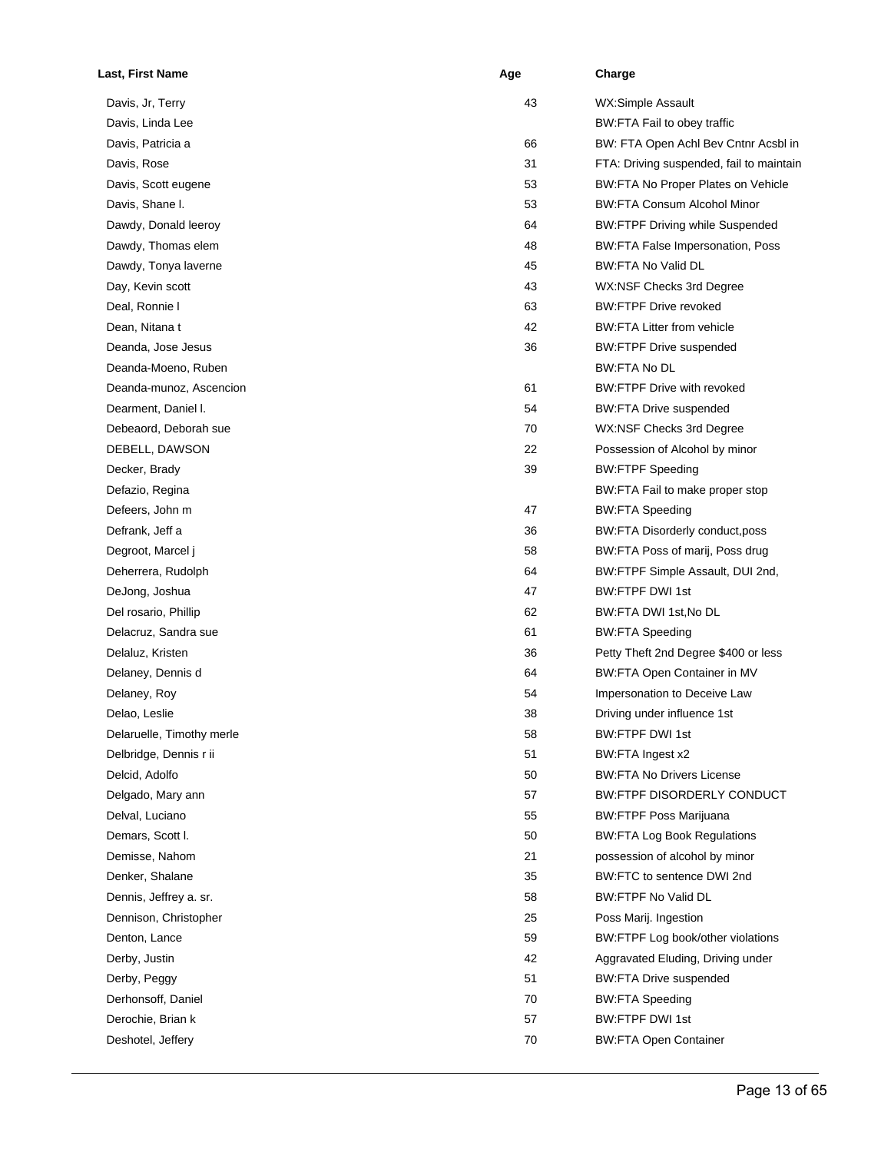| Last, First Name          | Age | Charge                                   |
|---------------------------|-----|------------------------------------------|
| Davis, Jr, Terry          | 43  | <b>WX:Simple Assault</b>                 |
| Davis, Linda Lee          |     | BW:FTA Fail to obey traffic              |
| Davis, Patricia a         | 66  | BW: FTA Open Achl Bev Cntnr Acsbl in     |
| Davis, Rose               | 31  | FTA: Driving suspended, fail to maintain |
| Davis, Scott eugene       | 53  | BW:FTA No Proper Plates on Vehicle       |
| Davis, Shane I.           | 53  | <b>BW:FTA Consum Alcohol Minor</b>       |
| Dawdy, Donald leeroy      | 64  | <b>BW:FTPF Driving while Suspended</b>   |
| Dawdy, Thomas elem        | 48  | <b>BW:FTA False Impersonation, Poss</b>  |
| Dawdy, Tonya laverne      | 45  | <b>BW:FTA No Valid DL</b>                |
| Day, Kevin scott          | 43  | WX:NSF Checks 3rd Degree                 |
| Deal, Ronnie I            | 63  | <b>BW:FTPF Drive revoked</b>             |
| Dean, Nitana t            | 42  | <b>BW:FTA Litter from vehicle</b>        |
| Deanda, Jose Jesus        | 36  | <b>BW:FTPF Drive suspended</b>           |
| Deanda-Moeno, Ruben       |     | <b>BW:FTA No DL</b>                      |
| Deanda-munoz, Ascencion   | 61  | BW:FTPF Drive with revoked               |
| Dearment, Daniel I.       | 54  | <b>BW:FTA Drive suspended</b>            |
| Debeaord, Deborah sue     | 70  | WX:NSF Checks 3rd Degree                 |
| DEBELL, DAWSON            | 22  | Possession of Alcohol by minor           |
| Decker, Brady             | 39  | <b>BW:FTPF Speeding</b>                  |
| Defazio, Regina           |     | BW:FTA Fail to make proper stop          |
| Defeers, John m           | 47  | <b>BW:FTA Speeding</b>                   |
| Defrank, Jeff a           | 36  | BW:FTA Disorderly conduct,poss           |
| Degroot, Marcel j         | 58  | BW:FTA Poss of marij, Poss drug          |
| Deherrera, Rudolph        | 64  | BW:FTPF Simple Assault, DUI 2nd,         |
| DeJong, Joshua            | 47  | <b>BW:FTPF DWI 1st</b>                   |
| Del rosario, Phillip      | 62  | BW:FTA DWI 1st, No DL                    |
| Delacruz, Sandra sue      | 61  | <b>BW:FTA Speeding</b>                   |
| Delaluz, Kristen          | 36  | Petty Theft 2nd Degree \$400 or less     |
| Delaney, Dennis d         | 64  | BW:FTA Open Container in MV              |
| Delaney, Roy              | 54  | Impersonation to Deceive Law             |
| Delao, Leslie             | 38  | Driving under influence 1st              |
| Delaruelle, Timothy merle | 58  | <b>BW:FTPF DWI 1st</b>                   |
| Delbridge, Dennis r ii    | 51  | BW:FTA Ingest x2                         |
| Delcid, Adolfo            | 50  | <b>BW:FTA No Drivers License</b>         |
| Delgado, Mary ann         | 57  | BW:FTPF DISORDERLY CONDUCT               |
| Delval, Luciano           | 55  | <b>BW:FTPF Poss Marijuana</b>            |
| Demars, Scott I.          | 50  | <b>BW:FTA Log Book Regulations</b>       |
| Demisse, Nahom            | 21  | possession of alcohol by minor           |
| Denker, Shalane           | 35  | BW:FTC to sentence DWI 2nd               |
| Dennis, Jeffrey a. sr.    | 58  | BW:FTPF No Valid DL                      |
| Dennison, Christopher     | 25  | Poss Marij. Ingestion                    |
| Denton, Lance             | 59  | BW:FTPF Log book/other violations        |
| Derby, Justin             | 42  | Aggravated Eluding, Driving under        |
| Derby, Peggy              | 51  | <b>BW:FTA Drive suspended</b>            |
| Derhonsoff, Daniel        | 70  | <b>BW:FTA Speeding</b>                   |
| Derochie, Brian k         | 57  | <b>BW:FTPF DWI 1st</b>                   |
| Deshotel, Jeffery         | 70  | <b>BW:FTA Open Container</b>             |
|                           |     |                                          |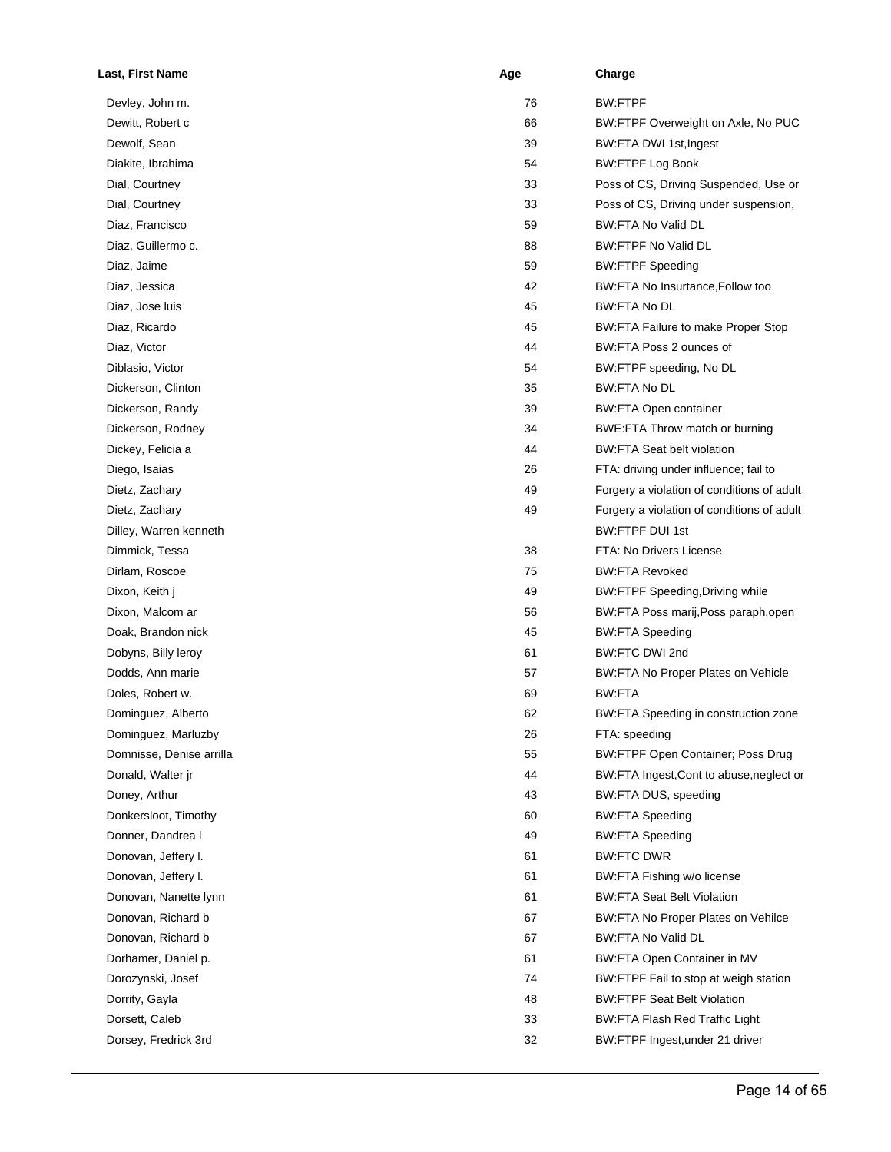| <b>BW:FTPF</b><br>Devley, John m.<br>76<br>Dewitt, Robert c<br>66<br>BW:FTPF Overweight on Axle, No PUC<br>39<br>Dewolf, Sean<br>BW:FTA DWI 1st, Ingest<br>54<br>Diakite, Ibrahima<br><b>BW:FTPF Log Book</b><br>33<br>Poss of CS, Driving Suspended, Use or<br>Dial, Courtney<br>Dial, Courtney<br>33<br>Poss of CS, Driving under suspension,<br>Diaz, Francisco<br>59<br>BW:FTA No Valid DL<br>Diaz, Guillermo c.<br>88<br><b>BW:FTPF No Valid DL</b><br>59<br>Diaz, Jaime<br><b>BW:FTPF Speeding</b><br>42<br>Diaz, Jessica<br>BW:FTA No Insurtance, Follow too<br>Diaz, Jose luis<br>45<br><b>BW:FTA No DL</b><br>45<br>Diaz, Ricardo<br>BW:FTA Failure to make Proper Stop<br>Diaz, Victor<br>44<br>BW:FTA Poss 2 ounces of<br>54<br>BW:FTPF speeding, No DL<br>Diblasio, Victor<br>35<br><b>BW:FTA No DL</b><br>Dickerson, Clinton<br>Dickerson, Randy<br>39<br><b>BW:FTA Open container</b><br>Dickerson, Rodney<br>BWE:FTA Throw match or burning<br>34<br>Dickey, Felicia a<br>44<br><b>BW:FTA Seat belt violation</b><br>26<br>FTA: driving under influence; fail to<br>Diego, Isaias<br>49<br>Forgery a violation of conditions of adult<br>Dietz, Zachary<br>49<br>Dietz, Zachary<br>Forgery a violation of conditions of adult<br>BW:FTPF DUI 1st<br>Dilley, Warren kenneth<br>38<br>FTA: No Drivers License<br>Dimmick, Tessa<br>Dirlam, Roscoe<br>75<br><b>BW:FTA Revoked</b><br>Dixon, Keith j<br>49<br>BW:FTPF Speeding, Driving while<br>Dixon, Malcom ar<br>56<br>BW:FTA Poss marij, Poss paraph, open<br>45<br>Doak, Brandon nick<br><b>BW:FTA Speeding</b><br>Dobyns, Billy leroy<br>61<br>BW:FTC DWI 2nd<br>Dodds, Ann marie<br>57<br>BW:FTA No Proper Plates on Vehicle<br>Doles, Robert w.<br>69<br>BW:FTA<br>62<br>BW:FTA Speeding in construction zone<br>Dominguez, Alberto<br>26<br>FTA: speeding<br>Dominguez, Marluzby<br>55<br>Domnisse, Denise arrilla<br><b>BW:FTPF Open Container; Poss Drug</b><br>Donald, Walter jr<br>44<br>BW:FTA Ingest, Cont to abuse, neglect or<br>43<br>Doney, Arthur<br>BW:FTA DUS, speeding<br>Donkersloot, Timothy<br>60<br><b>BW:FTA Speeding</b><br>49<br>Donner, Dandrea I<br><b>BW:FTA Speeding</b><br>Donovan, Jeffery I.<br><b>BW:FTC DWR</b><br>61<br>Donovan, Jeffery I.<br>61<br>BW:FTA Fishing w/o license<br>Donovan, Nanette lynn<br>61<br><b>BW:FTA Seat Belt Violation</b><br>Donovan, Richard b<br>67<br><b>BW:FTA No Proper Plates on Vehilce</b><br>Donovan, Richard b<br>67<br>BW:FTA No Valid DL<br>61<br>Dorhamer, Daniel p.<br>BW:FTA Open Container in MV<br>74<br>Dorozynski, Josef<br>BW:FTPF Fail to stop at weigh station<br>48<br>Dorrity, Gayla<br><b>BW:FTPF Seat Belt Violation</b><br>Dorsett, Caleb<br>33<br>BW:FTA Flash Red Traffic Light | Last, First Name     | Age | Charge                          |
|--------------------------------------------------------------------------------------------------------------------------------------------------------------------------------------------------------------------------------------------------------------------------------------------------------------------------------------------------------------------------------------------------------------------------------------------------------------------------------------------------------------------------------------------------------------------------------------------------------------------------------------------------------------------------------------------------------------------------------------------------------------------------------------------------------------------------------------------------------------------------------------------------------------------------------------------------------------------------------------------------------------------------------------------------------------------------------------------------------------------------------------------------------------------------------------------------------------------------------------------------------------------------------------------------------------------------------------------------------------------------------------------------------------------------------------------------------------------------------------------------------------------------------------------------------------------------------------------------------------------------------------------------------------------------------------------------------------------------------------------------------------------------------------------------------------------------------------------------------------------------------------------------------------------------------------------------------------------------------------------------------------------------------------------------------------------------------------------------------------------------------------------------------------------------------------------------------------------------------------------------------------------------------------------------------------------------------------------------------------------------------------------------------------------------------------------------------------------------------------------------------------------------------------------------------------------------------------------------------------------------------------------------------------------------------------------------------------------------------------------|----------------------|-----|---------------------------------|
|                                                                                                                                                                                                                                                                                                                                                                                                                                                                                                                                                                                                                                                                                                                                                                                                                                                                                                                                                                                                                                                                                                                                                                                                                                                                                                                                                                                                                                                                                                                                                                                                                                                                                                                                                                                                                                                                                                                                                                                                                                                                                                                                                                                                                                                                                                                                                                                                                                                                                                                                                                                                                                                                                                                                            |                      |     |                                 |
|                                                                                                                                                                                                                                                                                                                                                                                                                                                                                                                                                                                                                                                                                                                                                                                                                                                                                                                                                                                                                                                                                                                                                                                                                                                                                                                                                                                                                                                                                                                                                                                                                                                                                                                                                                                                                                                                                                                                                                                                                                                                                                                                                                                                                                                                                                                                                                                                                                                                                                                                                                                                                                                                                                                                            |                      |     |                                 |
|                                                                                                                                                                                                                                                                                                                                                                                                                                                                                                                                                                                                                                                                                                                                                                                                                                                                                                                                                                                                                                                                                                                                                                                                                                                                                                                                                                                                                                                                                                                                                                                                                                                                                                                                                                                                                                                                                                                                                                                                                                                                                                                                                                                                                                                                                                                                                                                                                                                                                                                                                                                                                                                                                                                                            |                      |     |                                 |
|                                                                                                                                                                                                                                                                                                                                                                                                                                                                                                                                                                                                                                                                                                                                                                                                                                                                                                                                                                                                                                                                                                                                                                                                                                                                                                                                                                                                                                                                                                                                                                                                                                                                                                                                                                                                                                                                                                                                                                                                                                                                                                                                                                                                                                                                                                                                                                                                                                                                                                                                                                                                                                                                                                                                            |                      |     |                                 |
|                                                                                                                                                                                                                                                                                                                                                                                                                                                                                                                                                                                                                                                                                                                                                                                                                                                                                                                                                                                                                                                                                                                                                                                                                                                                                                                                                                                                                                                                                                                                                                                                                                                                                                                                                                                                                                                                                                                                                                                                                                                                                                                                                                                                                                                                                                                                                                                                                                                                                                                                                                                                                                                                                                                                            |                      |     |                                 |
|                                                                                                                                                                                                                                                                                                                                                                                                                                                                                                                                                                                                                                                                                                                                                                                                                                                                                                                                                                                                                                                                                                                                                                                                                                                                                                                                                                                                                                                                                                                                                                                                                                                                                                                                                                                                                                                                                                                                                                                                                                                                                                                                                                                                                                                                                                                                                                                                                                                                                                                                                                                                                                                                                                                                            |                      |     |                                 |
|                                                                                                                                                                                                                                                                                                                                                                                                                                                                                                                                                                                                                                                                                                                                                                                                                                                                                                                                                                                                                                                                                                                                                                                                                                                                                                                                                                                                                                                                                                                                                                                                                                                                                                                                                                                                                                                                                                                                                                                                                                                                                                                                                                                                                                                                                                                                                                                                                                                                                                                                                                                                                                                                                                                                            |                      |     |                                 |
|                                                                                                                                                                                                                                                                                                                                                                                                                                                                                                                                                                                                                                                                                                                                                                                                                                                                                                                                                                                                                                                                                                                                                                                                                                                                                                                                                                                                                                                                                                                                                                                                                                                                                                                                                                                                                                                                                                                                                                                                                                                                                                                                                                                                                                                                                                                                                                                                                                                                                                                                                                                                                                                                                                                                            |                      |     |                                 |
|                                                                                                                                                                                                                                                                                                                                                                                                                                                                                                                                                                                                                                                                                                                                                                                                                                                                                                                                                                                                                                                                                                                                                                                                                                                                                                                                                                                                                                                                                                                                                                                                                                                                                                                                                                                                                                                                                                                                                                                                                                                                                                                                                                                                                                                                                                                                                                                                                                                                                                                                                                                                                                                                                                                                            |                      |     |                                 |
|                                                                                                                                                                                                                                                                                                                                                                                                                                                                                                                                                                                                                                                                                                                                                                                                                                                                                                                                                                                                                                                                                                                                                                                                                                                                                                                                                                                                                                                                                                                                                                                                                                                                                                                                                                                                                                                                                                                                                                                                                                                                                                                                                                                                                                                                                                                                                                                                                                                                                                                                                                                                                                                                                                                                            |                      |     |                                 |
|                                                                                                                                                                                                                                                                                                                                                                                                                                                                                                                                                                                                                                                                                                                                                                                                                                                                                                                                                                                                                                                                                                                                                                                                                                                                                                                                                                                                                                                                                                                                                                                                                                                                                                                                                                                                                                                                                                                                                                                                                                                                                                                                                                                                                                                                                                                                                                                                                                                                                                                                                                                                                                                                                                                                            |                      |     |                                 |
|                                                                                                                                                                                                                                                                                                                                                                                                                                                                                                                                                                                                                                                                                                                                                                                                                                                                                                                                                                                                                                                                                                                                                                                                                                                                                                                                                                                                                                                                                                                                                                                                                                                                                                                                                                                                                                                                                                                                                                                                                                                                                                                                                                                                                                                                                                                                                                                                                                                                                                                                                                                                                                                                                                                                            |                      |     |                                 |
|                                                                                                                                                                                                                                                                                                                                                                                                                                                                                                                                                                                                                                                                                                                                                                                                                                                                                                                                                                                                                                                                                                                                                                                                                                                                                                                                                                                                                                                                                                                                                                                                                                                                                                                                                                                                                                                                                                                                                                                                                                                                                                                                                                                                                                                                                                                                                                                                                                                                                                                                                                                                                                                                                                                                            |                      |     |                                 |
|                                                                                                                                                                                                                                                                                                                                                                                                                                                                                                                                                                                                                                                                                                                                                                                                                                                                                                                                                                                                                                                                                                                                                                                                                                                                                                                                                                                                                                                                                                                                                                                                                                                                                                                                                                                                                                                                                                                                                                                                                                                                                                                                                                                                                                                                                                                                                                                                                                                                                                                                                                                                                                                                                                                                            |                      |     |                                 |
|                                                                                                                                                                                                                                                                                                                                                                                                                                                                                                                                                                                                                                                                                                                                                                                                                                                                                                                                                                                                                                                                                                                                                                                                                                                                                                                                                                                                                                                                                                                                                                                                                                                                                                                                                                                                                                                                                                                                                                                                                                                                                                                                                                                                                                                                                                                                                                                                                                                                                                                                                                                                                                                                                                                                            |                      |     |                                 |
|                                                                                                                                                                                                                                                                                                                                                                                                                                                                                                                                                                                                                                                                                                                                                                                                                                                                                                                                                                                                                                                                                                                                                                                                                                                                                                                                                                                                                                                                                                                                                                                                                                                                                                                                                                                                                                                                                                                                                                                                                                                                                                                                                                                                                                                                                                                                                                                                                                                                                                                                                                                                                                                                                                                                            |                      |     |                                 |
|                                                                                                                                                                                                                                                                                                                                                                                                                                                                                                                                                                                                                                                                                                                                                                                                                                                                                                                                                                                                                                                                                                                                                                                                                                                                                                                                                                                                                                                                                                                                                                                                                                                                                                                                                                                                                                                                                                                                                                                                                                                                                                                                                                                                                                                                                                                                                                                                                                                                                                                                                                                                                                                                                                                                            |                      |     |                                 |
|                                                                                                                                                                                                                                                                                                                                                                                                                                                                                                                                                                                                                                                                                                                                                                                                                                                                                                                                                                                                                                                                                                                                                                                                                                                                                                                                                                                                                                                                                                                                                                                                                                                                                                                                                                                                                                                                                                                                                                                                                                                                                                                                                                                                                                                                                                                                                                                                                                                                                                                                                                                                                                                                                                                                            |                      |     |                                 |
|                                                                                                                                                                                                                                                                                                                                                                                                                                                                                                                                                                                                                                                                                                                                                                                                                                                                                                                                                                                                                                                                                                                                                                                                                                                                                                                                                                                                                                                                                                                                                                                                                                                                                                                                                                                                                                                                                                                                                                                                                                                                                                                                                                                                                                                                                                                                                                                                                                                                                                                                                                                                                                                                                                                                            |                      |     |                                 |
|                                                                                                                                                                                                                                                                                                                                                                                                                                                                                                                                                                                                                                                                                                                                                                                                                                                                                                                                                                                                                                                                                                                                                                                                                                                                                                                                                                                                                                                                                                                                                                                                                                                                                                                                                                                                                                                                                                                                                                                                                                                                                                                                                                                                                                                                                                                                                                                                                                                                                                                                                                                                                                                                                                                                            |                      |     |                                 |
|                                                                                                                                                                                                                                                                                                                                                                                                                                                                                                                                                                                                                                                                                                                                                                                                                                                                                                                                                                                                                                                                                                                                                                                                                                                                                                                                                                                                                                                                                                                                                                                                                                                                                                                                                                                                                                                                                                                                                                                                                                                                                                                                                                                                                                                                                                                                                                                                                                                                                                                                                                                                                                                                                                                                            |                      |     |                                 |
|                                                                                                                                                                                                                                                                                                                                                                                                                                                                                                                                                                                                                                                                                                                                                                                                                                                                                                                                                                                                                                                                                                                                                                                                                                                                                                                                                                                                                                                                                                                                                                                                                                                                                                                                                                                                                                                                                                                                                                                                                                                                                                                                                                                                                                                                                                                                                                                                                                                                                                                                                                                                                                                                                                                                            |                      |     |                                 |
|                                                                                                                                                                                                                                                                                                                                                                                                                                                                                                                                                                                                                                                                                                                                                                                                                                                                                                                                                                                                                                                                                                                                                                                                                                                                                                                                                                                                                                                                                                                                                                                                                                                                                                                                                                                                                                                                                                                                                                                                                                                                                                                                                                                                                                                                                                                                                                                                                                                                                                                                                                                                                                                                                                                                            |                      |     |                                 |
|                                                                                                                                                                                                                                                                                                                                                                                                                                                                                                                                                                                                                                                                                                                                                                                                                                                                                                                                                                                                                                                                                                                                                                                                                                                                                                                                                                                                                                                                                                                                                                                                                                                                                                                                                                                                                                                                                                                                                                                                                                                                                                                                                                                                                                                                                                                                                                                                                                                                                                                                                                                                                                                                                                                                            |                      |     |                                 |
|                                                                                                                                                                                                                                                                                                                                                                                                                                                                                                                                                                                                                                                                                                                                                                                                                                                                                                                                                                                                                                                                                                                                                                                                                                                                                                                                                                                                                                                                                                                                                                                                                                                                                                                                                                                                                                                                                                                                                                                                                                                                                                                                                                                                                                                                                                                                                                                                                                                                                                                                                                                                                                                                                                                                            |                      |     |                                 |
|                                                                                                                                                                                                                                                                                                                                                                                                                                                                                                                                                                                                                                                                                                                                                                                                                                                                                                                                                                                                                                                                                                                                                                                                                                                                                                                                                                                                                                                                                                                                                                                                                                                                                                                                                                                                                                                                                                                                                                                                                                                                                                                                                                                                                                                                                                                                                                                                                                                                                                                                                                                                                                                                                                                                            |                      |     |                                 |
|                                                                                                                                                                                                                                                                                                                                                                                                                                                                                                                                                                                                                                                                                                                                                                                                                                                                                                                                                                                                                                                                                                                                                                                                                                                                                                                                                                                                                                                                                                                                                                                                                                                                                                                                                                                                                                                                                                                                                                                                                                                                                                                                                                                                                                                                                                                                                                                                                                                                                                                                                                                                                                                                                                                                            |                      |     |                                 |
|                                                                                                                                                                                                                                                                                                                                                                                                                                                                                                                                                                                                                                                                                                                                                                                                                                                                                                                                                                                                                                                                                                                                                                                                                                                                                                                                                                                                                                                                                                                                                                                                                                                                                                                                                                                                                                                                                                                                                                                                                                                                                                                                                                                                                                                                                                                                                                                                                                                                                                                                                                                                                                                                                                                                            |                      |     |                                 |
|                                                                                                                                                                                                                                                                                                                                                                                                                                                                                                                                                                                                                                                                                                                                                                                                                                                                                                                                                                                                                                                                                                                                                                                                                                                                                                                                                                                                                                                                                                                                                                                                                                                                                                                                                                                                                                                                                                                                                                                                                                                                                                                                                                                                                                                                                                                                                                                                                                                                                                                                                                                                                                                                                                                                            |                      |     |                                 |
|                                                                                                                                                                                                                                                                                                                                                                                                                                                                                                                                                                                                                                                                                                                                                                                                                                                                                                                                                                                                                                                                                                                                                                                                                                                                                                                                                                                                                                                                                                                                                                                                                                                                                                                                                                                                                                                                                                                                                                                                                                                                                                                                                                                                                                                                                                                                                                                                                                                                                                                                                                                                                                                                                                                                            |                      |     |                                 |
|                                                                                                                                                                                                                                                                                                                                                                                                                                                                                                                                                                                                                                                                                                                                                                                                                                                                                                                                                                                                                                                                                                                                                                                                                                                                                                                                                                                                                                                                                                                                                                                                                                                                                                                                                                                                                                                                                                                                                                                                                                                                                                                                                                                                                                                                                                                                                                                                                                                                                                                                                                                                                                                                                                                                            |                      |     |                                 |
|                                                                                                                                                                                                                                                                                                                                                                                                                                                                                                                                                                                                                                                                                                                                                                                                                                                                                                                                                                                                                                                                                                                                                                                                                                                                                                                                                                                                                                                                                                                                                                                                                                                                                                                                                                                                                                                                                                                                                                                                                                                                                                                                                                                                                                                                                                                                                                                                                                                                                                                                                                                                                                                                                                                                            |                      |     |                                 |
|                                                                                                                                                                                                                                                                                                                                                                                                                                                                                                                                                                                                                                                                                                                                                                                                                                                                                                                                                                                                                                                                                                                                                                                                                                                                                                                                                                                                                                                                                                                                                                                                                                                                                                                                                                                                                                                                                                                                                                                                                                                                                                                                                                                                                                                                                                                                                                                                                                                                                                                                                                                                                                                                                                                                            |                      |     |                                 |
|                                                                                                                                                                                                                                                                                                                                                                                                                                                                                                                                                                                                                                                                                                                                                                                                                                                                                                                                                                                                                                                                                                                                                                                                                                                                                                                                                                                                                                                                                                                                                                                                                                                                                                                                                                                                                                                                                                                                                                                                                                                                                                                                                                                                                                                                                                                                                                                                                                                                                                                                                                                                                                                                                                                                            |                      |     |                                 |
|                                                                                                                                                                                                                                                                                                                                                                                                                                                                                                                                                                                                                                                                                                                                                                                                                                                                                                                                                                                                                                                                                                                                                                                                                                                                                                                                                                                                                                                                                                                                                                                                                                                                                                                                                                                                                                                                                                                                                                                                                                                                                                                                                                                                                                                                                                                                                                                                                                                                                                                                                                                                                                                                                                                                            |                      |     |                                 |
|                                                                                                                                                                                                                                                                                                                                                                                                                                                                                                                                                                                                                                                                                                                                                                                                                                                                                                                                                                                                                                                                                                                                                                                                                                                                                                                                                                                                                                                                                                                                                                                                                                                                                                                                                                                                                                                                                                                                                                                                                                                                                                                                                                                                                                                                                                                                                                                                                                                                                                                                                                                                                                                                                                                                            |                      |     |                                 |
|                                                                                                                                                                                                                                                                                                                                                                                                                                                                                                                                                                                                                                                                                                                                                                                                                                                                                                                                                                                                                                                                                                                                                                                                                                                                                                                                                                                                                                                                                                                                                                                                                                                                                                                                                                                                                                                                                                                                                                                                                                                                                                                                                                                                                                                                                                                                                                                                                                                                                                                                                                                                                                                                                                                                            |                      |     |                                 |
|                                                                                                                                                                                                                                                                                                                                                                                                                                                                                                                                                                                                                                                                                                                                                                                                                                                                                                                                                                                                                                                                                                                                                                                                                                                                                                                                                                                                                                                                                                                                                                                                                                                                                                                                                                                                                                                                                                                                                                                                                                                                                                                                                                                                                                                                                                                                                                                                                                                                                                                                                                                                                                                                                                                                            |                      |     |                                 |
|                                                                                                                                                                                                                                                                                                                                                                                                                                                                                                                                                                                                                                                                                                                                                                                                                                                                                                                                                                                                                                                                                                                                                                                                                                                                                                                                                                                                                                                                                                                                                                                                                                                                                                                                                                                                                                                                                                                                                                                                                                                                                                                                                                                                                                                                                                                                                                                                                                                                                                                                                                                                                                                                                                                                            |                      |     |                                 |
|                                                                                                                                                                                                                                                                                                                                                                                                                                                                                                                                                                                                                                                                                                                                                                                                                                                                                                                                                                                                                                                                                                                                                                                                                                                                                                                                                                                                                                                                                                                                                                                                                                                                                                                                                                                                                                                                                                                                                                                                                                                                                                                                                                                                                                                                                                                                                                                                                                                                                                                                                                                                                                                                                                                                            |                      |     |                                 |
|                                                                                                                                                                                                                                                                                                                                                                                                                                                                                                                                                                                                                                                                                                                                                                                                                                                                                                                                                                                                                                                                                                                                                                                                                                                                                                                                                                                                                                                                                                                                                                                                                                                                                                                                                                                                                                                                                                                                                                                                                                                                                                                                                                                                                                                                                                                                                                                                                                                                                                                                                                                                                                                                                                                                            |                      |     |                                 |
|                                                                                                                                                                                                                                                                                                                                                                                                                                                                                                                                                                                                                                                                                                                                                                                                                                                                                                                                                                                                                                                                                                                                                                                                                                                                                                                                                                                                                                                                                                                                                                                                                                                                                                                                                                                                                                                                                                                                                                                                                                                                                                                                                                                                                                                                                                                                                                                                                                                                                                                                                                                                                                                                                                                                            |                      |     |                                 |
|                                                                                                                                                                                                                                                                                                                                                                                                                                                                                                                                                                                                                                                                                                                                                                                                                                                                                                                                                                                                                                                                                                                                                                                                                                                                                                                                                                                                                                                                                                                                                                                                                                                                                                                                                                                                                                                                                                                                                                                                                                                                                                                                                                                                                                                                                                                                                                                                                                                                                                                                                                                                                                                                                                                                            |                      |     |                                 |
|                                                                                                                                                                                                                                                                                                                                                                                                                                                                                                                                                                                                                                                                                                                                                                                                                                                                                                                                                                                                                                                                                                                                                                                                                                                                                                                                                                                                                                                                                                                                                                                                                                                                                                                                                                                                                                                                                                                                                                                                                                                                                                                                                                                                                                                                                                                                                                                                                                                                                                                                                                                                                                                                                                                                            |                      |     |                                 |
|                                                                                                                                                                                                                                                                                                                                                                                                                                                                                                                                                                                                                                                                                                                                                                                                                                                                                                                                                                                                                                                                                                                                                                                                                                                                                                                                                                                                                                                                                                                                                                                                                                                                                                                                                                                                                                                                                                                                                                                                                                                                                                                                                                                                                                                                                                                                                                                                                                                                                                                                                                                                                                                                                                                                            |                      |     |                                 |
|                                                                                                                                                                                                                                                                                                                                                                                                                                                                                                                                                                                                                                                                                                                                                                                                                                                                                                                                                                                                                                                                                                                                                                                                                                                                                                                                                                                                                                                                                                                                                                                                                                                                                                                                                                                                                                                                                                                                                                                                                                                                                                                                                                                                                                                                                                                                                                                                                                                                                                                                                                                                                                                                                                                                            |                      |     |                                 |
|                                                                                                                                                                                                                                                                                                                                                                                                                                                                                                                                                                                                                                                                                                                                                                                                                                                                                                                                                                                                                                                                                                                                                                                                                                                                                                                                                                                                                                                                                                                                                                                                                                                                                                                                                                                                                                                                                                                                                                                                                                                                                                                                                                                                                                                                                                                                                                                                                                                                                                                                                                                                                                                                                                                                            | Dorsey, Fredrick 3rd | 32  | BW:FTPF Ingest, under 21 driver |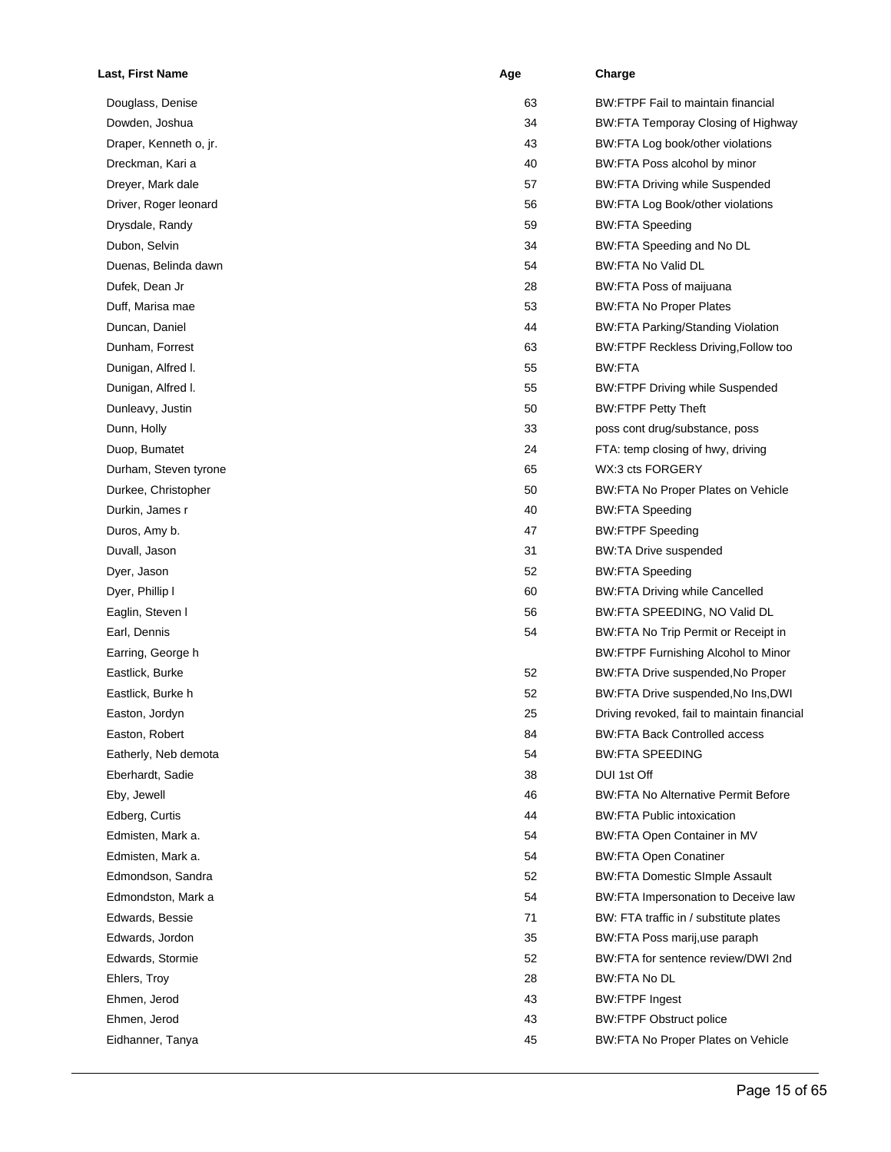| Last, First Name       | Age | Charge                                      |
|------------------------|-----|---------------------------------------------|
| Douglass, Denise       | 63  | BW:FTPF Fail to maintain financial          |
| Dowden, Joshua         | 34  | BW:FTA Temporay Closing of Highway          |
| Draper, Kenneth o, jr. | 43  | BW:FTA Log book/other violations            |
| Dreckman, Kari a       | 40  | BW:FTA Poss alcohol by minor                |
| Dreyer, Mark dale      | 57  | <b>BW:FTA Driving while Suspended</b>       |
| Driver, Roger leonard  | 56  | BW:FTA Log Book/other violations            |
| Drysdale, Randy        | 59  | <b>BW:FTA Speeding</b>                      |
| Dubon, Selvin          | 34  | BW:FTA Speeding and No DL                   |
| Duenas, Belinda dawn   | 54  | <b>BW:FTA No Valid DL</b>                   |
| Dufek, Dean Jr         | 28  | BW:FTA Poss of maijuana                     |
| Duff, Marisa mae       | 53  | <b>BW:FTA No Proper Plates</b>              |
| Duncan, Daniel         | 44  | <b>BW:FTA Parking/Standing Violation</b>    |
| Dunham, Forrest        | 63  | BW:FTPF Reckless Driving, Follow too        |
| Dunigan, Alfred I.     | 55  | BW:FTA                                      |
| Dunigan, Alfred I.     | 55  | <b>BW:FTPF Driving while Suspended</b>      |
| Dunleavy, Justin       | 50  | <b>BW:FTPF Petty Theft</b>                  |
| Dunn, Holly            | 33  | poss cont drug/substance, poss              |
| Duop, Bumatet          | 24  | FTA: temp closing of hwy, driving           |
| Durham, Steven tyrone  | 65  | WX:3 cts FORGERY                            |
| Durkee, Christopher    | 50  | BW:FTA No Proper Plates on Vehicle          |
| Durkin, James r        | 40  | <b>BW:FTA Speeding</b>                      |
| Duros, Amy b.          | 47  | <b>BW:FTPF Speeding</b>                     |
| Duvall, Jason          | 31  | <b>BW:TA Drive suspended</b>                |
| Dyer, Jason            | 52  | <b>BW:FTA Speeding</b>                      |
| Dyer, Phillip I        | 60  | <b>BW:FTA Driving while Cancelled</b>       |
| Eaglin, Steven I       | 56  | BW:FTA SPEEDING, NO Valid DL                |
| Earl, Dennis           | 54  | BW:FTA No Trip Permit or Receipt in         |
| Earring, George h      |     | BW:FTPF Furnishing Alcohol to Minor         |
| Eastlick, Burke        | 52  | BW:FTA Drive suspended, No Proper           |
| Eastlick, Burke h      | 52  | BW:FTA Drive suspended, No Ins, DWI         |
| Easton, Jordyn         | 25  | Driving revoked, fail to maintain financial |
| Easton, Robert         | 84  | <b>BW:FTA Back Controlled access</b>        |
| Eatherly, Neb demota   | 54  | <b>BW:FTA SPEEDING</b>                      |
| Eberhardt, Sadie       | 38  | DUI 1st Off                                 |
| Eby, Jewell            | 46  | <b>BW:FTA No Alternative Permit Before</b>  |
| Edberg, Curtis         | 44  | <b>BW:FTA Public intoxication</b>           |
| Edmisten, Mark a.      | 54  | BW:FTA Open Container in MV                 |
| Edmisten, Mark a.      | 54  | <b>BW:FTA Open Conatiner</b>                |
|                        | 52  |                                             |
| Edmondson, Sandra      |     | <b>BW:FTA Domestic SImple Assault</b>       |
| Edmondston, Mark a     | 54  | BW:FTA Impersonation to Deceive law         |
| Edwards, Bessie        | 71  | BW: FTA traffic in / substitute plates      |
| Edwards, Jordon        | 35  | BW:FTA Poss marij, use paraph               |
| Edwards, Stormie       | 52  | BW:FTA for sentence review/DWI 2nd          |
| Ehlers, Troy           | 28  | <b>BW:FTA No DL</b>                         |
| Ehmen, Jerod           | 43  | <b>BW:FTPF Ingest</b>                       |
| Ehmen, Jerod           | 43  | <b>BW:FTPF Obstruct police</b>              |
| Eidhanner, Tanya       | 45  | BW:FTA No Proper Plates on Vehicle          |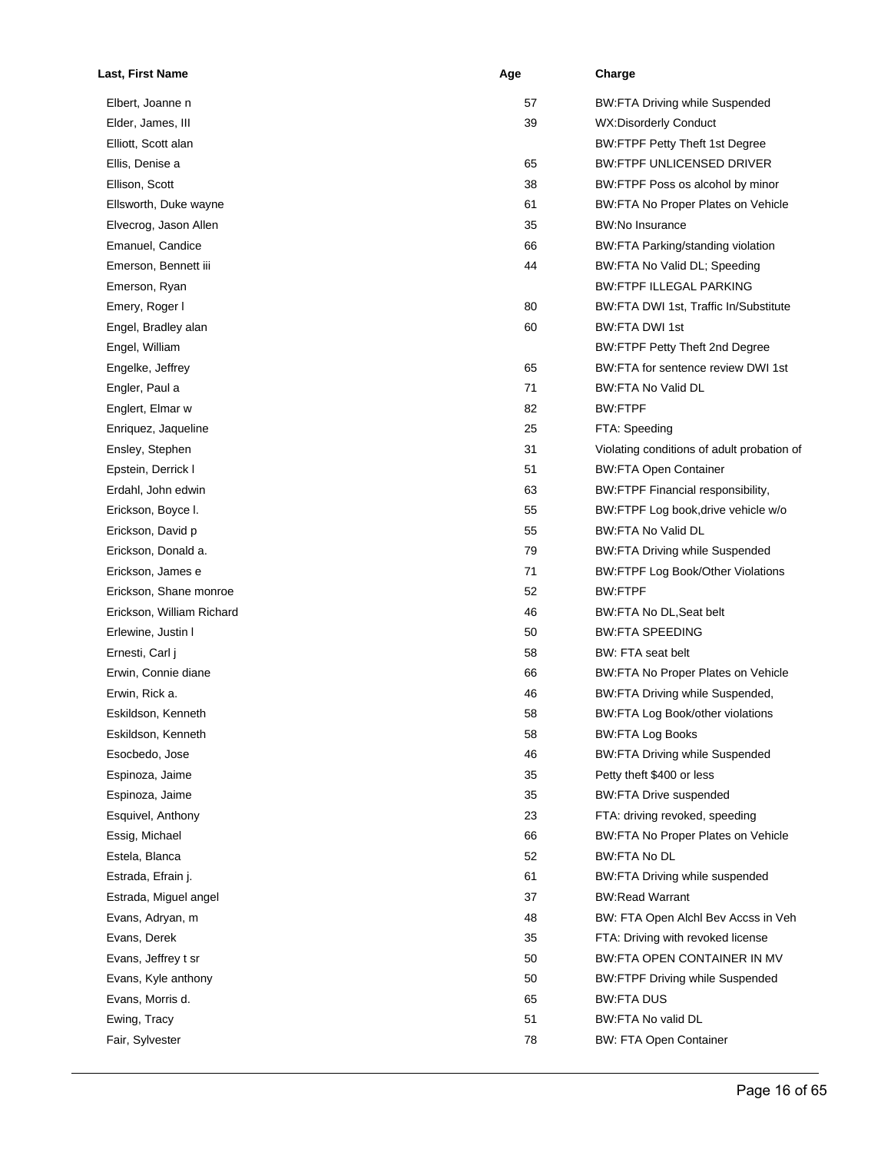| Last, First Name          | Age | Charge                                     |
|---------------------------|-----|--------------------------------------------|
| Elbert, Joanne n          | 57  | <b>BW:FTA Driving while Suspended</b>      |
| Elder, James, III         | 39  | WX:Disorderly Conduct                      |
| Elliott, Scott alan       |     | <b>BW:FTPF Petty Theft 1st Degree</b>      |
| Ellis, Denise a           | 65  | <b>BW:FTPF UNLICENSED DRIVER</b>           |
| Ellison, Scott            | 38  | BW:FTPF Poss os alcohol by minor           |
| Ellsworth, Duke wayne     | 61  | BW:FTA No Proper Plates on Vehicle         |
| Elvecrog, Jason Allen     | 35  | <b>BW:No Insurance</b>                     |
| Emanuel, Candice          | 66  | BW:FTA Parking/standing violation          |
| Emerson, Bennett iii      | 44  | BW:FTA No Valid DL; Speeding               |
| Emerson, Ryan             |     | <b>BW:FTPF ILLEGAL PARKING</b>             |
| Emery, Roger I            | 80  | BW:FTA DWI 1st, Traffic In/Substitute      |
| Engel, Bradley alan       | 60  | BW:FTA DWI 1st                             |
| Engel, William            |     | BW:FTPF Petty Theft 2nd Degree             |
| Engelke, Jeffrey          | 65  | BW:FTA for sentence review DWI 1st         |
| Engler, Paul a            | 71  | BW:FTA No Valid DL                         |
| Englert, Elmar w          | 82  | BW:FTPF                                    |
| Enriquez, Jaqueline       | 25  | FTA: Speeding                              |
| Ensley, Stephen           | 31  | Violating conditions of adult probation of |
| Epstein, Derrick I        | 51  | <b>BW:FTA Open Container</b>               |
| Erdahl, John edwin        | 63  | BW:FTPF Financial responsibility,          |
| Erickson, Boyce I.        | 55  | BW:FTPF Log book, drive vehicle w/o        |
| Erickson, David p         | 55  | BW:FTA No Valid DL                         |
| Erickson, Donald a.       | 79  | <b>BW:FTA Driving while Suspended</b>      |
| Erickson, James e         | 71  | <b>BW:FTPF Log Book/Other Violations</b>   |
| Erickson, Shane monroe    | 52  | BW:FTPF                                    |
| Erickson, William Richard | 46  | BW:FTA No DL, Seat belt                    |
| Erlewine, Justin I        | 50  | <b>BW:FTA SPEEDING</b>                     |
| Ernesti, Carl j           | 58  | BW: FTA seat belt                          |
| Erwin, Connie diane       | 66  | BW:FTA No Proper Plates on Vehicle         |
| Erwin, Rick a.            | 46  | BW:FTA Driving while Suspended,            |
| Eskildson, Kenneth        | 58  | BW:FTA Log Book/other violations           |
| Eskildson, Kenneth        | 58  | <b>BW:FTA Log Books</b>                    |
| Esocbedo, Jose            | 46  | <b>BW:FTA Driving while Suspended</b>      |
| Espinoza, Jaime           | 35  | Petty theft \$400 or less                  |
| Espinoza, Jaime           | 35  | <b>BW:FTA Drive suspended</b>              |
| Esquivel, Anthony         | 23  | FTA: driving revoked, speeding             |
| Essig, Michael            | 66  | BW:FTA No Proper Plates on Vehicle         |
| Estela, Blanca            | 52  | <b>BW:FTA No DL</b>                        |
| Estrada, Efrain j.        | 61  | BW:FTA Driving while suspended             |
| Estrada, Miguel angel     | 37  | <b>BW:Read Warrant</b>                     |
| Evans, Adryan, m          | 48  | BW: FTA Open Alchl Bev Accss in Veh        |
| Evans, Derek              | 35  | FTA: Driving with revoked license          |
| Evans, Jeffrey t sr       | 50  | BW:FTA OPEN CONTAINER IN MV                |
| Evans, Kyle anthony       | 50  | <b>BW:FTPF Driving while Suspended</b>     |
| Evans, Morris d.          | 65  | <b>BW:FTA DUS</b>                          |
| Ewing, Tracy              | 51  | BW:FTA No valid DL                         |
| Fair, Sylvester           | 78  | <b>BW: FTA Open Container</b>              |
|                           |     |                                            |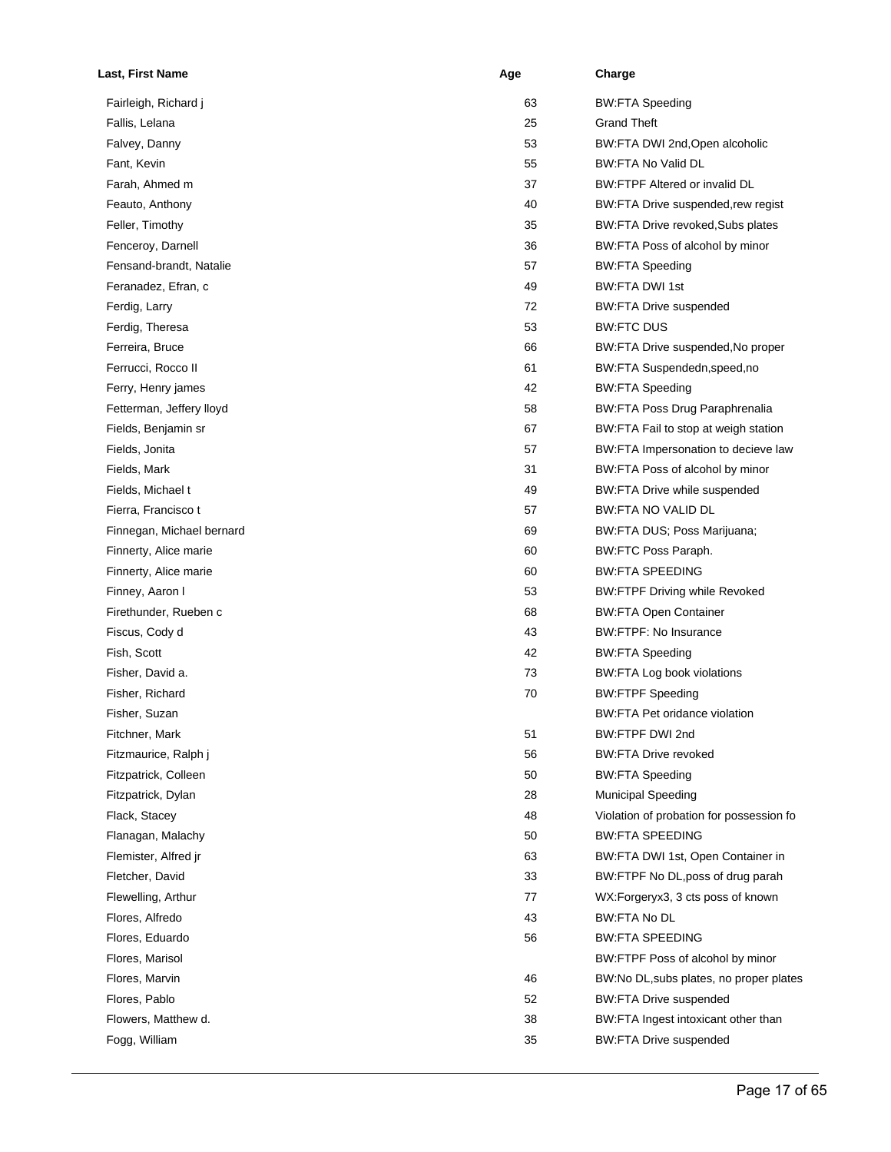| Last, First Name          | Age | Charge                                   |
|---------------------------|-----|------------------------------------------|
| Fairleigh, Richard j      | 63  | <b>BW:FTA Speeding</b>                   |
| Fallis, Lelana            | 25  | <b>Grand Theft</b>                       |
| Falvey, Danny             | 53  | BW:FTA DWI 2nd, Open alcoholic           |
| Fant, Kevin               | 55  | BW:FTA No Valid DL                       |
| Farah, Ahmed m            | 37  | BW:FTPF Altered or invalid DL            |
| Feauto, Anthony           | 40  | BW:FTA Drive suspended, rew regist       |
| Feller, Timothy           | 35  | BW:FTA Drive revoked, Subs plates        |
| Fenceroy, Darnell         | 36  | BW:FTA Poss of alcohol by minor          |
| Fensand-brandt, Natalie   | 57  | <b>BW:FTA Speeding</b>                   |
| Feranadez, Efran, c       | 49  | <b>BW:FTA DWI 1st</b>                    |
| Ferdig, Larry             | 72  | <b>BW:FTA Drive suspended</b>            |
| Ferdig, Theresa           | 53  | <b>BW:FTC DUS</b>                        |
| Ferreira, Bruce           | 66  | BW:FTA Drive suspended, No proper        |
| Ferrucci, Rocco II        | 61  | BW:FTA Suspendedn,speed,no               |
| Ferry, Henry james        | 42  | <b>BW:FTA Speeding</b>                   |
| Fetterman, Jeffery lloyd  | 58  | BW:FTA Poss Drug Paraphrenalia           |
| Fields, Benjamin sr       | 67  | BW:FTA Fail to stop at weigh station     |
| Fields, Jonita            | 57  | BW:FTA Impersonation to decieve law      |
| Fields, Mark              | 31  | BW:FTA Poss of alcohol by minor          |
| Fields, Michael t         | 49  | BW:FTA Drive while suspended             |
| Fierra, Francisco t       | 57  | BW:FTA NO VALID DL                       |
| Finnegan, Michael bernard | 69  | BW:FTA DUS; Poss Marijuana;              |
| Finnerty, Alice marie     | 60  | BW:FTC Poss Paraph.                      |
| Finnerty, Alice marie     | 60  | <b>BW:FTA SPEEDING</b>                   |
| Finney, Aaron I           | 53  | <b>BW:FTPF Driving while Revoked</b>     |
| Firethunder, Rueben c     | 68  | <b>BW:FTA Open Container</b>             |
| Fiscus, Cody d            | 43  | <b>BW:FTPF: No Insurance</b>             |
| Fish, Scott               | 42  | <b>BW:FTA Speeding</b>                   |
| Fisher, David a.          | 73  | <b>BW:FTA Log book violations</b>        |
| Fisher, Richard           | 70  | <b>BW:FTPF Speeding</b>                  |
| Fisher, Suzan             |     | <b>BW:FTA Pet oridance violation</b>     |
| Fitchner, Mark            | 51  | BW:FTPF DWI 2nd                          |
| Fitzmaurice, Ralph j      | 56  | <b>BW:FTA Drive revoked</b>              |
| Fitzpatrick, Colleen      | 50  | <b>BW:FTA Speeding</b>                   |
| Fitzpatrick, Dylan        | 28  | <b>Municipal Speeding</b>                |
| Flack, Stacey             | 48  | Violation of probation for possession fo |
| Flanagan, Malachy         | 50  | <b>BW:FTA SPEEDING</b>                   |
| Flemister, Alfred jr      | 63  | BW:FTA DWI 1st, Open Container in        |
| Fletcher, David           | 33  | BW:FTPF No DL, poss of drug parah        |
| Flewelling, Arthur        | 77  | WX:Forgeryx3, 3 cts poss of known        |
| Flores, Alfredo           | 43  | BW:FTA No DL                             |
| Flores, Eduardo           | 56  | <b>BW:FTA SPEEDING</b>                   |
| Flores, Marisol           |     | BW:FTPF Poss of alcohol by minor         |
| Flores, Marvin            | 46  | BW:No DL, subs plates, no proper plates  |
| Flores, Pablo             | 52  | <b>BW:FTA Drive suspended</b>            |
| Flowers, Matthew d.       | 38  | BW:FTA Ingest intoxicant other than      |
| Fogg, William             | 35  | <b>BW:FTA Drive suspended</b>            |
|                           |     |                                          |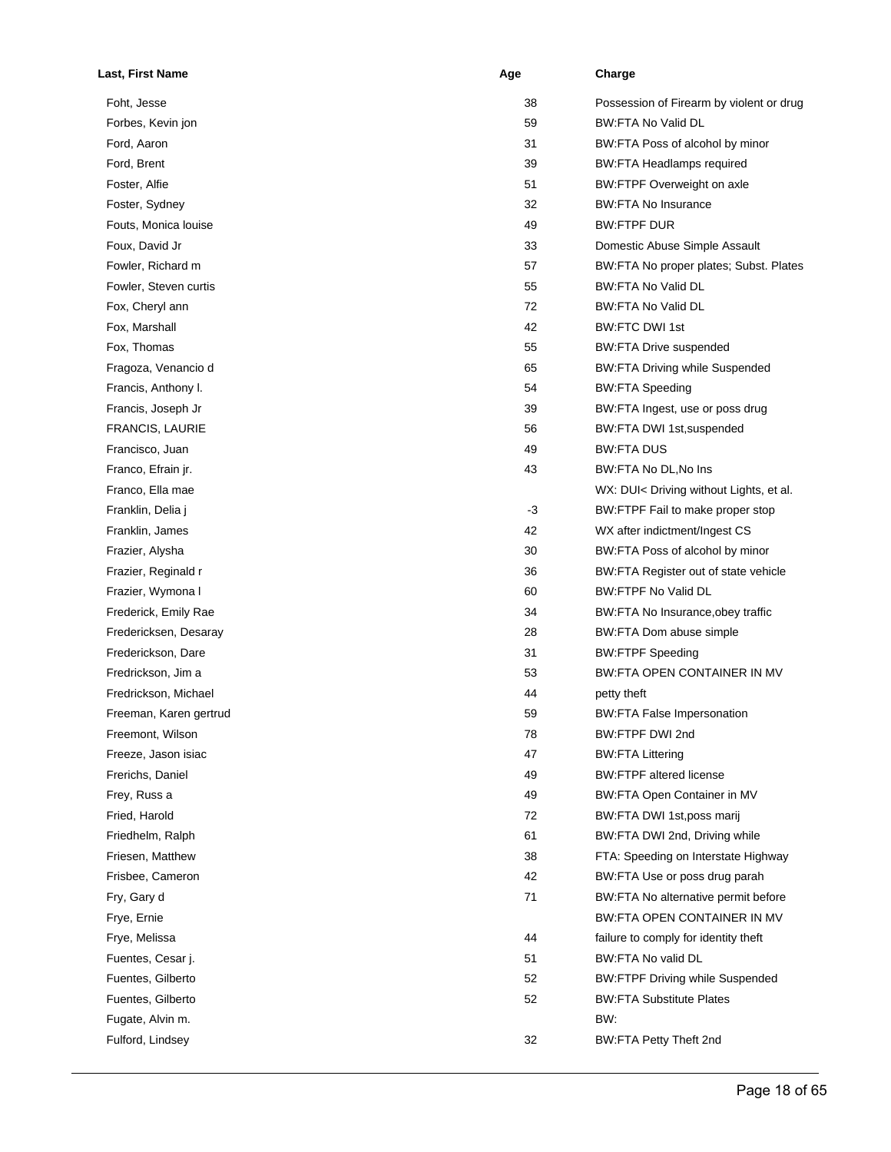| Last, First Name       | Age | Charge                                   |
|------------------------|-----|------------------------------------------|
| Foht, Jesse            | 38  | Possession of Firearm by violent or drug |
| Forbes, Kevin jon      | 59  | <b>BW:FTA No Valid DL</b>                |
| Ford, Aaron            | 31  | BW:FTA Poss of alcohol by minor          |
| Ford, Brent            | 39  | <b>BW:FTA Headlamps required</b>         |
| Foster, Alfie          | 51  | BW:FTPF Overweight on axle               |
| Foster, Sydney         | 32  | <b>BW:FTA No Insurance</b>               |
| Fouts, Monica louise   | 49  | <b>BW:FTPF DUR</b>                       |
| Foux, David Jr         | 33  | Domestic Abuse Simple Assault            |
| Fowler, Richard m      | 57  | BW:FTA No proper plates; Subst. Plates   |
| Fowler, Steven curtis  | 55  | BW:FTA No Valid DL                       |
| Fox, Cheryl ann        | 72  | <b>BW:FTA No Valid DL</b>                |
| Fox, Marshall          | 42  | BW:FTC DWI 1st                           |
| Fox, Thomas            | 55  | <b>BW:FTA Drive suspended</b>            |
| Fragoza, Venancio d    | 65  | <b>BW:FTA Driving while Suspended</b>    |
| Francis, Anthony I.    | 54  | <b>BW:FTA Speeding</b>                   |
| Francis, Joseph Jr     | 39  | BW:FTA Ingest, use or poss drug          |
| <b>FRANCIS, LAURIE</b> | 56  | BW:FTA DWI 1st, suspended                |
| Francisco, Juan        | 49  | BW:FTA DUS                               |
| Franco, Efrain jr.     | 43  | BW:FTA No DL, No Ins                     |
| Franco, Ella mae       |     | WX: DUI< Driving without Lights, et al.  |
| Franklin, Delia j      | -3  | BW:FTPF Fail to make proper stop         |
| Franklin, James        | 42  | WX after indictment/Ingest CS            |
| Frazier, Alysha        | 30  | BW:FTA Poss of alcohol by minor          |
| Frazier, Reginald r    | 36  | BW:FTA Register out of state vehicle     |
| Frazier, Wymona I      | 60  | <b>BW:FTPF No Valid DL</b>               |
| Frederick, Emily Rae   | 34  | BW:FTA No Insurance, obey traffic        |
| Fredericksen, Desaray  | 28  | BW:FTA Dom abuse simple                  |
| Frederickson, Dare     | 31  | <b>BW:FTPF Speeding</b>                  |
| Fredrickson, Jim a     | 53  | BW:FTA OPEN CONTAINER IN MV              |
| Fredrickson, Michael   | 44  | petty theft                              |
| Freeman, Karen gertrud | 59  | <b>BW:FTA False Impersonation</b>        |
| Freemont, Wilson       | 78  | BW:FTPF DWI 2nd                          |
| Freeze, Jason isiac    | 47  | <b>BW:FTA Littering</b>                  |
| Frerichs, Daniel       | 49  | <b>BW:FTPF altered license</b>           |
| Frey, Russ a           | 49  | BW:FTA Open Container in MV              |
| Fried, Harold          | 72  | BW:FTA DWI 1st, poss marij               |
| Friedhelm, Ralph       | 61  | BW:FTA DWI 2nd, Driving while            |
| Friesen, Matthew       | 38  | FTA: Speeding on Interstate Highway      |
| Frisbee, Cameron       | 42  | BW:FTA Use or poss drug parah            |
| Fry, Gary d            | 71  | BW:FTA No alternative permit before      |
| Frye, Ernie            |     | BW:FTA OPEN CONTAINER IN MV              |
| Frye, Melissa          | 44  | failure to comply for identity theft     |
| Fuentes, Cesar j.      | 51  | BW:FTA No valid DL                       |
| Fuentes, Gilberto      | 52  | <b>BW:FTPF Driving while Suspended</b>   |
| Fuentes, Gilberto      | 52  | <b>BW:FTA Substitute Plates</b>          |
| Fugate, Alvin m.       |     | BW:                                      |
| Fulford, Lindsey       | 32  | BW:FTA Petty Theft 2nd                   |
|                        |     |                                          |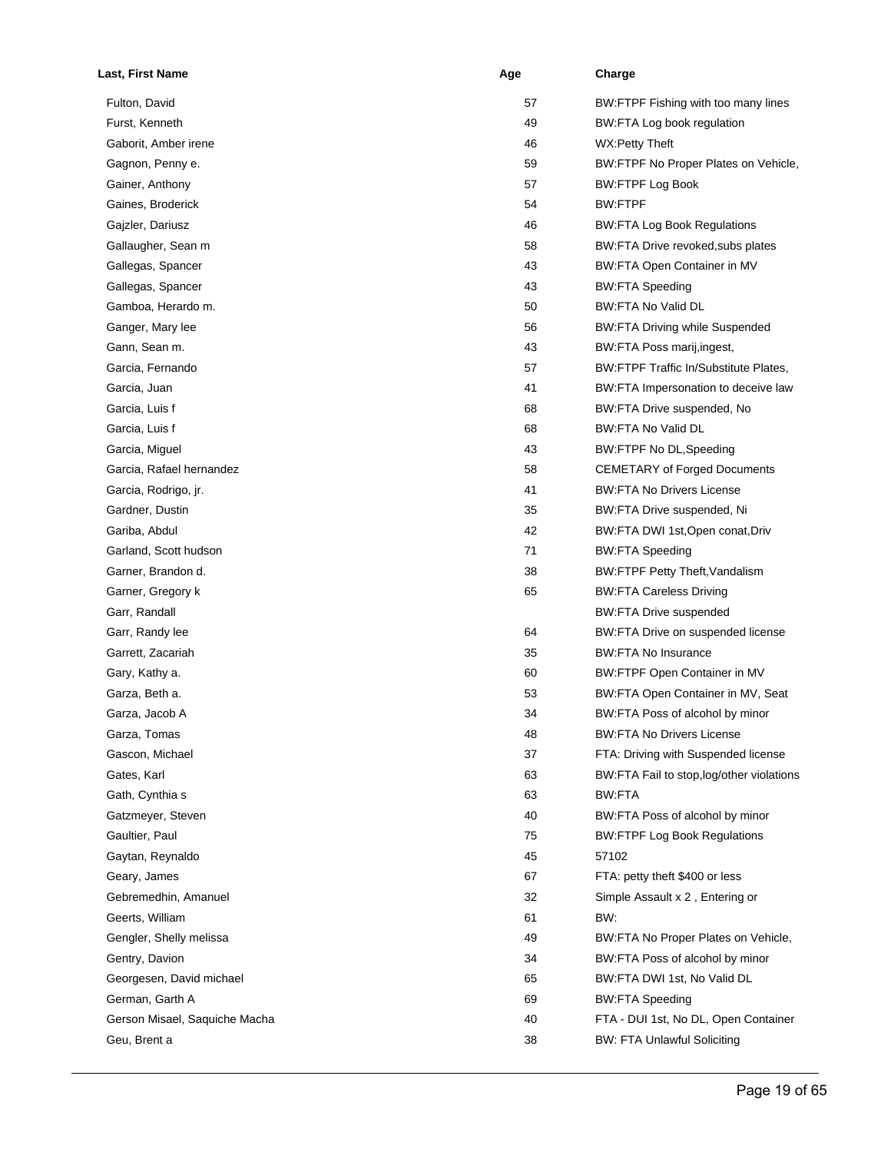| Last, First Name              | Age | Charge                                       |
|-------------------------------|-----|----------------------------------------------|
| Fulton, David                 | 57  | BW:FTPF Fishing with too many lines          |
| Furst, Kenneth                | 49  | BW:FTA Log book regulation                   |
| Gaborit, Amber irene          | 46  | WX:Petty Theft                               |
| Gagnon, Penny e.              | 59  | BW:FTPF No Proper Plates on Vehicle,         |
| Gainer, Anthony               | 57  | <b>BW:FTPF Log Book</b>                      |
| Gaines, Broderick             | 54  | BW:FTPF                                      |
| Gajzler, Dariusz              | 46  | <b>BW:FTA Log Book Regulations</b>           |
| Gallaugher, Sean m            | 58  | BW:FTA Drive revoked, subs plates            |
| Gallegas, Spancer             | 43  | BW:FTA Open Container in MV                  |
| Gallegas, Spancer             | 43  | <b>BW:FTA Speeding</b>                       |
| Gamboa, Herardo m.            | 50  | <b>BW:FTA No Valid DL</b>                    |
| Ganger, Mary lee              | 56  | <b>BW:FTA Driving while Suspended</b>        |
| Gann, Sean m.                 | 43  | BW:FTA Poss marij, ingest,                   |
| Garcia, Fernando              | 57  | <b>BW:FTPF Traffic In/Substitute Plates,</b> |
| Garcia, Juan                  | 41  | BW:FTA Impersonation to deceive law          |
| Garcia, Luis f                | 68  | BW:FTA Drive suspended, No                   |
| Garcia, Luis f                | 68  | <b>BW:FTA No Valid DL</b>                    |
| Garcia, Miguel                | 43  | BW:FTPF No DL, Speeding                      |
| Garcia, Rafael hernandez      | 58  | <b>CEMETARY of Forged Documents</b>          |
| Garcia, Rodrigo, jr.          | 41  | <b>BW:FTA No Drivers License</b>             |
| Gardner, Dustin               | 35  | BW:FTA Drive suspended, Ni                   |
| Gariba, Abdul                 | 42  | BW:FTA DWI 1st, Open conat, Driv             |
| Garland, Scott hudson         | 71  | <b>BW:FTA Speeding</b>                       |
| Garner, Brandon d.            | 38  | BW:FTPF Petty Theft, Vandalism               |
| Garner, Gregory k             | 65  | <b>BW:FTA Careless Driving</b>               |
| Garr, Randall                 |     | <b>BW:FTA Drive suspended</b>                |
| Garr, Randy lee               | 64  | BW:FTA Drive on suspended license            |
| Garrett, Zacariah             | 35  | <b>BW:FTA No Insurance</b>                   |
| Gary, Kathy a.                | 60  | BW:FTPF Open Container in MV                 |
| Garza, Beth a.                | 53  | BW:FTA Open Container in MV, Seat            |
| Garza, Jacob A                | 34  | BW:FTA Poss of alcohol by minor              |
| Garza, Tomas                  | 48  | <b>BW:FTA No Drivers License</b>             |
| Gascon, Michael               | 37  | FTA: Driving with Suspended license          |
| Gates, Karl                   | 63  | BW:FTA Fail to stop, log/other violations    |
| Gath, Cynthia s               | 63  | BW:FTA                                       |
| Gatzmeyer, Steven             | 40  | BW:FTA Poss of alcohol by minor              |
| Gaultier, Paul                | 75  | <b>BW:FTPF Log Book Regulations</b>          |
| Gaytan, Reynaldo              | 45  | 57102                                        |
| Geary, James                  | 67  | FTA: petty theft \$400 or less               |
| Gebremedhin, Amanuel          | 32  | Simple Assault x 2, Entering or              |
| Geerts, William               | 61  | BW.                                          |
| Gengler, Shelly melissa       | 49  | BW:FTA No Proper Plates on Vehicle,          |
| Gentry, Davion                | 34  | BW:FTA Poss of alcohol by minor              |
| Georgesen, David michael      | 65  | BW:FTA DWI 1st, No Valid DL                  |
| German, Garth A               | 69  | <b>BW:FTA Speeding</b>                       |
| Gerson Misael, Saquiche Macha | 40  | FTA - DUI 1st, No DL, Open Container         |
| Geu, Brent a                  | 38  | <b>BW: FTA Unlawful Soliciting</b>           |
|                               |     |                                              |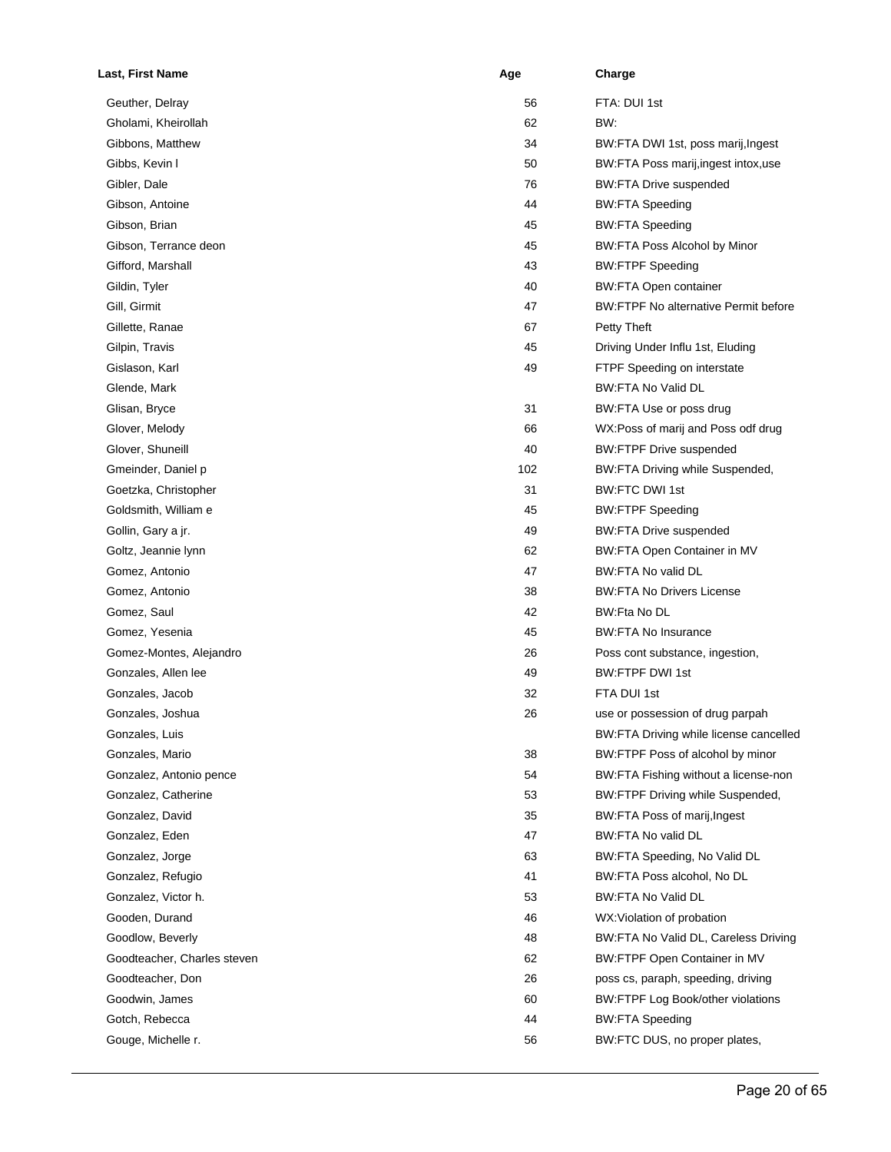| Last, First Name            | Age | Charge                                      |
|-----------------------------|-----|---------------------------------------------|
| Geuther, Delray             | 56  | FTA: DUI 1st                                |
| Gholami, Kheirollah         | 62  | BW:                                         |
| Gibbons, Matthew            | 34  | BW:FTA DWI 1st, poss marij, Ingest          |
| Gibbs, Kevin I              | 50  | BW:FTA Poss marij, ingest intox, use        |
| Gibler, Dale                | 76  | <b>BW:FTA Drive suspended</b>               |
| Gibson, Antoine             | 44  | <b>BW:FTA Speeding</b>                      |
| Gibson, Brian               | 45  | <b>BW:FTA Speeding</b>                      |
| Gibson, Terrance deon       | 45  | BW:FTA Poss Alcohol by Minor                |
| Gifford, Marshall           | 43  | <b>BW:FTPF Speeding</b>                     |
| Gildin, Tyler               | 40  | <b>BW:FTA Open container</b>                |
| Gill, Girmit                | 47  | <b>BW:FTPF No alternative Permit before</b> |
| Gillette, Ranae             | 67  | Petty Theft                                 |
| Gilpin, Travis              | 45  | Driving Under Influ 1st, Eluding            |
| Gislason, Karl              | 49  | FTPF Speeding on interstate                 |
| Glende, Mark                |     | <b>BW:FTA No Valid DL</b>                   |
| Glisan, Bryce               | 31  | BW:FTA Use or poss drug                     |
| Glover, Melody              | 66  | WX:Poss of marij and Poss odf drug          |
| Glover, Shuneill            | 40  | <b>BW:FTPF Drive suspended</b>              |
| Gmeinder, Daniel p          | 102 | BW:FTA Driving while Suspended,             |
| Goetzka, Christopher        | 31  | <b>BW:FTC DWI 1st</b>                       |
| Goldsmith, William e        | 45  | <b>BW:FTPF Speeding</b>                     |
| Gollin, Gary a jr.          | 49  | <b>BW:FTA Drive suspended</b>               |
| Goltz, Jeannie lynn         | 62  | BW:FTA Open Container in MV                 |
| Gomez, Antonio              | 47  | BW:FTA No valid DL                          |
| Gomez, Antonio              | 38  | <b>BW:FTA No Drivers License</b>            |
| Gomez, Saul                 | 42  | BW:Fta No DL                                |
| Gomez, Yesenia              | 45  | <b>BW:FTA No Insurance</b>                  |
| Gomez-Montes, Alejandro     | 26  | Poss cont substance, ingestion,             |
| Gonzales, Allen lee         | 49  | <b>BW:FTPF DWI 1st</b>                      |
| Gonzales, Jacob             | 32  | FTA DUI 1st                                 |
| Gonzales, Joshua            | 26  | use or possession of drug parpah            |
| Gonzales, Luis              |     | BW:FTA Driving while license cancelled      |
| Gonzales, Mario             | 38  | BW:FTPF Poss of alcohol by minor            |
| Gonzalez, Antonio pence     | 54  | BW:FTA Fishing without a license-non        |
| Gonzalez, Catherine         | 53  | BW:FTPF Driving while Suspended,            |
| Gonzalez, David             | 35  | BW:FTA Poss of marij, Ingest                |
| Gonzalez, Eden              | 47  | BW:FTA No valid DL                          |
| Gonzalez, Jorge             | 63  | BW:FTA Speeding, No Valid DL                |
| Gonzalez, Refugio           | 41  | BW:FTA Poss alcohol, No DL                  |
| Gonzalez, Victor h.         | 53  | <b>BW:FTA No Valid DL</b>                   |
| Gooden, Durand              | 46  | WX: Violation of probation                  |
| Goodlow, Beverly            | 48  | BW:FTA No Valid DL, Careless Driving        |
| Goodteacher, Charles steven | 62  | BW:FTPF Open Container in MV                |
| Goodteacher, Don            | 26  | poss cs, paraph, speeding, driving          |
| Goodwin, James              | 60  | BW:FTPF Log Book/other violations           |
| Gotch, Rebecca              | 44  | <b>BW:FTA Speeding</b>                      |
| Gouge, Michelle r.          | 56  | BW:FTC DUS, no proper plates,               |
|                             |     |                                             |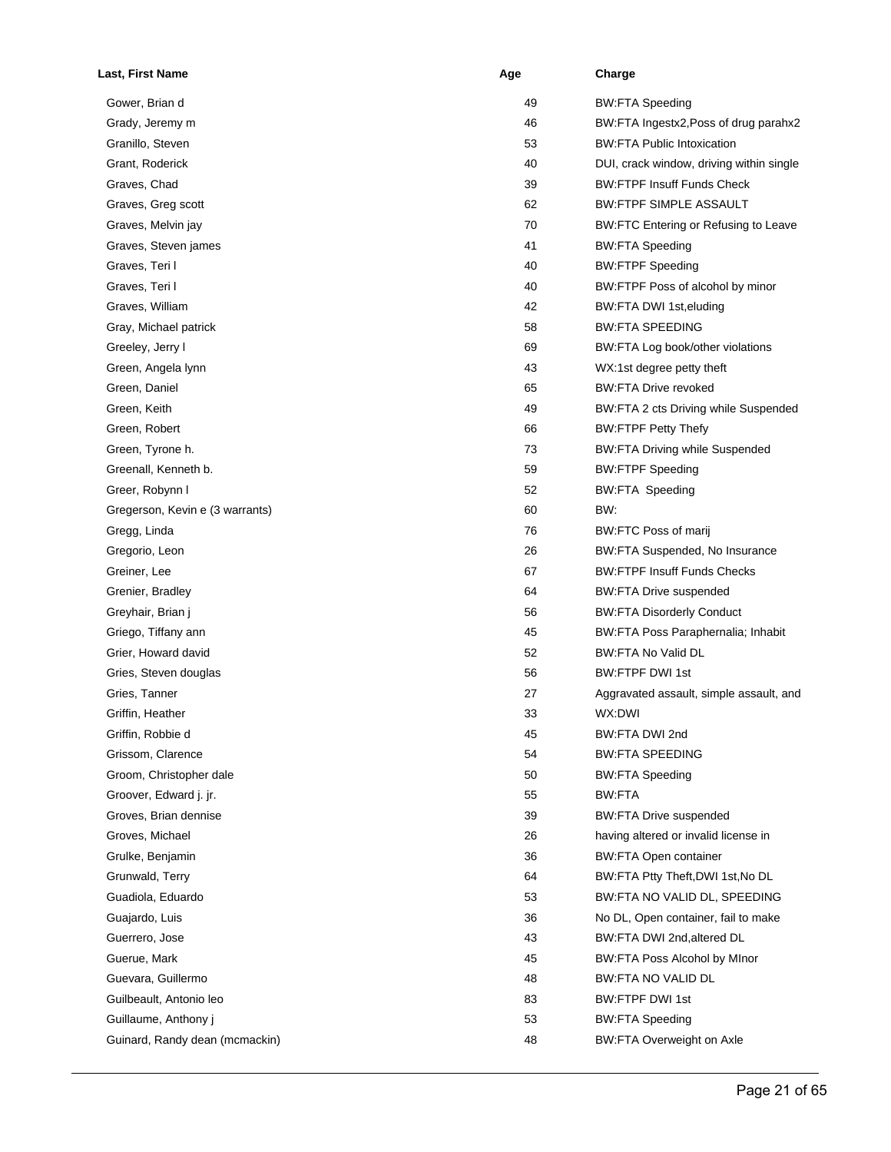| Last, First Name                | Age | Charge                                   |
|---------------------------------|-----|------------------------------------------|
| Gower, Brian d                  | 49  | <b>BW:FTA Speeding</b>                   |
| Grady, Jeremy m                 | 46  | BW:FTA Ingestx2, Poss of drug parahx2    |
| Granillo, Steven                | 53  | <b>BW:FTA Public Intoxication</b>        |
| Grant, Roderick                 | 40  | DUI, crack window, driving within single |
| Graves, Chad                    | 39  | <b>BW:FTPF Insuff Funds Check</b>        |
| Graves, Greg scott              | 62  | <b>BW:FTPF SIMPLE ASSAULT</b>            |
| Graves, Melvin jay              | 70  | BW:FTC Entering or Refusing to Leave     |
| Graves, Steven james            | 41  | <b>BW:FTA Speeding</b>                   |
| Graves, Teri I                  | 40  | <b>BW:FTPF Speeding</b>                  |
| Graves, Teri I                  | 40  | BW:FTPF Poss of alcohol by minor         |
| Graves, William                 | 42  | BW:FTA DWI 1st, eluding                  |
| Gray, Michael patrick           | 58  | <b>BW:FTA SPEEDING</b>                   |
| Greeley, Jerry I                | 69  | BW:FTA Log book/other violations         |
| Green, Angela lynn              | 43  | WX:1st degree petty theft                |
| Green, Daniel                   | 65  | <b>BW:FTA Drive revoked</b>              |
| Green, Keith                    | 49  | BW:FTA 2 cts Driving while Suspended     |
| Green, Robert                   | 66  | <b>BW:FTPF Petty Thefy</b>               |
| Green, Tyrone h.                | 73  | <b>BW:FTA Driving while Suspended</b>    |
| Greenall, Kenneth b.            | 59  | <b>BW:FTPF Speeding</b>                  |
| Greer, Robynn I                 | 52  | <b>BW:FTA Speeding</b>                   |
| Gregerson, Kevin e (3 warrants) | 60  | BW.                                      |
| Gregg, Linda                    | 76  | BW:FTC Poss of marij                     |
| Gregorio, Leon                  | 26  | BW:FTA Suspended, No Insurance           |
| Greiner, Lee                    | 67  | <b>BW:FTPF Insuff Funds Checks</b>       |
| Grenier, Bradley                | 64  | <b>BW:FTA Drive suspended</b>            |
| Greyhair, Brian j               | 56  | <b>BW:FTA Disorderly Conduct</b>         |
| Griego, Tiffany ann             | 45  | BW:FTA Poss Paraphernalia; Inhabit       |
| Grier, Howard david             | 52  | <b>BW:FTA No Valid DL</b>                |
| Gries, Steven douglas           | 56  | <b>BW:FTPF DWI 1st</b>                   |
| Gries, Tanner                   | 27  | Aggravated assault, simple assault, and  |
| Griffin, Heather                | 33  | WX:DWI                                   |
| Griffin, Robbie d               | 45  | BW:FTA DWI 2nd                           |
| Grissom, Clarence               | 54  | <b>BW:FTA SPEEDING</b>                   |
| Groom, Christopher dale         | 50  | <b>BW:FTA Speeding</b>                   |
| Groover, Edward j. jr.          | 55  | <b>BW:FTA</b>                            |
| Groves, Brian dennise           | 39  | <b>BW:FTA Drive suspended</b>            |
| Groves, Michael                 | 26  | having altered or invalid license in     |
| Grulke, Benjamin                | 36  | <b>BW:FTA Open container</b>             |
| Grunwald, Terry                 | 64  | BW:FTA Ptty Theft, DWI 1st, No DL        |
| Guadiola, Eduardo               | 53  | BW:FTA NO VALID DL, SPEEDING             |
| Guajardo, Luis                  | 36  | No DL, Open container, fail to make      |
| Guerrero, Jose                  | 43  | BW:FTA DWI 2nd, altered DL               |
| Guerue, Mark                    | 45  | BW:FTA Poss Alcohol by MInor             |
| Guevara, Guillermo              | 48  | <b>BW:FTA NO VALID DL</b>                |
| Guilbeault, Antonio leo         | 83  | <b>BW:FTPF DWI 1st</b>                   |
| Guillaume, Anthony j            | 53  | <b>BW:FTA Speeding</b>                   |
| Guinard, Randy dean (mcmackin)  | 48  | BW:FTA Overweight on Axle                |
|                                 |     |                                          |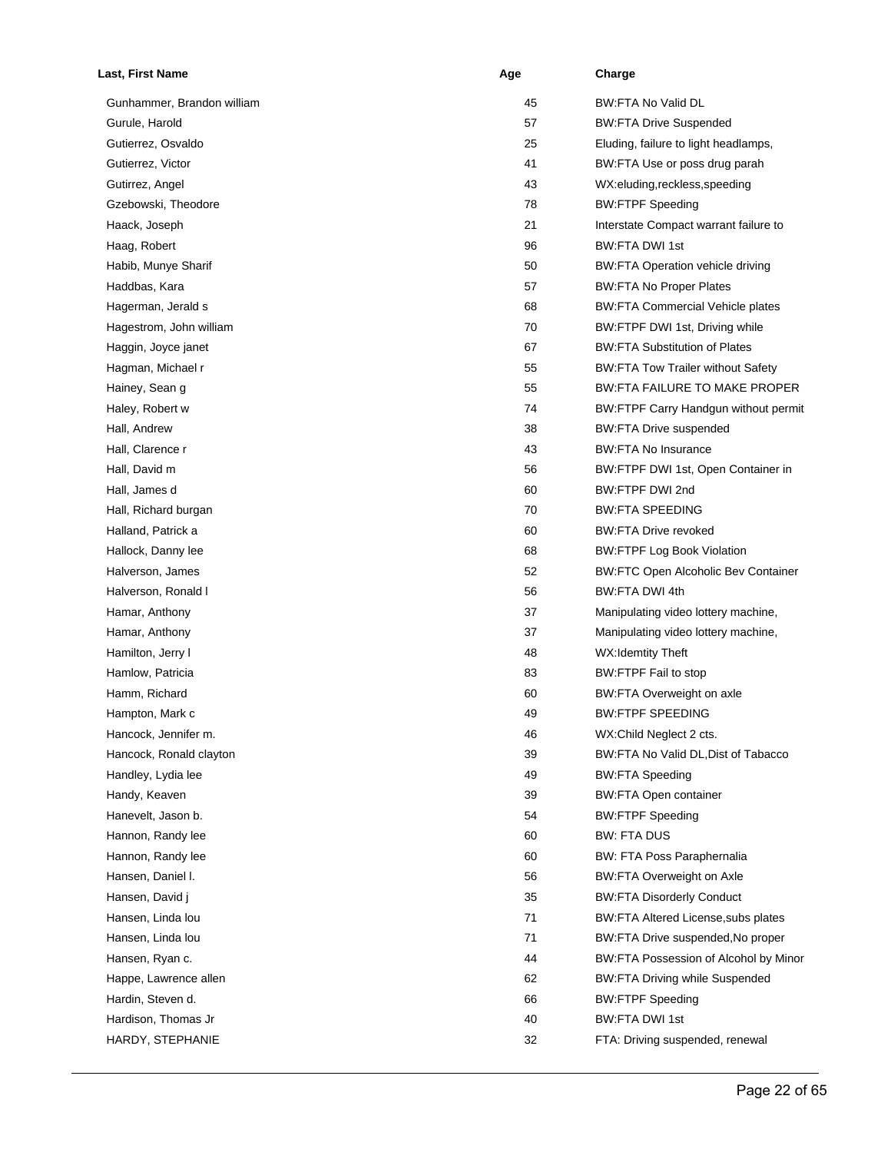| Last, First Name           | Age | Charge                                     |
|----------------------------|-----|--------------------------------------------|
| Gunhammer, Brandon william | 45  | BW:FTA No Valid DL                         |
| Gurule, Harold             | 57  | <b>BW:FTA Drive Suspended</b>              |
| Gutierrez, Osvaldo         | 25  | Eluding, failure to light headlamps,       |
| Gutierrez, Victor          | 41  | BW:FTA Use or poss drug parah              |
| Gutirrez, Angel            | 43  | WX:eluding,reckless,speeding               |
| Gzebowski, Theodore        | 78  | <b>BW:FTPF Speeding</b>                    |
| Haack, Joseph              | 21  | Interstate Compact warrant failure to      |
| Haag, Robert               | 96  | <b>BW:FTA DWI 1st</b>                      |
| Habib, Munye Sharif        | 50  | BW:FTA Operation vehicle driving           |
| Haddbas, Kara              | 57  | <b>BW:FTA No Proper Plates</b>             |
| Hagerman, Jerald s         | 68  | <b>BW:FTA Commercial Vehicle plates</b>    |
| Hagestrom, John william    | 70  | BW:FTPF DWI 1st, Driving while             |
| Haggin, Joyce janet        | 67  | <b>BW:FTA Substitution of Plates</b>       |
| Hagman, Michael r          | 55  | <b>BW:FTA Tow Trailer without Safety</b>   |
| Hainey, Sean g             | 55  | <b>BW:FTA FAILURE TO MAKE PROPER</b>       |
| Haley, Robert w            | 74  | BW:FTPF Carry Handgun without permit       |
| Hall, Andrew               | 38  | <b>BW:FTA Drive suspended</b>              |
| Hall, Clarence r           | 43  | <b>BW:FTA No Insurance</b>                 |
| Hall, David m              | 56  | BW:FTPF DWI 1st, Open Container in         |
| Hall, James d              | 60  | BW:FTPF DWI 2nd                            |
| Hall, Richard burgan       | 70  | <b>BW:FTA SPEEDING</b>                     |
| Halland, Patrick a         | 60  | <b>BW:FTA Drive revoked</b>                |
| Hallock, Danny lee         | 68  | <b>BW:FTPF Log Book Violation</b>          |
| Halverson, James           | 52  | <b>BW:FTC Open Alcoholic Bev Container</b> |
| Halverson, Ronald I        | 56  | BW:FTA DWI 4th                             |
| Hamar, Anthony             | 37  | Manipulating video lottery machine,        |
| Hamar, Anthony             | 37  | Manipulating video lottery machine,        |
| Hamilton, Jerry I          | 48  | <b>WX:Idemtity Theft</b>                   |
| Hamlow, Patricia           | 83  | BW:FTPF Fail to stop                       |
| Hamm, Richard              | 60  | BW:FTA Overweight on axle                  |
| Hampton, Mark c            | 49  | <b>BW:FTPF SPEEDING</b>                    |
| Hancock, Jennifer m.       | 46  | WX:Child Neglect 2 cts.                    |
| Hancock, Ronald clayton    | 39  | BW:FTA No Valid DL, Dist of Tabacco        |
| Handley, Lydia lee         | 49  | <b>BW:FTA Speeding</b>                     |
| Handy, Keaven              | 39  | <b>BW:FTA Open container</b>               |
| Hanevelt, Jason b.         | 54  | <b>BW:FTPF Speeding</b>                    |
| Hannon, Randy lee          | 60  | <b>BW: FTA DUS</b>                         |
| Hannon, Randy lee          | 60  | BW: FTA Poss Paraphernalia                 |
| Hansen, Daniel I.          | 56  | BW:FTA Overweight on Axle                  |
| Hansen, David j            | 35  | <b>BW:FTA Disorderly Conduct</b>           |
| Hansen, Linda lou          | 71  | BW:FTA Altered License, subs plates        |
| Hansen, Linda lou          | 71  | BW:FTA Drive suspended, No proper          |
| Hansen, Ryan c.            | 44  | BW:FTA Possession of Alcohol by Minor      |
| Happe, Lawrence allen      | 62  | <b>BW:FTA Driving while Suspended</b>      |
| Hardin, Steven d.          | 66  | <b>BW:FTPF Speeding</b>                    |
| Hardison, Thomas Jr        | 40  | <b>BW:FTA DWI 1st</b>                      |
| HARDY, STEPHANIE           | 32  | FTA: Driving suspended, renewal            |
|                            |     |                                            |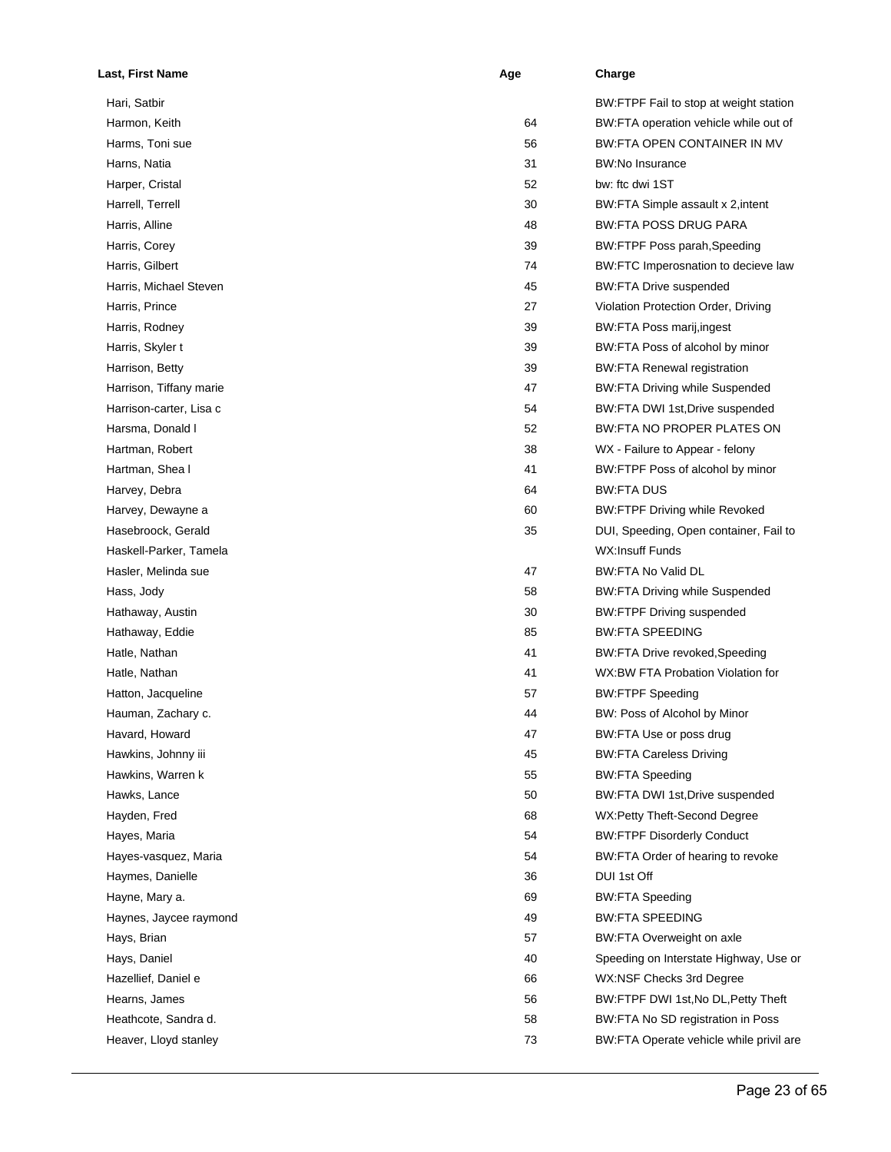| Last, First Name        | Age | Charge                                  |
|-------------------------|-----|-----------------------------------------|
| Hari, Satbir            |     | BW:FTPF Fail to stop at weight station  |
| Harmon, Keith           | 64  | BW:FTA operation vehicle while out of   |
| Harms, Toni sue         | 56  | BW:FTA OPEN CONTAINER IN MV             |
| Harns, Natia            | 31  | <b>BW:No Insurance</b>                  |
| Harper, Cristal         | 52  | bw: ftc dwi 1ST                         |
| Harrell, Terrell        | 30  | BW:FTA Simple assault x 2, intent       |
| Harris, Alline          | 48  | <b>BW:FTA POSS DRUG PARA</b>            |
| Harris, Corey           | 39  | BW:FTPF Poss parah, Speeding            |
| Harris, Gilbert         | 74  | BW:FTC Imperosnation to decieve law     |
| Harris, Michael Steven  | 45  | <b>BW:FTA Drive suspended</b>           |
| Harris, Prince          | 27  | Violation Protection Order, Driving     |
| Harris, Rodney          | 39  | BW:FTA Poss marij, ingest               |
| Harris, Skyler t        | 39  | BW:FTA Poss of alcohol by minor         |
| Harrison, Betty         | 39  | <b>BW:FTA Renewal registration</b>      |
| Harrison, Tiffany marie | 47  | <b>BW:FTA Driving while Suspended</b>   |
| Harrison-carter, Lisa c | 54  | BW:FTA DWI 1st, Drive suspended         |
| Harsma, Donald I        | 52  | <b>BW:FTA NO PROPER PLATES ON</b>       |
| Hartman, Robert         | 38  | WX - Failure to Appear - felony         |
| Hartman, Shea I         | 41  | BW:FTPF Poss of alcohol by minor        |
| Harvey, Debra           | 64  | <b>BW:FTA DUS</b>                       |
| Harvey, Dewayne a       | 60  | <b>BW:FTPF Driving while Revoked</b>    |
| Hasebroock, Gerald      | 35  | DUI, Speeding, Open container, Fail to  |
| Haskell-Parker, Tamela  |     | <b>WX:Insuff Funds</b>                  |
| Hasler, Melinda sue     | 47  | BW:FTA No Valid DL                      |
| Hass, Jody              | 58  | <b>BW:FTA Driving while Suspended</b>   |
| Hathaway, Austin        | 30  | <b>BW:FTPF Driving suspended</b>        |
| Hathaway, Eddie         | 85  | <b>BW:FTA SPEEDING</b>                  |
| Hatle, Nathan           | 41  | <b>BW:FTA Drive revoked, Speeding</b>   |
| Hatle, Nathan           | 41  | WX:BW FTA Probation Violation for       |
| Hatton, Jacqueline      | 57  | <b>BW:FTPF Speeding</b>                 |
| Hauman, Zachary c.      | 44  | BW: Poss of Alcohol by Minor            |
| Havard, Howard          | 47  | BW:FTA Use or poss drug                 |
| Hawkins, Johnny iii     | 45  | <b>BW:FTA Careless Driving</b>          |
| Hawkins, Warren k       | 55  | <b>BW:FTA Speeding</b>                  |
| Hawks, Lance            | 50  | BW:FTA DWI 1st, Drive suspended         |
| Hayden, Fred            | 68  | WX:Petty Theft-Second Degree            |
| Hayes, Maria            | 54  | <b>BW:FTPF Disorderly Conduct</b>       |
| Hayes-vasquez, Maria    | 54  | BW:FTA Order of hearing to revoke       |
| Haymes, Danielle        | 36  | DUI 1st Off                             |
| Hayne, Mary a.          | 69  | <b>BW:FTA Speeding</b>                  |
| Haynes, Jaycee raymond  | 49  | <b>BW:FTA SPEEDING</b>                  |
| Hays, Brian             | 57  | BW:FTA Overweight on axle               |
| Hays, Daniel            | 40  | Speeding on Interstate Highway, Use or  |
| Hazellief, Daniel e     | 66  | WX:NSF Checks 3rd Degree                |
| Hearns, James           | 56  | BW:FTPF DWI 1st, No DL, Petty Theft     |
| Heathcote, Sandra d.    | 58  | BW:FTA No SD registration in Poss       |
| Heaver, Lloyd stanley   | 73  | BW:FTA Operate vehicle while privil are |
|                         |     |                                         |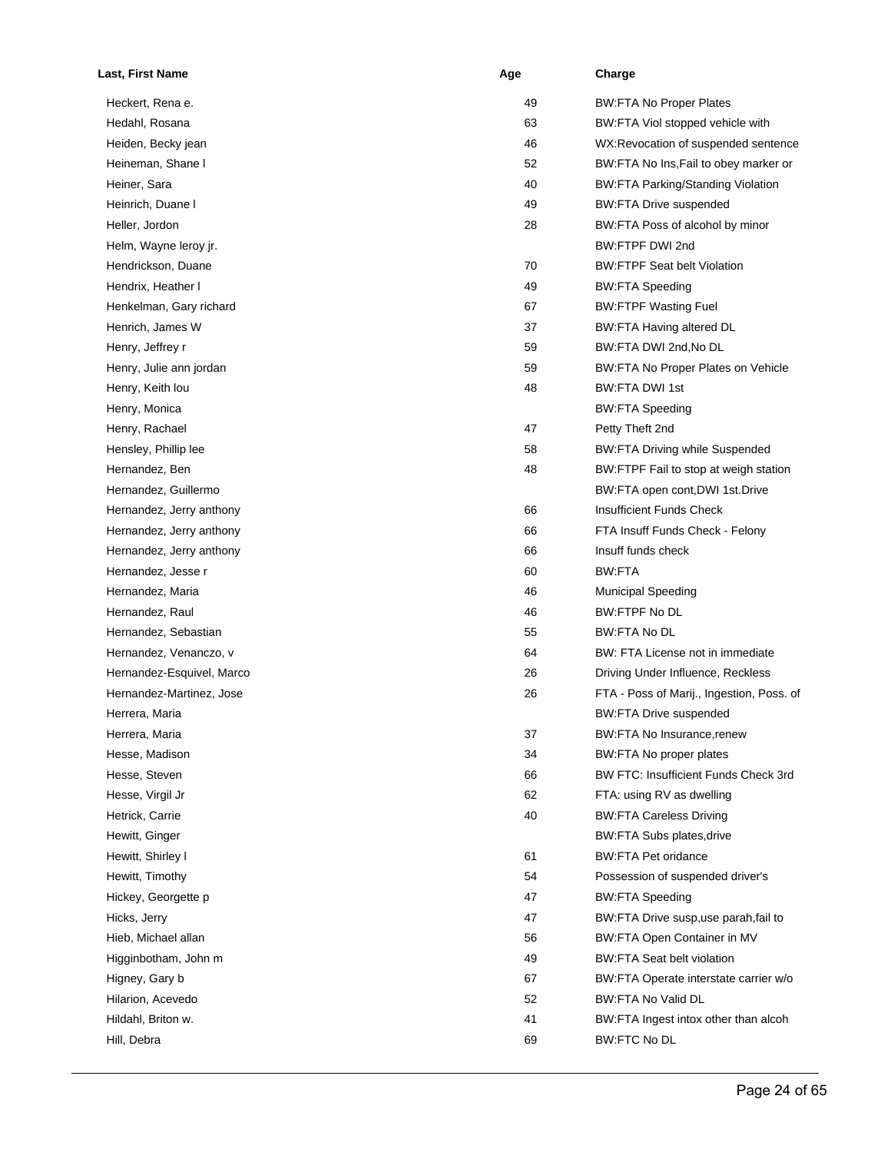| Last, First Name          | Age | Charge                                      |
|---------------------------|-----|---------------------------------------------|
| Heckert, Rena e.          | 49  | <b>BW:FTA No Proper Plates</b>              |
| Hedahl, Rosana            | 63  | BW:FTA Viol stopped vehicle with            |
| Heiden, Becky jean        | 46  | WX:Revocation of suspended sentence         |
| Heineman, Shane I         | 52  | BW:FTA No Ins, Fail to obey marker or       |
| Heiner, Sara              | 40  | <b>BW:FTA Parking/Standing Violation</b>    |
| Heinrich, Duane I         | 49  | <b>BW:FTA Drive suspended</b>               |
| Heller, Jordon            | 28  | BW:FTA Poss of alcohol by minor             |
| Helm, Wayne leroy jr.     |     | BW:FTPF DWI 2nd                             |
| Hendrickson, Duane        | 70  | <b>BW:FTPF Seat belt Violation</b>          |
| Hendrix, Heather I        | 49  | <b>BW:FTA Speeding</b>                      |
| Henkelman, Gary richard   | 67  | <b>BW:FTPF Wasting Fuel</b>                 |
| Henrich, James W          | 37  | BW:FTA Having altered DL                    |
| Henry, Jeffrey r          | 59  | BW:FTA DWI 2nd, No DL                       |
| Henry, Julie ann jordan   | 59  | BW:FTA No Proper Plates on Vehicle          |
| Henry, Keith lou          | 48  | <b>BW:FTA DWI 1st</b>                       |
| Henry, Monica             |     | <b>BW:FTA Speeding</b>                      |
| Henry, Rachael            | 47  | Petty Theft 2nd                             |
| Hensley, Phillip lee      | 58  | <b>BW:FTA Driving while Suspended</b>       |
| Hernandez, Ben            | 48  | BW:FTPF Fail to stop at weigh station       |
| Hernandez, Guillermo      |     | BW:FTA open cont, DWI 1st. Drive            |
| Hernandez, Jerry anthony  | 66  | <b>Insufficient Funds Check</b>             |
| Hernandez, Jerry anthony  | 66  | FTA Insuff Funds Check - Felony             |
| Hernandez, Jerry anthony  | 66  | Insuff funds check                          |
| Hernandez, Jesse r        | 60  | BW:FTA                                      |
| Hernandez, Maria          | 46  | <b>Municipal Speeding</b>                   |
| Hernandez, Raul           | 46  | <b>BW:FTPF No DL</b>                        |
| Hernandez, Sebastian      | 55  | <b>BW:FTA No DL</b>                         |
| Hernandez, Venanczo, v    | 64  | BW: FTA License not in immediate            |
| Hernandez-Esquivel, Marco | 26  | Driving Under Influence, Reckless           |
| Hernandez-Martinez, Jose  | 26  | FTA - Poss of Marij., Ingestion, Poss. of   |
| Herrera, Maria            |     | <b>BW:FTA Drive suspended</b>               |
| Herrera, Maria            | 37  | BW:FTA No Insurance.renew                   |
| Hesse, Madison            | 34  | BW:FTA No proper plates                     |
| Hesse, Steven             | 66  | <b>BW FTC: Insufficient Funds Check 3rd</b> |
| Hesse, Virgil Jr          | 62  | FTA: using RV as dwelling                   |
| Hetrick, Carrie           | 40  | <b>BW:FTA Careless Driving</b>              |
| Hewitt, Ginger            |     | BW:FTA Subs plates, drive                   |
| Hewitt, Shirley I         | 61  | <b>BW:FTA Pet oridance</b>                  |
| Hewitt, Timothy           | 54  | Possession of suspended driver's            |
| Hickey, Georgette p       | 47  | <b>BW:FTA Speeding</b>                      |
| Hicks, Jerry              | 47  | BW:FTA Drive susp, use parah, fail to       |
| Hieb, Michael allan       | 56  | BW:FTA Open Container in MV                 |
| Higginbotham, John m      | 49  | <b>BW:FTA Seat belt violation</b>           |
| Higney, Gary b            | 67  | BW:FTA Operate interstate carrier w/o       |
| Hilarion, Acevedo         | 52  | BW:FTA No Valid DL                          |
| Hildahl, Briton w.        | 41  | BW:FTA Ingest intox other than alcoh        |
| Hill, Debra               | 69  | <b>BW:FTC No DL</b>                         |
|                           |     |                                             |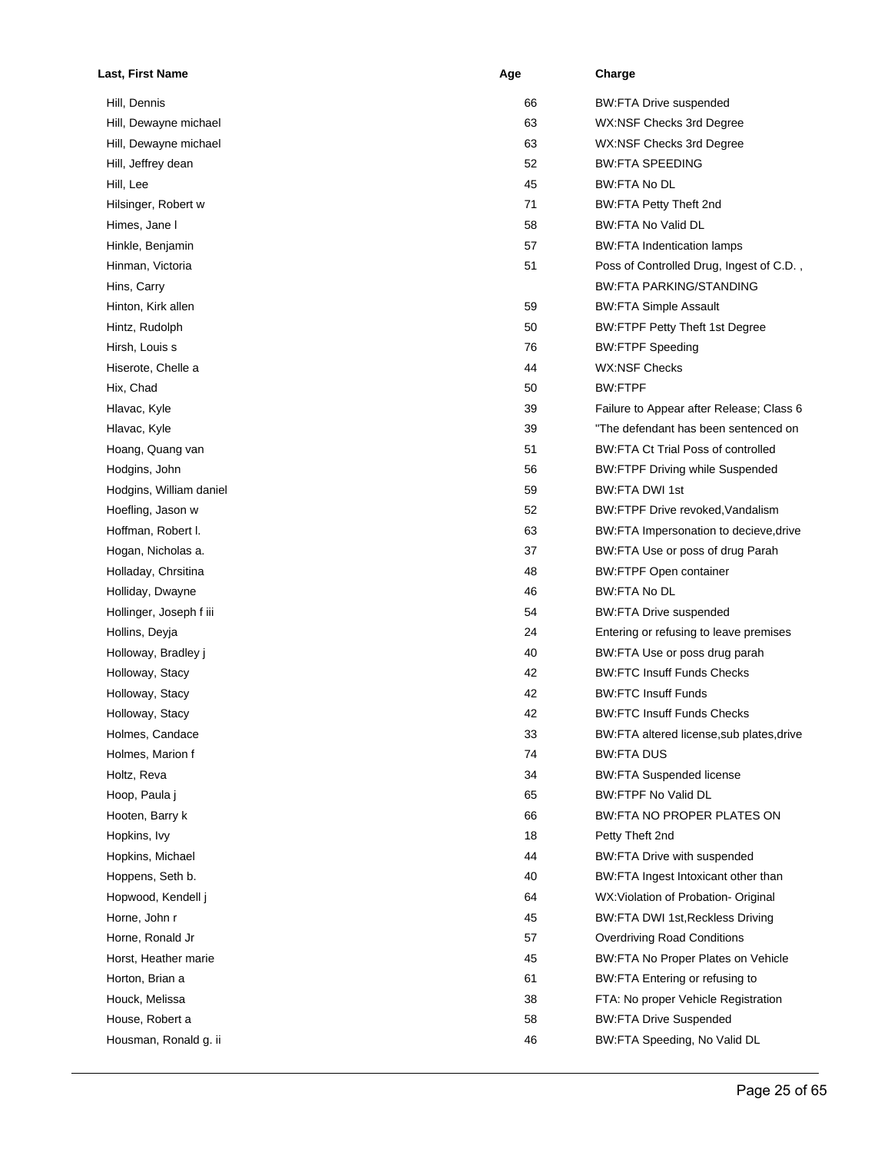| Last, First Name        | Age | Charge                                    |
|-------------------------|-----|-------------------------------------------|
| Hill, Dennis            | 66  | <b>BW:FTA Drive suspended</b>             |
| Hill, Dewayne michael   | 63  | WX:NSF Checks 3rd Degree                  |
| Hill, Dewayne michael   | 63  | WX:NSF Checks 3rd Degree                  |
| Hill, Jeffrey dean      | 52  | <b>BW:FTA SPEEDING</b>                    |
| Hill, Lee               | 45  | BW:FTA No DL                              |
| Hilsinger, Robert w     | 71  | BW:FTA Petty Theft 2nd                    |
| Himes, Jane I           | 58  | BW:FTA No Valid DL                        |
| Hinkle, Benjamin        | 57  | <b>BW:FTA Indentication lamps</b>         |
| Hinman, Victoria        | 51  | Poss of Controlled Drug, Ingest of C.D.,  |
| Hins, Carry             |     | <b>BW:FTA PARKING/STANDING</b>            |
| Hinton, Kirk allen      | 59  | <b>BW:FTA Simple Assault</b>              |
| Hintz, Rudolph          | 50  | <b>BW:FTPF Petty Theft 1st Degree</b>     |
| Hirsh, Louis s          | 76  | <b>BW:FTPF Speeding</b>                   |
| Hiserote, Chelle a      | 44  | <b>WX:NSF Checks</b>                      |
| Hix, Chad               | 50  | BW:FTPF                                   |
| Hlavac, Kyle            | 39  | Failure to Appear after Release; Class 6  |
| Hlavac, Kyle            | 39  | "The defendant has been sentenced on      |
| Hoang, Quang van        | 51  | <b>BW:FTA Ct Trial Poss of controlled</b> |
| Hodgins, John           | 56  | <b>BW:FTPF Driving while Suspended</b>    |
| Hodgins, William daniel | 59  | <b>BW:FTA DWI 1st</b>                     |
| Hoefling, Jason w       | 52  | BW:FTPF Drive revoked, Vandalism          |
| Hoffman, Robert I.      | 63  | BW:FTA Impersonation to decieve, drive    |
| Hogan, Nicholas a.      | 37  | BW:FTA Use or poss of drug Parah          |
| Holladay, Chrsitina     | 48  | <b>BW:FTPF Open container</b>             |
| Holliday, Dwayne        | 46  | BW:FTA No DL                              |
| Hollinger, Joseph f iii | 54  | <b>BW:FTA Drive suspended</b>             |
| Hollins, Deyja          | 24  | Entering or refusing to leave premises    |
| Holloway, Bradley j     | 40  | BW:FTA Use or poss drug parah             |
| Holloway, Stacy         | 42  | <b>BW:FTC Insuff Funds Checks</b>         |
| Holloway, Stacy         | 42  | <b>BW:FTC Insuff Funds</b>                |
| Holloway, Stacy         | 42  | <b>BW:FTC Insuff Funds Checks</b>         |
| Holmes, Candace         | 33  | BW:FTA altered license, sub plates, drive |
| Holmes, Marion f        | 74  | <b>BW:FTA DUS</b>                         |
| Holtz, Reva             | 34  | <b>BW:FTA Suspended license</b>           |
| Hoop, Paula j           | 65  | <b>BW:FTPF No Valid DL</b>                |
| Hooten, Barry k         | 66  | BW:FTA NO PROPER PLATES ON                |
| Hopkins, Ivy            | 18  | Petty Theft 2nd                           |
| Hopkins, Michael        | 44  | BW:FTA Drive with suspended               |
| Hoppens, Seth b.        | 40  | BW:FTA Ingest Intoxicant other than       |
| Hopwood, Kendell j      | 64  | WX: Violation of Probation- Original      |
| Horne, John r           | 45  | BW:FTA DWI 1st, Reckless Driving          |
| Horne, Ronald Jr        | 57  | <b>Overdriving Road Conditions</b>        |
| Horst, Heather marie    | 45  | BW:FTA No Proper Plates on Vehicle        |
| Horton, Brian a         | 61  | BW:FTA Entering or refusing to            |
| Houck, Melissa          | 38  | FTA: No proper Vehicle Registration       |
| House, Robert a         | 58  | <b>BW:FTA Drive Suspended</b>             |
| Housman, Ronald g. ii   | 46  | BW:FTA Speeding, No Valid DL              |
|                         |     |                                           |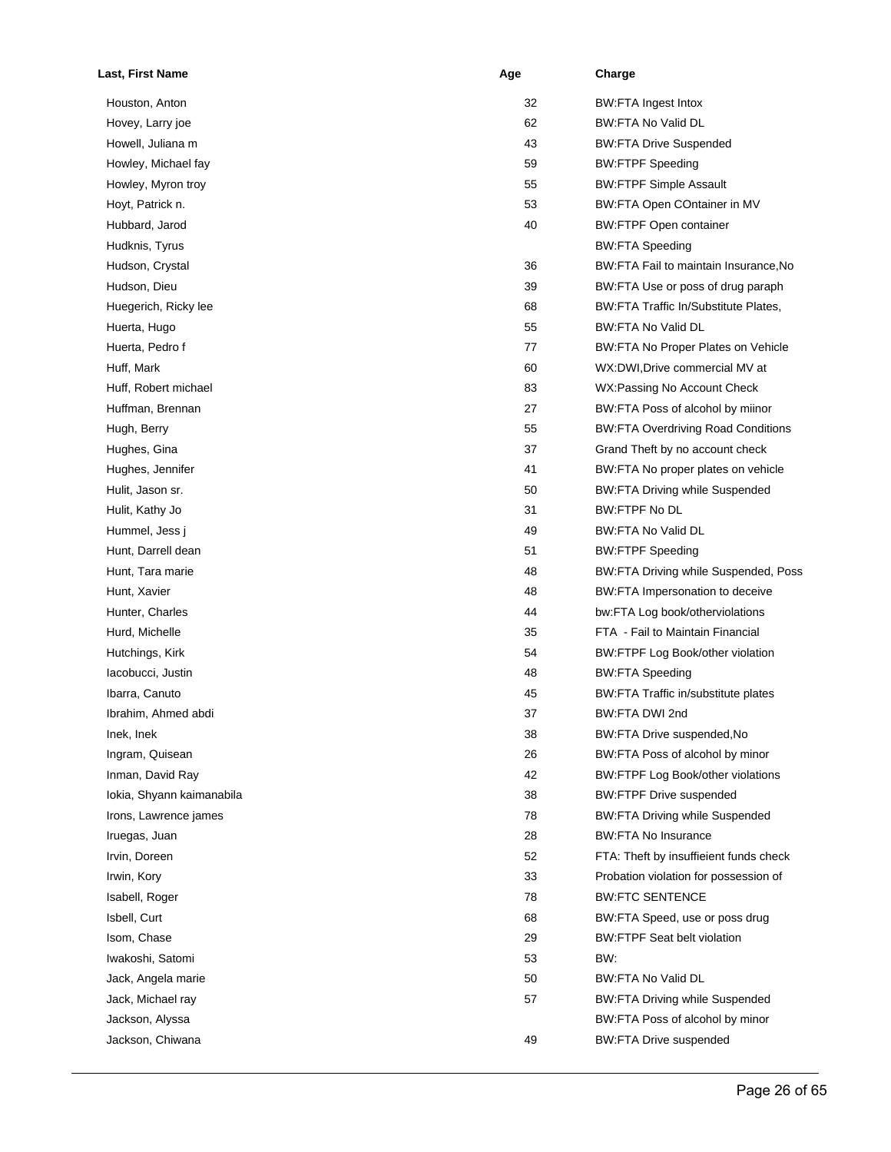| Last, First Name          | Age | Charge                                    |
|---------------------------|-----|-------------------------------------------|
| Houston, Anton            | 32  | <b>BW:FTA Ingest Intox</b>                |
| Hovey, Larry joe          | 62  | <b>BW:FTA No Valid DL</b>                 |
| Howell, Juliana m         | 43  | <b>BW:FTA Drive Suspended</b>             |
| Howley, Michael fay       | 59  | <b>BW:FTPF Speeding</b>                   |
| Howley, Myron troy        | 55  | <b>BW:FTPF Simple Assault</b>             |
| Hoyt, Patrick n.          | 53  | BW:FTA Open COntainer in MV               |
| Hubbard, Jarod            | 40  | <b>BW:FTPF Open container</b>             |
| Hudknis, Tyrus            |     | <b>BW:FTA Speeding</b>                    |
| Hudson, Crystal           | 36  | BW:FTA Fail to maintain Insurance, No     |
| Hudson, Dieu              | 39  | BW:FTA Use or poss of drug paraph         |
| Huegerich, Ricky lee      | 68  | BW:FTA Traffic In/Substitute Plates,      |
| Huerta, Hugo              | 55  | BW:FTA No Valid DL                        |
| Huerta, Pedro f           | 77  | BW:FTA No Proper Plates on Vehicle        |
| Huff, Mark                | 60  | WX:DWI, Drive commercial MV at            |
| Huff, Robert michael      | 83  | WX:Passing No Account Check               |
| Huffman, Brennan          | 27  | BW:FTA Poss of alcohol by miinor          |
| Hugh, Berry               | 55  | <b>BW:FTA Overdriving Road Conditions</b> |
| Hughes, Gina              | 37  | Grand Theft by no account check           |
| Hughes, Jennifer          | 41  | BW:FTA No proper plates on vehicle        |
| Hulit, Jason sr.          | 50  | <b>BW:FTA Driving while Suspended</b>     |
| Hulit, Kathy Jo           | 31  | <b>BW:FTPF No DL</b>                      |
| Hummel, Jess j            | 49  | BW:FTA No Valid DL                        |
| Hunt, Darrell dean        | 51  | <b>BW:FTPF Speeding</b>                   |
| Hunt, Tara marie          | 48  | BW:FTA Driving while Suspended, Poss      |
| Hunt, Xavier              | 48  | BW:FTA Impersonation to deceive           |
| Hunter, Charles           | 44  | bw:FTA Log book/otherviolations           |
| Hurd, Michelle            | 35  | FTA - Fail to Maintain Financial          |
| Hutchings, Kirk           | 54  | BW:FTPF Log Book/other violation          |
| lacobucci, Justin         | 48  | <b>BW:FTA Speeding</b>                    |
| Ibarra, Canuto            | 45  | BW:FTA Traffic in/substitute plates       |
| Ibrahim, Ahmed abdi       | 37  | BW:FTA DWI 2nd                            |
| Inek, Inek                | 38  | BW:FTA Drive suspended, No                |
| Ingram, Quisean           | 26  | BW:FTA Poss of alcohol by minor           |
| Inman, David Ray          | 42  | <b>BW:FTPF Log Book/other violations</b>  |
| lokia, Shyann kaimanabila | 38  | <b>BW:FTPF Drive suspended</b>            |
| Irons, Lawrence james     | 78  | <b>BW:FTA Driving while Suspended</b>     |
| Iruegas, Juan             | 28  | <b>BW:FTA No Insurance</b>                |
| Irvin, Doreen             | 52  | FTA: Theft by insuffieient funds check    |
| Irwin, Kory               | 33  | Probation violation for possession of     |
| Isabell, Roger            | 78  | <b>BW:FTC SENTENCE</b>                    |
| Isbell, Curt              | 68  |                                           |
|                           |     | BW:FTA Speed, use or poss drug            |
| Isom, Chase               | 29  | <b>BW:FTPF Seat belt violation</b>        |
| Iwakoshi, Satomi          | 53  | BW.                                       |
| Jack, Angela marie        | 50  | BW:FTA No Valid DL                        |
| Jack, Michael ray         | 57  | <b>BW:FTA Driving while Suspended</b>     |
| Jackson, Alyssa           |     | BW:FTA Poss of alcohol by minor           |
| Jackson, Chiwana          | 49  | <b>BW:FTA Drive suspended</b>             |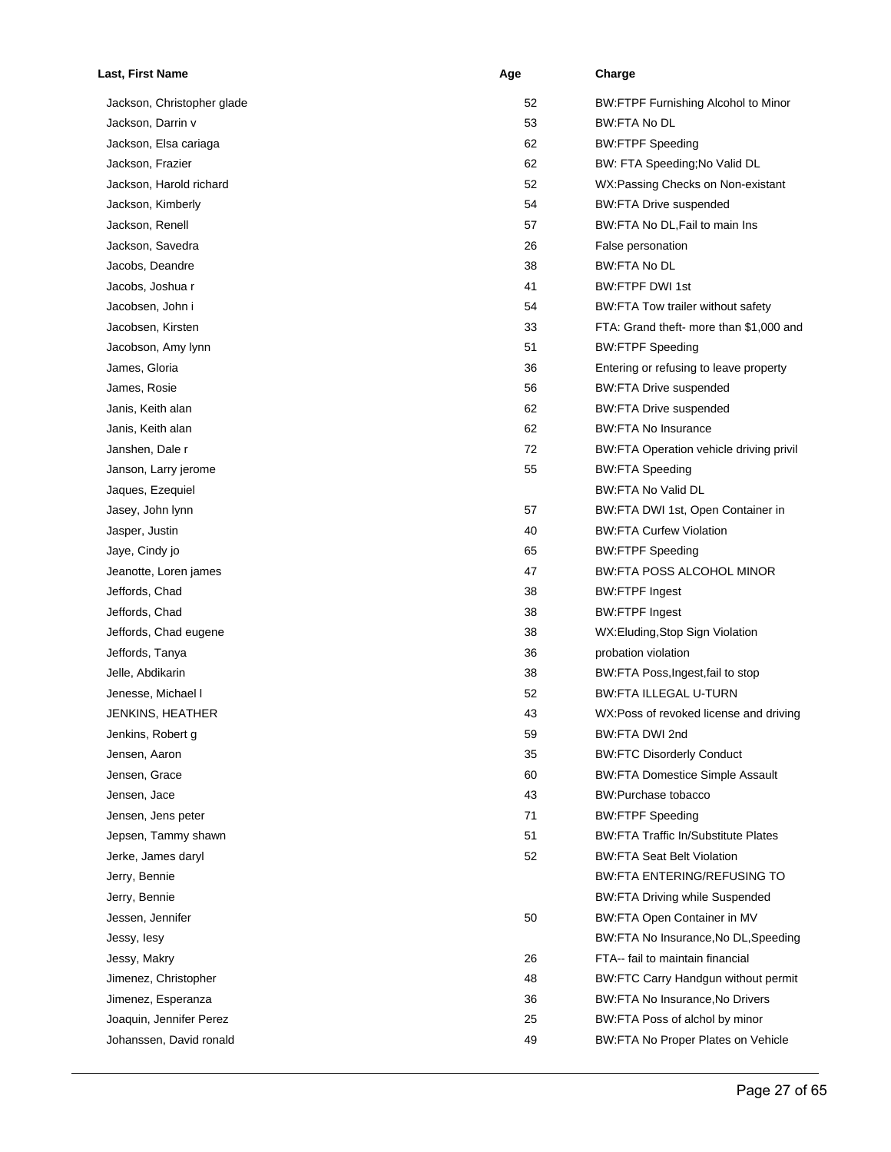| Last, First Name           | Age | Charge                                     |
|----------------------------|-----|--------------------------------------------|
| Jackson, Christopher glade | 52  | BW:FTPF Furnishing Alcohol to Minor        |
| Jackson, Darrin v          | 53  | BW:FTA No DL                               |
| Jackson, Elsa cariaga      | 62  | <b>BW:FTPF Speeding</b>                    |
| Jackson, Frazier           | 62  | BW: FTA Speeding; No Valid DL              |
| Jackson, Harold richard    | 52  | WX:Passing Checks on Non-existant          |
| Jackson, Kimberly          | 54  | <b>BW:FTA Drive suspended</b>              |
| Jackson, Renell            | 57  | BW:FTA No DL, Fail to main Ins             |
| Jackson, Savedra           | 26  | False personation                          |
| Jacobs, Deandre            | 38  | <b>BW:FTA No DL</b>                        |
| Jacobs, Joshua r           | 41  | <b>BW:FTPF DWI 1st</b>                     |
| Jacobsen, John i           | 54  | BW:FTA Tow trailer without safety          |
| Jacobsen, Kirsten          | 33  | FTA: Grand theft- more than \$1,000 and    |
| Jacobson, Amy lynn         | 51  | <b>BW:FTPF Speeding</b>                    |
| James, Gloria              | 36  | Entering or refusing to leave property     |
| James, Rosie               | 56  | <b>BW:FTA Drive suspended</b>              |
| Janis, Keith alan          | 62  | <b>BW:FTA Drive suspended</b>              |
| Janis, Keith alan          | 62  | <b>BW:FTA No Insurance</b>                 |
| Janshen, Dale r            | 72  | BW:FTA Operation vehicle driving privil    |
| Janson, Larry jerome       | 55  | <b>BW:FTA Speeding</b>                     |
| Jaques, Ezequiel           |     | <b>BW:FTA No Valid DL</b>                  |
| Jasey, John lynn           | 57  | BW:FTA DWI 1st, Open Container in          |
| Jasper, Justin             | 40  | <b>BW:FTA Curfew Violation</b>             |
| Jaye, Cindy jo             | 65  | <b>BW:FTPF Speeding</b>                    |
| Jeanotte, Loren james      | 47  | <b>BW:FTA POSS ALCOHOL MINOR</b>           |
| Jeffords, Chad             | 38  | <b>BW:FTPF Ingest</b>                      |
| Jeffords, Chad             | 38  | <b>BW:FTPF Ingest</b>                      |
| Jeffords, Chad eugene      | 38  | WX:Eluding, Stop Sign Violation            |
| Jeffords, Tanya            | 36  | probation violation                        |
| Jelle, Abdikarin           | 38  | BW:FTA Poss, Ingest, fail to stop          |
| Jenesse, Michael I         | 52  | <b>BW:FTA ILLEGAL U-TURN</b>               |
| JENKINS, HEATHER           | 43  | WX:Poss of revoked license and driving     |
| Jenkins, Robert g          | 59  | BW:FTA DWI 2nd                             |
| Jensen, Aaron              | 35  | <b>BW:FTC Disorderly Conduct</b>           |
| Jensen, Grace              | 60  | <b>BW:FTA Domestice Simple Assault</b>     |
| Jensen, Jace               | 43  | BW:Purchase tobacco                        |
| Jensen, Jens peter         | 71  | <b>BW:FTPF Speeding</b>                    |
| Jepsen, Tammy shawn        | 51  | <b>BW:FTA Traffic In/Substitute Plates</b> |
| Jerke, James daryl         | 52  | <b>BW:FTA Seat Belt Violation</b>          |
| Jerry, Bennie              |     | <b>BW:FTA ENTERING/REFUSING TO</b>         |
| Jerry, Bennie              |     | <b>BW:FTA Driving while Suspended</b>      |
| Jessen, Jennifer           | 50  | BW:FTA Open Container in MV                |
| Jessy, lesy                |     | BW:FTA No Insurance, No DL, Speeding       |
| Jessy, Makry               | 26  | FTA-- fail to maintain financial           |
| Jimenez, Christopher       | 48  | BW:FTC Carry Handgun without permit        |
| Jimenez, Esperanza         | 36  | BW:FTA No Insurance, No Drivers            |
| Joaquin, Jennifer Perez    | 25  | BW:FTA Poss of alchol by minor             |
| Johanssen, David ronald    | 49  | BW:FTA No Proper Plates on Vehicle         |
|                            |     |                                            |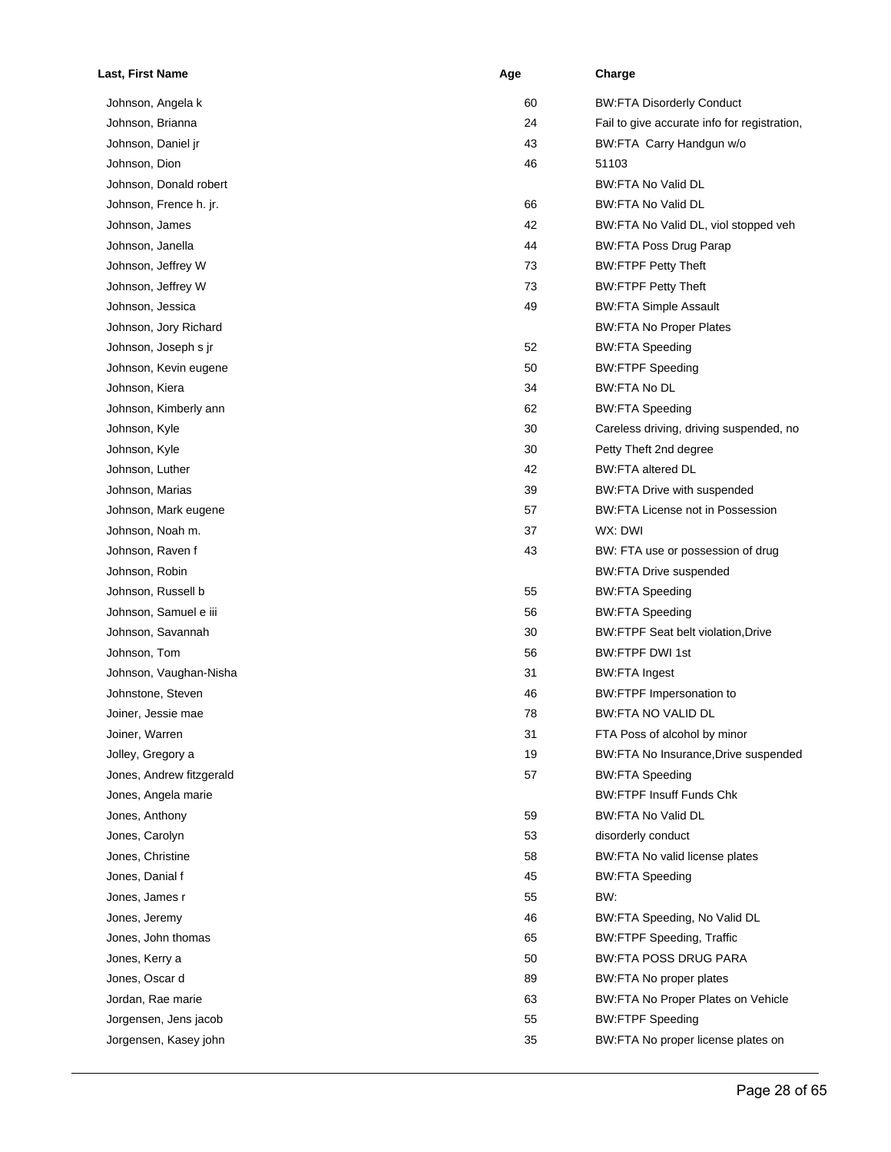| Last, First Name   |                          | Age | Charge                                       |
|--------------------|--------------------------|-----|----------------------------------------------|
| Johnson, Angela k  |                          | 60  | <b>BW:FTA Disorderly Conduct</b>             |
| Johnson, Brianna   |                          | 24  | Fail to give accurate info for registration, |
| Johnson, Daniel jr |                          | 43  | BW:FTA Carry Handgun w/o                     |
| Johnson, Dion      |                          | 46  | 51103                                        |
|                    | Johnson, Donald robert   |     | <b>BW:FTA No Valid DL</b>                    |
|                    | Johnson, Frence h. jr.   | 66  | BW:FTA No Valid DL                           |
| Johnson, James     |                          | 42  | BW:FTA No Valid DL, viol stopped veh         |
| Johnson, Janella   |                          | 44  | <b>BW:FTA Poss Drug Parap</b>                |
| Johnson, Jeffrey W |                          | 73  | <b>BW:FTPF Petty Theft</b>                   |
| Johnson, Jeffrey W |                          | 73  | <b>BW:FTPF Petty Theft</b>                   |
| Johnson, Jessica   |                          | 49  | <b>BW:FTA Simple Assault</b>                 |
|                    | Johnson, Jory Richard    |     | <b>BW:FTA No Proper Plates</b>               |
|                    | Johnson, Joseph s jr     | 52  | <b>BW:FTA Speeding</b>                       |
|                    | Johnson, Kevin eugene    | 50  | <b>BW:FTPF Speeding</b>                      |
| Johnson, Kiera     |                          | 34  | <b>BW:FTA No DL</b>                          |
|                    | Johnson, Kimberly ann    | 62  | <b>BW:FTA Speeding</b>                       |
| Johnson, Kyle      |                          | 30  | Careless driving, driving suspended, no      |
| Johnson, Kyle      |                          | 30  | Petty Theft 2nd degree                       |
| Johnson, Luther    |                          | 42  | <b>BW:FTA altered DL</b>                     |
| Johnson, Marias    |                          | 39  | BW:FTA Drive with suspended                  |
|                    | Johnson, Mark eugene     | 57  | <b>BW:FTA License not in Possession</b>      |
| Johnson, Noah m.   |                          | 37  | WX: DWI                                      |
| Johnson, Raven f   |                          | 43  | BW: FTA use or possession of drug            |
| Johnson, Robin     |                          |     | <b>BW:FTA Drive suspended</b>                |
| Johnson, Russell b |                          | 55  | <b>BW:FTA Speeding</b>                       |
|                    | Johnson, Samuel e iii    | 56  | <b>BW:FTA Speeding</b>                       |
|                    | Johnson, Savannah        | 30  | BW:FTPF Seat belt violation, Drive           |
| Johnson, Tom       |                          | 56  | <b>BW:FTPF DWI 1st</b>                       |
|                    | Johnson, Vaughan-Nisha   | 31  | <b>BW:FTA Ingest</b>                         |
| Johnstone, Steven  |                          | 46  | <b>BW:FTPF Impersonation to</b>              |
| Joiner, Jessie mae |                          | 78  | BW:FTA NO VALID DL                           |
| Joiner, Warren     |                          | 31  | FTA Poss of alcohol by minor                 |
| Jolley, Gregory a  |                          | 19  | BW:FTA No Insurance, Drive suspended         |
|                    | Jones, Andrew fitzgerald | 57  | <b>BW:FTA Speeding</b>                       |
|                    | Jones, Angela marie      |     | <b>BW:FTPF Insuff Funds Chk</b>              |
| Jones, Anthony     |                          | 59  | <b>BW:FTA No Valid DL</b>                    |
| Jones, Carolyn     |                          | 53  | disorderly conduct                           |
| Jones, Christine   |                          | 58  | BW:FTA No valid license plates               |
| Jones, Danial f    |                          | 45  | <b>BW:FTA Speeding</b>                       |
| Jones, James r     |                          | 55  | BW:                                          |
| Jones, Jeremy      |                          | 46  | BW:FTA Speeding, No Valid DL                 |
|                    | Jones, John thomas       | 65  | <b>BW:FTPF Speeding, Traffic</b>             |
| Jones, Kerry a     |                          | 50  | <b>BW:FTA POSS DRUG PARA</b>                 |
| Jones, Oscar d     |                          | 89  | BW:FTA No proper plates                      |
| Jordan, Rae marie  |                          | 63  | BW:FTA No Proper Plates on Vehicle           |
|                    | Jorgensen, Jens jacob    | 55  | <b>BW:FTPF Speeding</b>                      |
|                    | Jorgensen, Kasey john    | 35  | BW:FTA No proper license plates on           |
|                    |                          |     |                                              |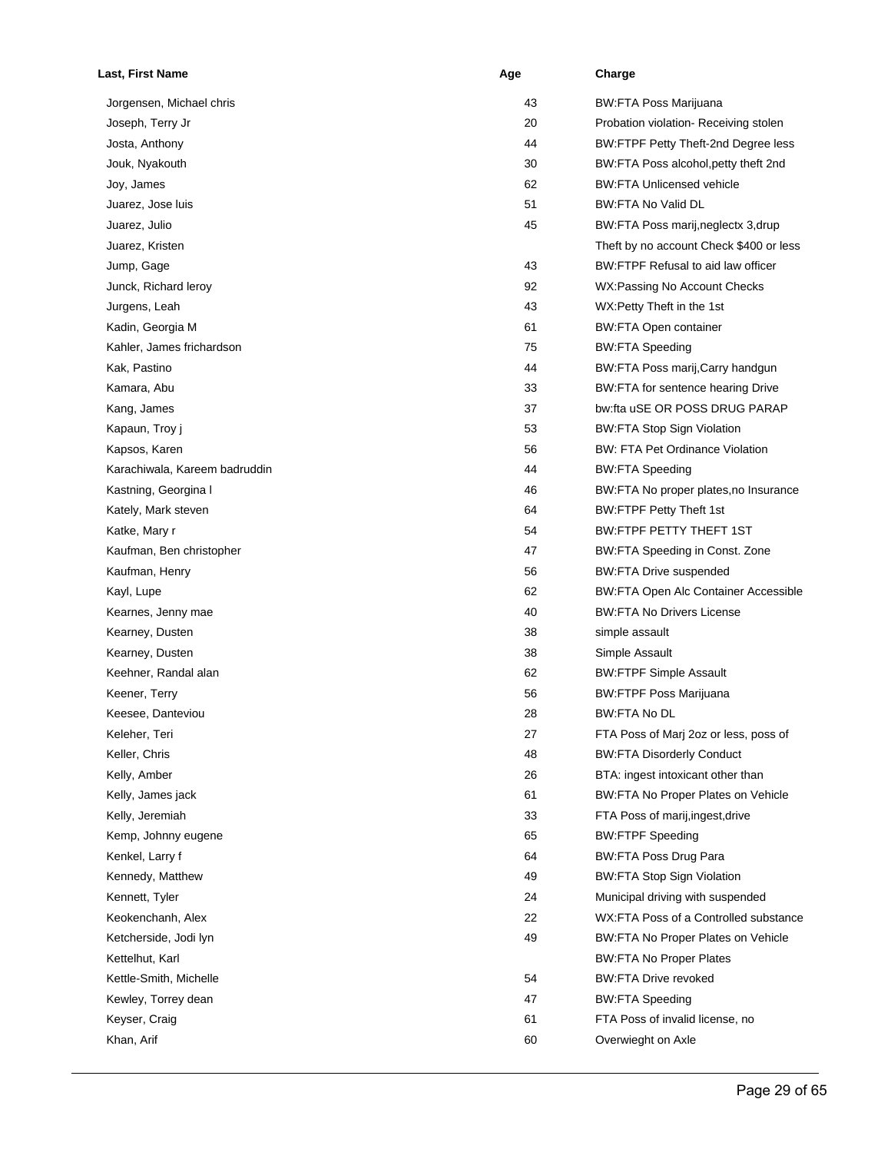| Last, First Name              | Age | Charge                                      |
|-------------------------------|-----|---------------------------------------------|
| Jorgensen, Michael chris      | 43  | <b>BW:FTA Poss Marijuana</b>                |
| Joseph, Terry Jr              | 20  | Probation violation-Receiving stolen        |
| Josta, Anthony                | 44  | BW:FTPF Petty Theft-2nd Degree less         |
| Jouk, Nyakouth                | 30  | BW:FTA Poss alcohol, petty theft 2nd        |
| Joy, James                    | 62  | <b>BW:FTA Unlicensed vehicle</b>            |
| Juarez, Jose luis             | 51  | BW:FTA No Valid DL                          |
| Juarez, Julio                 | 45  | BW:FTA Poss marij, neglectx 3, drup         |
| Juarez, Kristen               |     | Theft by no account Check \$400 or less     |
| Jump, Gage                    | 43  | BW:FTPF Refusal to aid law officer          |
| Junck, Richard leroy          | 92  | WX:Passing No Account Checks                |
| Jurgens, Leah                 | 43  | WX:Petty Theft in the 1st                   |
| Kadin, Georgia M              | 61  | <b>BW:FTA Open container</b>                |
| Kahler, James frichardson     | 75  | <b>BW:FTA Speeding</b>                      |
| Kak, Pastino                  | 44  | BW:FTA Poss marij, Carry handgun            |
| Kamara, Abu                   | 33  | BW:FTA for sentence hearing Drive           |
| Kang, James                   | 37  | bw:fta uSE OR POSS DRUG PARAP               |
| Kapaun, Troy j                | 53  | <b>BW:FTA Stop Sign Violation</b>           |
| Kapsos, Karen                 | 56  | <b>BW: FTA Pet Ordinance Violation</b>      |
| Karachiwala, Kareem badruddin | 44  | <b>BW:FTA Speeding</b>                      |
| Kastning, Georgina I          | 46  | BW:FTA No proper plates, no Insurance       |
| Kately, Mark steven           | 64  | <b>BW:FTPF Petty Theft 1st</b>              |
| Katke, Mary r                 | 54  | BW:FTPF PETTY THEFT 1ST                     |
| Kaufman, Ben christopher      | 47  | BW:FTA Speeding in Const. Zone              |
| Kaufman, Henry                | 56  | <b>BW:FTA Drive suspended</b>               |
| Kayl, Lupe                    | 62  | <b>BW:FTA Open Alc Container Accessible</b> |
| Kearnes, Jenny mae            | 40  | <b>BW:FTA No Drivers License</b>            |
| Kearney, Dusten               | 38  | simple assault                              |
| Kearney, Dusten               | 38  | Simple Assault                              |
| Keehner, Randal alan          | 62  | <b>BW:FTPF Simple Assault</b>               |
| Keener, Terry                 | 56  | <b>BW:FTPF Poss Marijuana</b>               |
| Keesee, Danteviou             | 28  | BW:FTA No DL                                |
| Keleher, Teri                 | 27  | FTA Poss of Marj 2oz or less, poss of       |
| Keller, Chris                 | 48  | <b>BW:FTA Disorderly Conduct</b>            |
| Kelly, Amber                  | 26  | BTA: ingest intoxicant other than           |
| Kelly, James jack             | 61  | BW:FTA No Proper Plates on Vehicle          |
| Kelly, Jeremiah               | 33  | FTA Poss of marij, ingest, drive            |
| Kemp, Johnny eugene           | 65  | <b>BW:FTPF Speeding</b>                     |
| Kenkel, Larry f               | 64  | <b>BW:FTA Poss Drug Para</b>                |
| Kennedy, Matthew              | 49  | <b>BW:FTA Stop Sign Violation</b>           |
| Kennett, Tyler                | 24  | Municipal driving with suspended            |
| Keokenchanh, Alex             | 22  | WX:FTA Poss of a Controlled substance       |
| Ketcherside, Jodi lyn         | 49  | BW:FTA No Proper Plates on Vehicle          |
| Kettelhut, Karl               |     | <b>BW:FTA No Proper Plates</b>              |
| Kettle-Smith, Michelle        | 54  | <b>BW:FTA Drive revoked</b>                 |
| Kewley, Torrey dean           | 47  | <b>BW:FTA Speeding</b>                      |
| Keyser, Craig                 | 61  | FTA Poss of invalid license, no             |
| Khan, Arif                    | 60  | Overwieght on Axle                          |
|                               |     |                                             |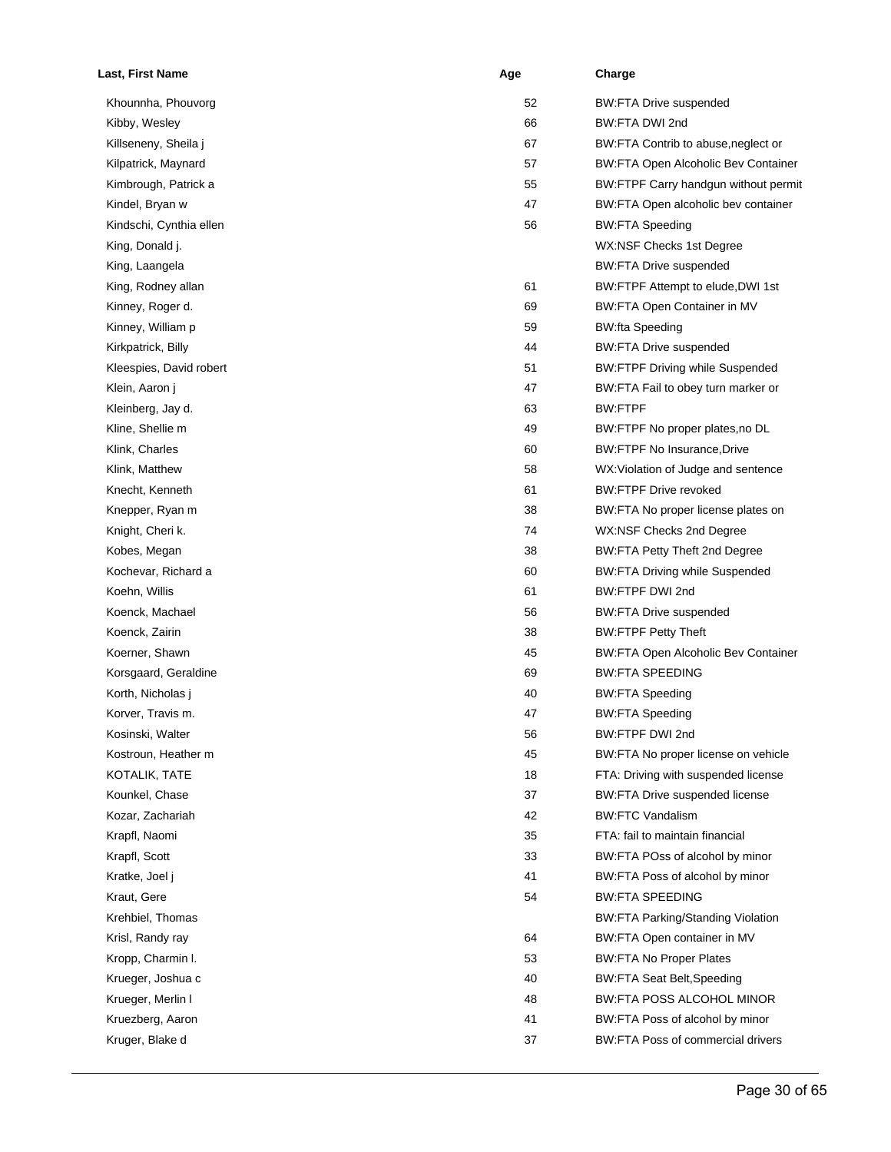| Last, First Name        | Age | Charge                                     |
|-------------------------|-----|--------------------------------------------|
| Khounnha, Phouvorg      | 52  | <b>BW:FTA Drive suspended</b>              |
| Kibby, Wesley           | 66  | BW:FTA DWI 2nd                             |
| Killseneny, Sheila j    | 67  | BW:FTA Contrib to abuse, neglect or        |
| Kilpatrick, Maynard     | 57  | <b>BW:FTA Open Alcoholic Bev Container</b> |
| Kimbrough, Patrick a    | 55  | BW:FTPF Carry handgun without permit       |
| Kindel, Bryan w         | 47  | BW:FTA Open alcoholic bev container        |
| Kindschi, Cynthia ellen | 56  | <b>BW:FTA Speeding</b>                     |
| King, Donald j.         |     | WX:NSF Checks 1st Degree                   |
| King, Laangela          |     | <b>BW:FTA Drive suspended</b>              |
| King, Rodney allan      | 61  | BW:FTPF Attempt to elude, DWI 1st          |
| Kinney, Roger d.        | 69  | BW:FTA Open Container in MV                |
| Kinney, William p       | 59  | <b>BW:fta Speeding</b>                     |
| Kirkpatrick, Billy      | 44  | <b>BW:FTA Drive suspended</b>              |
| Kleespies, David robert | 51  | <b>BW:FTPF Driving while Suspended</b>     |
| Klein, Aaron j          | 47  | BW:FTA Fail to obey turn marker or         |
| Kleinberg, Jay d.       | 63  | <b>BW:FTPF</b>                             |
| Kline, Shellie m        | 49  | BW:FTPF No proper plates, no DL            |
| Klink, Charles          | 60  | <b>BW:FTPF No Insurance.Drive</b>          |
| Klink, Matthew          | 58  | WX: Violation of Judge and sentence        |
| Knecht, Kenneth         | 61  | <b>BW:FTPF Drive revoked</b>               |
| Knepper, Ryan m         | 38  | BW:FTA No proper license plates on         |
| Knight, Cheri k.        | 74  | WX:NSF Checks 2nd Degree                   |
| Kobes, Megan            | 38  | BW:FTA Petty Theft 2nd Degree              |
| Kochevar, Richard a     | 60  | <b>BW:FTA Driving while Suspended</b>      |
| Koehn, Willis           | 61  | BW:FTPF DWI 2nd                            |
| Koenck, Machael         | 56  | <b>BW:FTA Drive suspended</b>              |
| Koenck, Zairin          | 38  | <b>BW:FTPF Petty Theft</b>                 |
| Koerner, Shawn          | 45  | <b>BW:FTA Open Alcoholic Bev Container</b> |
| Korsgaard, Geraldine    | 69  | <b>BW:FTA SPEEDING</b>                     |
| Korth, Nicholas j       | 40  | <b>BW:FTA Speeding</b>                     |
| Korver, Travis m.       | 47  | <b>BW:FTA Speeding</b>                     |
| Kosinski, Walter        | 56  | BW:FTPF DWI 2nd                            |
| Kostroun, Heather m     | 45  | BW:FTA No proper license on vehicle        |
| KOTALIK, TATE           | 18  | FTA: Driving with suspended license        |
| Kounkel, Chase          | 37  | BW:FTA Drive suspended license             |
| Kozar, Zachariah        | 42  | <b>BW:FTC Vandalism</b>                    |
| Krapfl, Naomi           | 35  | FTA: fail to maintain financial            |
| Krapfl, Scott           | 33  | BW:FTA POss of alcohol by minor            |
| Kratke, Joel j          | 41  | BW:FTA Poss of alcohol by minor            |
| Kraut, Gere             | 54  | <b>BW:FTA SPEEDING</b>                     |
| Krehbiel, Thomas        |     | <b>BW:FTA Parking/Standing Violation</b>   |
| Krisl, Randy ray        | 64  | BW:FTA Open container in MV                |
|                         |     |                                            |
| Kropp, Charmin I.       | 53  | <b>BW:FTA No Proper Plates</b>             |
| Krueger, Joshua c       | 40  | <b>BW:FTA Seat Belt, Speeding</b>          |
| Krueger, Merlin I       | 48  | <b>BW:FTA POSS ALCOHOL MINOR</b>           |
| Kruezberg, Aaron        | 41  | BW:FTA Poss of alcohol by minor            |
| Kruger, Blake d         | 37  | BW:FTA Poss of commercial drivers          |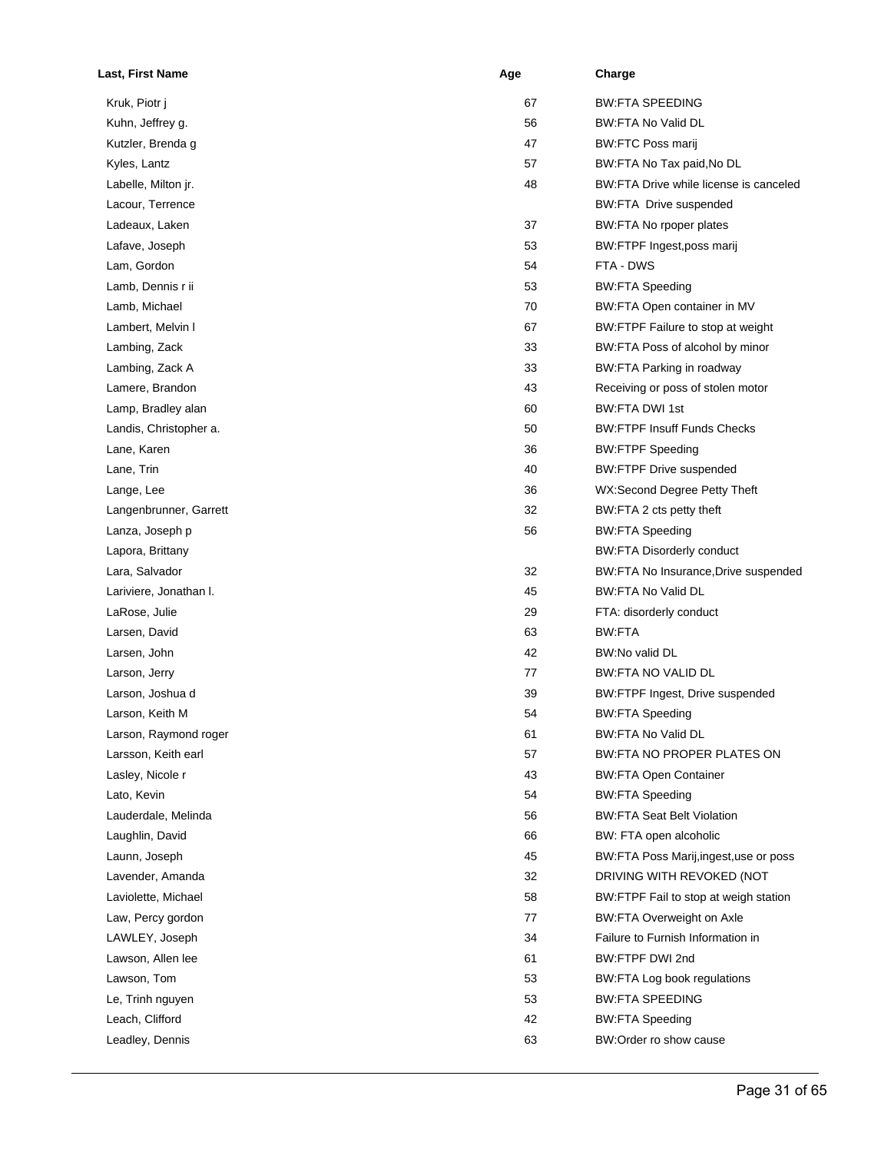| Last, First Name       | Age | Charge                                 |
|------------------------|-----|----------------------------------------|
| Kruk, Piotr j          | 67  | <b>BW:FTA SPEEDING</b>                 |
| Kuhn, Jeffrey g.       | 56  | <b>BW:FTA No Valid DL</b>              |
| Kutzler, Brenda g      | 47  | <b>BW:FTC Poss marij</b>               |
| Kyles, Lantz           | 57  | BW:FTA No Tax paid, No DL              |
| Labelle, Milton jr.    | 48  | BW:FTA Drive while license is canceled |
| Lacour, Terrence       |     | <b>BW:FTA Drive suspended</b>          |
| Ladeaux, Laken         | 37  | BW:FTA No rpoper plates                |
| Lafave, Joseph         | 53  | BW:FTPF Ingest,poss marij              |
| Lam, Gordon            | 54  | FTA - DWS                              |
| Lamb, Dennis r ii      | 53  | <b>BW:FTA Speeding</b>                 |
| Lamb, Michael          | 70  | BW:FTA Open container in MV            |
| Lambert, Melvin I      | 67  | BW:FTPF Failure to stop at weight      |
| Lambing, Zack          | 33  | BW:FTA Poss of alcohol by minor        |
| Lambing, Zack A        | 33  | BW:FTA Parking in roadway              |
| Lamere, Brandon        | 43  | Receiving or poss of stolen motor      |
| Lamp, Bradley alan     | 60  | <b>BW:FTA DWI 1st</b>                  |
| Landis, Christopher a. | 50  | <b>BW:FTPF Insuff Funds Checks</b>     |
| Lane, Karen            | 36  | <b>BW:FTPF Speeding</b>                |
| Lane, Trin             | 40  | <b>BW:FTPF Drive suspended</b>         |
| Lange, Lee             | 36  | WX:Second Degree Petty Theft           |
| Langenbrunner, Garrett | 32  | BW:FTA 2 cts petty theft               |
| Lanza, Joseph p        | 56  | <b>BW:FTA Speeding</b>                 |
| Lapora, Brittany       |     | <b>BW:FTA Disorderly conduct</b>       |
| Lara, Salvador         | 32  | BW:FTA No Insurance, Drive suspended   |
| Lariviere, Jonathan I. | 45  | BW:FTA No Valid DL                     |
| LaRose, Julie          | 29  | FTA: disorderly conduct                |
| Larsen, David          | 63  | BW:FTA                                 |
| Larsen, John           | 42  | BW:No valid DL                         |
| Larson, Jerry          | 77  | BW:FTA NO VALID DL                     |
| Larson, Joshua d       | 39  | BW:FTPF Ingest, Drive suspended        |
| Larson, Keith M        | 54  | <b>BW:FTA Speeding</b>                 |
| Larson, Raymond roger  | 61  | <b>BW:FTA No Valid DL</b>              |
| Larsson, Keith earl    | 57  | BW:FTA NO PROPER PLATES ON             |
| Lasley, Nicole r       | 43  | <b>BW:FTA Open Container</b>           |
| Lato, Kevin            | 54  | <b>BW:FTA Speeding</b>                 |
| Lauderdale, Melinda    | 56  | <b>BW:FTA Seat Belt Violation</b>      |
| Laughlin, David        | 66  | BW: FTA open alcoholic                 |
| Launn, Joseph          | 45  | BW:FTA Poss Marij, ingest, use or poss |
| Lavender, Amanda       | 32  | DRIVING WITH REVOKED (NOT              |
| Laviolette, Michael    | 58  | BW:FTPF Fail to stop at weigh station  |
| Law, Percy gordon      | 77  | <b>BW:FTA Overweight on Axle</b>       |
| LAWLEY, Joseph         | 34  | Failure to Furnish Information in      |
| Lawson, Allen lee      | 61  | BW:FTPF DWI 2nd                        |
| Lawson, Tom            | 53  | BW:FTA Log book regulations            |
| Le, Trinh nguyen       | 53  | <b>BW:FTA SPEEDING</b>                 |
| Leach, Clifford        | 42  | <b>BW:FTA Speeding</b>                 |
| Leadley, Dennis        | 63  | BW:Order ro show cause                 |
|                        |     |                                        |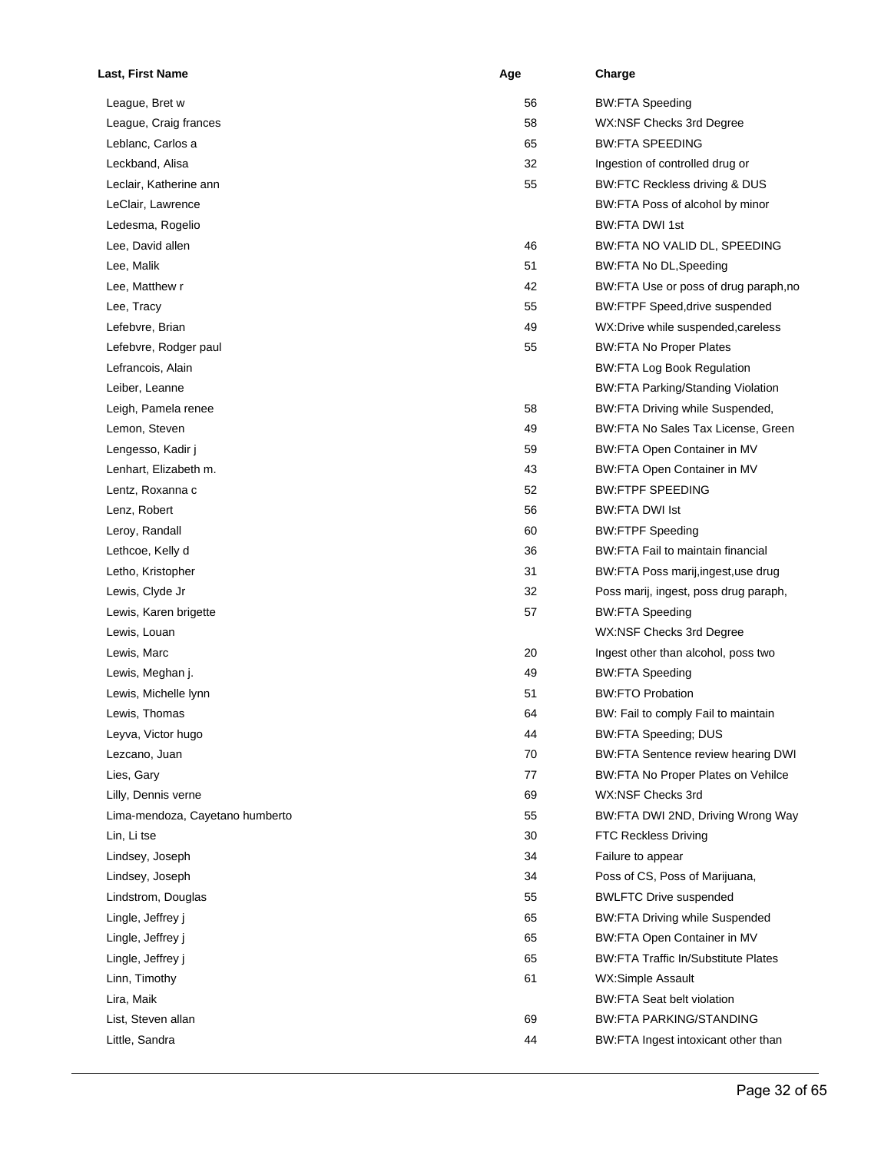| Last, First Name                | Age | Charge                                     |
|---------------------------------|-----|--------------------------------------------|
| League, Bret w                  | 56  | <b>BW:FTA Speeding</b>                     |
| League, Craig frances           | 58  | WX:NSF Checks 3rd Degree                   |
| Leblanc, Carlos a               | 65  | <b>BW:FTA SPEEDING</b>                     |
| Leckband, Alisa                 | 32  | Ingestion of controlled drug or            |
| Leclair, Katherine ann          | 55  | BW:FTC Reckless driving & DUS              |
| LeClair, Lawrence               |     | BW:FTA Poss of alcohol by minor            |
| Ledesma, Rogelio                |     | BW:FTA DWI 1st                             |
| Lee, David allen                | 46  | BW:FTA NO VALID DL, SPEEDING               |
| Lee, Malik                      | 51  | BW:FTA No DL, Speeding                     |
| Lee, Matthew r                  | 42  | BW:FTA Use or poss of drug paraph, no      |
| Lee, Tracy                      | 55  | <b>BW:FTPF Speed, drive suspended</b>      |
| Lefebvre, Brian                 | 49  | WX:Drive while suspended, careless         |
| Lefebvre, Rodger paul           | 55  | <b>BW:FTA No Proper Plates</b>             |
| Lefrancois, Alain               |     | <b>BW:FTA Log Book Regulation</b>          |
| Leiber, Leanne                  |     | <b>BW:FTA Parking/Standing Violation</b>   |
| Leigh, Pamela renee             | 58  | BW:FTA Driving while Suspended,            |
| Lemon, Steven                   | 49  | BW:FTA No Sales Tax License, Green         |
| Lengesso, Kadir j               | 59  | BW:FTA Open Container in MV                |
| Lenhart, Elizabeth m.           | 43  | BW:FTA Open Container in MV                |
| Lentz, Roxanna c                | 52  | <b>BW:FTPF SPEEDING</b>                    |
| Lenz, Robert                    | 56  | <b>BW:FTA DWI Ist</b>                      |
| Leroy, Randall                  | 60  | <b>BW:FTPF Speeding</b>                    |
| Lethcoe, Kelly d                | 36  | BW:FTA Fail to maintain financial          |
| Letho, Kristopher               | 31  | BW:FTA Poss marij, ingest, use drug        |
| Lewis, Clyde Jr                 | 32  | Poss marij, ingest, poss drug paraph,      |
| Lewis, Karen brigette           | 57  | <b>BW:FTA Speeding</b>                     |
| Lewis, Louan                    |     | WX:NSF Checks 3rd Degree                   |
| Lewis, Marc                     | 20  | Ingest other than alcohol, poss two        |
| Lewis, Meghan j.                | 49  | <b>BW:FTA Speeding</b>                     |
| Lewis, Michelle lynn            | 51  | <b>BW:FTO Probation</b>                    |
| Lewis, Thomas                   | 64  | BW: Fail to comply Fail to maintain        |
| Leyva, Victor hugo              | 44  | <b>BW:FTA Speeding; DUS</b>                |
| Lezcano, Juan                   | 70  | <b>BW:FTA Sentence review hearing DWI</b>  |
| Lies, Gary                      | 77  | BW:FTA No Proper Plates on Vehilce         |
| Lilly, Dennis verne             | 69  | WX:NSF Checks 3rd                          |
| Lima-mendoza, Cayetano humberto | 55  | BW:FTA DWI 2ND, Driving Wrong Way          |
| Lin, Li tse                     | 30  | <b>FTC Reckless Driving</b>                |
| Lindsey, Joseph                 | 34  | Failure to appear                          |
| Lindsey, Joseph                 | 34  | Poss of CS, Poss of Marijuana,             |
| Lindstrom, Douglas              | 55  | <b>BWLFTC Drive suspended</b>              |
| Lingle, Jeffrey j               | 65  | <b>BW:FTA Driving while Suspended</b>      |
| Lingle, Jeffrey j               | 65  | BW:FTA Open Container in MV                |
| Lingle, Jeffrey j               | 65  | <b>BW:FTA Traffic In/Substitute Plates</b> |
| Linn, Timothy                   | 61  | <b>WX:Simple Assault</b>                   |
| Lira, Maik                      |     | <b>BW:FTA Seat belt violation</b>          |
| List, Steven allan              | 69  | <b>BW:FTA PARKING/STANDING</b>             |
| Little, Sandra                  | 44  | BW:FTA Ingest intoxicant other than        |
|                                 |     |                                            |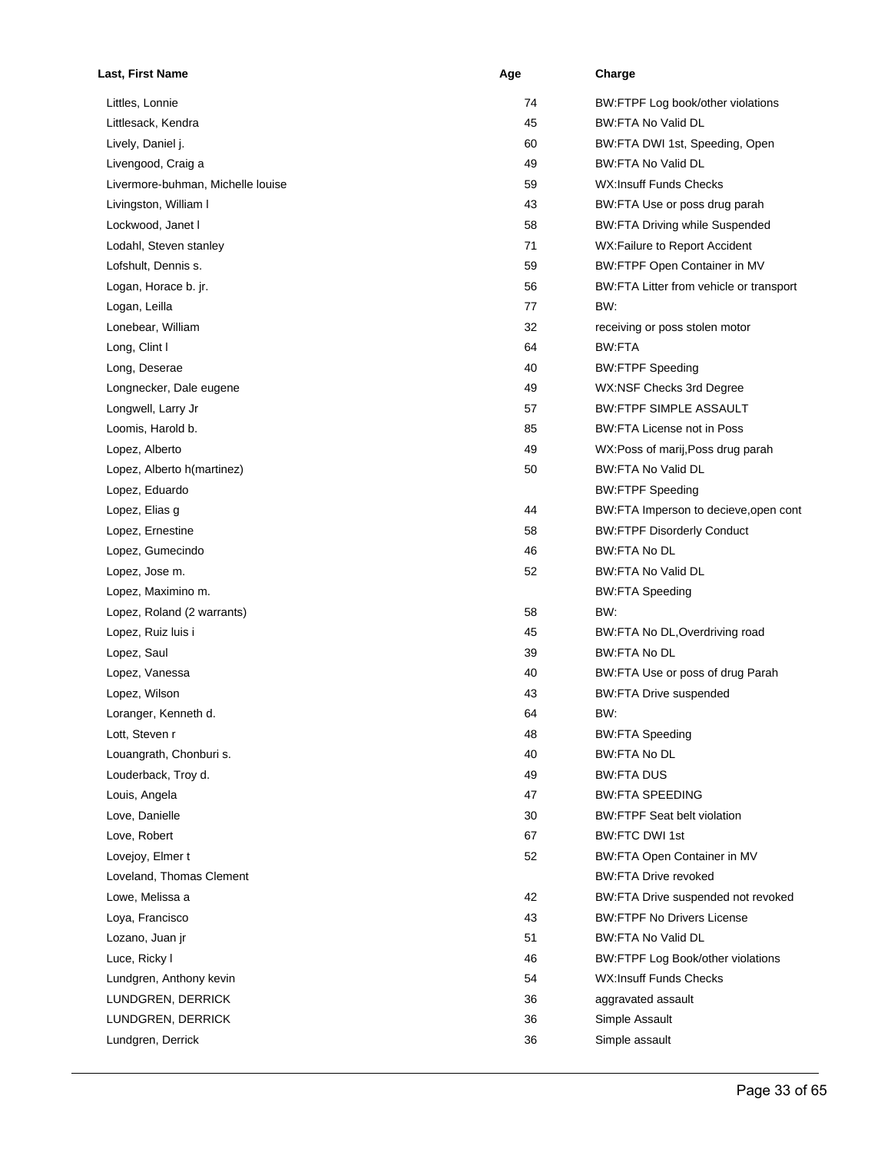| Last, First Name                  | Age | Charge                                  |
|-----------------------------------|-----|-----------------------------------------|
| Littles, Lonnie                   | 74  | BW:FTPF Log book/other violations       |
| Littlesack, Kendra                | 45  | <b>BW:FTA No Valid DL</b>               |
| Lively, Daniel j.                 | 60  | BW:FTA DWI 1st, Speeding, Open          |
| Livengood, Craig a                | 49  | <b>BW:FTA No Valid DL</b>               |
| Livermore-buhman, Michelle louise | 59  | <b>WX:Insuff Funds Checks</b>           |
| Livingston, William I             | 43  | BW:FTA Use or poss drug parah           |
| Lockwood, Janet I                 | 58  | <b>BW:FTA Driving while Suspended</b>   |
| Lodahl, Steven stanley            | 71  | WX:Failure to Report Accident           |
| Lofshult, Dennis s.               | 59  | BW:FTPF Open Container in MV            |
| Logan, Horace b. jr.              | 56  | BW:FTA Litter from vehicle or transport |
| Logan, Leilla                     | 77  | BW:                                     |
| Lonebear, William                 | 32  | receiving or poss stolen motor          |
| Long, Clint I                     | 64  | BW:FTA                                  |
| Long, Deserae                     | 40  | <b>BW:FTPF Speeding</b>                 |
| Longnecker, Dale eugene           | 49  | WX:NSF Checks 3rd Degree                |
| Longwell, Larry Jr                | 57  | <b>BW:FTPF SIMPLE ASSAULT</b>           |
| Loomis, Harold b.                 | 85  | BW:FTA License not in Poss              |
| Lopez, Alberto                    | 49  | WX:Poss of marij, Poss drug parah       |
| Lopez, Alberto h(martinez)        | 50  | <b>BW:FTA No Valid DL</b>               |
| Lopez, Eduardo                    |     | <b>BW:FTPF Speeding</b>                 |
| Lopez, Elias g                    | 44  | BW:FTA Imperson to decieve, open cont   |
| Lopez, Ernestine                  | 58  | <b>BW:FTPF Disorderly Conduct</b>       |
| Lopez, Gumecindo                  | 46  | <b>BW:FTA No DL</b>                     |
| Lopez, Jose m.                    | 52  | <b>BW:FTA No Valid DL</b>               |
| Lopez, Maximino m.                |     | <b>BW:FTA Speeding</b>                  |
| Lopez, Roland (2 warrants)        | 58  | BW:                                     |
| Lopez, Ruiz luis i                | 45  | BW:FTA No DL, Overdriving road          |
| Lopez, Saul                       | 39  | <b>BW:FTA No DL</b>                     |
| Lopez, Vanessa                    | 40  | BW:FTA Use or poss of drug Parah        |
| Lopez, Wilson                     | 43  | <b>BW:FTA Drive suspended</b>           |
| Loranger, Kenneth d.              | 64  | BW:                                     |
| Lott, Steven r                    | 48  | <b>BW:FTA Speeding</b>                  |
| Louangrath, Chonburi s.           | 40  | <b>BW:FTA No DL</b>                     |
| Louderback, Troy d.               | 49  | <b>BW:FTA DUS</b>                       |
| Louis, Angela                     | 47  | <b>BW:FTA SPEEDING</b>                  |
| Love, Danielle                    | 30  | <b>BW:FTPF Seat belt violation</b>      |
| Love, Robert                      | 67  | <b>BW:FTC DWI 1st</b>                   |
| Lovejoy, Elmer t                  | 52  | BW:FTA Open Container in MV             |
| Loveland, Thomas Clement          |     | <b>BW:FTA Drive revoked</b>             |
| Lowe, Melissa a                   | 42  | BW:FTA Drive suspended not revoked      |
| Loya, Francisco                   | 43  | <b>BW:FTPF No Drivers License</b>       |
| Lozano, Juan jr                   | 51  | <b>BW:FTA No Valid DL</b>               |
| Luce, Ricky I                     | 46  | BW:FTPF Log Book/other violations       |
| Lundgren, Anthony kevin           | 54  | <b>WX:Insuff Funds Checks</b>           |
| LUNDGREN, DERRICK                 | 36  | aggravated assault                      |
| LUNDGREN, DERRICK                 | 36  | Simple Assault                          |
| Lundgren, Derrick                 | 36  | Simple assault                          |
|                                   |     |                                         |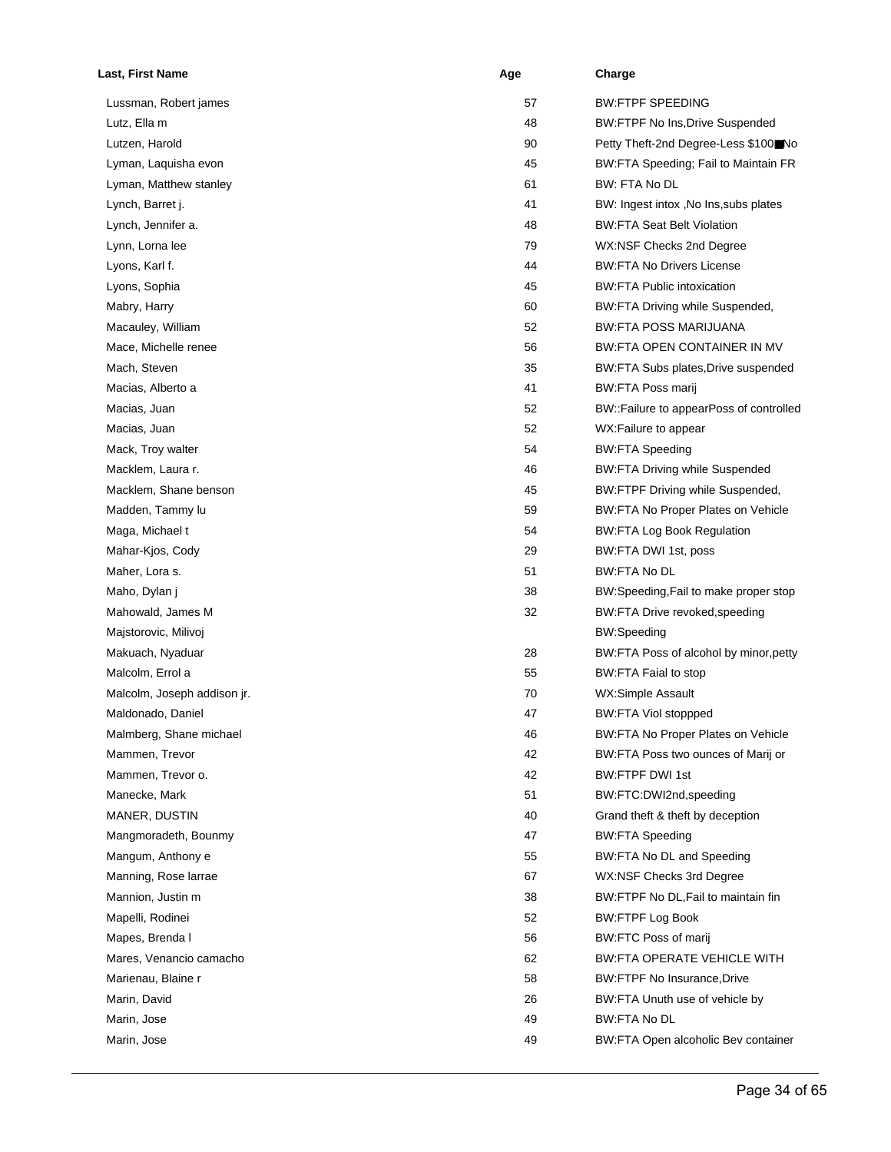| <b>Last, First Name</b>     | Age | Charge                                  |
|-----------------------------|-----|-----------------------------------------|
| Lussman, Robert james       | 57  | <b>BW:FTPF SPEEDING</b>                 |
| Lutz, Ella m                | 48  | <b>BW:FTPF No Ins, Drive Suspended</b>  |
| Lutzen, Harold              | 90  | Petty Theft-2nd Degree-Less \$100■No    |
| Lyman, Laquisha evon        | 45  | BW:FTA Speeding; Fail to Maintain FR    |
| Lyman, Matthew stanley      | 61  | <b>BW: FTA No DL</b>                    |
| Lynch, Barret j.            | 41  | BW: Ingest intox, No Ins, subs plates   |
| Lynch, Jennifer a.          | 48  | <b>BW:FTA Seat Belt Violation</b>       |
| Lynn, Lorna lee             | 79  | WX:NSF Checks 2nd Degree                |
| Lyons, Karl f.              | 44  | <b>BW:FTA No Drivers License</b>        |
| Lyons, Sophia               | 45  | <b>BW:FTA Public intoxication</b>       |
| Mabry, Harry                | 60  | BW:FTA Driving while Suspended,         |
| Macauley, William           | 52  | <b>BW:FTA POSS MARIJUANA</b>            |
| Mace, Michelle renee        | 56  | BW:FTA OPEN CONTAINER IN MV             |
| Mach, Steven                | 35  | BW:FTA Subs plates, Drive suspended     |
| Macias, Alberto a           | 41  | <b>BW:FTA Poss marij</b>                |
| Macias, Juan                | 52  | BW::Failure to appearPoss of controlled |
| Macias, Juan                | 52  | WX:Failure to appear                    |
| Mack, Troy walter           | 54  | <b>BW:FTA Speeding</b>                  |
| Macklem, Laura r.           | 46  | <b>BW:FTA Driving while Suspended</b>   |
| Macklem, Shane benson       | 45  | BW:FTPF Driving while Suspended,        |
| Madden, Tammy lu            | 59  | BW:FTA No Proper Plates on Vehicle      |
| Maga, Michael t             | 54  | <b>BW:FTA Log Book Regulation</b>       |
| Mahar-Kjos, Cody            | 29  | BW:FTA DWI 1st, poss                    |
| Maher, Lora s.              | 51  | BW:FTA No DL                            |
| Maho, Dylan j               | 38  | BW:Speeding, Fail to make proper stop   |
| Mahowald, James M           | 32  | BW:FTA Drive revoked, speeding          |
| Majstorovic, Milivoj        |     | <b>BW:Speeding</b>                      |
| Makuach, Nyaduar            | 28  | BW:FTA Poss of alcohol by minor, petty  |
| Malcolm, Errol a            | 55  | BW:FTA Faial to stop                    |
| Malcolm, Joseph addison jr. | 70  | <b>WX:Simple Assault</b>                |
| Maldonado, Daniel           | 47  | <b>BW:FTA Viol stoppped</b>             |
| Malmberg, Shane michael     | 46  | BW:FTA No Proper Plates on Vehicle      |
| Mammen, Trevor              | 42  | BW:FTA Poss two ounces of Marij or      |
| Mammen, Trevor o.           | 42  | BW:FTPF DWI 1st                         |
| Manecke, Mark               | 51  | BW:FTC:DWI2nd,speeding                  |
| MANER, DUSTIN               | 40  | Grand theft & theft by deception        |
| Mangmoradeth, Bounmy        | 47  | <b>BW:FTA Speeding</b>                  |
| Mangum, Anthony e           | 55  | BW:FTA No DL and Speeding               |
| Manning, Rose larrae        | 67  | WX:NSF Checks 3rd Degree                |
| Mannion, Justin m           | 38  | BW:FTPF No DL, Fail to maintain fin     |
| Mapelli, Rodinei            | 52  | <b>BW:FTPF Log Book</b>                 |
| Mapes, Brenda I             | 56  | <b>BW:FTC Poss of marij</b>             |
| Mares, Venancio camacho     | 62  | <b>BW:FTA OPERATE VEHICLE WITH</b>      |
| Marienau, Blaine r          | 58  | <b>BW:FTPF No Insurance, Drive</b>      |
| Marin, David                | 26  | BW:FTA Unuth use of vehicle by          |
| Marin, Jose                 | 49  | BW:FTA No DL                            |
| Marin, Jose                 | 49  | BW:FTA Open alcoholic Bev container     |
|                             |     |                                         |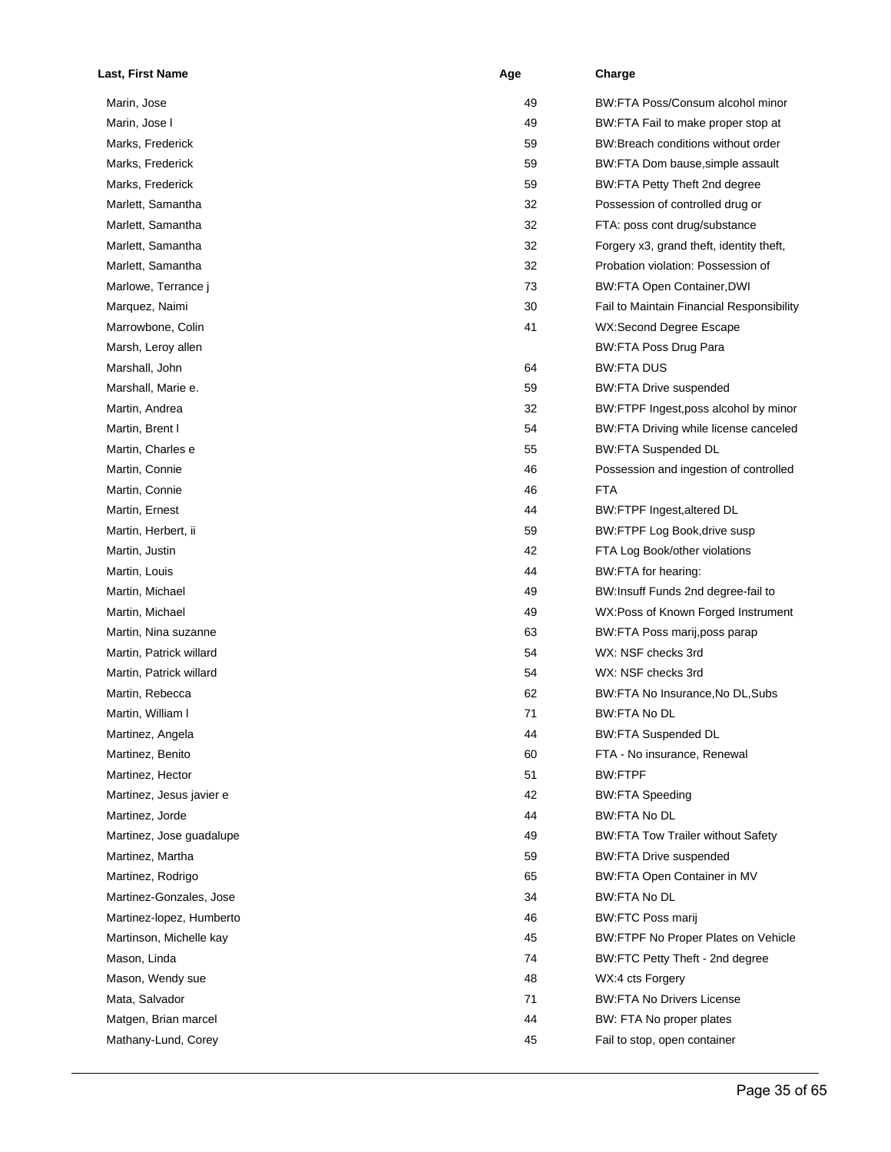| Last, First Name         | Age | Charge                                    |
|--------------------------|-----|-------------------------------------------|
| Marin, Jose              | 49  | BW:FTA Poss/Consum alcohol minor          |
| Marin, Jose I            | 49  | BW:FTA Fail to make proper stop at        |
| Marks, Frederick         | 59  | BW:Breach conditions without order        |
| Marks, Frederick         | 59  | BW:FTA Dom bause, simple assault          |
| Marks, Frederick         | 59  | BW:FTA Petty Theft 2nd degree             |
| Marlett, Samantha        | 32  | Possession of controlled drug or          |
| Marlett, Samantha        | 32  | FTA: poss cont drug/substance             |
| Marlett, Samantha        | 32  | Forgery x3, grand theft, identity theft,  |
| Marlett, Samantha        | 32  | Probation violation: Possession of        |
| Marlowe, Terrance j      | 73  | <b>BW:FTA Open Container, DWI</b>         |
| Marquez, Naimi           | 30  | Fail to Maintain Financial Responsibility |
| Marrowbone, Colin        | 41  | WX:Second Degree Escape                   |
| Marsh, Leroy allen       |     | <b>BW:FTA Poss Drug Para</b>              |
| Marshall, John           | 64  | <b>BW:FTA DUS</b>                         |
| Marshall, Marie e.       | 59  | <b>BW:FTA Drive suspended</b>             |
| Martin, Andrea           | 32  | BW:FTPF Ingest, poss alcohol by minor     |
| Martin, Brent I          | 54  | BW:FTA Driving while license canceled     |
| Martin, Charles e        | 55  | <b>BW:FTA Suspended DL</b>                |
| Martin, Connie           | 46  | Possession and ingestion of controlled    |
| Martin, Connie           | 46  | FTA                                       |
| Martin, Ernest           | 44  | BW:FTPF Ingest, altered DL                |
| Martin, Herbert, ii      | 59  | BW:FTPF Log Book, drive susp              |
| Martin, Justin           | 42  | FTA Log Book/other violations             |
| Martin, Louis            | 44  | BW:FTA for hearing:                       |
| Martin, Michael          | 49  | BW:Insuff Funds 2nd degree-fail to        |
| Martin, Michael          | 49  | WX:Poss of Known Forged Instrument        |
| Martin, Nina suzanne     | 63  | BW:FTA Poss marij, poss parap             |
| Martin, Patrick willard  | 54  | WX: NSF checks 3rd                        |
| Martin, Patrick willard  | 54  | WX: NSF checks 3rd                        |
| Martin, Rebecca          | 62  | BW:FTA No Insurance, No DL, Subs          |
| Martin, William I        | 71  | BW:FTA No DL                              |
| Martinez, Angela         | 44  | <b>BW:FTA Suspended DL</b>                |
| Martinez, Benito         | 60  | FTA - No insurance, Renewal               |
| Martinez, Hector         | 51  | BW:FTPF                                   |
| Martinez, Jesus javier e | 42  | <b>BW:FTA Speeding</b>                    |
| Martinez, Jorde          | 44  | <b>BW:FTA No DL</b>                       |
| Martinez, Jose guadalupe | 49  | <b>BW:FTA Tow Trailer without Safety</b>  |
| Martinez, Martha         | 59  | <b>BW:FTA Drive suspended</b>             |
| Martinez, Rodrigo        | 65  | BW:FTA Open Container in MV               |
| Martinez-Gonzales, Jose  | 34  | BW:FTA No DL                              |
| Martinez-lopez, Humberto | 46  | <b>BW:FTC Poss marij</b>                  |
| Martinson, Michelle kay  | 45  | BW:FTPF No Proper Plates on Vehicle       |
| Mason, Linda             | 74  | BW:FTC Petty Theft - 2nd degree           |
| Mason, Wendy sue         | 48  | WX:4 cts Forgery                          |
| Mata, Salvador           | 71  | <b>BW:FTA No Drivers License</b>          |
| Matgen, Brian marcel     | 44  | BW: FTA No proper plates                  |
| Mathany-Lund, Corey      | 45  | Fail to stop, open container              |
|                          |     |                                           |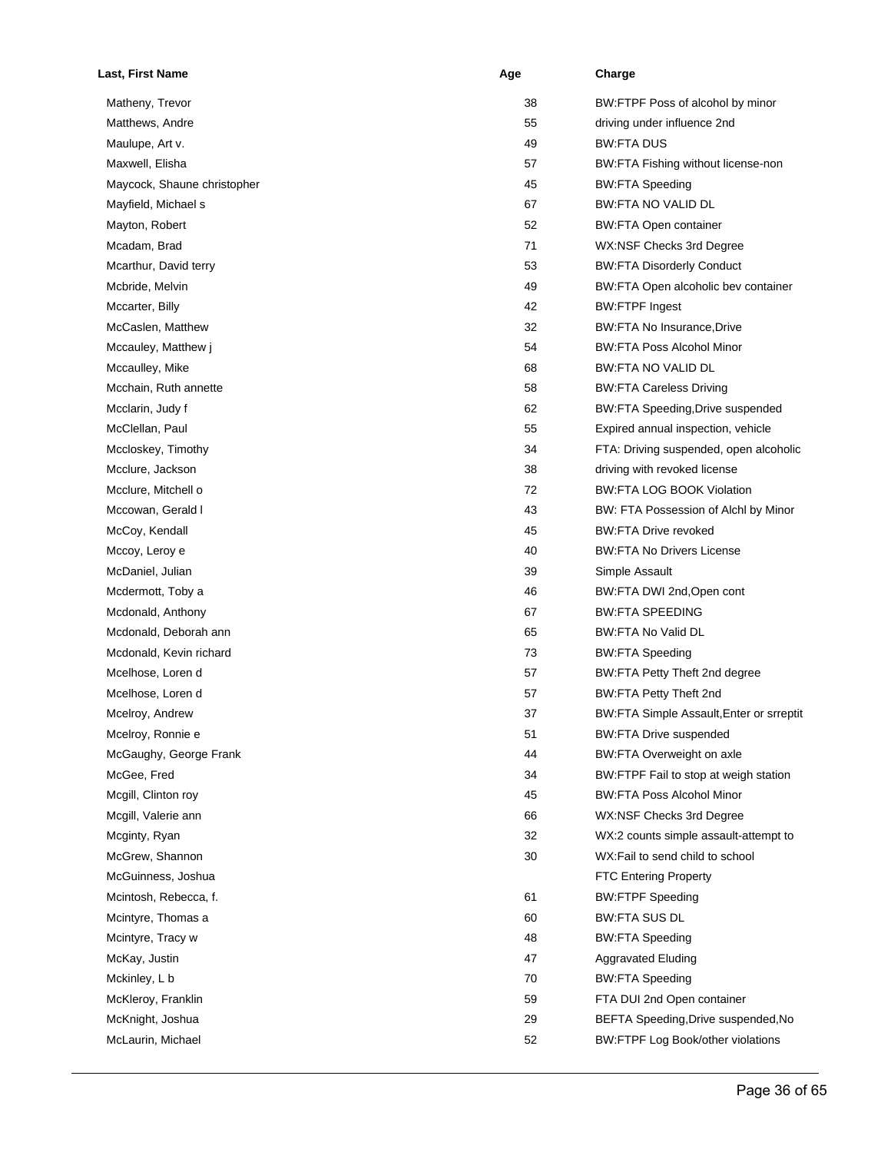| Last, First Name            | Age | Charge                                          |
|-----------------------------|-----|-------------------------------------------------|
| Matheny, Trevor             | 38  | BW:FTPF Poss of alcohol by minor                |
| Matthews, Andre             | 55  | driving under influence 2nd                     |
| Maulupe, Art v.             | 49  | <b>BW:FTA DUS</b>                               |
| Maxwell, Elisha             | 57  | BW:FTA Fishing without license-non              |
| Maycock, Shaune christopher | 45  | <b>BW:FTA Speeding</b>                          |
| Mayfield, Michael s         | 67  | <b>BW:FTA NO VALID DL</b>                       |
| Mayton, Robert              | 52  | <b>BW:FTA Open container</b>                    |
| Mcadam, Brad                | 71  | WX:NSF Checks 3rd Degree                        |
| Mcarthur, David terry       | 53  | <b>BW:FTA Disorderly Conduct</b>                |
| Mcbride, Melvin             | 49  | BW:FTA Open alcoholic bev container             |
| Mccarter, Billy             | 42  | <b>BW:FTPF Ingest</b>                           |
| McCaslen, Matthew           | 32  | BW:FTA No Insurance, Drive                      |
| Mccauley, Matthew j         | 54  | <b>BW:FTA Poss Alcohol Minor</b>                |
| Mccaulley, Mike             | 68  | BW:FTA NO VALID DL                              |
| Mcchain, Ruth annette       | 58  | <b>BW:FTA Careless Driving</b>                  |
| Mcclarin, Judy f            | 62  | BW:FTA Speeding, Drive suspended                |
| McClellan, Paul             | 55  | Expired annual inspection, vehicle              |
| Mccloskey, Timothy          | 34  | FTA: Driving suspended, open alcoholic          |
| Mcclure, Jackson            | 38  | driving with revoked license                    |
| Mcclure, Mitchell o         | 72  | <b>BW:FTA LOG BOOK Violation</b>                |
| Mccowan, Gerald I           | 43  | BW: FTA Possession of Alchl by Minor            |
| McCoy, Kendall              | 45  | <b>BW:FTA Drive revoked</b>                     |
| Mccoy, Leroy e              | 40  | <b>BW:FTA No Drivers License</b>                |
| McDaniel, Julian            | 39  | Simple Assault                                  |
| Mcdermott, Toby a           | 46  | BW:FTA DWI 2nd, Open cont                       |
| Mcdonald, Anthony           | 67  | <b>BW:FTA SPEEDING</b>                          |
| Mcdonald, Deborah ann       | 65  | BW:FTA No Valid DL                              |
| Mcdonald, Kevin richard     | 73  | <b>BW:FTA Speeding</b>                          |
| Mcelhose, Loren d           | 57  | BW:FTA Petty Theft 2nd degree                   |
| Mcelhose, Loren d           | 57  | BW:FTA Petty Theft 2nd                          |
| Mcelroy, Andrew             | 37  | <b>BW:FTA Simple Assault, Enter or srreptit</b> |
| Mcelroy, Ronnie e           | 51  | <b>BW:FTA Drive suspended</b>                   |
| McGaughy, George Frank      | 44  | BW:FTA Overweight on axle                       |
| McGee, Fred                 | 34  | BW:FTPF Fail to stop at weigh station           |
| Mcgill, Clinton roy         | 45  | <b>BW:FTA Poss Alcohol Minor</b>                |
| Mcgill, Valerie ann         | 66  | WX:NSF Checks 3rd Degree                        |
| Mcginty, Ryan               | 32  | WX:2 counts simple assault-attempt to           |
| McGrew, Shannon             | 30  | WX:Fail to send child to school                 |
| McGuinness, Joshua          |     | <b>FTC Entering Property</b>                    |
| Mcintosh, Rebecca, f.       | 61  | <b>BW:FTPF Speeding</b>                         |
| Mcintyre, Thomas a          | 60  | <b>BW:FTA SUS DL</b>                            |
| Mcintyre, Tracy w           | 48  | <b>BW:FTA Speeding</b>                          |
| McKay, Justin               | 47  | <b>Aggravated Eluding</b>                       |
| Mckinley, L b               | 70  | <b>BW:FTA Speeding</b>                          |
| McKleroy, Franklin          | 59  | FTA DUI 2nd Open container                      |
| McKnight, Joshua            | 29  | BEFTA Speeding, Drive suspended, No             |
| McLaurin, Michael           | 52  | BW:FTPF Log Book/other violations               |
|                             |     |                                                 |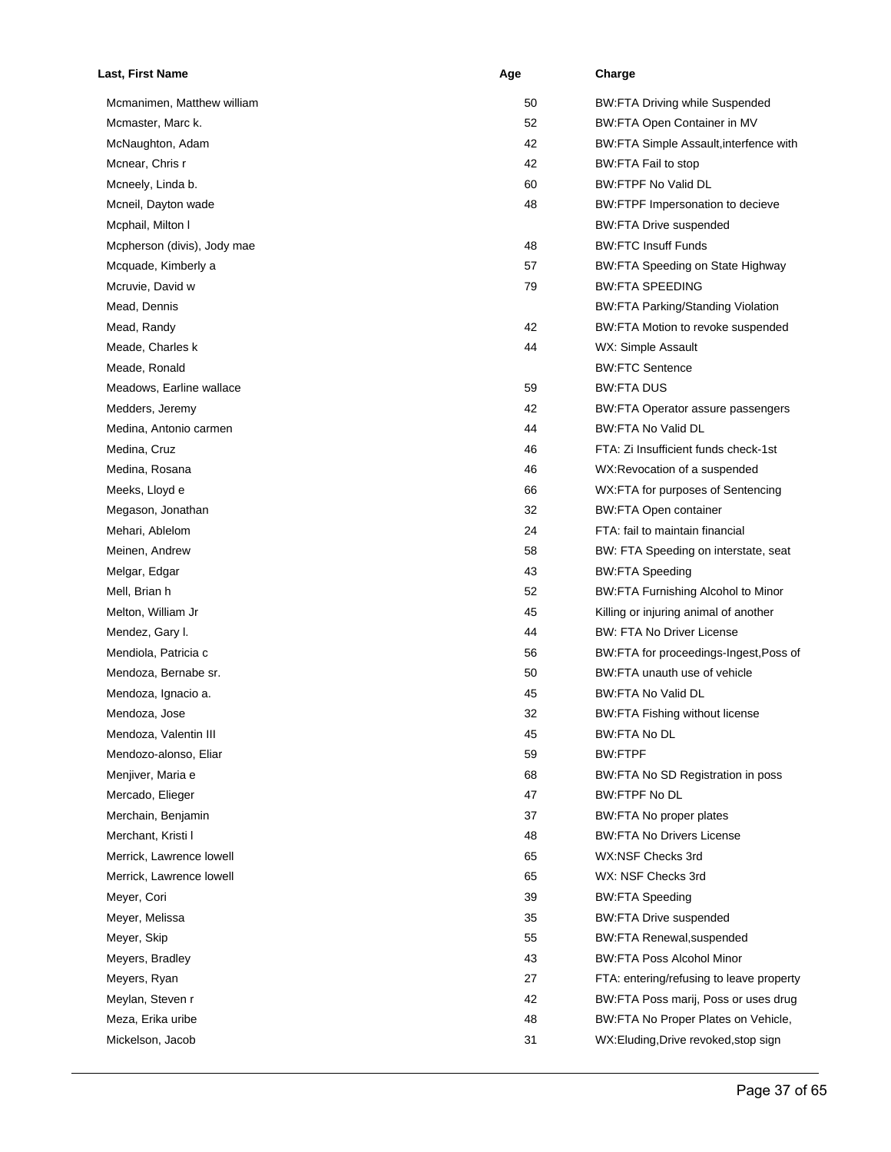| Mcmanimen, Matthew william<br>50<br>BW:FTA Driving while Suspended<br>52<br>Mcmaster, Marc k.<br>BW:FTA Open Container in MV<br>42<br>McNaughton, Adam<br>BW:FTA Simple Assault, interfence with<br>42<br>Mcnear, Chris r<br>BW:FTA Fail to stop<br>Mcneely, Linda b.<br>60<br><b>BW:FTPF No Valid DL</b><br>48<br>Mcneil, Dayton wade<br>BW:FTPF Impersonation to decieve<br>Mcphail, Milton I<br><b>BW:FTA Drive suspended</b><br>48<br><b>BW:FTC Insuff Funds</b><br>Mcpherson (divis), Jody mae<br>Mcquade, Kimberly a<br>57<br>BW:FTA Speeding on State Highway<br><b>BW:FTA SPEEDING</b><br>Mcruvie, David w<br>79<br>Mead, Dennis<br><b>BW:FTA Parking/Standing Violation</b><br>42<br>Mead, Randy<br>BW:FTA Motion to revoke suspended<br>44<br>Meade, Charles k<br>WX: Simple Assault<br>Meade, Ronald<br><b>BW:FTC Sentence</b><br>59<br>Meadows, Earline wallace<br><b>BW:FTA DUS</b><br>42<br>Medders, Jeremy<br>BW:FTA Operator assure passengers<br>44<br><b>BW:FTA No Valid DL</b><br>Medina, Antonio carmen<br>FTA: Zi Insufficient funds check-1st<br>Medina, Cruz<br>46<br>Medina, Rosana<br>46<br>WX:Revocation of a suspended<br>Meeks, Lloyd e<br>66<br>WX:FTA for purposes of Sentencing<br>32<br>Megason, Jonathan<br><b>BW:FTA Open container</b><br>24<br>Mehari, Ablelom<br>FTA: fail to maintain financial<br>58<br>Meinen, Andrew<br>BW: FTA Speeding on interstate, seat<br>43<br><b>BW:FTA Speeding</b><br>Melgar, Edgar<br>Mell, Brian h<br>52<br>BW:FTA Furnishing Alcohol to Minor<br>45<br>Melton, William Jr<br>Killing or injuring animal of another<br>Mendez, Gary I.<br>44<br><b>BW: FTA No Driver License</b><br>Mendiola, Patricia c<br>56<br>BW:FTA for proceedings-Ingest, Poss of<br>Mendoza, Bernabe sr.<br>BW:FTA unauth use of vehicle<br>50<br><b>BW:FTA No Valid DL</b><br>Mendoza, Ignacio a.<br>45<br>32<br><b>BW:FTA Fishing without license</b><br>Mendoza, Jose<br>Mendoza, Valentin III<br>45<br><b>BW:FTA No DL</b><br>59<br>Mendozo-alonso, Eliar<br>BW:FTPF<br>Menjiver, Maria e<br>68<br>BW:FTA No SD Registration in poss<br>Mercado, Elieger<br>47<br><b>BW:FTPF No DL</b><br>Merchain, Benjamin<br>37<br>BW:FTA No proper plates<br><b>BW:FTA No Drivers License</b><br>Merchant, Kristi I<br>48<br>Merrick, Lawrence lowell<br>WX:NSF Checks 3rd<br>65<br>Merrick, Lawrence lowell<br>65<br>WX: NSF Checks 3rd<br>Meyer, Cori<br>39<br><b>BW:FTA Speeding</b><br>35<br><b>BW:FTA Drive suspended</b><br>Meyer, Melissa<br>Meyer, Skip<br>55<br><b>BW:FTA Renewal, suspended</b><br><b>BW:FTA Poss Alcohol Minor</b><br>Meyers, Bradley<br>43<br>27<br>Meyers, Ryan<br>FTA: entering/refusing to leave property<br>Meylan, Steven r<br>42<br>BW:FTA Poss marij, Poss or uses drug<br>Meza, Erika uribe<br>48<br>BW:FTA No Proper Plates on Vehicle,<br>Mickelson, Jacob<br>31<br>WX:Eluding, Drive revoked, stop sign | Last, First Name | Age | Charge |
|-------------------------------------------------------------------------------------------------------------------------------------------------------------------------------------------------------------------------------------------------------------------------------------------------------------------------------------------------------------------------------------------------------------------------------------------------------------------------------------------------------------------------------------------------------------------------------------------------------------------------------------------------------------------------------------------------------------------------------------------------------------------------------------------------------------------------------------------------------------------------------------------------------------------------------------------------------------------------------------------------------------------------------------------------------------------------------------------------------------------------------------------------------------------------------------------------------------------------------------------------------------------------------------------------------------------------------------------------------------------------------------------------------------------------------------------------------------------------------------------------------------------------------------------------------------------------------------------------------------------------------------------------------------------------------------------------------------------------------------------------------------------------------------------------------------------------------------------------------------------------------------------------------------------------------------------------------------------------------------------------------------------------------------------------------------------------------------------------------------------------------------------------------------------------------------------------------------------------------------------------------------------------------------------------------------------------------------------------------------------------------------------------------------------------------------------------------------------------------------------------------------------------------------------------------------------------------------------------------------------------------------------------------------------------------------------------------------------------------------------------------------------------------------------------------------------------------------------------------------------------------------|------------------|-----|--------|
|                                                                                                                                                                                                                                                                                                                                                                                                                                                                                                                                                                                                                                                                                                                                                                                                                                                                                                                                                                                                                                                                                                                                                                                                                                                                                                                                                                                                                                                                                                                                                                                                                                                                                                                                                                                                                                                                                                                                                                                                                                                                                                                                                                                                                                                                                                                                                                                                                                                                                                                                                                                                                                                                                                                                                                                                                                                                                     |                  |     |        |
|                                                                                                                                                                                                                                                                                                                                                                                                                                                                                                                                                                                                                                                                                                                                                                                                                                                                                                                                                                                                                                                                                                                                                                                                                                                                                                                                                                                                                                                                                                                                                                                                                                                                                                                                                                                                                                                                                                                                                                                                                                                                                                                                                                                                                                                                                                                                                                                                                                                                                                                                                                                                                                                                                                                                                                                                                                                                                     |                  |     |        |
|                                                                                                                                                                                                                                                                                                                                                                                                                                                                                                                                                                                                                                                                                                                                                                                                                                                                                                                                                                                                                                                                                                                                                                                                                                                                                                                                                                                                                                                                                                                                                                                                                                                                                                                                                                                                                                                                                                                                                                                                                                                                                                                                                                                                                                                                                                                                                                                                                                                                                                                                                                                                                                                                                                                                                                                                                                                                                     |                  |     |        |
|                                                                                                                                                                                                                                                                                                                                                                                                                                                                                                                                                                                                                                                                                                                                                                                                                                                                                                                                                                                                                                                                                                                                                                                                                                                                                                                                                                                                                                                                                                                                                                                                                                                                                                                                                                                                                                                                                                                                                                                                                                                                                                                                                                                                                                                                                                                                                                                                                                                                                                                                                                                                                                                                                                                                                                                                                                                                                     |                  |     |        |
|                                                                                                                                                                                                                                                                                                                                                                                                                                                                                                                                                                                                                                                                                                                                                                                                                                                                                                                                                                                                                                                                                                                                                                                                                                                                                                                                                                                                                                                                                                                                                                                                                                                                                                                                                                                                                                                                                                                                                                                                                                                                                                                                                                                                                                                                                                                                                                                                                                                                                                                                                                                                                                                                                                                                                                                                                                                                                     |                  |     |        |
|                                                                                                                                                                                                                                                                                                                                                                                                                                                                                                                                                                                                                                                                                                                                                                                                                                                                                                                                                                                                                                                                                                                                                                                                                                                                                                                                                                                                                                                                                                                                                                                                                                                                                                                                                                                                                                                                                                                                                                                                                                                                                                                                                                                                                                                                                                                                                                                                                                                                                                                                                                                                                                                                                                                                                                                                                                                                                     |                  |     |        |
|                                                                                                                                                                                                                                                                                                                                                                                                                                                                                                                                                                                                                                                                                                                                                                                                                                                                                                                                                                                                                                                                                                                                                                                                                                                                                                                                                                                                                                                                                                                                                                                                                                                                                                                                                                                                                                                                                                                                                                                                                                                                                                                                                                                                                                                                                                                                                                                                                                                                                                                                                                                                                                                                                                                                                                                                                                                                                     |                  |     |        |
|                                                                                                                                                                                                                                                                                                                                                                                                                                                                                                                                                                                                                                                                                                                                                                                                                                                                                                                                                                                                                                                                                                                                                                                                                                                                                                                                                                                                                                                                                                                                                                                                                                                                                                                                                                                                                                                                                                                                                                                                                                                                                                                                                                                                                                                                                                                                                                                                                                                                                                                                                                                                                                                                                                                                                                                                                                                                                     |                  |     |        |
|                                                                                                                                                                                                                                                                                                                                                                                                                                                                                                                                                                                                                                                                                                                                                                                                                                                                                                                                                                                                                                                                                                                                                                                                                                                                                                                                                                                                                                                                                                                                                                                                                                                                                                                                                                                                                                                                                                                                                                                                                                                                                                                                                                                                                                                                                                                                                                                                                                                                                                                                                                                                                                                                                                                                                                                                                                                                                     |                  |     |        |
|                                                                                                                                                                                                                                                                                                                                                                                                                                                                                                                                                                                                                                                                                                                                                                                                                                                                                                                                                                                                                                                                                                                                                                                                                                                                                                                                                                                                                                                                                                                                                                                                                                                                                                                                                                                                                                                                                                                                                                                                                                                                                                                                                                                                                                                                                                                                                                                                                                                                                                                                                                                                                                                                                                                                                                                                                                                                                     |                  |     |        |
|                                                                                                                                                                                                                                                                                                                                                                                                                                                                                                                                                                                                                                                                                                                                                                                                                                                                                                                                                                                                                                                                                                                                                                                                                                                                                                                                                                                                                                                                                                                                                                                                                                                                                                                                                                                                                                                                                                                                                                                                                                                                                                                                                                                                                                                                                                                                                                                                                                                                                                                                                                                                                                                                                                                                                                                                                                                                                     |                  |     |        |
|                                                                                                                                                                                                                                                                                                                                                                                                                                                                                                                                                                                                                                                                                                                                                                                                                                                                                                                                                                                                                                                                                                                                                                                                                                                                                                                                                                                                                                                                                                                                                                                                                                                                                                                                                                                                                                                                                                                                                                                                                                                                                                                                                                                                                                                                                                                                                                                                                                                                                                                                                                                                                                                                                                                                                                                                                                                                                     |                  |     |        |
|                                                                                                                                                                                                                                                                                                                                                                                                                                                                                                                                                                                                                                                                                                                                                                                                                                                                                                                                                                                                                                                                                                                                                                                                                                                                                                                                                                                                                                                                                                                                                                                                                                                                                                                                                                                                                                                                                                                                                                                                                                                                                                                                                                                                                                                                                                                                                                                                                                                                                                                                                                                                                                                                                                                                                                                                                                                                                     |                  |     |        |
|                                                                                                                                                                                                                                                                                                                                                                                                                                                                                                                                                                                                                                                                                                                                                                                                                                                                                                                                                                                                                                                                                                                                                                                                                                                                                                                                                                                                                                                                                                                                                                                                                                                                                                                                                                                                                                                                                                                                                                                                                                                                                                                                                                                                                                                                                                                                                                                                                                                                                                                                                                                                                                                                                                                                                                                                                                                                                     |                  |     |        |
|                                                                                                                                                                                                                                                                                                                                                                                                                                                                                                                                                                                                                                                                                                                                                                                                                                                                                                                                                                                                                                                                                                                                                                                                                                                                                                                                                                                                                                                                                                                                                                                                                                                                                                                                                                                                                                                                                                                                                                                                                                                                                                                                                                                                                                                                                                                                                                                                                                                                                                                                                                                                                                                                                                                                                                                                                                                                                     |                  |     |        |
|                                                                                                                                                                                                                                                                                                                                                                                                                                                                                                                                                                                                                                                                                                                                                                                                                                                                                                                                                                                                                                                                                                                                                                                                                                                                                                                                                                                                                                                                                                                                                                                                                                                                                                                                                                                                                                                                                                                                                                                                                                                                                                                                                                                                                                                                                                                                                                                                                                                                                                                                                                                                                                                                                                                                                                                                                                                                                     |                  |     |        |
|                                                                                                                                                                                                                                                                                                                                                                                                                                                                                                                                                                                                                                                                                                                                                                                                                                                                                                                                                                                                                                                                                                                                                                                                                                                                                                                                                                                                                                                                                                                                                                                                                                                                                                                                                                                                                                                                                                                                                                                                                                                                                                                                                                                                                                                                                                                                                                                                                                                                                                                                                                                                                                                                                                                                                                                                                                                                                     |                  |     |        |
|                                                                                                                                                                                                                                                                                                                                                                                                                                                                                                                                                                                                                                                                                                                                                                                                                                                                                                                                                                                                                                                                                                                                                                                                                                                                                                                                                                                                                                                                                                                                                                                                                                                                                                                                                                                                                                                                                                                                                                                                                                                                                                                                                                                                                                                                                                                                                                                                                                                                                                                                                                                                                                                                                                                                                                                                                                                                                     |                  |     |        |
|                                                                                                                                                                                                                                                                                                                                                                                                                                                                                                                                                                                                                                                                                                                                                                                                                                                                                                                                                                                                                                                                                                                                                                                                                                                                                                                                                                                                                                                                                                                                                                                                                                                                                                                                                                                                                                                                                                                                                                                                                                                                                                                                                                                                                                                                                                                                                                                                                                                                                                                                                                                                                                                                                                                                                                                                                                                                                     |                  |     |        |
|                                                                                                                                                                                                                                                                                                                                                                                                                                                                                                                                                                                                                                                                                                                                                                                                                                                                                                                                                                                                                                                                                                                                                                                                                                                                                                                                                                                                                                                                                                                                                                                                                                                                                                                                                                                                                                                                                                                                                                                                                                                                                                                                                                                                                                                                                                                                                                                                                                                                                                                                                                                                                                                                                                                                                                                                                                                                                     |                  |     |        |
|                                                                                                                                                                                                                                                                                                                                                                                                                                                                                                                                                                                                                                                                                                                                                                                                                                                                                                                                                                                                                                                                                                                                                                                                                                                                                                                                                                                                                                                                                                                                                                                                                                                                                                                                                                                                                                                                                                                                                                                                                                                                                                                                                                                                                                                                                                                                                                                                                                                                                                                                                                                                                                                                                                                                                                                                                                                                                     |                  |     |        |
|                                                                                                                                                                                                                                                                                                                                                                                                                                                                                                                                                                                                                                                                                                                                                                                                                                                                                                                                                                                                                                                                                                                                                                                                                                                                                                                                                                                                                                                                                                                                                                                                                                                                                                                                                                                                                                                                                                                                                                                                                                                                                                                                                                                                                                                                                                                                                                                                                                                                                                                                                                                                                                                                                                                                                                                                                                                                                     |                  |     |        |
|                                                                                                                                                                                                                                                                                                                                                                                                                                                                                                                                                                                                                                                                                                                                                                                                                                                                                                                                                                                                                                                                                                                                                                                                                                                                                                                                                                                                                                                                                                                                                                                                                                                                                                                                                                                                                                                                                                                                                                                                                                                                                                                                                                                                                                                                                                                                                                                                                                                                                                                                                                                                                                                                                                                                                                                                                                                                                     |                  |     |        |
|                                                                                                                                                                                                                                                                                                                                                                                                                                                                                                                                                                                                                                                                                                                                                                                                                                                                                                                                                                                                                                                                                                                                                                                                                                                                                                                                                                                                                                                                                                                                                                                                                                                                                                                                                                                                                                                                                                                                                                                                                                                                                                                                                                                                                                                                                                                                                                                                                                                                                                                                                                                                                                                                                                                                                                                                                                                                                     |                  |     |        |
|                                                                                                                                                                                                                                                                                                                                                                                                                                                                                                                                                                                                                                                                                                                                                                                                                                                                                                                                                                                                                                                                                                                                                                                                                                                                                                                                                                                                                                                                                                                                                                                                                                                                                                                                                                                                                                                                                                                                                                                                                                                                                                                                                                                                                                                                                                                                                                                                                                                                                                                                                                                                                                                                                                                                                                                                                                                                                     |                  |     |        |
|                                                                                                                                                                                                                                                                                                                                                                                                                                                                                                                                                                                                                                                                                                                                                                                                                                                                                                                                                                                                                                                                                                                                                                                                                                                                                                                                                                                                                                                                                                                                                                                                                                                                                                                                                                                                                                                                                                                                                                                                                                                                                                                                                                                                                                                                                                                                                                                                                                                                                                                                                                                                                                                                                                                                                                                                                                                                                     |                  |     |        |
|                                                                                                                                                                                                                                                                                                                                                                                                                                                                                                                                                                                                                                                                                                                                                                                                                                                                                                                                                                                                                                                                                                                                                                                                                                                                                                                                                                                                                                                                                                                                                                                                                                                                                                                                                                                                                                                                                                                                                                                                                                                                                                                                                                                                                                                                                                                                                                                                                                                                                                                                                                                                                                                                                                                                                                                                                                                                                     |                  |     |        |
|                                                                                                                                                                                                                                                                                                                                                                                                                                                                                                                                                                                                                                                                                                                                                                                                                                                                                                                                                                                                                                                                                                                                                                                                                                                                                                                                                                                                                                                                                                                                                                                                                                                                                                                                                                                                                                                                                                                                                                                                                                                                                                                                                                                                                                                                                                                                                                                                                                                                                                                                                                                                                                                                                                                                                                                                                                                                                     |                  |     |        |
|                                                                                                                                                                                                                                                                                                                                                                                                                                                                                                                                                                                                                                                                                                                                                                                                                                                                                                                                                                                                                                                                                                                                                                                                                                                                                                                                                                                                                                                                                                                                                                                                                                                                                                                                                                                                                                                                                                                                                                                                                                                                                                                                                                                                                                                                                                                                                                                                                                                                                                                                                                                                                                                                                                                                                                                                                                                                                     |                  |     |        |
|                                                                                                                                                                                                                                                                                                                                                                                                                                                                                                                                                                                                                                                                                                                                                                                                                                                                                                                                                                                                                                                                                                                                                                                                                                                                                                                                                                                                                                                                                                                                                                                                                                                                                                                                                                                                                                                                                                                                                                                                                                                                                                                                                                                                                                                                                                                                                                                                                                                                                                                                                                                                                                                                                                                                                                                                                                                                                     |                  |     |        |
|                                                                                                                                                                                                                                                                                                                                                                                                                                                                                                                                                                                                                                                                                                                                                                                                                                                                                                                                                                                                                                                                                                                                                                                                                                                                                                                                                                                                                                                                                                                                                                                                                                                                                                                                                                                                                                                                                                                                                                                                                                                                                                                                                                                                                                                                                                                                                                                                                                                                                                                                                                                                                                                                                                                                                                                                                                                                                     |                  |     |        |
|                                                                                                                                                                                                                                                                                                                                                                                                                                                                                                                                                                                                                                                                                                                                                                                                                                                                                                                                                                                                                                                                                                                                                                                                                                                                                                                                                                                                                                                                                                                                                                                                                                                                                                                                                                                                                                                                                                                                                                                                                                                                                                                                                                                                                                                                                                                                                                                                                                                                                                                                                                                                                                                                                                                                                                                                                                                                                     |                  |     |        |
|                                                                                                                                                                                                                                                                                                                                                                                                                                                                                                                                                                                                                                                                                                                                                                                                                                                                                                                                                                                                                                                                                                                                                                                                                                                                                                                                                                                                                                                                                                                                                                                                                                                                                                                                                                                                                                                                                                                                                                                                                                                                                                                                                                                                                                                                                                                                                                                                                                                                                                                                                                                                                                                                                                                                                                                                                                                                                     |                  |     |        |
|                                                                                                                                                                                                                                                                                                                                                                                                                                                                                                                                                                                                                                                                                                                                                                                                                                                                                                                                                                                                                                                                                                                                                                                                                                                                                                                                                                                                                                                                                                                                                                                                                                                                                                                                                                                                                                                                                                                                                                                                                                                                                                                                                                                                                                                                                                                                                                                                                                                                                                                                                                                                                                                                                                                                                                                                                                                                                     |                  |     |        |
|                                                                                                                                                                                                                                                                                                                                                                                                                                                                                                                                                                                                                                                                                                                                                                                                                                                                                                                                                                                                                                                                                                                                                                                                                                                                                                                                                                                                                                                                                                                                                                                                                                                                                                                                                                                                                                                                                                                                                                                                                                                                                                                                                                                                                                                                                                                                                                                                                                                                                                                                                                                                                                                                                                                                                                                                                                                                                     |                  |     |        |
|                                                                                                                                                                                                                                                                                                                                                                                                                                                                                                                                                                                                                                                                                                                                                                                                                                                                                                                                                                                                                                                                                                                                                                                                                                                                                                                                                                                                                                                                                                                                                                                                                                                                                                                                                                                                                                                                                                                                                                                                                                                                                                                                                                                                                                                                                                                                                                                                                                                                                                                                                                                                                                                                                                                                                                                                                                                                                     |                  |     |        |
|                                                                                                                                                                                                                                                                                                                                                                                                                                                                                                                                                                                                                                                                                                                                                                                                                                                                                                                                                                                                                                                                                                                                                                                                                                                                                                                                                                                                                                                                                                                                                                                                                                                                                                                                                                                                                                                                                                                                                                                                                                                                                                                                                                                                                                                                                                                                                                                                                                                                                                                                                                                                                                                                                                                                                                                                                                                                                     |                  |     |        |
|                                                                                                                                                                                                                                                                                                                                                                                                                                                                                                                                                                                                                                                                                                                                                                                                                                                                                                                                                                                                                                                                                                                                                                                                                                                                                                                                                                                                                                                                                                                                                                                                                                                                                                                                                                                                                                                                                                                                                                                                                                                                                                                                                                                                                                                                                                                                                                                                                                                                                                                                                                                                                                                                                                                                                                                                                                                                                     |                  |     |        |
|                                                                                                                                                                                                                                                                                                                                                                                                                                                                                                                                                                                                                                                                                                                                                                                                                                                                                                                                                                                                                                                                                                                                                                                                                                                                                                                                                                                                                                                                                                                                                                                                                                                                                                                                                                                                                                                                                                                                                                                                                                                                                                                                                                                                                                                                                                                                                                                                                                                                                                                                                                                                                                                                                                                                                                                                                                                                                     |                  |     |        |
|                                                                                                                                                                                                                                                                                                                                                                                                                                                                                                                                                                                                                                                                                                                                                                                                                                                                                                                                                                                                                                                                                                                                                                                                                                                                                                                                                                                                                                                                                                                                                                                                                                                                                                                                                                                                                                                                                                                                                                                                                                                                                                                                                                                                                                                                                                                                                                                                                                                                                                                                                                                                                                                                                                                                                                                                                                                                                     |                  |     |        |
|                                                                                                                                                                                                                                                                                                                                                                                                                                                                                                                                                                                                                                                                                                                                                                                                                                                                                                                                                                                                                                                                                                                                                                                                                                                                                                                                                                                                                                                                                                                                                                                                                                                                                                                                                                                                                                                                                                                                                                                                                                                                                                                                                                                                                                                                                                                                                                                                                                                                                                                                                                                                                                                                                                                                                                                                                                                                                     |                  |     |        |
|                                                                                                                                                                                                                                                                                                                                                                                                                                                                                                                                                                                                                                                                                                                                                                                                                                                                                                                                                                                                                                                                                                                                                                                                                                                                                                                                                                                                                                                                                                                                                                                                                                                                                                                                                                                                                                                                                                                                                                                                                                                                                                                                                                                                                                                                                                                                                                                                                                                                                                                                                                                                                                                                                                                                                                                                                                                                                     |                  |     |        |
|                                                                                                                                                                                                                                                                                                                                                                                                                                                                                                                                                                                                                                                                                                                                                                                                                                                                                                                                                                                                                                                                                                                                                                                                                                                                                                                                                                                                                                                                                                                                                                                                                                                                                                                                                                                                                                                                                                                                                                                                                                                                                                                                                                                                                                                                                                                                                                                                                                                                                                                                                                                                                                                                                                                                                                                                                                                                                     |                  |     |        |
|                                                                                                                                                                                                                                                                                                                                                                                                                                                                                                                                                                                                                                                                                                                                                                                                                                                                                                                                                                                                                                                                                                                                                                                                                                                                                                                                                                                                                                                                                                                                                                                                                                                                                                                                                                                                                                                                                                                                                                                                                                                                                                                                                                                                                                                                                                                                                                                                                                                                                                                                                                                                                                                                                                                                                                                                                                                                                     |                  |     |        |
|                                                                                                                                                                                                                                                                                                                                                                                                                                                                                                                                                                                                                                                                                                                                                                                                                                                                                                                                                                                                                                                                                                                                                                                                                                                                                                                                                                                                                                                                                                                                                                                                                                                                                                                                                                                                                                                                                                                                                                                                                                                                                                                                                                                                                                                                                                                                                                                                                                                                                                                                                                                                                                                                                                                                                                                                                                                                                     |                  |     |        |
|                                                                                                                                                                                                                                                                                                                                                                                                                                                                                                                                                                                                                                                                                                                                                                                                                                                                                                                                                                                                                                                                                                                                                                                                                                                                                                                                                                                                                                                                                                                                                                                                                                                                                                                                                                                                                                                                                                                                                                                                                                                                                                                                                                                                                                                                                                                                                                                                                                                                                                                                                                                                                                                                                                                                                                                                                                                                                     |                  |     |        |
|                                                                                                                                                                                                                                                                                                                                                                                                                                                                                                                                                                                                                                                                                                                                                                                                                                                                                                                                                                                                                                                                                                                                                                                                                                                                                                                                                                                                                                                                                                                                                                                                                                                                                                                                                                                                                                                                                                                                                                                                                                                                                                                                                                                                                                                                                                                                                                                                                                                                                                                                                                                                                                                                                                                                                                                                                                                                                     |                  |     |        |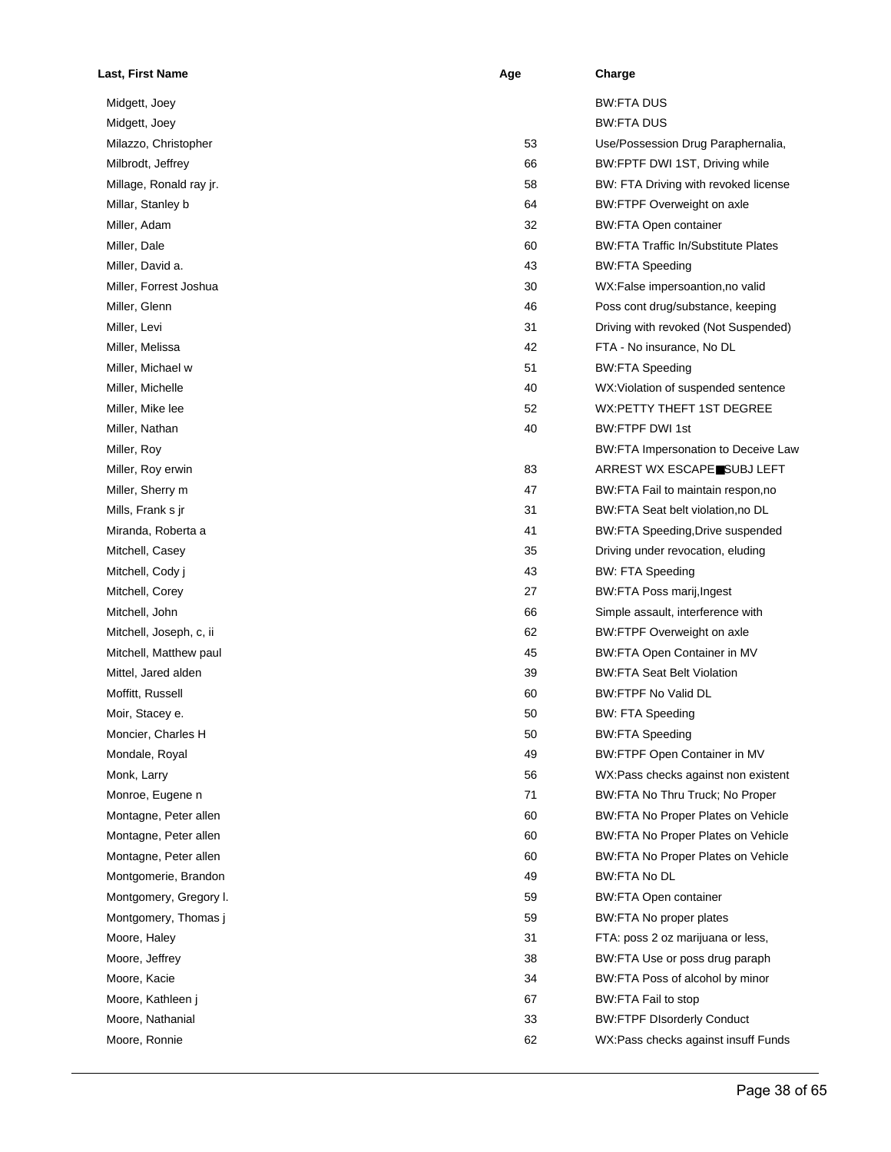| Last, First Name        | Age | Charge                                     |
|-------------------------|-----|--------------------------------------------|
| Midgett, Joey           |     | <b>BW:FTA DUS</b>                          |
| Midgett, Joey           |     | <b>BW:FTA DUS</b>                          |
| Milazzo, Christopher    | 53  | Use/Possession Drug Paraphernalia,         |
| Milbrodt, Jeffrey       | 66  | BW:FPTF DWI 1ST, Driving while             |
| Millage, Ronald ray jr. | 58  | BW: FTA Driving with revoked license       |
| Millar, Stanley b       | 64  | BW:FTPF Overweight on axle                 |
| Miller, Adam            | 32  | <b>BW:FTA Open container</b>               |
| Miller, Dale            | 60  | <b>BW:FTA Traffic In/Substitute Plates</b> |
| Miller, David a.        | 43  | <b>BW:FTA Speeding</b>                     |
| Miller, Forrest Joshua  | 30  | WX:False impersoantion, no valid           |
| Miller, Glenn           | 46  | Poss cont drug/substance, keeping          |
| Miller, Levi            | 31  | Driving with revoked (Not Suspended)       |
| Miller, Melissa         | 42  | FTA - No insurance, No DL                  |
| Miller, Michael w       | 51  | <b>BW:FTA Speeding</b>                     |
| Miller, Michelle        | 40  | WX: Violation of suspended sentence        |
| Miller, Mike lee        | 52  | WX:PETTY THEFT 1ST DEGREE                  |
| Miller, Nathan          | 40  | <b>BW:FTPF DWI 1st</b>                     |
| Miller, Roy             |     | BW:FTA Impersonation to Deceive Law        |
| Miller, Roy erwin       | 83  | ARREST WX ESCAPE■SUBJ LEFT                 |
| Miller, Sherry m        | 47  | BW:FTA Fail to maintain respon, no         |
| Mills, Frank s jr       | 31  | BW:FTA Seat belt violation, no DL          |
| Miranda, Roberta a      | 41  | BW:FTA Speeding, Drive suspended           |
| Mitchell, Casey         | 35  | Driving under revocation, eluding          |
| Mitchell, Cody j        | 43  | <b>BW: FTA Speeding</b>                    |
| Mitchell, Corey         | 27  | BW:FTA Poss marij, Ingest                  |
| Mitchell, John          | 66  | Simple assault, interference with          |
| Mitchell, Joseph, c, ii | 62  | BW:FTPF Overweight on axle                 |
| Mitchell, Matthew paul  | 45  | BW:FTA Open Container in MV                |
| Mittel, Jared alden     | 39  | <b>BW:FTA Seat Belt Violation</b>          |
| Moffitt, Russell        | 60  | <b>BW:FTPF No Valid DL</b>                 |
| Moir, Stacey e.         | 50  | <b>BW: FTA Speeding</b>                    |
| Moncier, Charles H      | 50  | <b>BW:FTA Speeding</b>                     |
| Mondale, Royal          | 49  | BW:FTPF Open Container in MV               |
| Monk, Larry             | 56  | WX:Pass checks against non existent        |
| Monroe, Eugene n        | 71  | BW:FTA No Thru Truck; No Proper            |
| Montagne, Peter allen   | 60  | BW:FTA No Proper Plates on Vehicle         |
| Montagne, Peter allen   | 60  | BW:FTA No Proper Plates on Vehicle         |
| Montagne, Peter allen   | 60  | BW:FTA No Proper Plates on Vehicle         |
| Montgomerie, Brandon    | 49  | <b>BW:FTA No DL</b>                        |
| Montgomery, Gregory I.  | 59  | <b>BW:FTA Open container</b>               |
| Montgomery, Thomas j    | 59  | BW:FTA No proper plates                    |
| Moore, Haley            | 31  | FTA: poss 2 oz marijuana or less,          |
| Moore, Jeffrey          | 38  | BW:FTA Use or poss drug paraph             |
| Moore, Kacie            | 34  | BW:FTA Poss of alcohol by minor            |
| Moore, Kathleen j       | 67  | BW:FTA Fail to stop                        |
| Moore, Nathanial        | 33  | <b>BW:FTPF DIsorderly Conduct</b>          |
| Moore, Ronnie           | 62  | WX: Pass checks against insuff Funds       |
|                         |     |                                            |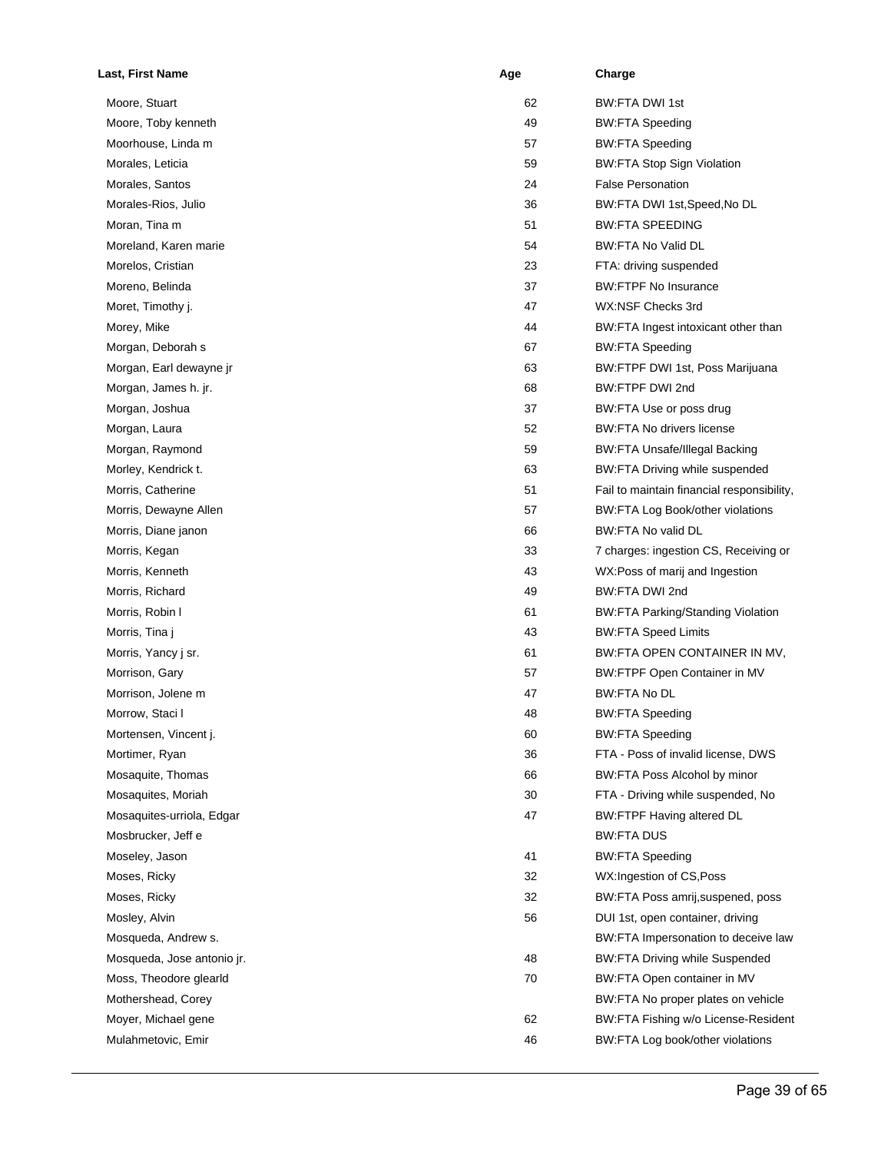| Last, First Name           | Age | Charge                                     |
|----------------------------|-----|--------------------------------------------|
| Moore, Stuart              | 62  | BW:FTA DWI 1st                             |
| Moore, Toby kenneth        | 49  | <b>BW:FTA Speeding</b>                     |
| Moorhouse, Linda m         | 57  | <b>BW:FTA Speeding</b>                     |
| Morales, Leticia           | 59  | <b>BW:FTA Stop Sign Violation</b>          |
| Morales, Santos            | 24  | <b>False Personation</b>                   |
| Morales-Rios, Julio        | 36  | BW:FTA DWI 1st, Speed, No DL               |
| Moran, Tina m              | 51  | <b>BW:FTA SPEEDING</b>                     |
| Moreland, Karen marie      | 54  | <b>BW:FTA No Valid DL</b>                  |
| Morelos, Cristian          | 23  | FTA: driving suspended                     |
| Moreno, Belinda            | 37  | <b>BW:FTPF No Insurance</b>                |
| Moret, Timothy j.          | 47  | WX:NSF Checks 3rd                          |
| Morey, Mike                | 44  | BW:FTA Ingest intoxicant other than        |
| Morgan, Deborah s          | 67  | <b>BW:FTA Speeding</b>                     |
| Morgan, Earl dewayne jr    | 63  | BW:FTPF DWI 1st, Poss Marijuana            |
| Morgan, James h. jr.       | 68  | BW:FTPF DWI 2nd                            |
| Morgan, Joshua             | 37  | BW:FTA Use or poss drug                    |
| Morgan, Laura              | 52  | <b>BW:FTA No drivers license</b>           |
| Morgan, Raymond            | 59  | <b>BW:FTA Unsafe/Illegal Backing</b>       |
| Morley, Kendrick t.        | 63  | BW:FTA Driving while suspended             |
| Morris, Catherine          | 51  | Fail to maintain financial responsibility, |
| Morris, Dewayne Allen      | 57  | BW:FTA Log Book/other violations           |
| Morris, Diane janon        | 66  | <b>BW:FTA No valid DL</b>                  |
| Morris, Kegan              | 33  | 7 charges: ingestion CS, Receiving or      |
| Morris, Kenneth            | 43  | WX:Poss of marij and Ingestion             |
| Morris, Richard            | 49  | BW:FTA DWI 2nd                             |
| Morris, Robin I            | 61  | <b>BW:FTA Parking/Standing Violation</b>   |
| Morris, Tina j             | 43  | <b>BW:FTA Speed Limits</b>                 |
| Morris, Yancy j sr.        | 61  | BW:FTA OPEN CONTAINER IN MV,               |
| Morrison, Gary             | 57  | BW:FTPF Open Container in MV               |
| Morrison, Jolene m         | 47  | <b>BW:FTA No DL</b>                        |
| Morrow, Staci I            | 48  | <b>BW:FTA Speeding</b>                     |
| Mortensen, Vincent j.      | 60  | <b>BW:FTA Speeding</b>                     |
| Mortimer, Ryan             | 36  | FTA - Poss of invalid license, DWS         |
| Mosaquite, Thomas          | 66  | BW:FTA Poss Alcohol by minor               |
| Mosaquites, Moriah         | 30  | FTA - Driving while suspended, No          |
| Mosaquites-urriola, Edgar  | 47  | <b>BW:FTPF Having altered DL</b>           |
| Mosbrucker, Jeff e         |     | <b>BW:FTA DUS</b>                          |
| Moseley, Jason             | 41  | <b>BW:FTA Speeding</b>                     |
| Moses, Ricky               | 32  | WX:Ingestion of CS, Poss                   |
| Moses, Ricky               | 32  | BW:FTA Poss amrij, suspened, poss          |
| Mosley, Alvin              | 56  | DUI 1st, open container, driving           |
| Mosqueda, Andrew s.        |     | BW:FTA Impersonation to deceive law        |
| Mosqueda, Jose antonio jr. | 48  | <b>BW:FTA Driving while Suspended</b>      |
| Moss, Theodore glearld     | 70  | BW:FTA Open container in MV                |
| Mothershead, Corey         |     | BW:FTA No proper plates on vehicle         |
| Moyer, Michael gene        | 62  | BW:FTA Fishing w/o License-Resident        |
| Mulahmetovic, Emir         | 46  | BW:FTA Log book/other violations           |
|                            |     |                                            |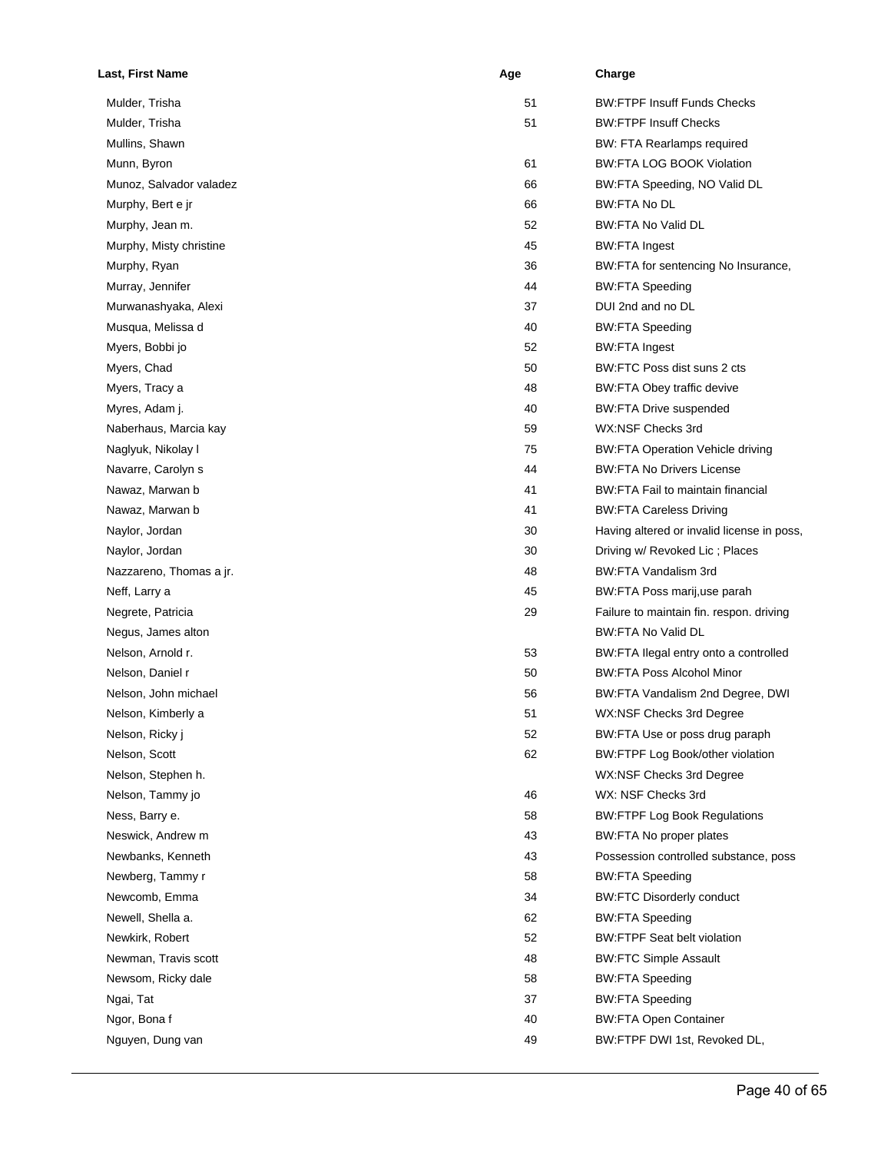| Last, First Name        | Age | Charge                                     |
|-------------------------|-----|--------------------------------------------|
| Mulder, Trisha          | 51  | <b>BW:FTPF Insuff Funds Checks</b>         |
| Mulder, Trisha          | 51  | <b>BW:FTPF Insuff Checks</b>               |
| Mullins, Shawn          |     | BW: FTA Rearlamps required                 |
| Munn, Byron             | 61  | <b>BW:FTA LOG BOOK Violation</b>           |
| Munoz, Salvador valadez | 66  | BW:FTA Speeding, NO Valid DL               |
| Murphy, Bert e jr       | 66  | <b>BW:FTA No DL</b>                        |
| Murphy, Jean m.         | 52  | <b>BW:FTA No Valid DL</b>                  |
| Murphy, Misty christine | 45  | <b>BW:FTA Ingest</b>                       |
| Murphy, Ryan            | 36  | BW:FTA for sentencing No Insurance,        |
| Murray, Jennifer        | 44  | <b>BW:FTA Speeding</b>                     |
| Murwanashyaka, Alexi    | 37  | DUI 2nd and no DL                          |
| Musqua, Melissa d       | 40  | <b>BW:FTA Speeding</b>                     |
| Myers, Bobbi jo         | 52  | <b>BW:FTA Ingest</b>                       |
| Myers, Chad             | 50  | BW:FTC Poss dist suns 2 cts                |
| Myers, Tracy a          | 48  | <b>BW:FTA Obey traffic devive</b>          |
| Myres, Adam j.          | 40  | <b>BW:FTA Drive suspended</b>              |
| Naberhaus, Marcia kay   | 59  | WX:NSF Checks 3rd                          |
| Naglyuk, Nikolay I      | 75  | <b>BW:FTA Operation Vehicle driving</b>    |
| Navarre, Carolyn s      | 44  | <b>BW:FTA No Drivers License</b>           |
| Nawaz, Marwan b         | 41  | BW:FTA Fail to maintain financial          |
| Nawaz, Marwan b         | 41  | <b>BW:FTA Careless Driving</b>             |
| Naylor, Jordan          | 30  | Having altered or invalid license in poss, |
| Naylor, Jordan          | 30  | Driving w/ Revoked Lic; Places             |
| Nazzareno, Thomas a jr. | 48  | BW:FTA Vandalism 3rd                       |
| Neff, Larry a           | 45  | BW:FTA Poss marij, use parah               |
| Negrete, Patricia       | 29  | Failure to maintain fin. respon. driving   |
| Negus, James alton      |     | <b>BW:FTA No Valid DL</b>                  |
| Nelson, Arnold r.       | 53  | BW:FTA llegal entry onto a controlled      |
| Nelson, Daniel r        | 50  | <b>BW:FTA Poss Alcohol Minor</b>           |
| Nelson, John michael    | 56  | BW:FTA Vandalism 2nd Degree, DWI           |
| Nelson, Kimberly a      | 51  | WX:NSF Checks 3rd Degree                   |
| Nelson, Ricky j         | 52  | BW:FTA Use or poss drug paraph             |
| Nelson, Scott           | 62  | BW:FTPF Log Book/other violation           |
| Nelson, Stephen h.      |     | WX:NSF Checks 3rd Degree                   |
| Nelson, Tammy jo        | 46  | WX: NSF Checks 3rd                         |
| Ness, Barry e.          | 58  | <b>BW:FTPF Log Book Regulations</b>        |
| Neswick, Andrew m       | 43  | BW:FTA No proper plates                    |
| Newbanks, Kenneth       | 43  | Possession controlled substance, poss      |
| Newberg, Tammy r        | 58  | <b>BW:FTA Speeding</b>                     |
| Newcomb, Emma           | 34  | <b>BW:FTC Disorderly conduct</b>           |
| Newell, Shella a.       | 62  | <b>BW:FTA Speeding</b>                     |
| Newkirk, Robert         | 52  | <b>BW:FTPF Seat belt violation</b>         |
| Newman, Travis scott    | 48  | <b>BW:FTC Simple Assault</b>               |
| Newsom, Ricky dale      | 58  | <b>BW:FTA Speeding</b>                     |
| Ngai, Tat               | 37  | <b>BW:FTA Speeding</b>                     |
| Ngor, Bona f            | 40  | <b>BW:FTA Open Container</b>               |
| Nguyen, Dung van        | 49  | BW:FTPF DWI 1st, Revoked DL,               |
|                         |     |                                            |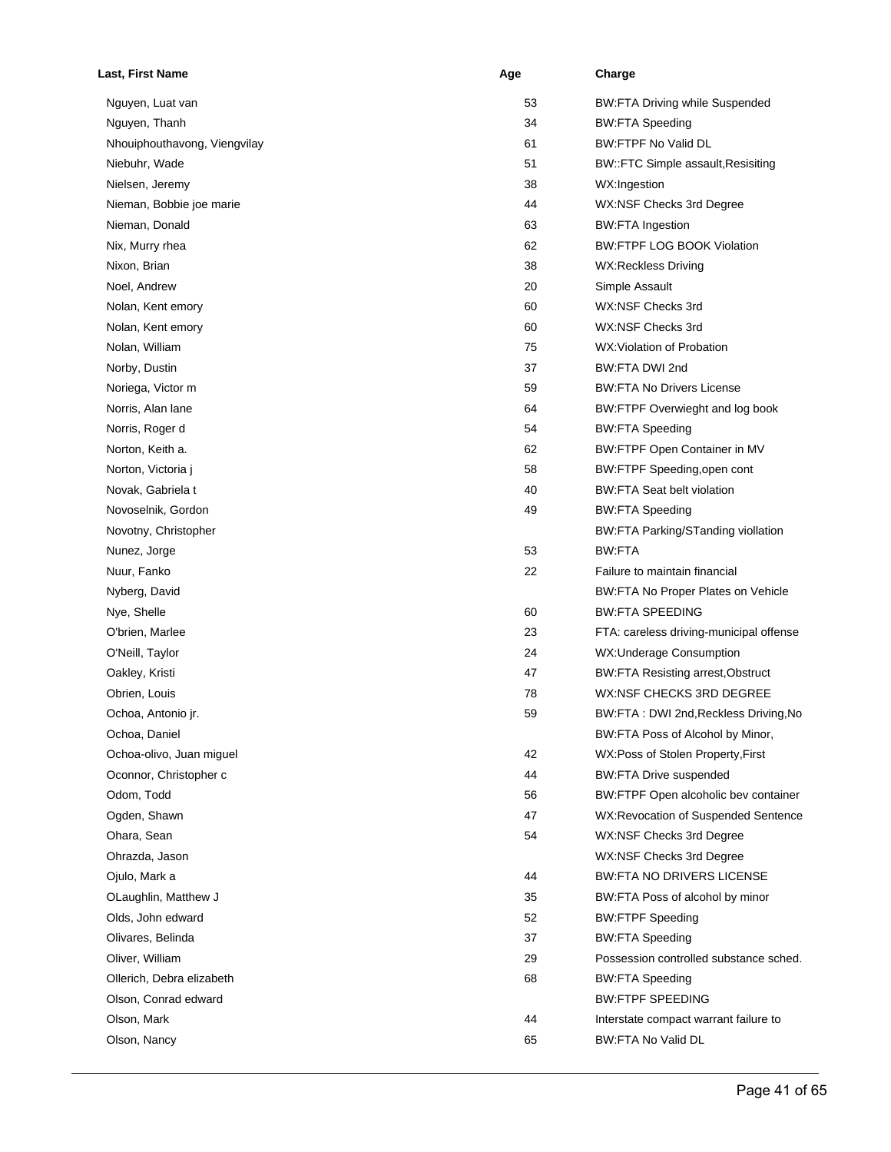| Last, First Name             | Age | Charge                                   |
|------------------------------|-----|------------------------------------------|
| Nguyen, Luat van             | 53  | <b>BW:FTA Driving while Suspended</b>    |
| Nguyen, Thanh                | 34  | <b>BW:FTA Speeding</b>                   |
| Nhouiphouthavong, Viengvilay | 61  | <b>BW:FTPF No Valid DL</b>               |
| Niebuhr, Wade                | 51  | BW::FTC Simple assault, Resisiting       |
| Nielsen, Jeremy              | 38  | WX:Ingestion                             |
| Nieman, Bobbie joe marie     | 44  | WX:NSF Checks 3rd Degree                 |
| Nieman, Donald               | 63  | <b>BW:FTA Ingestion</b>                  |
| Nix, Murry rhea              | 62  | <b>BW:FTPF LOG BOOK Violation</b>        |
| Nixon, Brian                 | 38  | <b>WX:Reckless Driving</b>               |
| Noel, Andrew                 | 20  | Simple Assault                           |
| Nolan, Kent emory            | 60  | WX:NSF Checks 3rd                        |
| Nolan, Kent emory            | 60  | WX:NSF Checks 3rd                        |
| Nolan, William               | 75  | WX: Violation of Probation               |
| Norby, Dustin                | 37  | BW:FTA DWI 2nd                           |
| Noriega, Victor m            | 59  | <b>BW:FTA No Drivers License</b>         |
| Norris, Alan lane            | 64  | BW:FTPF Overwieght and log book          |
| Norris, Roger d              | 54  | <b>BW:FTA Speeding</b>                   |
| Norton, Keith a.             | 62  | BW:FTPF Open Container in MV             |
| Norton, Victoria j           | 58  | BW:FTPF Speeding, open cont              |
| Novak, Gabriela t            | 40  | <b>BW:FTA Seat belt violation</b>        |
| Novoselnik, Gordon           | 49  | <b>BW:FTA Speeding</b>                   |
| Novotny, Christopher         |     | BW:FTA Parking/STanding viollation       |
| Nunez, Jorge                 | 53  | BW:FTA                                   |
| Nuur, Fanko                  | 22  | Failure to maintain financial            |
| Nyberg, David                |     | BW:FTA No Proper Plates on Vehicle       |
| Nye, Shelle                  | 60  | <b>BW:FTA SPEEDING</b>                   |
| O'brien, Marlee              | 23  | FTA: careless driving-municipal offense  |
| O'Neill, Taylor              | 24  | WX:Underage Consumption                  |
| Oakley, Kristi               | 47  | <b>BW:FTA Resisting arrest, Obstruct</b> |
| Obrien, Louis                | 78  | WX:NSF CHECKS 3RD DEGREE                 |
| Ochoa, Antonio ir.           | 59  | BW:FTA: DWI 2nd, Reckless Driving, No    |
| Ochoa, Daniel                |     | BW:FTA Poss of Alcohol by Minor,         |
| Ochoa-olivo, Juan miguel     | 42  | WX:Poss of Stolen Property, First        |
| Oconnor, Christopher c       | 44  | <b>BW:FTA Drive suspended</b>            |
| Odom, Todd                   | 56  | BW:FTPF Open alcoholic bev container     |
| Ogden, Shawn                 | 47  | WX: Revocation of Suspended Sentence     |
| Ohara, Sean                  | 54  | WX:NSF Checks 3rd Degree                 |
| Ohrazda, Jason               |     | WX:NSF Checks 3rd Degree                 |
| Ojulo, Mark a                | 44  | <b>BW:FTA NO DRIVERS LICENSE</b>         |
| OLaughlin, Matthew J         | 35  | BW:FTA Poss of alcohol by minor          |
| Olds, John edward            | 52  | <b>BW:FTPF Speeding</b>                  |
| Olivares, Belinda            | 37  | <b>BW:FTA Speeding</b>                   |
| Oliver, William              | 29  | Possession controlled substance sched.   |
| Ollerich, Debra elizabeth    | 68  | <b>BW:FTA Speeding</b>                   |
| Olson, Conrad edward         |     | <b>BW:FTPF SPEEDING</b>                  |
| Olson, Mark                  | 44  | Interstate compact warrant failure to    |
| Olson, Nancy                 | 65  | <b>BW:FTA No Valid DL</b>                |
|                              |     |                                          |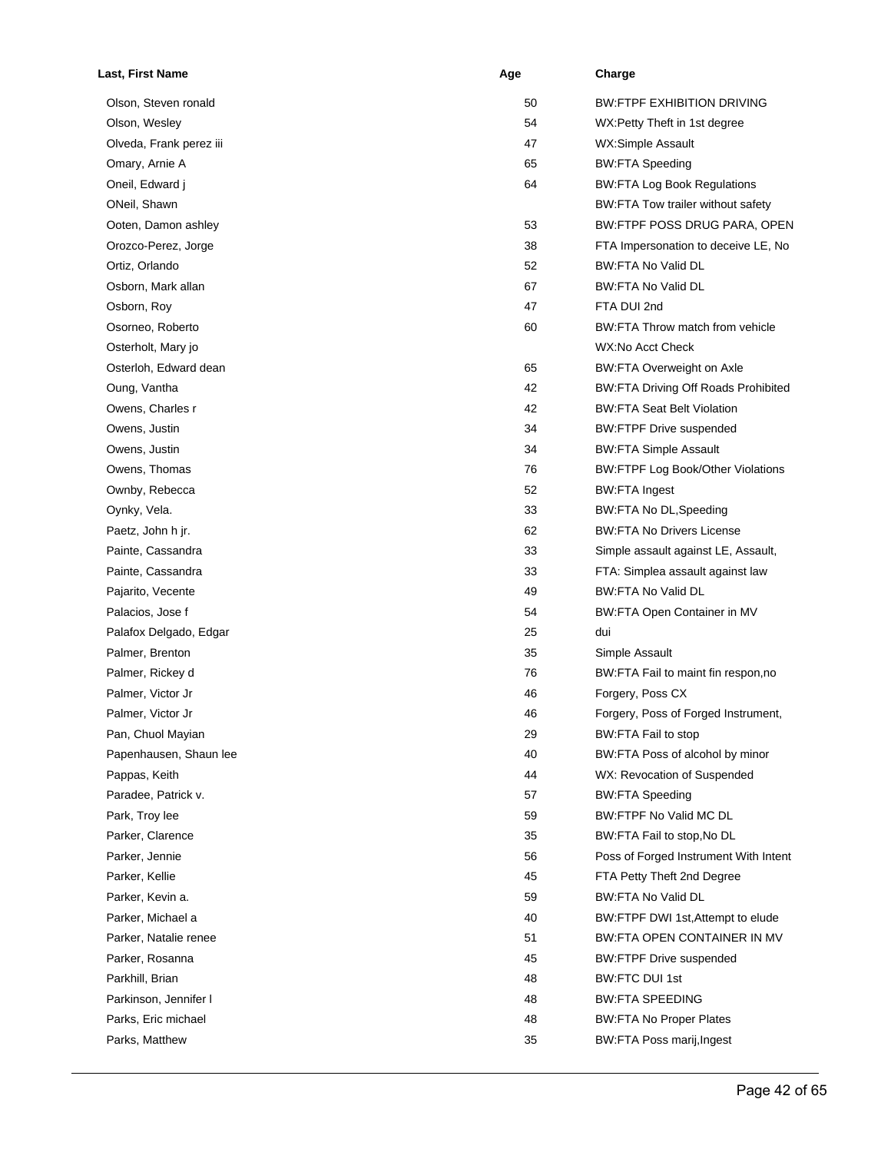| <b>Last, First Name</b> | Age | Charge                                     |
|-------------------------|-----|--------------------------------------------|
| Olson, Steven ronald    | 50  | <b>BW:FTPF EXHIBITION DRIVING</b>          |
| Olson, Wesley           | 54  | WX:Petty Theft in 1st degree               |
| Olveda, Frank perez iii | 47  | <b>WX:Simple Assault</b>                   |
| Omary, Arnie A          | 65  | <b>BW:FTA Speeding</b>                     |
| Oneil, Edward j         | 64  | <b>BW:FTA Log Book Regulations</b>         |
| ONeil, Shawn            |     | BW:FTA Tow trailer without safety          |
| Ooten, Damon ashley     | 53  | BW:FTPF POSS DRUG PARA, OPEN               |
| Orozco-Perez, Jorge     | 38  | FTA Impersonation to deceive LE, No        |
| Ortiz, Orlando          | 52  | <b>BW:FTA No Valid DL</b>                  |
| Osborn, Mark allan      | 67  | BW:FTA No Valid DL                         |
| Osborn, Roy             | 47  | FTA DUI 2nd                                |
| Osorneo, Roberto        | 60  | BW:FTA Throw match from vehicle            |
| Osterholt, Mary jo      |     | WX:No Acct Check                           |
| Osterloh, Edward dean   | 65  | BW:FTA Overweight on Axle                  |
| Oung, Vantha            | 42  | <b>BW:FTA Driving Off Roads Prohibited</b> |
| Owens, Charles r        | 42  | <b>BW:FTA Seat Belt Violation</b>          |
| Owens, Justin           | 34  | <b>BW:FTPF Drive suspended</b>             |
| Owens, Justin           | 34  | <b>BW:FTA Simple Assault</b>               |
| Owens, Thomas           | 76  | <b>BW:FTPF Log Book/Other Violations</b>   |
| Ownby, Rebecca          | 52  | <b>BW:FTA Ingest</b>                       |
| Oynky, Vela.            | 33  | BW:FTA No DL, Speeding                     |
| Paetz, John h jr.       | 62  | <b>BW:FTA No Drivers License</b>           |
| Painte, Cassandra       | 33  | Simple assault against LE, Assault,        |
| Painte, Cassandra       | 33  | FTA: Simplea assault against law           |
| Pajarito, Vecente       | 49  | <b>BW:FTA No Valid DL</b>                  |
| Palacios, Jose f        | 54  | BW:FTA Open Container in MV                |
| Palafox Delgado, Edgar  | 25  | dui                                        |
| Palmer, Brenton         | 35  | Simple Assault                             |
| Palmer, Rickey d        | 76  | BW:FTA Fail to maint fin respon, no        |
| Palmer, Victor Jr       | 46  | Forgery, Poss CX                           |
| Palmer, Victor Jr       | 46  | Forgery, Poss of Forged Instrument,        |
| Pan, Chuol Mayian       | 29  | BW:FTA Fail to stop                        |
| Papenhausen, Shaun lee  | 40  | BW:FTA Poss of alcohol by minor            |
| Pappas, Keith           | 44  | WX: Revocation of Suspended                |
| Paradee, Patrick v.     | 57  | <b>BW:FTA Speeding</b>                     |
| Park, Troy lee          | 59  | BW:FTPF No Valid MC DL                     |
| Parker, Clarence        | 35  | BW:FTA Fail to stop, No DL                 |
| Parker, Jennie          | 56  | Poss of Forged Instrument With Intent      |
| Parker, Kellie          | 45  | FTA Petty Theft 2nd Degree                 |
| Parker, Kevin a.        | 59  | <b>BW:FTA No Valid DL</b>                  |
| Parker, Michael a       | 40  | BW:FTPF DWI 1st, Attempt to elude          |
| Parker, Natalie renee   | 51  | BW:FTA OPEN CONTAINER IN MV                |
| Parker, Rosanna         | 45  | <b>BW:FTPF Drive suspended</b>             |
| Parkhill, Brian         | 48  | <b>BW:FTC DUI 1st</b>                      |
| Parkinson, Jennifer I   | 48  | <b>BW:FTA SPEEDING</b>                     |
| Parks, Eric michael     | 48  | <b>BW:FTA No Proper Plates</b>             |
| Parks, Matthew          | 35  | BW:FTA Poss marij, Ingest                  |
|                         |     |                                            |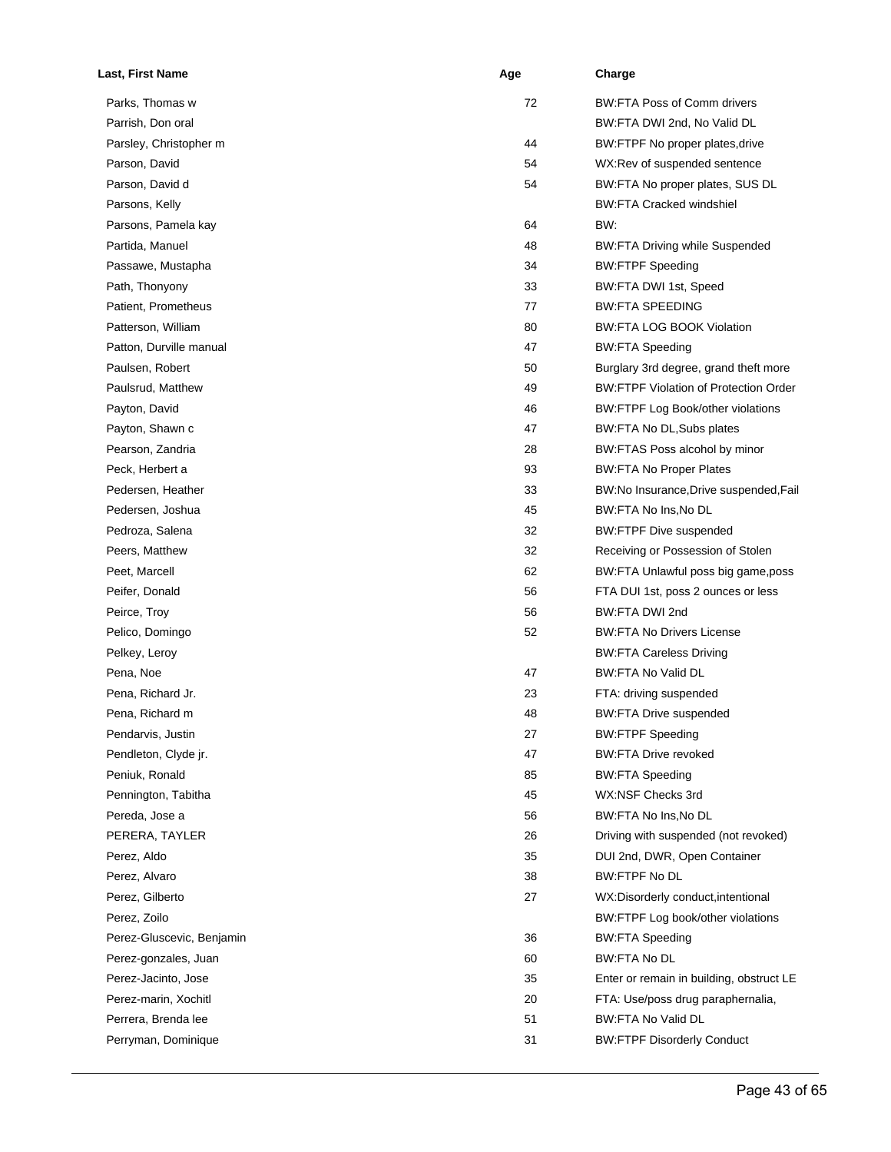| Last, First Name          | Age | Charge                                       |
|---------------------------|-----|----------------------------------------------|
| Parks, Thomas w           | 72  | <b>BW:FTA Poss of Comm drivers</b>           |
| Parrish, Don oral         |     | BW:FTA DWI 2nd, No Valid DL                  |
| Parsley, Christopher m    | 44  | BW:FTPF No proper plates, drive              |
| Parson, David             | 54  | WX:Rev of suspended sentence                 |
| Parson, David d           | 54  | BW:FTA No proper plates, SUS DL              |
| Parsons, Kelly            |     | <b>BW:FTA Cracked windshiel</b>              |
| Parsons, Pamela kay       | 64  | BW:                                          |
| Partida, Manuel           | 48  | <b>BW:FTA Driving while Suspended</b>        |
| Passawe, Mustapha         | 34  | <b>BW:FTPF Speeding</b>                      |
| Path, Thonyony            | 33  | BW:FTA DWI 1st, Speed                        |
| Patient, Prometheus       | 77  | <b>BW:FTA SPEEDING</b>                       |
| Patterson, William        | 80  | <b>BW:FTA LOG BOOK Violation</b>             |
| Patton, Durville manual   | 47  | <b>BW:FTA Speeding</b>                       |
| Paulsen, Robert           | 50  | Burglary 3rd degree, grand theft more        |
| Paulsrud, Matthew         | 49  | <b>BW:FTPF Violation of Protection Order</b> |
| Payton, David             | 46  | BW:FTPF Log Book/other violations            |
| Payton, Shawn c           | 47  | BW:FTA No DL, Subs plates                    |
| Pearson, Zandria          | 28  | BW:FTAS Poss alcohol by minor                |
| Peck, Herbert a           | 93  | <b>BW:FTA No Proper Plates</b>               |
| Pedersen, Heather         | 33  | BW:No Insurance, Drive suspended, Fail       |
| Pedersen, Joshua          | 45  | BW:FTA No Ins, No DL                         |
| Pedroza, Salena           | 32  | <b>BW:FTPF Dive suspended</b>                |
| Peers, Matthew            | 32  | Receiving or Possession of Stolen            |
| Peet, Marcell             | 62  | BW:FTA Unlawful poss big game, poss          |
| Peifer, Donald            | 56  | FTA DUI 1st, poss 2 ounces or less           |
| Peirce, Troy              | 56  | BW:FTA DWI 2nd                               |
| Pelico, Domingo           | 52  | <b>BW:FTA No Drivers License</b>             |
| Pelkey, Leroy             |     | <b>BW:FTA Careless Driving</b>               |
| Pena, Noe                 | 47  | <b>BW:FTA No Valid DL</b>                    |
| Pena, Richard Jr.         | 23  | FTA: driving suspended                       |
| Pena, Richard m           | 48  | <b>BW:FTA Drive suspended</b>                |
| Pendarvis, Justin         | 27  | <b>BW:FTPF Speeding</b>                      |
| Pendleton, Clyde jr.      | 47  | <b>BW:FTA Drive revoked</b>                  |
| Peniuk, Ronald            | 85  | <b>BW:FTA Speeding</b>                       |
| Pennington, Tabitha       | 45  | WX:NSF Checks 3rd                            |
| Pereda, Jose a            | 56  | BW:FTA No Ins, No DL                         |
| PERERA, TAYLER            | 26  | Driving with suspended (not revoked)         |
| Perez, Aldo               | 35  | DUI 2nd, DWR, Open Container                 |
| Perez, Alvaro             | 38  | BW:FTPF No DL                                |
| Perez, Gilberto           | 27  | WX:Disorderly conduct, intentional           |
| Perez, Zoilo              |     | BW:FTPF Log book/other violations            |
| Perez-Gluscevic, Benjamin | 36  | <b>BW:FTA Speeding</b>                       |
| Perez-gonzales, Juan      | 60  | <b>BW:FTA No DL</b>                          |
| Perez-Jacinto, Jose       | 35  | Enter or remain in building, obstruct LE     |
| Perez-marin, Xochitl      | 20  | FTA: Use/poss drug paraphernalia,            |
| Perrera, Brenda lee       | 51  | <b>BW:FTA No Valid DL</b>                    |
| Perryman, Dominique       | 31  | <b>BW:FTPF Disorderly Conduct</b>            |
|                           |     |                                              |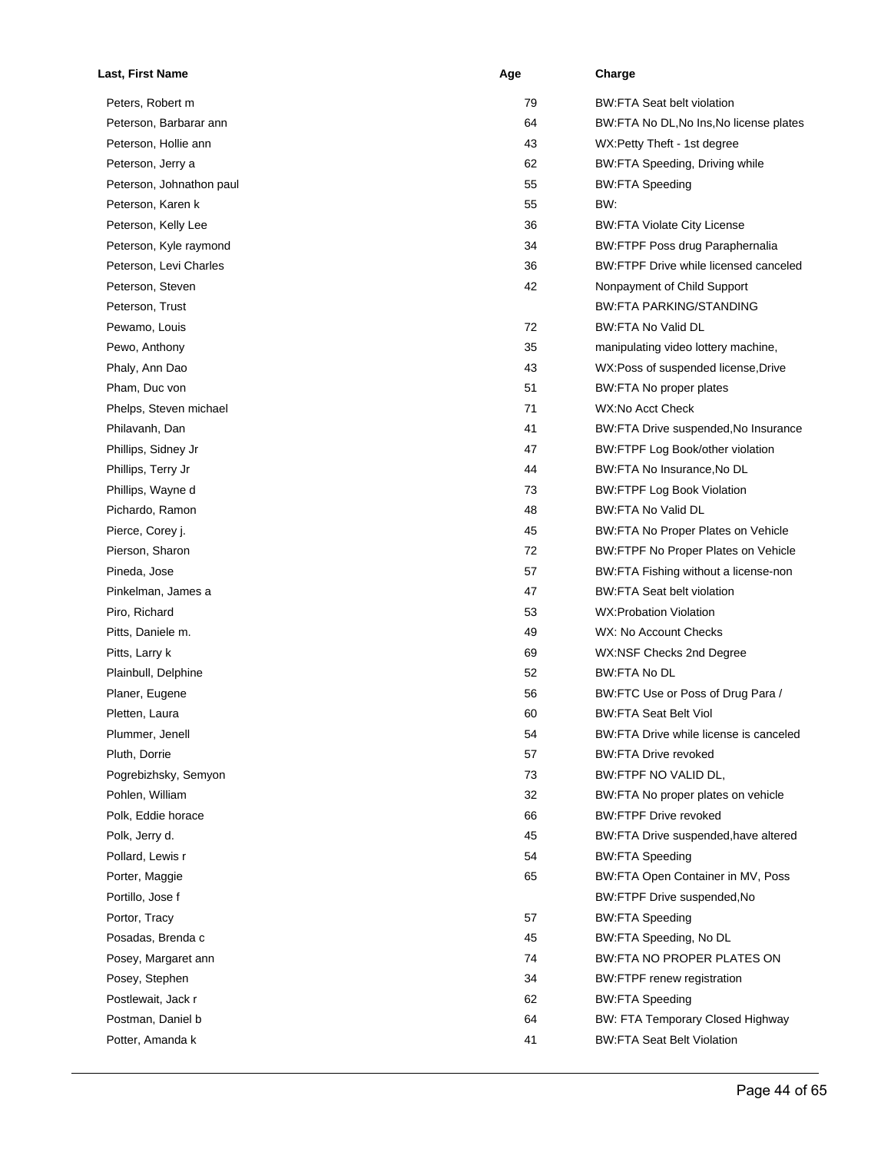| Last, First Name         | Age | Charge                                  |
|--------------------------|-----|-----------------------------------------|
| Peters, Robert m         | 79  | <b>BW:FTA Seat belt violation</b>       |
| Peterson, Barbarar ann   | 64  | BW:FTA No DL, No Ins, No license plates |
| Peterson, Hollie ann     | 43  | WX:Petty Theft - 1st degree             |
| Peterson, Jerry a        | 62  | BW:FTA Speeding, Driving while          |
| Peterson, Johnathon paul | 55  | <b>BW:FTA Speeding</b>                  |
| Peterson, Karen k        | 55  | BW:                                     |
| Peterson, Kelly Lee      | 36  | <b>BW:FTA Violate City License</b>      |
| Peterson, Kyle raymond   | 34  | <b>BW:FTPF Poss drug Paraphernalia</b>  |
| Peterson, Levi Charles   | 36  | BW:FTPF Drive while licensed canceled   |
| Peterson, Steven         | 42  | Nonpayment of Child Support             |
| Peterson, Trust          |     | <b>BW:FTA PARKING/STANDING</b>          |
| Pewamo, Louis            | 72  | BW:FTA No Valid DL                      |
| Pewo, Anthony            | 35  | manipulating video lottery machine,     |
| Phaly, Ann Dao           | 43  | WX:Poss of suspended license, Drive     |
| Pham, Duc von            | 51  | BW:FTA No proper plates                 |
| Phelps, Steven michael   | 71  | WX:No Acct Check                        |
| Philavanh, Dan           | 41  | BW:FTA Drive suspended, No Insurance    |
| Phillips, Sidney Jr      | 47  | BW:FTPF Log Book/other violation        |
| Phillips, Terry Jr       | 44  | BW:FTA No Insurance, No DL              |
| Phillips, Wayne d        | 73  | <b>BW:FTPF Log Book Violation</b>       |
| Pichardo, Ramon          | 48  | <b>BW:FTA No Valid DL</b>               |
| Pierce, Corey j.         | 45  | BW:FTA No Proper Plates on Vehicle      |
| Pierson, Sharon          | 72  | BW:FTPF No Proper Plates on Vehicle     |
| Pineda, Jose             | 57  | BW:FTA Fishing without a license-non    |
| Pinkelman, James a       | 47  | <b>BW:FTA Seat belt violation</b>       |
| Piro, Richard            | 53  | <b>WX:Probation Violation</b>           |
| Pitts, Daniele m.        | 49  | WX: No Account Checks                   |
| Pitts, Larry k           | 69  | WX:NSF Checks 2nd Degree                |
| Plainbull, Delphine      | 52  | <b>BW:FTA No DL</b>                     |
| Planer, Eugene           | 56  | BW:FTC Use or Poss of Drug Para /       |
| Pletten, Laura           | 60  | <b>BW:FTA Seat Belt Viol</b>            |
| Plummer, Jenell          | 54  | BW:FTA Drive while license is canceled  |
| Pluth, Dorrie            | 57  | <b>BW:FTA Drive revoked</b>             |
| Pogrebizhsky, Semyon     | 73  | BW:FTPF NO VALID DL,                    |
| Pohlen, William          | 32  | BW:FTA No proper plates on vehicle      |
| Polk, Eddie horace       | 66  | <b>BW:FTPF Drive revoked</b>            |
| Polk, Jerry d.           | 45  | BW:FTA Drive suspended, have altered    |
| Pollard, Lewis r         | 54  | <b>BW:FTA Speeding</b>                  |
| Porter, Maggie           | 65  | BW:FTA Open Container in MV, Poss       |
| Portillo, Jose f         |     | BW:FTPF Drive suspended, No             |
| Portor, Tracy            | 57  | <b>BW:FTA Speeding</b>                  |
| Posadas, Brenda c        | 45  | BW:FTA Speeding, No DL                  |
| Posey, Margaret ann      | 74  | BW:FTA NO PROPER PLATES ON              |
| Posey, Stephen           | 34  | BW:FTPF renew registration              |
| Postlewait, Jack r       | 62  | <b>BW:FTA Speeding</b>                  |
| Postman, Daniel b        | 64  | BW: FTA Temporary Closed Highway        |
| Potter, Amanda k         | 41  | <b>BW:FTA Seat Belt Violation</b>       |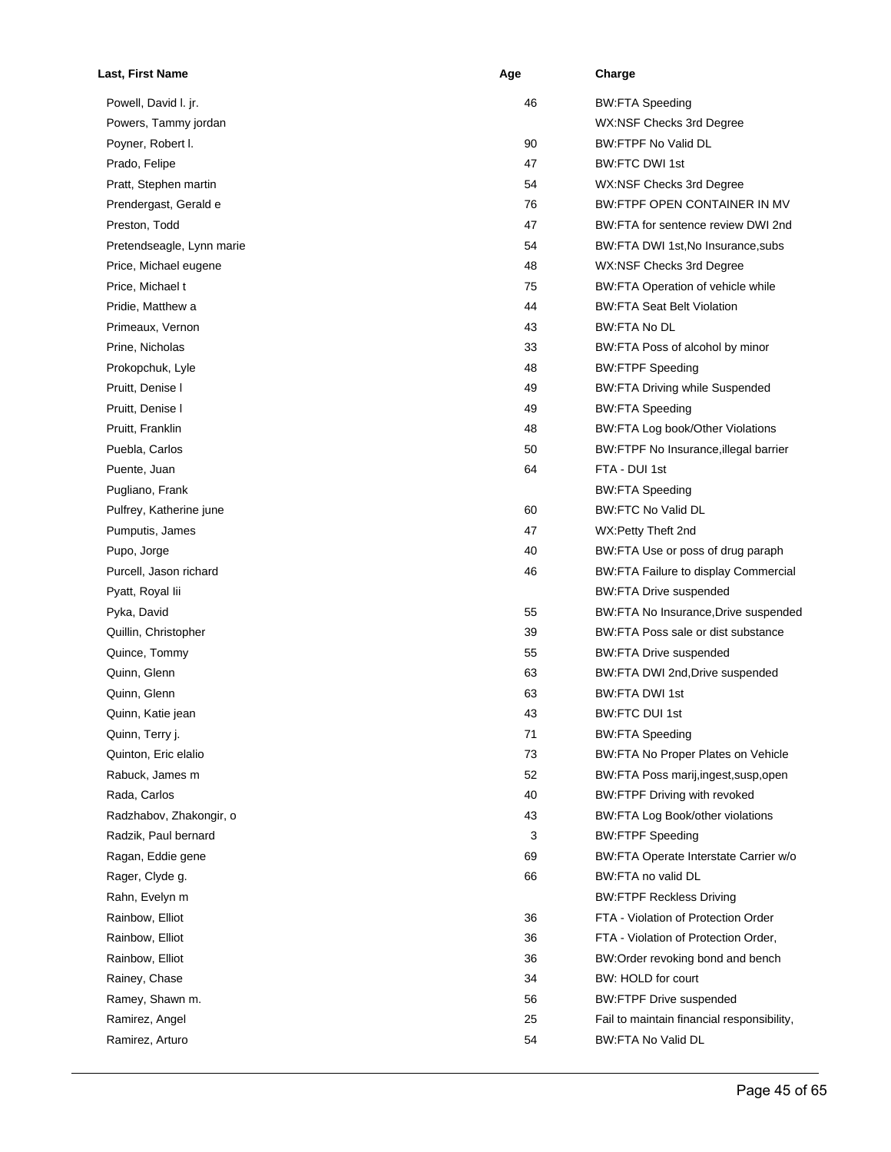| Last, First Name          | Age     | Charge                                                      |
|---------------------------|---------|-------------------------------------------------------------|
| Powell, David I. jr.      | 46      | <b>BW:FTA Speeding</b>                                      |
| Powers, Tammy jordan      |         | WX:NSF Checks 3rd Degree                                    |
| Poyner, Robert I.         | 90      | <b>BW:FTPF No Valid DL</b>                                  |
| Prado, Felipe             | 47      | <b>BW:FTC DWI 1st</b>                                       |
| Pratt, Stephen martin     | 54      | WX:NSF Checks 3rd Degree                                    |
| Prendergast, Gerald e     | 76      | BW:FTPF OPEN CONTAINER IN MV                                |
| Preston, Todd             | 47      | BW:FTA for sentence review DWI 2nd                          |
| Pretendseagle, Lynn marie | 54      | BW:FTA DWI 1st, No Insurance, subs                          |
| Price, Michael eugene     | 48      | WX:NSF Checks 3rd Degree                                    |
| Price, Michael t          | 75      | BW:FTA Operation of vehicle while                           |
| Pridie, Matthew a         | 44      | <b>BW:FTA Seat Belt Violation</b>                           |
| Primeaux, Vernon          | 43      | BW:FTA No DL                                                |
| Prine, Nicholas           | 33      | BW:FTA Poss of alcohol by minor                             |
| Prokopchuk, Lyle          | 48      | <b>BW:FTPF Speeding</b>                                     |
| Pruitt, Denise I          | 49      | <b>BW:FTA Driving while Suspended</b>                       |
| Pruitt, Denise I          | 49      | <b>BW:FTA Speeding</b>                                      |
| Pruitt, Franklin          | 48      | BW:FTA Log book/Other Violations                            |
| Puebla, Carlos            | 50      | BW:FTPF No Insurance, illegal barrier                       |
| Puente, Juan              | 64      | FTA - DUI 1st                                               |
| Pugliano, Frank           |         | <b>BW:FTA Speeding</b>                                      |
| Pulfrey, Katherine june   | 60      | <b>BW:FTC No Valid DL</b>                                   |
| Pumputis, James           | 47      | WX:Petty Theft 2nd                                          |
| Pupo, Jorge               | 40      | BW:FTA Use or poss of drug paraph                           |
| Purcell, Jason richard    | 46      | BW:FTA Failure to display Commercial                        |
| Pyatt, Royal lii          |         | <b>BW:FTA Drive suspended</b>                               |
| Pyka, David               | 55      | BW:FTA No Insurance, Drive suspended                        |
| Quillin, Christopher      | 39      | BW:FTA Poss sale or dist substance                          |
| Quince, Tommy             | 55      | <b>BW:FTA Drive suspended</b>                               |
| Quinn, Glenn              | 63      | BW:FTA DWI 2nd, Drive suspended                             |
| Quinn, Glenn              | 63      | <b>BW:FTA DWI 1st</b>                                       |
| Quinn, Katie jean         | 43      | <b>BW:FTC DUI 1st</b>                                       |
| Quinn, Terry j.           | 71      | <b>BW:FTA Speeding</b>                                      |
| Quinton, Eric elalio      | 73      | BW:FTA No Proper Plates on Vehicle                          |
| Rabuck, James m           | 52      | BW:FTA Poss marij, ingest, susp, open                       |
|                           | 40      | <b>BW:FTPF Driving with revoked</b>                         |
| Rada, Carlos              |         | <b>BW:FTA Log Book/other violations</b>                     |
| Radzhabov, Zhakongir, o   | 43<br>3 | <b>BW:FTPF Speeding</b>                                     |
| Radzik, Paul bernard      |         |                                                             |
| Ragan, Eddie gene         | 69      | BW:FTA Operate Interstate Carrier w/o<br>BW:FTA no valid DL |
| Rager, Clyde g.           | 66      |                                                             |
| Rahn, Evelyn m            |         | <b>BW:FTPF Reckless Driving</b>                             |
| Rainbow, Elliot           | 36      | FTA - Violation of Protection Order                         |
| Rainbow, Elliot           | 36      | FTA - Violation of Protection Order,                        |
| Rainbow, Elliot           | 36      | BW: Order revoking bond and bench                           |
| Rainey, Chase             | 34      | BW: HOLD for court                                          |
| Ramey, Shawn m.           | 56      | <b>BW:FTPF Drive suspended</b>                              |
| Ramirez, Angel            | 25      | Fail to maintain financial responsibility,                  |
| Ramirez, Arturo           | 54      | <b>BW:FTA No Valid DL</b>                                   |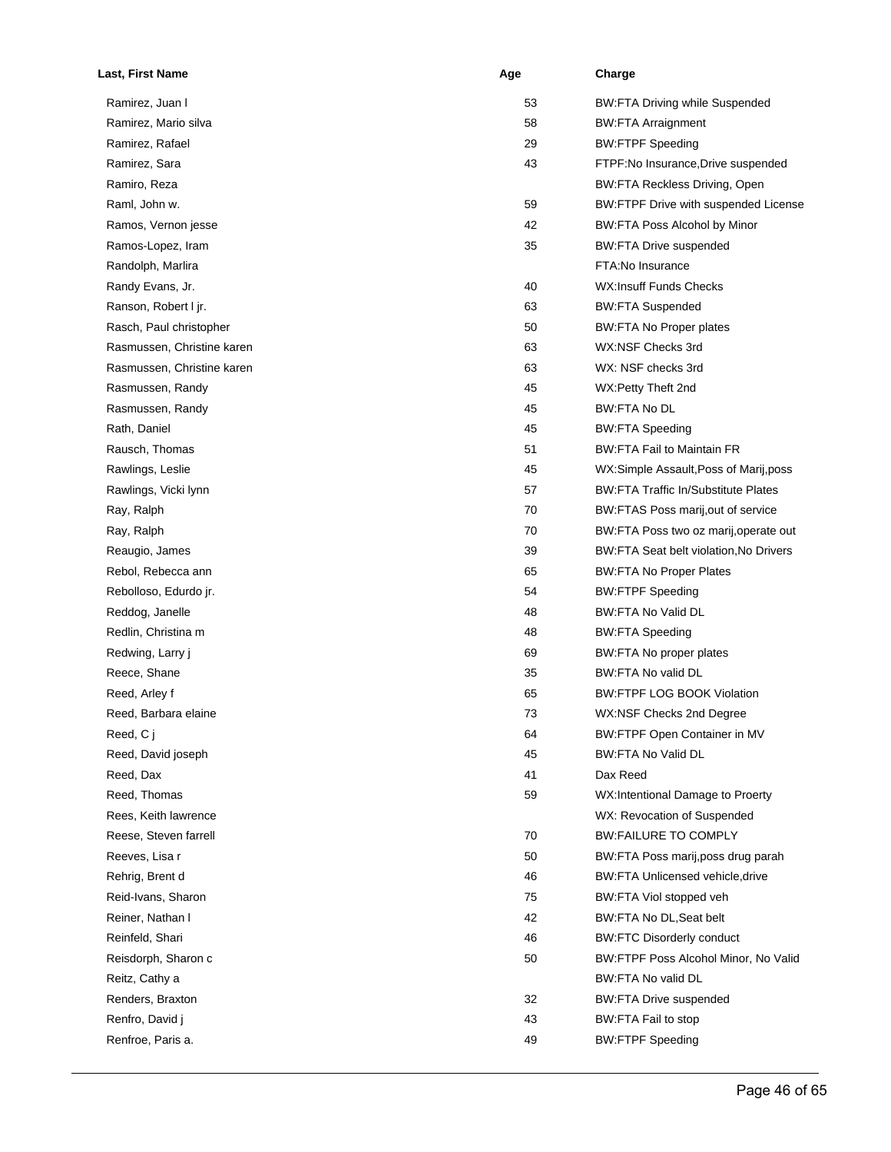| Last, First Name           | Age | Charge                                        |
|----------------------------|-----|-----------------------------------------------|
| Ramirez, Juan I            | 53  | <b>BW:FTA Driving while Suspended</b>         |
| Ramirez, Mario silva       | 58  | <b>BW:FTA Arraignment</b>                     |
| Ramirez, Rafael            | 29  | <b>BW:FTPF Speeding</b>                       |
| Ramirez, Sara              | 43  | FTPF: No Insurance, Drive suspended           |
| Ramiro, Reza               |     | <b>BW:FTA Reckless Driving, Open</b>          |
| Raml, John w.              | 59  | BW:FTPF Drive with suspended License          |
| Ramos, Vernon jesse        | 42  | BW:FTA Poss Alcohol by Minor                  |
| Ramos-Lopez, Iram          | 35  | <b>BW:FTA Drive suspended</b>                 |
| Randolph, Marlira          |     | FTA: No Insurance                             |
| Randy Evans, Jr.           | 40  | <b>WX:Insuff Funds Checks</b>                 |
| Ranson, Robert I jr.       | 63  | <b>BW:FTA Suspended</b>                       |
| Rasch, Paul christopher    | 50  | <b>BW:FTA No Proper plates</b>                |
| Rasmussen, Christine karen | 63  | WX:NSF Checks 3rd                             |
| Rasmussen, Christine karen | 63  | WX: NSF checks 3rd                            |
| Rasmussen, Randy           | 45  | WX:Petty Theft 2nd                            |
| Rasmussen, Randy           | 45  | <b>BW:FTA No DL</b>                           |
| Rath, Daniel               | 45  | <b>BW:FTA Speeding</b>                        |
| Rausch, Thomas             | 51  | <b>BW:FTA Fail to Maintain FR</b>             |
| Rawlings, Leslie           | 45  | WX:Simple Assault, Poss of Marij, poss        |
| Rawlings, Vicki lynn       | 57  | <b>BW:FTA Traffic In/Substitute Plates</b>    |
| Ray, Ralph                 | 70  | BW:FTAS Poss marij, out of service            |
| Ray, Ralph                 | 70  | BW:FTA Poss two oz marij, operate out         |
| Reaugio, James             | 39  | <b>BW:FTA Seat belt violation, No Drivers</b> |
| Rebol, Rebecca ann         | 65  | <b>BW:FTA No Proper Plates</b>                |
| Rebolloso, Edurdo jr.      | 54  | <b>BW:FTPF Speeding</b>                       |
| Reddog, Janelle            | 48  | <b>BW:FTA No Valid DL</b>                     |
| Redlin, Christina m        | 48  | <b>BW:FTA Speeding</b>                        |
| Redwing, Larry j           | 69  | BW:FTA No proper plates                       |
| Reece, Shane               | 35  | BW:FTA No valid DL                            |
| Reed, Arley f              | 65  | <b>BW:FTPF LOG BOOK Violation</b>             |
| Reed, Barbara elaine       | 73  | WX:NSF Checks 2nd Degree                      |
| Reed, C j                  | 64  | BW:FTPF Open Container in MV                  |
| Reed, David joseph         | 45  | <b>BW:FTA No Valid DL</b>                     |
| Reed, Dax                  | 41  | Dax Reed                                      |
| Reed, Thomas               | 59  | WX:Intentional Damage to Proerty              |
| Rees, Keith lawrence       |     | WX: Revocation of Suspended                   |
| Reese, Steven farrell      | 70  | <b>BW:FAILURE TO COMPLY</b>                   |
| Reeves, Lisa r             | 50  | BW:FTA Poss marij, poss drug parah            |
| Rehrig, Brent d            | 46  | BW:FTA Unlicensed vehicle, drive              |
| Reid-Ivans, Sharon         | 75  | BW:FTA Viol stopped veh                       |
| Reiner, Nathan I           | 42  | BW:FTA No DL, Seat belt                       |
| Reinfeld, Shari            | 46  | <b>BW:FTC Disorderly conduct</b>              |
| Reisdorph, Sharon c        | 50  | BW:FTPF Poss Alcohol Minor, No Valid          |
| Reitz, Cathy a             |     | BW:FTA No valid DL                            |
| Renders, Braxton           | 32  | <b>BW:FTA Drive suspended</b>                 |
| Renfro, David j            | 43  | BW:FTA Fail to stop                           |
| Renfroe, Paris a.          | 49  | <b>BW:FTPF Speeding</b>                       |
|                            |     |                                               |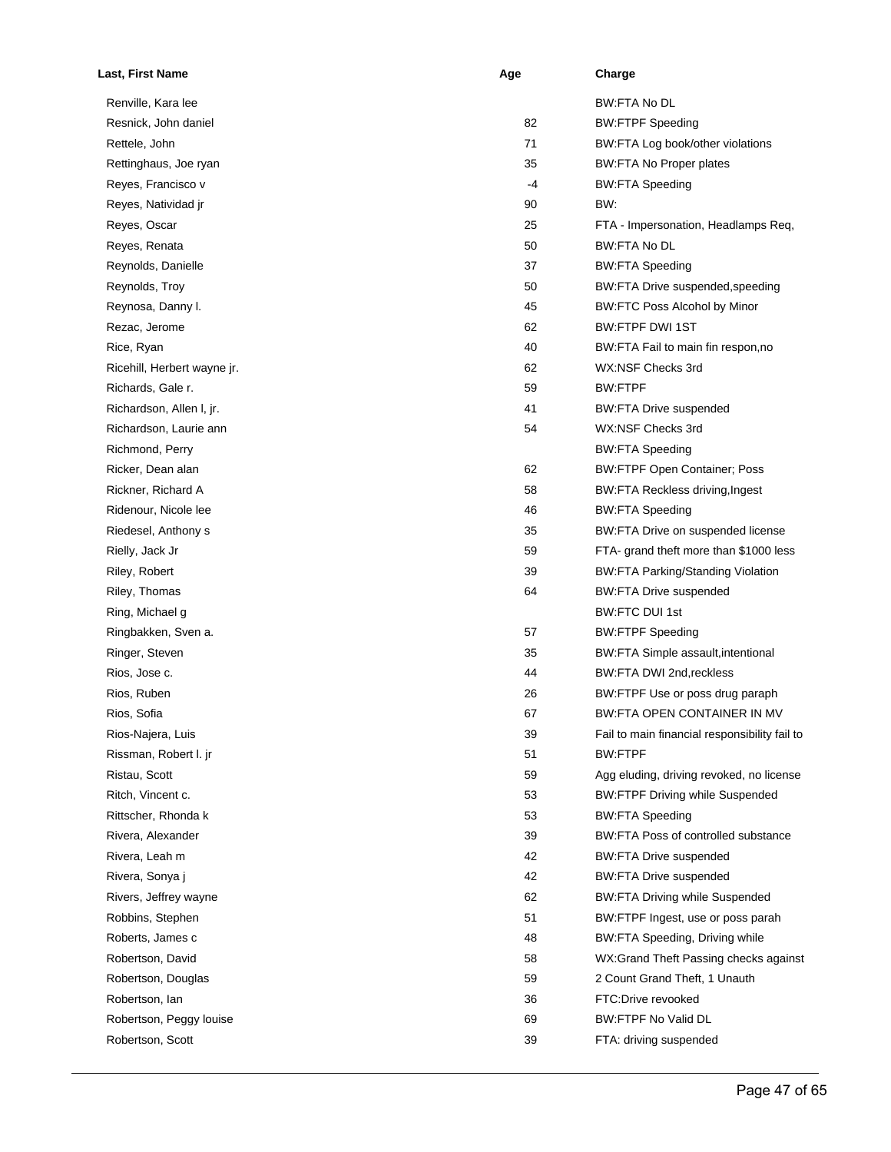| Last, First Name            | Age  | Charge                                        |
|-----------------------------|------|-----------------------------------------------|
| Renville, Kara lee          |      | <b>BW:FTA No DL</b>                           |
| Resnick, John daniel        | 82   | <b>BW:FTPF Speeding</b>                       |
| Rettele, John               | 71   | BW:FTA Log book/other violations              |
| Rettinghaus, Joe ryan       | 35   | <b>BW:FTA No Proper plates</b>                |
| Reyes, Francisco v          | $-4$ | <b>BW:FTA Speeding</b>                        |
| Reyes, Natividad jr         | 90   | BW.                                           |
| Reyes, Oscar                | 25   | FTA - Impersonation, Headlamps Req,           |
| Reyes, Renata               | 50   | <b>BW:FTA No DL</b>                           |
| Reynolds, Danielle          | 37   | <b>BW:FTA Speeding</b>                        |
| Reynolds, Troy              | 50   | BW:FTA Drive suspended, speeding              |
| Reynosa, Danny I.           | 45   | <b>BW:FTC Poss Alcohol by Minor</b>           |
| Rezac, Jerome               | 62   | <b>BW:FTPF DWI 1ST</b>                        |
| Rice, Ryan                  | 40   | BW:FTA Fail to main fin respon, no            |
| Ricehill, Herbert wayne jr. | 62   | WX:NSF Checks 3rd                             |
| Richards, Gale r.           | 59   | BW:FTPF                                       |
| Richardson, Allen I, jr.    | 41   | <b>BW:FTA Drive suspended</b>                 |
| Richardson, Laurie ann      | 54   | WX:NSF Checks 3rd                             |
| Richmond, Perry             |      | <b>BW:FTA Speeding</b>                        |
| Ricker, Dean alan           | 62   | <b>BW:FTPF Open Container; Poss</b>           |
| Rickner, Richard A          | 58   | <b>BW:FTA Reckless driving, Ingest</b>        |
| Ridenour, Nicole lee        | 46   | <b>BW:FTA Speeding</b>                        |
| Riedesel, Anthony s         | 35   | BW:FTA Drive on suspended license             |
| Rielly, Jack Jr             | 59   | FTA- grand theft more than \$1000 less        |
| Riley, Robert               | 39   | <b>BW:FTA Parking/Standing Violation</b>      |
| Riley, Thomas               | 64   | <b>BW:FTA Drive suspended</b>                 |
| Ring, Michael g             |      | <b>BW:FTC DUI 1st</b>                         |
| Ringbakken, Sven a.         | 57   | <b>BW:FTPF Speeding</b>                       |
| Ringer, Steven              | 35   | BW:FTA Simple assault, intentional            |
| Rios, Jose c.               | 44   | BW:FTA DWI 2nd, reckless                      |
| Rios, Ruben                 | 26   | BW:FTPF Use or poss drug paraph               |
| Rios, Sofia                 | 67   | BW:FTA OPEN CONTAINER IN MV                   |
| Rios-Najera, Luis           | 39   | Fail to main financial responsibility fail to |
| Rissman, Robert I. jr       | 51   | BW:FTPF                                       |
| Ristau, Scott               | 59   | Agg eluding, driving revoked, no license      |
| Ritch, Vincent c.           | 53   | <b>BW:FTPF Driving while Suspended</b>        |
| Rittscher, Rhonda k         | 53   | <b>BW:FTA Speeding</b>                        |
| Rivera, Alexander           | 39   | BW:FTA Poss of controlled substance           |
| Rivera, Leah m              | 42   | <b>BW:FTA Drive suspended</b>                 |
| Rivera, Sonya j             | 42   | <b>BW:FTA Drive suspended</b>                 |
| Rivers, Jeffrey wayne       | 62   | <b>BW:FTA Driving while Suspended</b>         |
| Robbins, Stephen            | 51   | BW:FTPF Ingest, use or poss parah             |
| Roberts, James c            | 48   | BW:FTA Speeding, Driving while                |
| Robertson, David            | 58   | WX: Grand Theft Passing checks against        |
| Robertson, Douglas          | 59   | 2 Count Grand Theft, 1 Unauth                 |
| Robertson, Ian              | 36   | FTC:Drive revooked                            |
| Robertson, Peggy louise     | 69   | <b>BW:FTPF No Valid DL</b>                    |
| Robertson, Scott            | 39   | FTA: driving suspended                        |
|                             |      |                                               |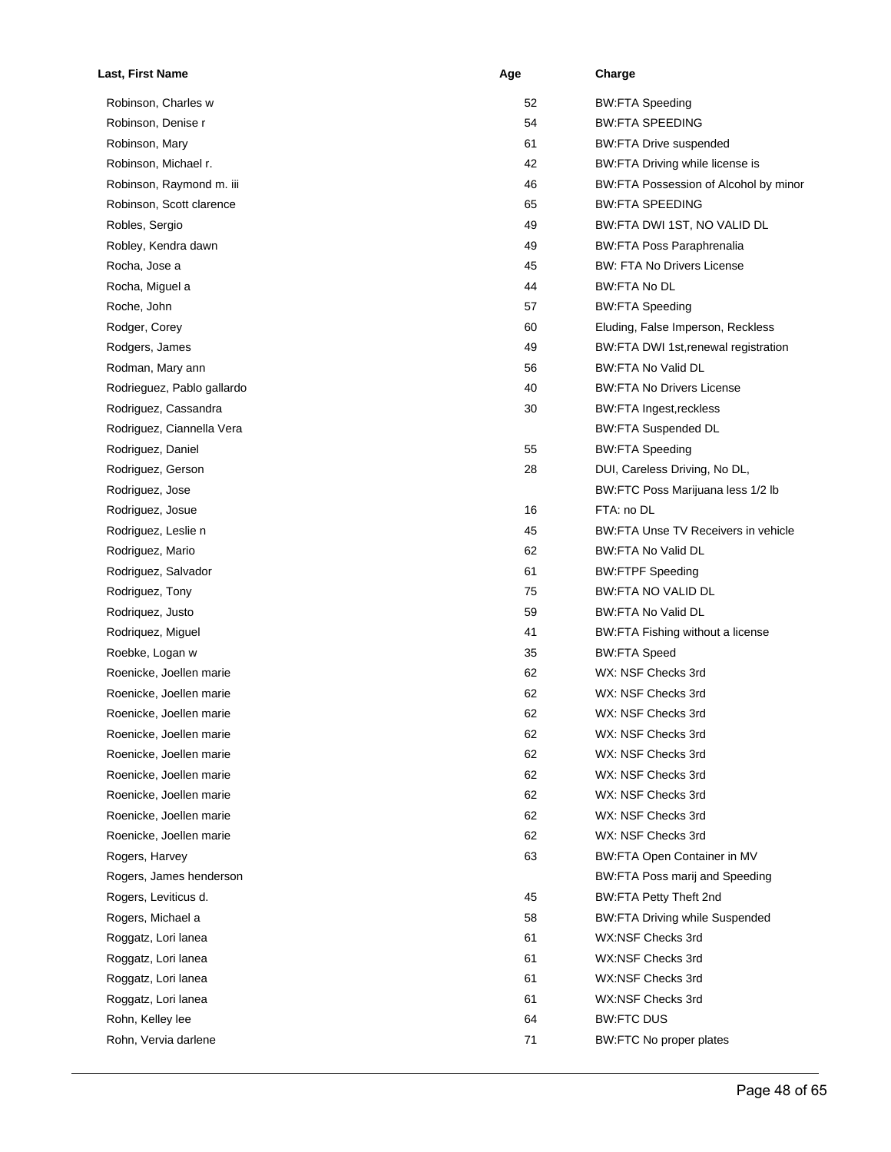| Last, First Name           | Age | Charge                                     |
|----------------------------|-----|--------------------------------------------|
| Robinson, Charles w        | 52  | <b>BW:FTA Speeding</b>                     |
| Robinson, Denise r         | 54  | <b>BW:FTA SPEEDING</b>                     |
| Robinson, Mary             | 61  | <b>BW:FTA Drive suspended</b>              |
| Robinson, Michael r.       | 42  | BW:FTA Driving while license is            |
| Robinson, Raymond m. iii   | 46  | BW:FTA Possession of Alcohol by minor      |
| Robinson, Scott clarence   | 65  | <b>BW:FTA SPEEDING</b>                     |
| Robles, Sergio             | 49  | BW:FTA DWI 1ST, NO VALID DL                |
| Robley, Kendra dawn        | 49  | <b>BW:FTA Poss Paraphrenalia</b>           |
| Rocha, Jose a              | 45  | <b>BW: FTA No Drivers License</b>          |
| Rocha, Miguel a            | 44  | BW:FTA No DL                               |
| Roche, John                | 57  | <b>BW:FTA Speeding</b>                     |
| Rodger, Corey              | 60  | Eluding, False Imperson, Reckless          |
| Rodgers, James             | 49  | BW:FTA DWI 1st, renewal registration       |
| Rodman, Mary ann           | 56  | <b>BW:FTA No Valid DL</b>                  |
| Rodrieguez, Pablo gallardo | 40  | <b>BW:FTA No Drivers License</b>           |
| Rodriguez, Cassandra       | 30  | <b>BW:FTA Ingest,reckless</b>              |
| Rodriguez, Ciannella Vera  |     | <b>BW:FTA Suspended DL</b>                 |
| Rodriguez, Daniel          | 55  | <b>BW:FTA Speeding</b>                     |
| Rodriguez, Gerson          | 28  | DUI, Careless Driving, No DL,              |
| Rodriguez, Jose            |     | BW:FTC Poss Marijuana less 1/2 lb          |
| Rodriguez, Josue           | 16  | FTA: no DL                                 |
| Rodriguez, Leslie n        | 45  | <b>BW:FTA Unse TV Receivers in vehicle</b> |
| Rodriguez, Mario           | 62  | <b>BW:FTA No Valid DL</b>                  |
| Rodriguez, Salvador        | 61  | <b>BW:FTPF Speeding</b>                    |
| Rodriguez, Tony            | 75  | <b>BW:FTA NO VALID DL</b>                  |
| Rodriquez, Justo           | 59  | BW:FTA No Valid DL                         |
| Rodriquez, Miguel          | 41  | BW:FTA Fishing without a license           |
| Roebke, Logan w            | 35  | <b>BW:FTA Speed</b>                        |
| Roenicke, Joellen marie    | 62  | WX: NSF Checks 3rd                         |
| Roenicke, Joellen marie    | 62  | WX: NSF Checks 3rd                         |
| Roenicke, Joellen marie    | 62  | WX: NSF Checks 3rd                         |
| Roenicke, Joellen marie    | 62  | WX: NSF Checks 3rd                         |
| Roenicke, Joellen marie    | 62  | WX: NSF Checks 3rd                         |
| Roenicke, Joellen marie    | 62  | WX: NSF Checks 3rd                         |
| Roenicke, Joellen marie    | 62  | WX: NSF Checks 3rd                         |
| Roenicke, Joellen marie    | 62  | WX: NSF Checks 3rd                         |
| Roenicke, Joellen marie    | 62  | WX: NSF Checks 3rd                         |
| Rogers, Harvey             | 63  | BW:FTA Open Container in MV                |
| Rogers, James henderson    |     | BW:FTA Poss marij and Speeding             |
| Rogers, Leviticus d.       | 45  | BW:FTA Petty Theft 2nd                     |
| Rogers, Michael a          | 58  | <b>BW:FTA Driving while Suspended</b>      |
| Roggatz, Lori lanea        | 61  | WX:NSF Checks 3rd                          |
| Roggatz, Lori lanea        | 61  | WX:NSF Checks 3rd                          |
| Roggatz, Lori lanea        | 61  | WX:NSF Checks 3rd                          |
| Roggatz, Lori lanea        | 61  | WX:NSF Checks 3rd                          |
| Rohn, Kelley lee           | 64  | <b>BW:FTC DUS</b>                          |
| Rohn, Vervia darlene       | 71  | BW:FTC No proper plates                    |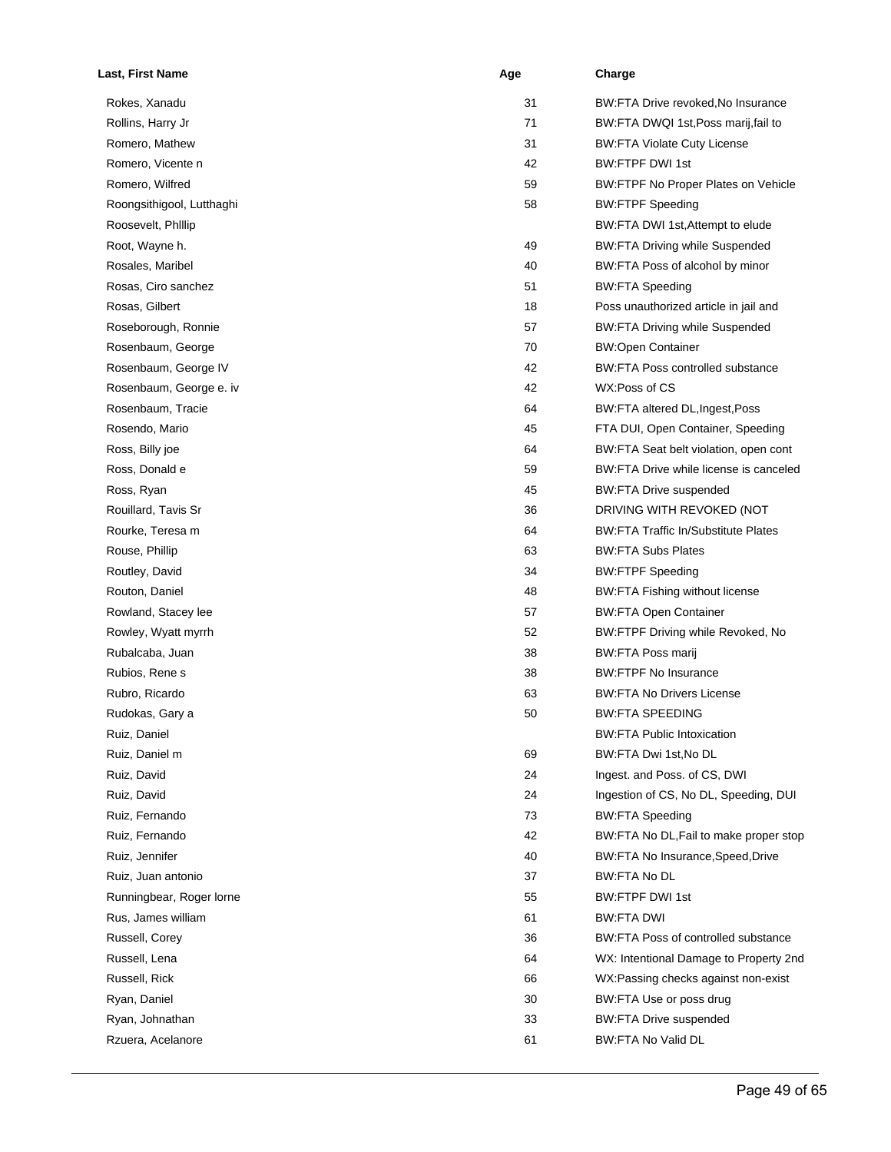| Last, First Name          | Age | Charge                                     |
|---------------------------|-----|--------------------------------------------|
| Rokes, Xanadu             | 31  | BW:FTA Drive revoked, No Insurance         |
| Rollins, Harry Jr         | 71  | BW:FTA DWQI 1st, Poss marij, fail to       |
| Romero, Mathew            | 31  | <b>BW:FTA Violate Cuty License</b>         |
| Romero, Vicente n         | 42  | <b>BW:FTPF DWI 1st</b>                     |
| Romero, Wilfred           | 59  | BW:FTPF No Proper Plates on Vehicle        |
| Roongsithigool, Lutthaghi | 58  | <b>BW:FTPF Speeding</b>                    |
| Roosevelt, Phillip        |     | BW:FTA DWI 1st, Attempt to elude           |
| Root, Wayne h.            | 49  | <b>BW:FTA Driving while Suspended</b>      |
| Rosales, Maribel          | 40  | BW:FTA Poss of alcohol by minor            |
| Rosas, Ciro sanchez       | 51  | <b>BW:FTA Speeding</b>                     |
| Rosas, Gilbert            | 18  | Poss unauthorized article in jail and      |
| Roseborough, Ronnie       | 57  | <b>BW:FTA Driving while Suspended</b>      |
| Rosenbaum, George         | 70  | <b>BW:Open Container</b>                   |
| Rosenbaum, George IV      | 42  | <b>BW:FTA Poss controlled substance</b>    |
| Rosenbaum, George e. iv   | 42  | WX:Poss of CS                              |
| Rosenbaum, Tracie         | 64  | BW:FTA altered DL, Ingest, Poss            |
| Rosendo, Mario            | 45  | FTA DUI, Open Container, Speeding          |
| Ross, Billy joe           | 64  | BW:FTA Seat belt violation, open cont      |
| Ross, Donald e            | 59  | BW:FTA Drive while license is canceled     |
| Ross, Ryan                | 45  | <b>BW:FTA Drive suspended</b>              |
| Rouillard, Tavis Sr       | 36  | DRIVING WITH REVOKED (NOT                  |
| Rourke, Teresa m          | 64  | <b>BW:FTA Traffic In/Substitute Plates</b> |
| Rouse, Phillip            | 63  | <b>BW:FTA Subs Plates</b>                  |
| Routley, David            | 34  | <b>BW:FTPF Speeding</b>                    |
| Routon, Daniel            | 48  | BW:FTA Fishing without license             |
| Rowland, Stacey lee       | 57  | <b>BW:FTA Open Container</b>               |
| Rowley, Wyatt myrrh       | 52  | BW:FTPF Driving while Revoked, No          |
| Rubalcaba, Juan           | 38  | <b>BW:FTA Poss marij</b>                   |
| Rubios, Rene s            | 38  | <b>BW:FTPF No Insurance</b>                |
| Rubro, Ricardo            | 63  | <b>BW:FTA No Drivers License</b>           |
| Rudokas, Gary a           | 50  | <b>BW:FTA SPEEDING</b>                     |
| Ruiz, Daniel              |     | <b>BW:FTA Public Intoxication</b>          |
| Ruiz, Daniel m            | 69  | BW:FTA Dwi 1st, No DL                      |
| Ruiz, David               | 24  | Ingest. and Poss. of CS, DWI               |
| Ruiz, David               | 24  | Ingestion of CS, No DL, Speeding, DUI      |
| Ruiz, Fernando            | 73  | <b>BW:FTA Speeding</b>                     |
| Ruiz, Fernando            | 42  | BW:FTA No DL, Fail to make proper stop     |
| Ruiz, Jennifer            | 40  | BW:FTA No Insurance, Speed, Drive          |
| Ruiz, Juan antonio        | 37  | <b>BW:FTA No DL</b>                        |
| Runningbear, Roger lorne  | 55  | <b>BW:FTPF DWI 1st</b>                     |
| Rus, James william        | 61  | <b>BW:FTA DWI</b>                          |
| Russell, Corey            | 36  | BW:FTA Poss of controlled substance        |
| Russell, Lena             | 64  | WX: Intentional Damage to Property 2nd     |
| Russell, Rick             | 66  | WX: Passing checks against non-exist       |
| Ryan, Daniel              | 30  | BW:FTA Use or poss drug                    |
| Ryan, Johnathan           | 33  | <b>BW:FTA Drive suspended</b>              |
| Rzuera, Acelanore         | 61  | BW:FTA No Valid DL                         |
|                           |     |                                            |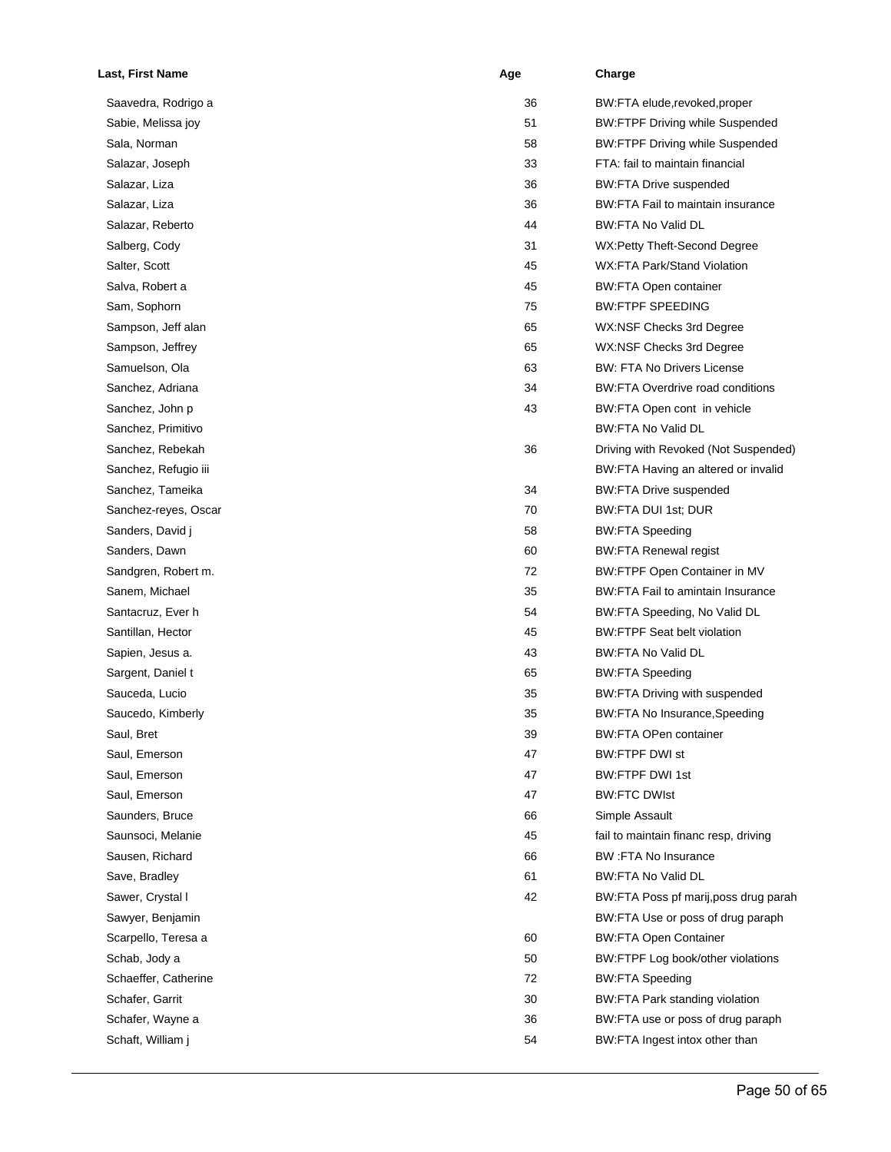| <b>Last, First Name</b> | Age | Charge                                  |
|-------------------------|-----|-----------------------------------------|
| Saavedra, Rodrigo a     | 36  | BW:FTA elude, revoked, proper           |
| Sabie, Melissa joy      | 51  | <b>BW:FTPF Driving while Suspended</b>  |
| Sala, Norman            | 58  | <b>BW:FTPF Driving while Suspended</b>  |
| Salazar, Joseph         | 33  | FTA: fail to maintain financial         |
| Salazar, Liza           | 36  | <b>BW:FTA Drive suspended</b>           |
| Salazar, Liza           | 36  | BW:FTA Fail to maintain insurance       |
| Salazar, Reberto        | 44  | <b>BW:FTA No Valid DL</b>               |
| Salberg, Cody           | 31  | WX:Petty Theft-Second Degree            |
| Salter, Scott           | 45  | WX:FTA Park/Stand Violation             |
| Salva, Robert a         | 45  | <b>BW:FTA Open container</b>            |
| Sam, Sophorn            | 75  | <b>BW:FTPF SPEEDING</b>                 |
| Sampson, Jeff alan      | 65  | WX:NSF Checks 3rd Degree                |
| Sampson, Jeffrey        | 65  | WX:NSF Checks 3rd Degree                |
| Samuelson, Ola          | 63  | <b>BW: FTA No Drivers License</b>       |
| Sanchez, Adriana        | 34  | <b>BW:FTA Overdrive road conditions</b> |
| Sanchez, John p         | 43  | BW:FTA Open cont in vehicle             |
| Sanchez, Primitivo      |     | <b>BW:FTA No Valid DL</b>               |
| Sanchez, Rebekah        | 36  | Driving with Revoked (Not Suspended)    |
| Sanchez, Refugio iii    |     | BW:FTA Having an altered or invalid     |
| Sanchez, Tameika        | 34  | <b>BW:FTA Drive suspended</b>           |
| Sanchez-reyes, Oscar    | 70  | BW:FTA DUI 1st; DUR                     |
| Sanders, David j        | 58  | <b>BW:FTA Speeding</b>                  |
| Sanders, Dawn           | 60  | <b>BW:FTA Renewal regist</b>            |
| Sandgren, Robert m.     | 72  | BW:FTPF Open Container in MV            |
| Sanem, Michael          | 35  | BW:FTA Fail to amintain Insurance       |
| Santacruz, Ever h       | 54  | BW:FTA Speeding, No Valid DL            |
| Santillan, Hector       | 45  | <b>BW:FTPF Seat belt violation</b>      |
| Sapien, Jesus a.        | 43  | BW:FTA No Valid DL                      |
| Sargent, Daniel t       | 65  | <b>BW:FTA Speeding</b>                  |
| Sauceda, Lucio          | 35  | BW:FTA Driving with suspended           |
| Saucedo, Kimberly       | 35  | BW:FTA No Insurance, Speeding           |
| Saul, Bret              | 39  | <b>BW:FTA OPen container</b>            |
| Saul, Emerson           | 47  | <b>BW:FTPF DWI st</b>                   |
| Saul, Emerson           | 47  | <b>BW:FTPF DWI 1st</b>                  |
| Saul, Emerson           | 47  | <b>BW:FTC DWIst</b>                     |
| Saunders, Bruce         | 66  | Simple Assault                          |
| Saunsoci, Melanie       | 45  | fail to maintain financ resp, driving   |
| Sausen, Richard         | 66  | BW:FTA No Insurance                     |
| Save, Bradley           | 61  | BW:FTA No Valid DL                      |
| Sawer, Crystal I        | 42  | BW:FTA Poss pf marij, poss drug parah   |
| Sawyer, Benjamin        |     | BW:FTA Use or poss of drug paraph       |
| Scarpello, Teresa a     | 60  | <b>BW:FTA Open Container</b>            |
| Schab, Jody a           | 50  | BW:FTPF Log book/other violations       |
| Schaeffer, Catherine    | 72  | <b>BW:FTA Speeding</b>                  |
| Schafer, Garrit         | 30  | BW:FTA Park standing violation          |
| Schafer, Wayne a        | 36  | BW:FTA use or poss of drug paraph       |
| Schaft, William j       | 54  | BW:FTA Ingest intox other than          |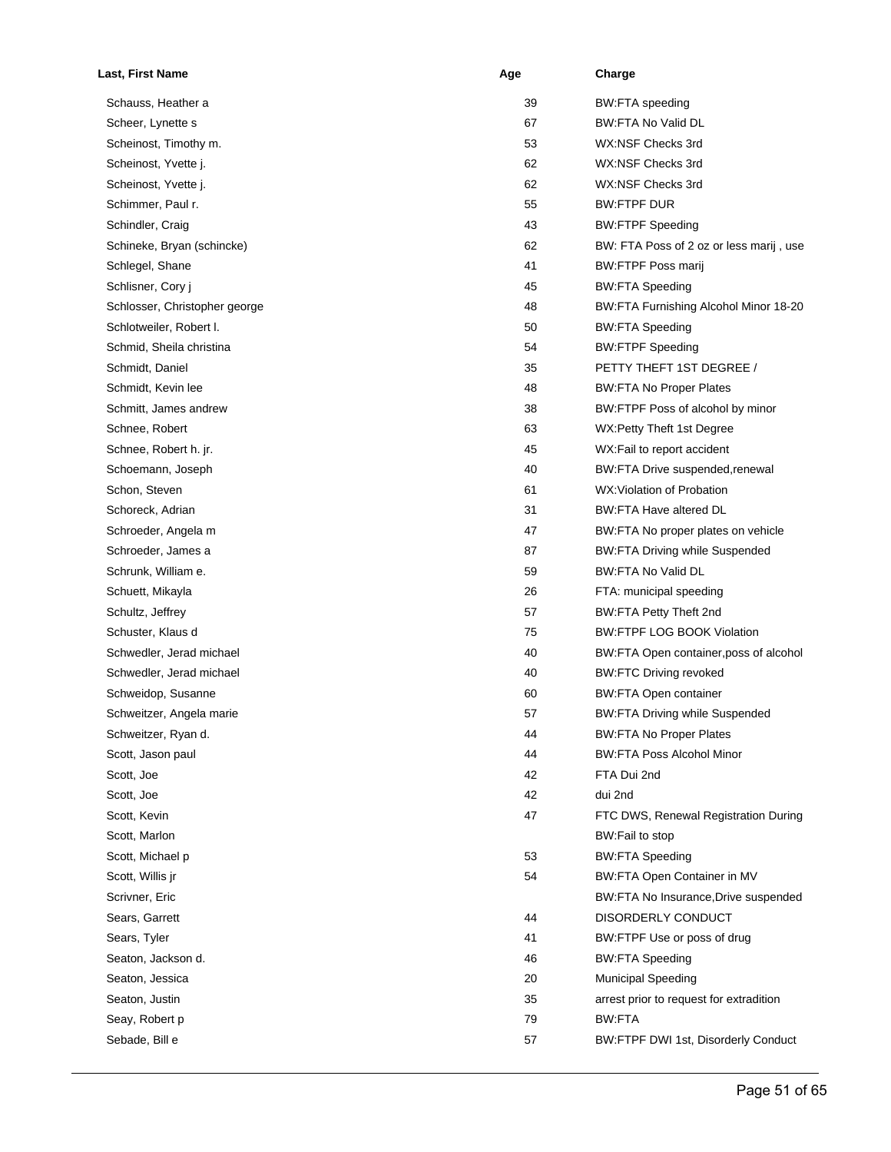| Last, First Name              | Age | Charge                                  |
|-------------------------------|-----|-----------------------------------------|
| Schauss, Heather a            | 39  | BW:FTA speeding                         |
| Scheer, Lynette s             | 67  | BW:FTA No Valid DL                      |
| Scheinost, Timothy m.         | 53  | WX:NSF Checks 3rd                       |
| Scheinost, Yvette j.          | 62  | WX:NSF Checks 3rd                       |
| Scheinost, Yvette j.          | 62  | WX:NSF Checks 3rd                       |
| Schimmer, Paul r.             | 55  | <b>BW:FTPF DUR</b>                      |
| Schindler, Craig              | 43  | <b>BW:FTPF Speeding</b>                 |
| Schineke, Bryan (schincke)    | 62  | BW: FTA Poss of 2 oz or less marij, use |
| Schlegel, Shane               | 41  | <b>BW:FTPF Poss marij</b>               |
| Schlisner, Cory j             | 45  | <b>BW:FTA Speeding</b>                  |
| Schlosser, Christopher george | 48  | BW:FTA Furnishing Alcohol Minor 18-20   |
| Schlotweiler, Robert I.       | 50  | <b>BW:FTA Speeding</b>                  |
| Schmid, Sheila christina      | 54  | <b>BW:FTPF Speeding</b>                 |
| Schmidt, Daniel               | 35  | PETTY THEFT 1ST DEGREE /                |
| Schmidt, Kevin lee            | 48  | <b>BW:FTA No Proper Plates</b>          |
| Schmitt, James andrew         | 38  | BW:FTPF Poss of alcohol by minor        |
| Schnee, Robert                | 63  | WX:Petty Theft 1st Degree               |
| Schnee, Robert h. jr.         | 45  | WX: Fail to report accident             |
| Schoemann, Joseph             | 40  | BW:FTA Drive suspended, renewal         |
| Schon, Steven                 | 61  | WX: Violation of Probation              |
| Schoreck, Adrian              | 31  | BW:FTA Have altered DL                  |
| Schroeder, Angela m           | 47  | BW:FTA No proper plates on vehicle      |
| Schroeder, James a            | 87  | <b>BW:FTA Driving while Suspended</b>   |
| Schrunk, William e.           | 59  | <b>BW:FTA No Valid DL</b>               |
| Schuett, Mikayla              | 26  | FTA: municipal speeding                 |
| Schultz, Jeffrey              | 57  | <b>BW:FTA Petty Theft 2nd</b>           |
| Schuster, Klaus d             | 75  | <b>BW:FTPF LOG BOOK Violation</b>       |
| Schwedler, Jerad michael      | 40  | BW:FTA Open container, poss of alcohol  |
| Schwedler, Jerad michael      | 40  | <b>BW:FTC Driving revoked</b>           |
| Schweidop, Susanne            | 60  | <b>BW:FTA Open container</b>            |
| Schweitzer, Angela marie      | 57  | <b>BW:FTA Driving while Suspended</b>   |
| Schweitzer, Ryan d.           | 44  | <b>BW:FTA No Proper Plates</b>          |
| Scott, Jason paul             | 44  | <b>BW:FTA Poss Alcohol Minor</b>        |
| Scott, Joe                    | 42  | FTA Dui 2nd                             |
| Scott, Joe                    | 42  | dui 2nd                                 |
| Scott, Kevin                  | 47  | FTC DWS, Renewal Registration During    |
| Scott, Marlon                 |     | BW:Fail to stop                         |
| Scott, Michael p              | 53  | <b>BW:FTA Speeding</b>                  |
| Scott, Willis jr              | 54  | BW:FTA Open Container in MV             |
| Scrivner, Eric                |     | BW:FTA No Insurance, Drive suspended    |
| Sears, Garrett                | 44  | DISORDERLY CONDUCT                      |
| Sears, Tyler                  | 41  | BW:FTPF Use or poss of drug             |
| Seaton, Jackson d.            | 46  | <b>BW:FTA Speeding</b>                  |
| Seaton, Jessica               | 20  | <b>Municipal Speeding</b>               |
| Seaton, Justin                | 35  | arrest prior to request for extradition |
| Seay, Robert p                | 79  | BW:FTA                                  |
| Sebade, Bill e                | 57  | BW:FTPF DWI 1st, Disorderly Conduct     |
|                               |     |                                         |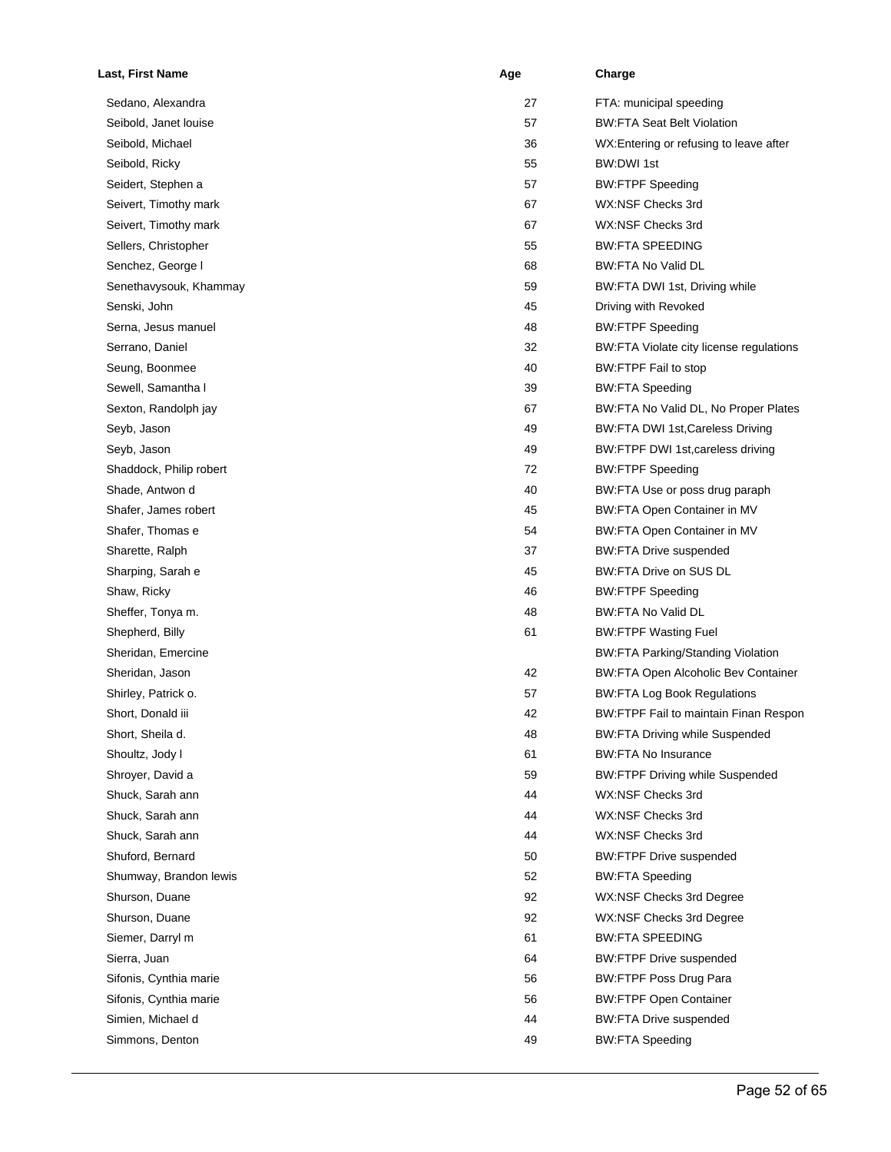| Last, First Name        | Age | Charge                                     |
|-------------------------|-----|--------------------------------------------|
| Sedano, Alexandra       | 27  | FTA: municipal speeding                    |
| Seibold, Janet Iouise   | 57  | <b>BW:FTA Seat Belt Violation</b>          |
| Seibold, Michael        | 36  | WX: Entering or refusing to leave after    |
| Seibold, Ricky          | 55  | BW:DWI 1st                                 |
| Seidert, Stephen a      | 57  | <b>BW:FTPF Speeding</b>                    |
| Seivert, Timothy mark   | 67  | WX:NSF Checks 3rd                          |
| Seivert, Timothy mark   | 67  | WX:NSF Checks 3rd                          |
| Sellers, Christopher    | 55  | <b>BW:FTA SPEEDING</b>                     |
| Senchez, George I       | 68  | <b>BW:FTA No Valid DL</b>                  |
| Senethavysouk, Khammay  | 59  | BW:FTA DWI 1st, Driving while              |
| Senski, John            | 45  | Driving with Revoked                       |
| Serna, Jesus manuel     | 48  | <b>BW:FTPF Speeding</b>                    |
| Serrano, Daniel         | 32  | BW:FTA Violate city license regulations    |
| Seung, Boonmee          | 40  | <b>BW:FTPF Fail to stop</b>                |
| Sewell, Samantha I      | 39  | <b>BW:FTA Speeding</b>                     |
| Sexton, Randolph jay    | 67  | BW:FTA No Valid DL, No Proper Plates       |
| Seyb, Jason             | 49  | <b>BW:FTA DWI 1st, Careless Driving</b>    |
| Seyb, Jason             | 49  | BW:FTPF DWI 1st, careless driving          |
| Shaddock, Philip robert | 72  | <b>BW:FTPF Speeding</b>                    |
| Shade, Antwon d         | 40  | BW:FTA Use or poss drug paraph             |
| Shafer, James robert    | 45  | BW:FTA Open Container in MV                |
| Shafer, Thomas e        | 54  | BW:FTA Open Container in MV                |
| Sharette, Ralph         | 37  | <b>BW:FTA Drive suspended</b>              |
| Sharping, Sarah e       | 45  | <b>BW:FTA Drive on SUS DL</b>              |
| Shaw, Ricky             | 46  | <b>BW:FTPF Speeding</b>                    |
| Sheffer, Tonya m.       | 48  | <b>BW:FTA No Valid DL</b>                  |
| Shepherd, Billy         | 61  | <b>BW:FTPF Wasting Fuel</b>                |
| Sheridan, Emercine      |     | <b>BW:FTA Parking/Standing Violation</b>   |
| Sheridan, Jason         | 42  | <b>BW:FTA Open Alcoholic Bev Container</b> |
| Shirley, Patrick o.     | 57  | <b>BW:FTA Log Book Regulations</b>         |
| Short, Donald iii       | 42  | BW:FTPF Fail to maintain Finan Respon      |
| Short, Sheila d.        | 48  | <b>BW:FTA Driving while Suspended</b>      |
| Shoultz, Jody I         | 61  | <b>BW:FTA No Insurance</b>                 |
| Shroyer, David a        | 59  | <b>BW:FTPF Driving while Suspended</b>     |
| Shuck, Sarah ann        | 44  | WX:NSF Checks 3rd                          |
| Shuck, Sarah ann        | 44  | WX:NSF Checks 3rd                          |
| Shuck, Sarah ann        | 44  | WX:NSF Checks 3rd                          |
| Shuford, Bernard        | 50  | <b>BW:FTPF Drive suspended</b>             |
| Shumway, Brandon lewis  | 52  | <b>BW:FTA Speeding</b>                     |
| Shurson, Duane          | 92  | WX:NSF Checks 3rd Degree                   |
| Shurson, Duane          | 92  | WX:NSF Checks 3rd Degree                   |
| Siemer, Darryl m        | 61  | <b>BW:FTA SPEEDING</b>                     |
| Sierra, Juan            | 64  | <b>BW:FTPF Drive suspended</b>             |
| Sifonis, Cynthia marie  | 56  | <b>BW:FTPF Poss Drug Para</b>              |
| Sifonis, Cynthia marie  | 56  | <b>BW:FTPF Open Container</b>              |
| Simien, Michael d       | 44  | <b>BW:FTA Drive suspended</b>              |
| Simmons, Denton         | 49  | <b>BW:FTA Speeding</b>                     |
|                         |     |                                            |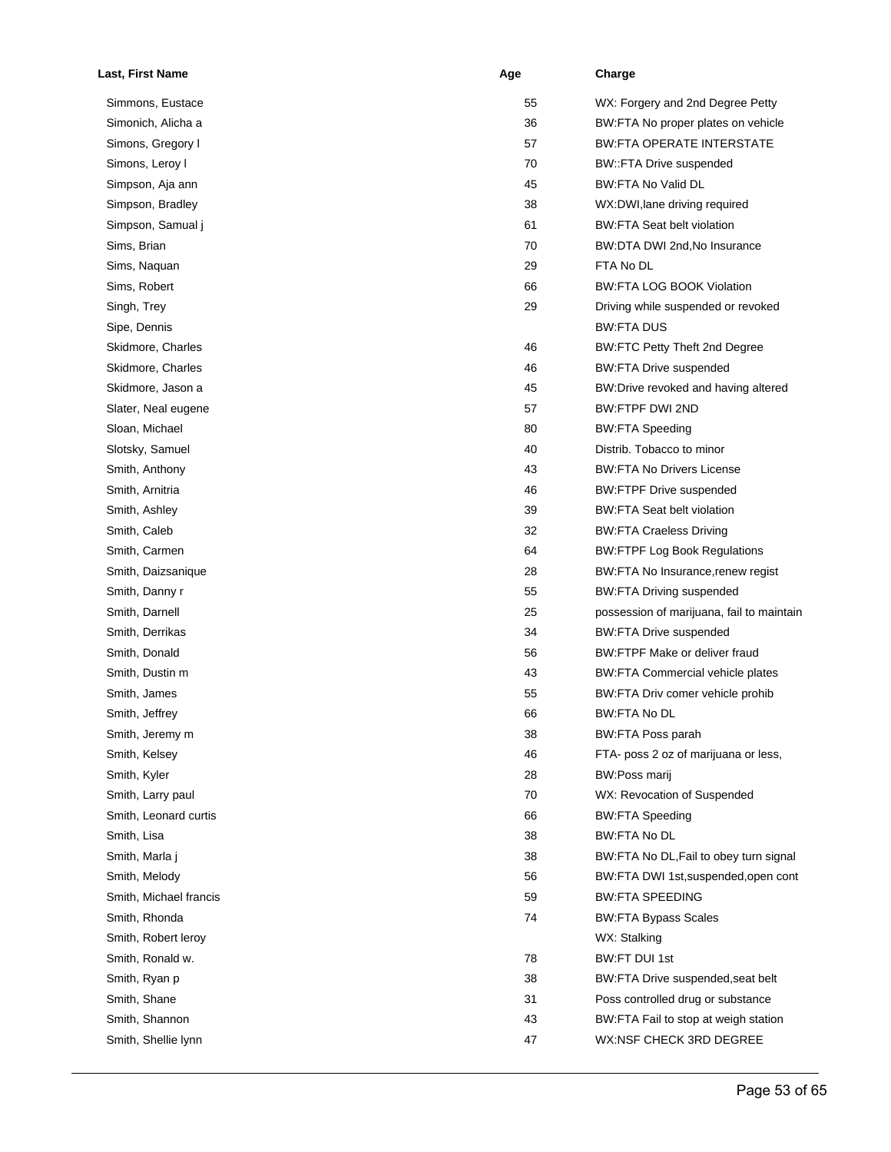| Last, First Name       | Age | Charge                                    |
|------------------------|-----|-------------------------------------------|
| Simmons, Eustace       | 55  | WX: Forgery and 2nd Degree Petty          |
| Simonich, Alicha a     | 36  | BW:FTA No proper plates on vehicle        |
| Simons, Gregory I      | 57  | <b>BW:FTA OPERATE INTERSTATE</b>          |
| Simons, Leroy I        | 70  | <b>BW::FTA Drive suspended</b>            |
| Simpson, Aja ann       | 45  | <b>BW:FTA No Valid DL</b>                 |
| Simpson, Bradley       | 38  | WX:DWI, lane driving required             |
| Simpson, Samual j      | 61  | <b>BW:FTA Seat belt violation</b>         |
| Sims, Brian            | 70  | BW:DTA DWI 2nd, No Insurance              |
| Sims, Naquan           | 29  | FTA No DL                                 |
| Sims, Robert           | 66  | <b>BW:FTA LOG BOOK Violation</b>          |
| Singh, Trey            | 29  | Driving while suspended or revoked        |
| Sipe, Dennis           |     | <b>BW:FTA DUS</b>                         |
| Skidmore, Charles      | 46  | <b>BW:FTC Petty Theft 2nd Degree</b>      |
| Skidmore, Charles      | 46  | <b>BW:FTA Drive suspended</b>             |
| Skidmore, Jason a      | 45  | BW:Drive revoked and having altered       |
| Slater, Neal eugene    | 57  | <b>BW:FTPF DWI 2ND</b>                    |
| Sloan, Michael         | 80  | <b>BW:FTA Speeding</b>                    |
| Slotsky, Samuel        | 40  | Distrib. Tobacco to minor                 |
| Smith, Anthony         | 43  | <b>BW:FTA No Drivers License</b>          |
| Smith, Arnitria        | 46  | <b>BW:FTPF Drive suspended</b>            |
| Smith, Ashley          | 39  | <b>BW:FTA Seat belt violation</b>         |
| Smith, Caleb           | 32  | <b>BW:FTA Craeless Driving</b>            |
| Smith, Carmen          | 64  | <b>BW:FTPF Log Book Regulations</b>       |
| Smith, Daizsanique     | 28  | BW:FTA No Insurance, renew regist         |
|                        | 55  |                                           |
| Smith, Danny r         |     | <b>BW:FTA Driving suspended</b>           |
| Smith, Darnell         | 25  | possession of marijuana, fail to maintain |
| Smith, Derrikas        | 34  | <b>BW:FTA Drive suspended</b>             |
| Smith, Donald          | 56  | BW:FTPF Make or deliver fraud             |
| Smith, Dustin m        | 43  | BW:FTA Commercial vehicle plates          |
| Smith, James           | 55  | BW:FTA Driv comer vehicle prohib          |
| Smith, Jeffrey         | 66  | BW:FTA No DL                              |
| Smith, Jeremy m        | 38  | BW:FTA Poss parah                         |
| Smith, Kelsey          | 46  | FTA- poss 2 oz of marijuana or less,      |
| Smith, Kyler           | 28  | BW:Poss marij                             |
| Smith, Larry paul      | 70  | WX: Revocation of Suspended               |
| Smith, Leonard curtis  | 66  | <b>BW:FTA Speeding</b>                    |
| Smith, Lisa            | 38  | <b>BW:FTA No DL</b>                       |
| Smith, Marla j         | 38  | BW:FTA No DL, Fail to obey turn signal    |
| Smith, Melody          | 56  | BW:FTA DWI 1st, suspended, open cont      |
| Smith, Michael francis | 59  | <b>BW:FTA SPEEDING</b>                    |
| Smith, Rhonda          | 74  | <b>BW:FTA Bypass Scales</b>               |
| Smith, Robert leroy    |     | WX: Stalking                              |
| Smith, Ronald w.       | 78  | <b>BW:FT DUI 1st</b>                      |
| Smith, Ryan p          | 38  | BW:FTA Drive suspended, seat belt         |
| Smith, Shane           | 31  | Poss controlled drug or substance         |
| Smith, Shannon         | 43  | BW:FTA Fail to stop at weigh station      |
| Smith, Shellie lynn    | 47  | WX:NSF CHECK 3RD DEGREE                   |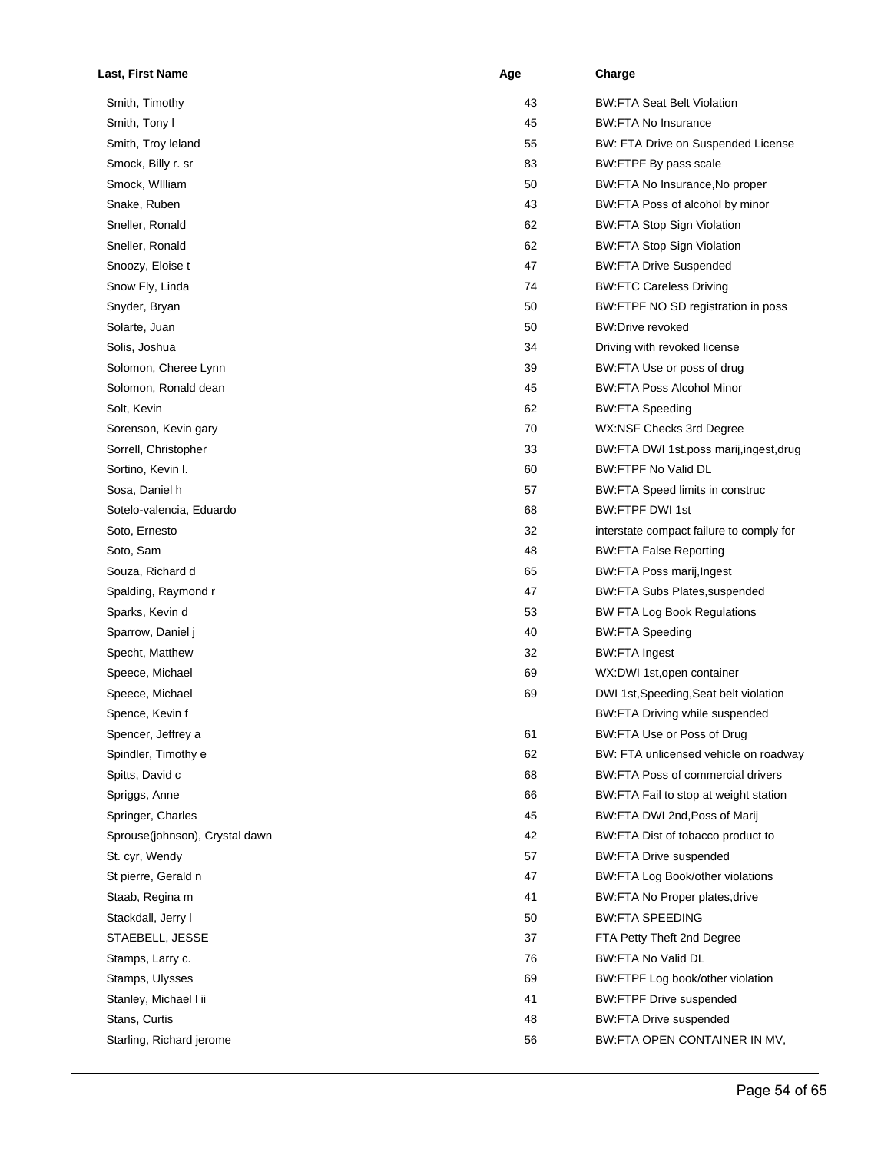| Last, First Name               | Age | Charge                                   |
|--------------------------------|-----|------------------------------------------|
| Smith, Timothy                 | 43  | <b>BW:FTA Seat Belt Violation</b>        |
| Smith, Tony I                  | 45  | <b>BW:FTA No Insurance</b>               |
| Smith, Troy leland             | 55  | BW: FTA Drive on Suspended License       |
| Smock, Billy r. sr             | 83  | BW:FTPF By pass scale                    |
| Smock, William                 | 50  | BW:FTA No Insurance, No proper           |
| Snake, Ruben                   | 43  | BW:FTA Poss of alcohol by minor          |
| Sneller, Ronald                | 62  | <b>BW:FTA Stop Sign Violation</b>        |
| Sneller, Ronald                | 62  | <b>BW:FTA Stop Sign Violation</b>        |
| Snoozy, Eloise t               | 47  | <b>BW:FTA Drive Suspended</b>            |
| Snow Fly, Linda                | 74  | <b>BW:FTC Careless Driving</b>           |
| Snyder, Bryan                  | 50  | BW:FTPF NO SD registration in poss       |
| Solarte, Juan                  | 50  | <b>BW:Drive revoked</b>                  |
| Solis, Joshua                  | 34  | Driving with revoked license             |
| Solomon, Cheree Lynn           | 39  | BW:FTA Use or poss of drug               |
| Solomon, Ronald dean           | 45  | <b>BW:FTA Poss Alcohol Minor</b>         |
| Solt, Kevin                    | 62  | <b>BW:FTA Speeding</b>                   |
| Sorenson, Kevin gary           | 70  | WX:NSF Checks 3rd Degree                 |
| Sorrell, Christopher           | 33  | BW:FTA DWI 1st.poss marij, ingest, drug  |
| Sortino, Kevin I.              | 60  | <b>BW:FTPF No Valid DL</b>               |
| Sosa, Daniel h                 | 57  | BW:FTA Speed limits in construc          |
| Sotelo-valencia, Eduardo       | 68  | <b>BW:FTPF DWI 1st</b>                   |
| Soto, Ernesto                  | 32  | interstate compact failure to comply for |
| Soto, Sam                      | 48  | <b>BW:FTA False Reporting</b>            |
| Souza, Richard d               | 65  | BW:FTA Poss marij, Ingest                |
| Spalding, Raymond r            | 47  | <b>BW:FTA Subs Plates, suspended</b>     |
| Sparks, Kevin d                | 53  | <b>BW FTA Log Book Regulations</b>       |
| Sparrow, Daniel j              | 40  | <b>BW:FTA Speeding</b>                   |
| Specht, Matthew                | 32  | <b>BW:FTA Ingest</b>                     |
| Speece, Michael                | 69  | WX:DWI 1st, open container               |
| Speece, Michael                | 69  | DWI 1st, Speeding, Seat belt violation   |
| Spence, Kevin f                |     | BW:FTA Driving while suspended           |
| Spencer, Jeffrey a             | 61  | BW:FTA Use or Poss of Drug               |
| Spindler, Timothy e            | 62  | BW: FTA unlicensed vehicle on roadway    |
| Spitts, David c                | 68  | <b>BW:FTA Poss of commercial drivers</b> |
| Spriggs, Anne                  | 66  | BW:FTA Fail to stop at weight station    |
| Springer, Charles              | 45  | BW:FTA DWI 2nd, Poss of Marij            |
| Sprouse(johnson), Crystal dawn | 42  | BW:FTA Dist of tobacco product to        |
| St. cyr, Wendy                 | 57  | <b>BW:FTA Drive suspended</b>            |
| St pierre, Gerald n            | 47  | BW:FTA Log Book/other violations         |
| Staab, Regina m                | 41  | BW:FTA No Proper plates, drive           |
| Stackdall, Jerry I             | 50  | <b>BW:FTA SPEEDING</b>                   |
| STAEBELL, JESSE                | 37  | FTA Petty Theft 2nd Degree               |
| Stamps, Larry c.               | 76  | BW:FTA No Valid DL                       |
| Stamps, Ulysses                | 69  | BW:FTPF Log book/other violation         |
| Stanley, Michael I ii          | 41  | <b>BW:FTPF Drive suspended</b>           |
| Stans, Curtis                  | 48  | <b>BW:FTA Drive suspended</b>            |
| Starling, Richard jerome       | 56  | BW:FTA OPEN CONTAINER IN MV,             |
|                                |     |                                          |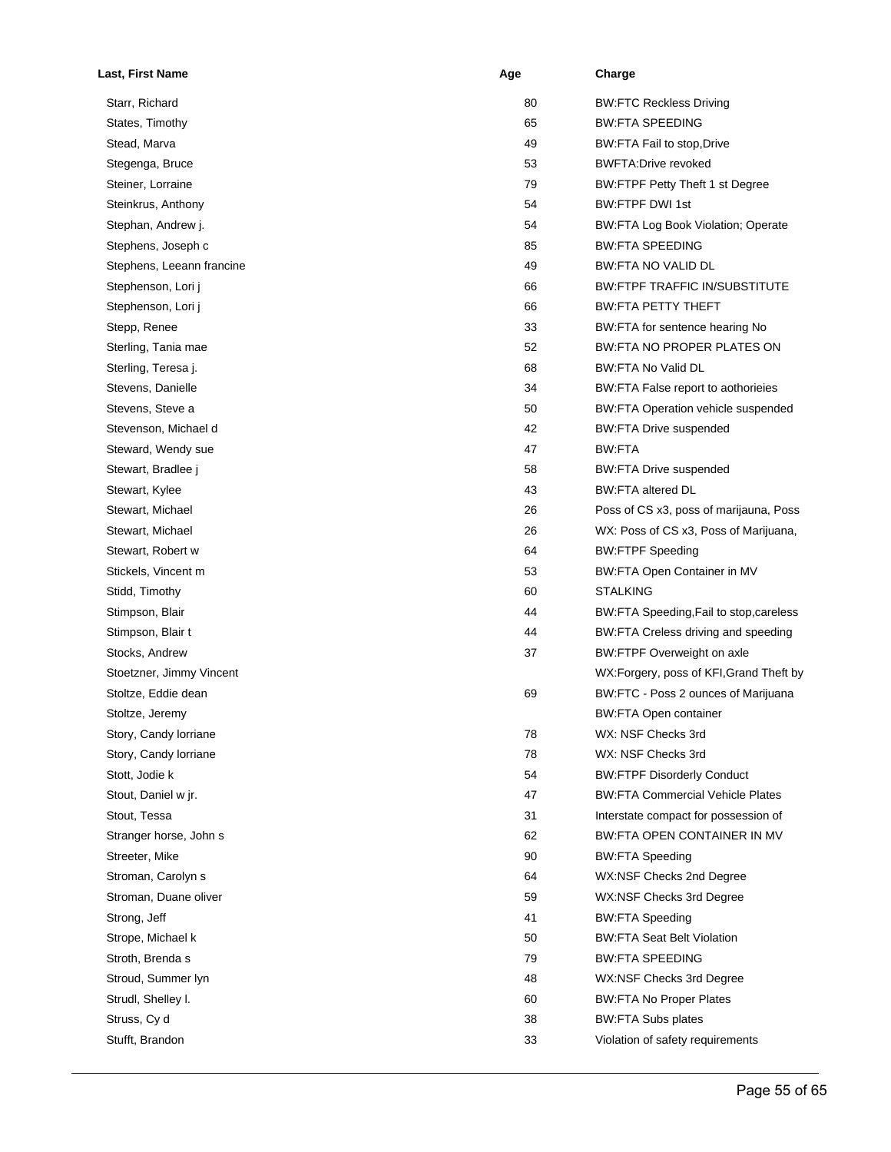| Last, First Name          | Age | Charge                                   |
|---------------------------|-----|------------------------------------------|
| Starr, Richard            | 80  | <b>BW:FTC Reckless Driving</b>           |
| States, Timothy           | 65  | <b>BW:FTA SPEEDING</b>                   |
| Stead, Marva              | 49  | BW:FTA Fail to stop, Drive               |
| Stegenga, Bruce           | 53  | <b>BWFTA:Drive revoked</b>               |
| Steiner, Lorraine         | 79  | BW:FTPF Petty Theft 1 st Degree          |
| Steinkrus, Anthony        | 54  | <b>BW:FTPF DWI 1st</b>                   |
| Stephan, Andrew j.        | 54  | BW:FTA Log Book Violation; Operate       |
| Stephens, Joseph c        | 85  | <b>BW:FTA SPEEDING</b>                   |
| Stephens, Leeann francine | 49  | <b>BW:FTA NO VALID DL</b>                |
| Stephenson, Lori j        | 66  | <b>BW:FTPF TRAFFIC IN/SUBSTITUTE</b>     |
| Stephenson, Lori j        | 66  | <b>BW:FTA PETTY THEFT</b>                |
| Stepp, Renee              | 33  | BW:FTA for sentence hearing No           |
| Sterling, Tania mae       | 52  | BW:FTA NO PROPER PLATES ON               |
| Sterling, Teresa j.       | 68  | <b>BW:FTA No Valid DL</b>                |
| Stevens, Danielle         | 34  | BW:FTA False report to aothorieies       |
| Stevens, Steve a          | 50  | BW:FTA Operation vehicle suspended       |
| Stevenson, Michael d      | 42  | <b>BW:FTA Drive suspended</b>            |
| Steward, Wendy sue        | 47  | BW:FTA                                   |
| Stewart, Bradlee j        | 58  | <b>BW:FTA Drive suspended</b>            |
| Stewart, Kylee            | 43  | <b>BW:FTA altered DL</b>                 |
| Stewart, Michael          | 26  | Poss of CS x3, poss of marijauna, Poss   |
| Stewart, Michael          | 26  | WX: Poss of CS x3, Poss of Marijuana,    |
| Stewart, Robert w         | 64  | <b>BW:FTPF Speeding</b>                  |
| Stickels, Vincent m       | 53  | BW:FTA Open Container in MV              |
| Stidd, Timothy            | 60  | <b>STALKING</b>                          |
| Stimpson, Blair           | 44  | BW:FTA Speeding, Fail to stop, careless  |
| Stimpson, Blair t         | 44  | BW:FTA Creless driving and speeding      |
| Stocks, Andrew            | 37  | BW:FTPF Overweight on axle               |
| Stoetzner, Jimmy Vincent  |     | WX: Forgery, poss of KFI, Grand Theft by |
| Stoltze, Eddie dean       | 69  | BW:FTC - Poss 2 ounces of Marijuana      |
| Stoltze, Jeremy           |     | <b>BW:FTA Open container</b>             |
| Story, Candy lorriane     | 78  | WX: NSF Checks 3rd                       |
| Story, Candy lorriane     | 78  | WX: NSF Checks 3rd                       |
| Stott, Jodie k            | 54  | <b>BW:FTPF Disorderly Conduct</b>        |
| Stout, Daniel w jr.       | 47  | <b>BW:FTA Commercial Vehicle Plates</b>  |
| Stout, Tessa              | 31  | Interstate compact for possession of     |
| Stranger horse, John s    | 62  | BW:FTA OPEN CONTAINER IN MV              |
| Streeter, Mike            | 90  | <b>BW:FTA Speeding</b>                   |
| Stroman, Carolyn s        | 64  | WX:NSF Checks 2nd Degree                 |
| Stroman, Duane oliver     | 59  | WX:NSF Checks 3rd Degree                 |
| Strong, Jeff              | 41  | <b>BW:FTA Speeding</b>                   |
| Strope, Michael k         | 50  | <b>BW:FTA Seat Belt Violation</b>        |
| Stroth, Brenda s          | 79  | <b>BW:FTA SPEEDING</b>                   |
| Stroud, Summer lyn        | 48  | WX:NSF Checks 3rd Degree                 |
| Strudl, Shelley I.        | 60  | <b>BW:FTA No Proper Plates</b>           |
| Struss, Cy d              | 38  | <b>BW:FTA Subs plates</b>                |
| Stufft, Brandon           | 33  | Violation of safety requirements         |
|                           |     |                                          |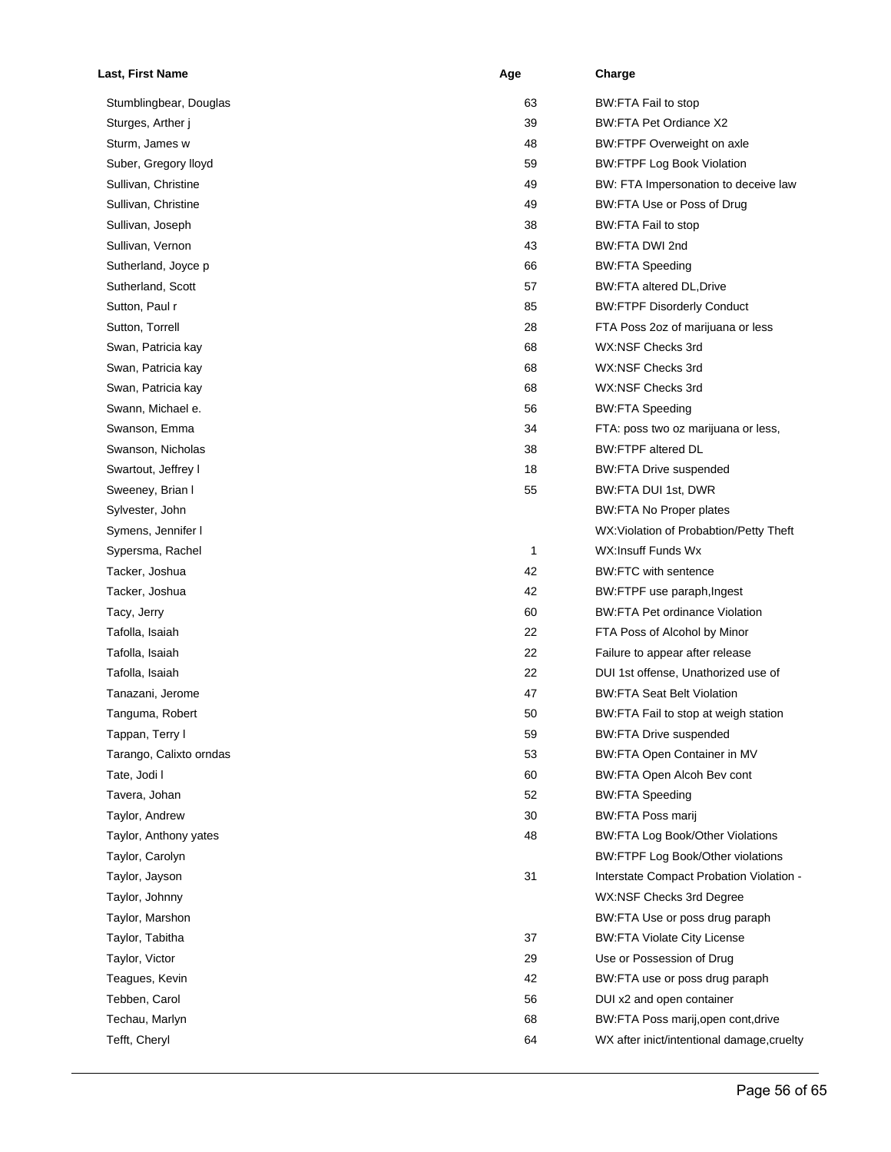| Last, First Name        | Age | Charge                                     |
|-------------------------|-----|--------------------------------------------|
| Stumblingbear, Douglas  | 63  | BW:FTA Fail to stop                        |
| Sturges, Arther j       | 39  | <b>BW:FTA Pet Ordiance X2</b>              |
| Sturm, James w          | 48  | BW:FTPF Overweight on axle                 |
| Suber, Gregory lloyd    | 59  | <b>BW:FTPF Log Book Violation</b>          |
| Sullivan, Christine     | 49  | BW: FTA Impersonation to deceive law       |
| Sullivan, Christine     | 49  | BW:FTA Use or Poss of Drug                 |
| Sullivan, Joseph        | 38  | BW:FTA Fail to stop                        |
| Sullivan, Vernon        | 43  | BW:FTA DWI 2nd                             |
| Sutherland, Joyce p     | 66  | <b>BW:FTA Speeding</b>                     |
| Sutherland, Scott       | 57  | BW:FTA altered DL, Drive                   |
| Sutton, Paul r          | 85  | <b>BW:FTPF Disorderly Conduct</b>          |
| Sutton, Torrell         | 28  | FTA Poss 2oz of marijuana or less          |
| Swan, Patricia kay      | 68  | WX:NSF Checks 3rd                          |
| Swan, Patricia kay      | 68  | WX:NSF Checks 3rd                          |
| Swan, Patricia kay      | 68  | WX:NSF Checks 3rd                          |
| Swann, Michael e.       | 56  | <b>BW:FTA Speeding</b>                     |
| Swanson, Emma           | 34  | FTA: poss two oz marijuana or less,        |
| Swanson, Nicholas       | 38  | <b>BW:FTPF altered DL</b>                  |
| Swartout, Jeffrey I     | 18  | <b>BW:FTA Drive suspended</b>              |
| Sweeney, Brian I        | 55  | BW:FTA DUI 1st, DWR                        |
| Sylvester, John         |     | <b>BW:FTA No Proper plates</b>             |
| Symens, Jennifer I      |     | WX: Violation of Probabtion/Petty Theft    |
| Sypersma, Rachel        | 1   | WX:Insuff Funds Wx                         |
| Tacker, Joshua          | 42  | <b>BW:FTC with sentence</b>                |
| Tacker, Joshua          | 42  | BW:FTPF use paraph, Ingest                 |
| Tacy, Jerry             | 60  | <b>BW:FTA Pet ordinance Violation</b>      |
| Tafolla, Isaiah         | 22  | FTA Poss of Alcohol by Minor               |
| Tafolla, Isaiah         | 22  | Failure to appear after release            |
| Tafolla, Isaiah         | 22  | DUI 1st offense, Unathorized use of        |
| Tanazani, Jerome        | 47  | <b>BW:FTA Seat Belt Violation</b>          |
| Tanguma, Robert         | 50  | BW:FTA Fail to stop at weigh station       |
| Tappan, Terry I         | 59  | <b>BW:FTA Drive suspended</b>              |
| Tarango, Calixto orndas | 53  | BW:FTA Open Container in MV                |
| Tate, Jodi I            | 60  | BW:FTA Open Alcoh Bev cont                 |
| Tavera, Johan           | 52  | <b>BW:FTA Speeding</b>                     |
| Taylor, Andrew          | 30  | <b>BW:FTA Poss marij</b>                   |
| Taylor, Anthony yates   | 48  | <b>BW:FTA Log Book/Other Violations</b>    |
| Taylor, Carolyn         |     | <b>BW:FTPF Log Book/Other violations</b>   |
| Taylor, Jayson          | 31  | Interstate Compact Probation Violation -   |
| Taylor, Johnny          |     | WX:NSF Checks 3rd Degree                   |
| Taylor, Marshon         |     | BW:FTA Use or poss drug paraph             |
| Taylor, Tabitha         | 37  | <b>BW:FTA Violate City License</b>         |
| Taylor, Victor          | 29  | Use or Possession of Drug                  |
| Teagues, Kevin          | 42  | BW:FTA use or poss drug paraph             |
| Tebben, Carol           | 56  | DUI x2 and open container                  |
| Techau, Marlyn          | 68  | BW:FTA Poss marij, open cont, drive        |
| Tefft, Cheryl           | 64  | WX after inict/intentional damage, cruelty |
|                         |     |                                            |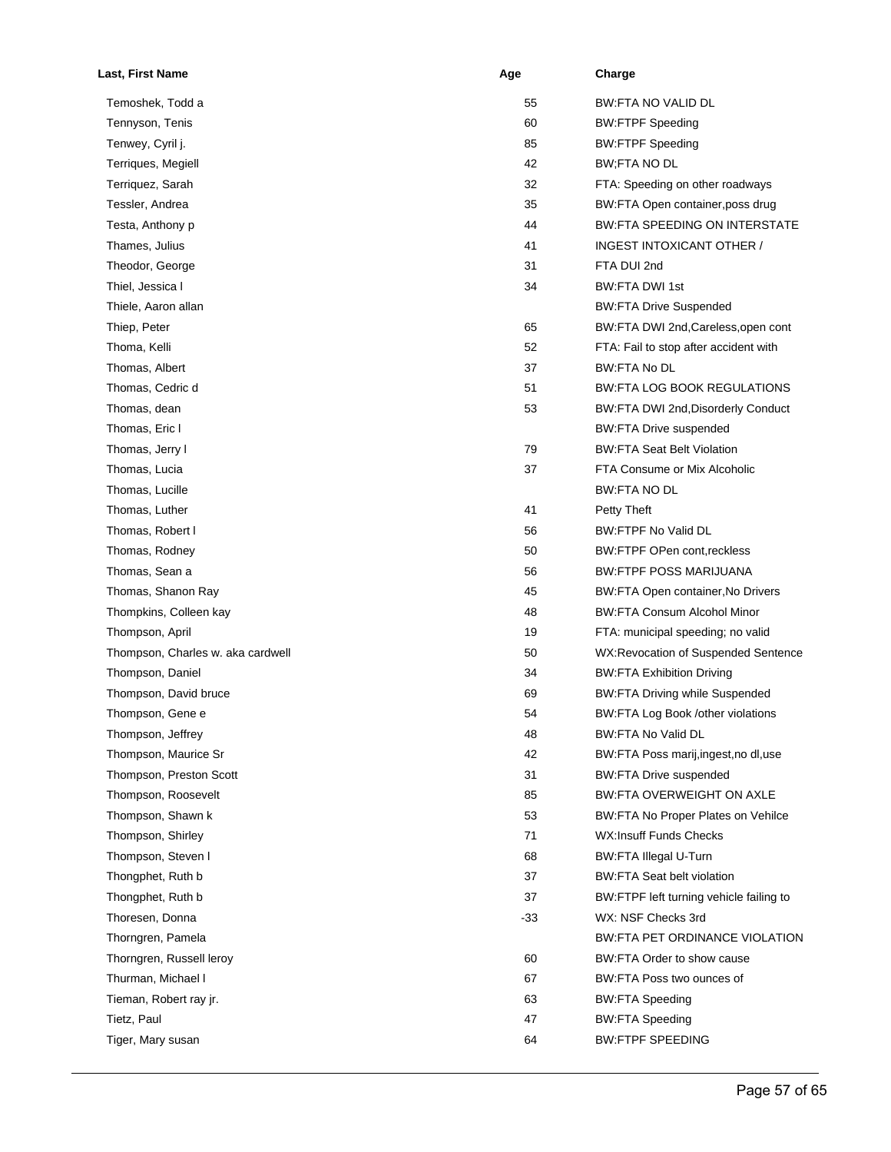| Last, First Name                  | Age   | Charge                                  |
|-----------------------------------|-------|-----------------------------------------|
| Temoshek, Todd a                  | 55    | <b>BW:FTA NO VALID DL</b>               |
| Tennyson, Tenis                   | 60    | <b>BW:FTPF Speeding</b>                 |
| Tenwey, Cyril j.                  | 85    | <b>BW:FTPF Speeding</b>                 |
| Terriques, Megiell                | 42    | BW;FTA NO DL                            |
| Terriquez, Sarah                  | 32    | FTA: Speeding on other roadways         |
| Tessler, Andrea                   | 35    | BW:FTA Open container, poss drug        |
| Testa, Anthony p                  | 44    | <b>BW:FTA SPEEDING ON INTERSTATE</b>    |
| Thames, Julius                    | 41    | INGEST INTOXICANT OTHER /               |
| Theodor, George                   | 31    | FTA DUI 2nd                             |
| Thiel, Jessica I                  | 34    | <b>BW:FTA DWI 1st</b>                   |
| Thiele, Aaron allan               |       | <b>BW:FTA Drive Suspended</b>           |
| Thiep, Peter                      | 65    | BW:FTA DWI 2nd, Careless, open cont     |
| Thoma, Kelli                      | 52    | FTA: Fail to stop after accident with   |
| Thomas, Albert                    | 37    | <b>BW:FTA No DL</b>                     |
| Thomas, Cedric d                  | 51    | <b>BW:FTA LOG BOOK REGULATIONS</b>      |
| Thomas, dean                      | 53    | BW:FTA DWI 2nd, Disorderly Conduct      |
| Thomas, Eric I                    |       | <b>BW:FTA Drive suspended</b>           |
| Thomas, Jerry I                   | 79    | <b>BW:FTA Seat Belt Violation</b>       |
| Thomas, Lucia                     | 37    | FTA Consume or Mix Alcoholic            |
| Thomas, Lucille                   |       | <b>BW:FTA NO DL</b>                     |
| Thomas, Luther                    | 41    | Petty Theft                             |
| Thomas, Robert I                  | 56    | <b>BW:FTPF No Valid DL</b>              |
| Thomas, Rodney                    | 50    | BW:FTPF OPen cont, reckless             |
| Thomas, Sean a                    | 56    | <b>BW:FTPF POSS MARIJUANA</b>           |
| Thomas, Shanon Ray                | 45    | BW:FTA Open container, No Drivers       |
| Thompkins, Colleen kay            | 48    | <b>BW:FTA Consum Alcohol Minor</b>      |
| Thompson, April                   | 19    | FTA: municipal speeding; no valid       |
| Thompson, Charles w. aka cardwell | 50    | WX:Revocation of Suspended Sentence     |
| Thompson, Daniel                  | 34    | <b>BW:FTA Exhibition Driving</b>        |
| Thompson, David bruce             | 69    | <b>BW:FTA Driving while Suspended</b>   |
| Thompson, Gene e                  | 54    | BW:FTA Log Book /other violations       |
| Thompson, Jeffrey                 | 48    | BW:FTA No Valid DL                      |
| Thompson, Maurice Sr              | 42    | BW:FTA Poss marij, ingest, no dl, use   |
| Thompson, Preston Scott           | 31    | <b>BW:FTA Drive suspended</b>           |
| Thompson, Roosevelt               | 85    | <b>BW:FTA OVERWEIGHT ON AXLE</b>        |
| Thompson, Shawn k                 | 53    | BW:FTA No Proper Plates on Vehilce      |
| Thompson, Shirley                 | 71    | <b>WX:Insuff Funds Checks</b>           |
| Thompson, Steven I                | 68    | <b>BW:FTA Illegal U-Turn</b>            |
| Thongphet, Ruth b                 | 37    | <b>BW:FTA Seat belt violation</b>       |
| Thongphet, Ruth b                 | 37    | BW:FTPF left turning vehicle failing to |
| Thoresen, Donna                   | $-33$ | WX: NSF Checks 3rd                      |
| Thorngren, Pamela                 |       | BW:FTA PET ORDINANCE VIOLATION          |
| Thorngren, Russell leroy          | 60    | BW:FTA Order to show cause              |
| Thurman, Michael I                | 67    | BW:FTA Poss two ounces of               |
| Tieman, Robert ray jr.            | 63    | <b>BW:FTA Speeding</b>                  |
| Tietz, Paul                       | 47    | <b>BW:FTA Speeding</b>                  |
| Tiger, Mary susan                 | 64    | <b>BW:FTPF SPEEDING</b>                 |
|                                   |       |                                         |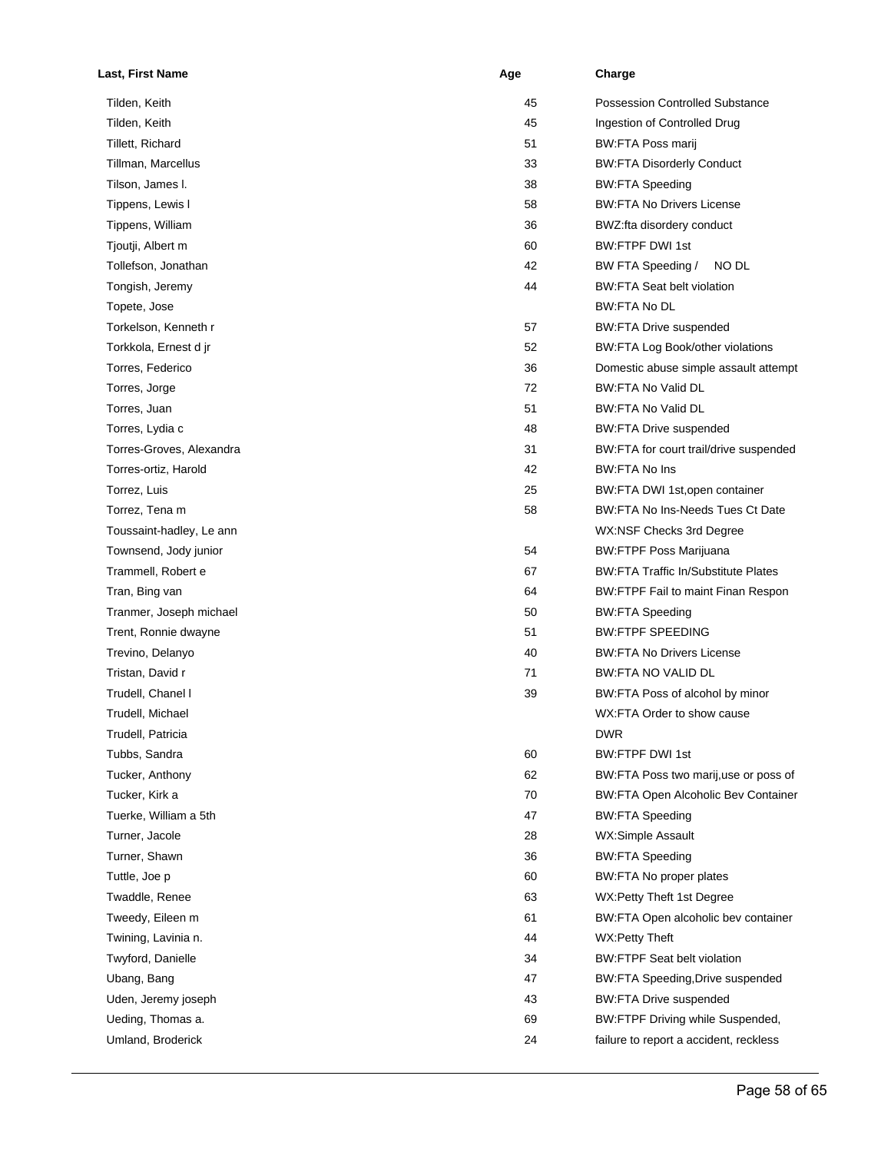| Last, First Name         | Age | Charge                                     |
|--------------------------|-----|--------------------------------------------|
| Tilden, Keith            | 45  | <b>Possession Controlled Substance</b>     |
| Tilden, Keith            | 45  | Ingestion of Controlled Drug               |
| Tillett, Richard         | 51  | BW:FTA Poss marij                          |
| Tillman, Marcellus       | 33  | <b>BW:FTA Disorderly Conduct</b>           |
| Tilson, James I.         | 38  | <b>BW:FTA Speeding</b>                     |
| Tippens, Lewis I         | 58  | <b>BW:FTA No Drivers License</b>           |
| Tippens, William         | 36  | BWZ:fta disordery conduct                  |
| Tjoutji, Albert m        | 60  | <b>BW:FTPF DWI 1st</b>                     |
| Tollefson, Jonathan      | 42  | BW FTA Speeding /<br>NO DL                 |
| Tongish, Jeremy          | 44  | <b>BW:FTA Seat belt violation</b>          |
| Topete, Jose             |     | <b>BW:FTA No DL</b>                        |
| Torkelson, Kenneth r     | 57  | <b>BW:FTA Drive suspended</b>              |
| Torkkola, Ernest d jr    | 52  | BW:FTA Log Book/other violations           |
| Torres, Federico         | 36  | Domestic abuse simple assault attempt      |
| Torres, Jorge            | 72  | <b>BW:FTA No Valid DL</b>                  |
| Torres, Juan             | 51  | BW:FTA No Valid DL                         |
| Torres, Lydia c          | 48  | <b>BW:FTA Drive suspended</b>              |
| Torres-Groves, Alexandra | 31  | BW:FTA for court trail/drive suspended     |
| Torres-ortiz, Harold     | 42  | <b>BW:FTA No Ins</b>                       |
| Torrez, Luis             | 25  | BW:FTA DWI 1st, open container             |
| Torrez, Tena m           | 58  | BW:FTA No Ins-Needs Tues Ct Date           |
| Toussaint-hadley, Le ann |     | WX:NSF Checks 3rd Degree                   |
| Townsend, Jody junior    | 54  | <b>BW:FTPF Poss Marijuana</b>              |
| Trammell, Robert e       | 67  | <b>BW:FTA Traffic In/Substitute Plates</b> |
| Tran, Bing van           | 64  | BW:FTPF Fail to maint Finan Respon         |
| Tranmer, Joseph michael  | 50  | <b>BW:FTA Speeding</b>                     |
| Trent, Ronnie dwayne     | 51  | <b>BW:FTPF SPEEDING</b>                    |
| Trevino, Delanyo         | 40  | <b>BW:FTA No Drivers License</b>           |
| Tristan, David r         | 71  | <b>BW:FTA NO VALID DL</b>                  |
| Trudell, Chanel I        | 39  | BW:FTA Poss of alcohol by minor            |
| Trudell, Michael         |     | WX:FTA Order to show cause                 |
| Trudell, Patricia        |     | <b>DWR</b>                                 |
| Tubbs, Sandra            | 60  | <b>BW:FTPF DWI 1st</b>                     |
| Tucker, Anthony          | 62  | BW:FTA Poss two marij, use or poss of      |
| Tucker, Kirk a           | 70  | <b>BW:FTA Open Alcoholic Bev Container</b> |
| Tuerke, William a 5th    | 47  | <b>BW:FTA Speeding</b>                     |
| Turner, Jacole           | 28  | WX:Simple Assault                          |
| Turner, Shawn            | 36  | <b>BW:FTA Speeding</b>                     |
| Tuttle, Joe p            | 60  | BW:FTA No proper plates                    |
| Twaddle, Renee           | 63  | WX:Petty Theft 1st Degree                  |
| Tweedy, Eileen m         | 61  | BW:FTA Open alcoholic bev container        |
| Twining, Lavinia n.      | 44  | WX:Petty Theft                             |
| Twyford, Danielle        | 34  | <b>BW:FTPF Seat belt violation</b>         |
| Ubang, Bang              | 47  | BW:FTA Speeding, Drive suspended           |
| Uden, Jeremy joseph      | 43  | <b>BW:FTA Drive suspended</b>              |
| Ueding, Thomas a.        | 69  | BW:FTPF Driving while Suspended,           |
| Umland, Broderick        | 24  | failure to report a accident, reckless     |
|                          |     |                                            |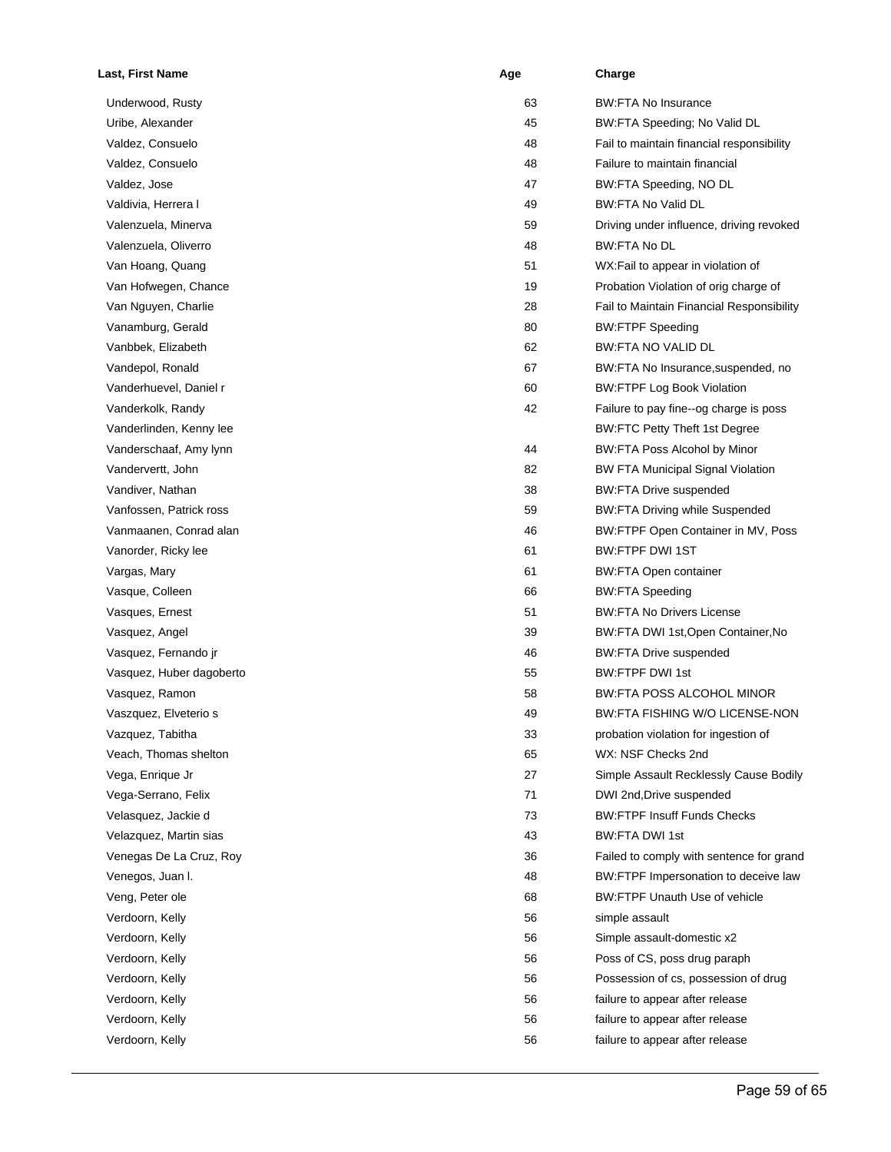| Last, First Name         | Age | Charge                                    |
|--------------------------|-----|-------------------------------------------|
| Underwood, Rusty         | 63  | <b>BW:FTA No Insurance</b>                |
| Uribe, Alexander         | 45  | BW:FTA Speeding; No Valid DL              |
| Valdez, Consuelo         | 48  | Fail to maintain financial responsibility |
| Valdez, Consuelo         | 48  | Failure to maintain financial             |
| Valdez, Jose             | 47  | BW:FTA Speeding, NO DL                    |
| Valdivia, Herrera I      | 49  | BW:FTA No Valid DL                        |
| Valenzuela, Minerva      | 59  | Driving under influence, driving revoked  |
| Valenzuela, Oliverro     | 48  | <b>BW:FTA No DL</b>                       |
| Van Hoang, Quang         | 51  | WX: Fail to appear in violation of        |
| Van Hofwegen, Chance     | 19  | Probation Violation of orig charge of     |
| Van Nguyen, Charlie      | 28  | Fail to Maintain Financial Responsibility |
| Vanamburg, Gerald        | 80  | <b>BW:FTPF Speeding</b>                   |
| Vanbbek, Elizabeth       | 62  | <b>BW:FTA NO VALID DL</b>                 |
| Vandepol, Ronald         | 67  | BW:FTA No Insurance, suspended, no        |
| Vanderhuevel, Daniel r   | 60  | <b>BW:FTPF Log Book Violation</b>         |
| Vanderkolk, Randy        | 42  | Failure to pay fine-og charge is poss     |
| Vanderlinden, Kenny lee  |     | <b>BW:FTC Petty Theft 1st Degree</b>      |
| Vanderschaaf, Amy lynn   | 44  | BW:FTA Poss Alcohol by Minor              |
| Vandervertt, John        | 82  | <b>BW FTA Municipal Signal Violation</b>  |
| Vandiver, Nathan         | 38  | <b>BW:FTA Drive suspended</b>             |
| Vanfossen, Patrick ross  | 59  | <b>BW:FTA Driving while Suspended</b>     |
| Vanmaanen, Conrad alan   | 46  | BW:FTPF Open Container in MV, Poss        |
| Vanorder, Ricky lee      | 61  | <b>BW:FTPF DWI 1ST</b>                    |
| Vargas, Mary             | 61  | <b>BW:FTA Open container</b>              |
| Vasque, Colleen          | 66  | <b>BW:FTA Speeding</b>                    |
| Vasques, Ernest          | 51  | <b>BW:FTA No Drivers License</b>          |
| Vasquez, Angel           | 39  | BW:FTA DWI 1st, Open Container, No        |
| Vasquez, Fernando jr     | 46  | <b>BW:FTA Drive suspended</b>             |
| Vasquez, Huber dagoberto | 55  | <b>BW:FTPF DWI 1st</b>                    |
| Vasquez, Ramon           | 58  | <b>BW:FTA POSS ALCOHOL MINOR</b>          |
| Vaszquez, Elveterio s    | 49  | BW:FTA FISHING W/O LICENSE-NON            |
| Vazquez, Tabitha         | 33  | probation violation for ingestion of      |
| Veach, Thomas shelton    | 65  | WX: NSF Checks 2nd                        |
| Vega, Enrique Jr         | 27  | Simple Assault Recklessly Cause Bodily    |
| Vega-Serrano, Felix      | 71  | DWI 2nd, Drive suspended                  |
| Velasquez, Jackie d      | 73  | <b>BW:FTPF Insuff Funds Checks</b>        |
| Velazquez, Martin sias   | 43  | <b>BW:FTA DWI 1st</b>                     |
| Venegas De La Cruz, Roy  | 36  | Failed to comply with sentence for grand  |
| Venegos, Juan I.         | 48  | BW:FTPF Impersonation to deceive law      |
| Veng, Peter ole          | 68  | BW:FTPF Unauth Use of vehicle             |
| Verdoorn, Kelly          | 56  | simple assault                            |
| Verdoorn, Kelly          | 56  | Simple assault-domestic x2                |
| Verdoorn, Kelly          | 56  | Poss of CS, poss drug paraph              |
| Verdoorn, Kelly          | 56  | Possession of cs, possession of drug      |
| Verdoorn, Kelly          | 56  | failure to appear after release           |
| Verdoorn, Kelly          | 56  | failure to appear after release           |
| Verdoorn, Kelly          | 56  | failure to appear after release           |
|                          |     |                                           |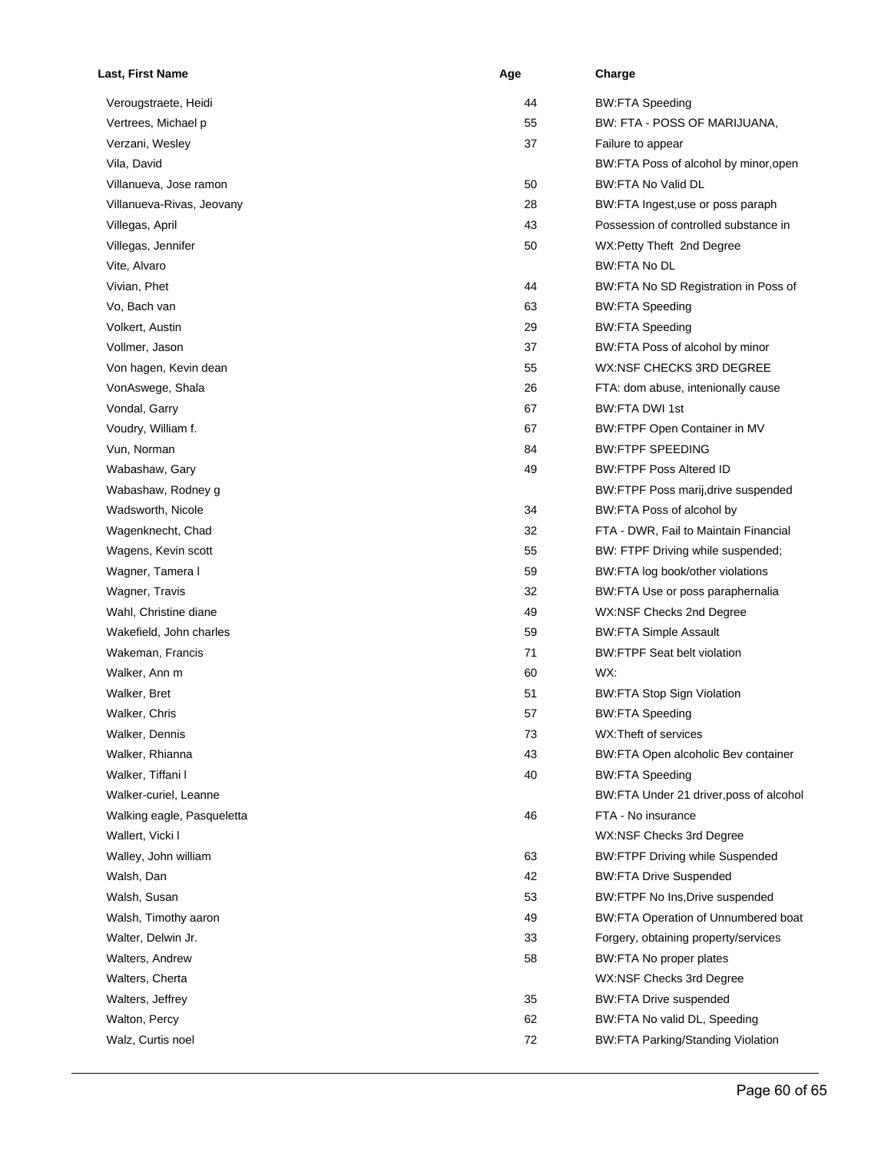| Last, First Name           | Age | Charge                                   |
|----------------------------|-----|------------------------------------------|
| Verougstraete, Heidi       | 44  | <b>BW:FTA Speeding</b>                   |
| Vertrees, Michael p        | 55  | BW: FTA - POSS OF MARIJUANA,             |
| Verzani, Wesley            | 37  | Failure to appear                        |
| Vila, David                |     | BW:FTA Poss of alcohol by minor, open    |
| Villanueva, Jose ramon     | 50  | <b>BW:FTA No Valid DL</b>                |
| Villanueva-Rivas, Jeovany  | 28  | BW:FTA Ingest, use or poss paraph        |
| Villegas, April            | 43  | Possession of controlled substance in    |
| Villegas, Jennifer         | 50  | WX:Petty Theft 2nd Degree                |
| Vite, Alvaro               |     | <b>BW:FTA No DL</b>                      |
| Vivian, Phet               | 44  | BW:FTA No SD Registration in Poss of     |
| Vo, Bach van               | 63  | <b>BW:FTA Speeding</b>                   |
| Volkert, Austin            | 29  | <b>BW:FTA Speeding</b>                   |
| Vollmer, Jason             | 37  | BW:FTA Poss of alcohol by minor          |
| Von hagen, Kevin dean      | 55  | WX:NSF CHECKS 3RD DEGREE                 |
| VonAswege, Shala           | 26  | FTA: dom abuse, intenionally cause       |
| Vondal, Garry              | 67  | <b>BW:FTA DWI 1st</b>                    |
| Voudry, William f.         | 67  | BW:FTPF Open Container in MV             |
| Vun, Norman                | 84  | <b>BW:FTPF SPEEDING</b>                  |
| Wabashaw, Gary             | 49  | <b>BW:FTPF Poss Altered ID</b>           |
| Wabashaw, Rodney g         |     | BW:FTPF Poss marij, drive suspended      |
| Wadsworth, Nicole          | 34  | BW:FTA Poss of alcohol by                |
| Wagenknecht, Chad          | 32  | FTA - DWR, Fail to Maintain Financial    |
| Wagens, Kevin scott        | 55  | BW: FTPF Driving while suspended;        |
| Wagner, Tamera I           | 59  | BW:FTA log book/other violations         |
| Wagner, Travis             | 32  | BW:FTA Use or poss paraphernalia         |
| Wahl, Christine diane      | 49  | WX:NSF Checks 2nd Degree                 |
| Wakefield, John charles    | 59  | <b>BW:FTA Simple Assault</b>             |
| Wakeman, Francis           | 71  | <b>BW:FTPF Seat belt violation</b>       |
| Walker, Ann m              | 60  | WX:                                      |
| Walker, Bret               | 51  | <b>BW:FTA Stop Sign Violation</b>        |
| Walker, Chris              | 57  | <b>BW:FTA Speeding</b>                   |
| Walker, Dennis             | 73  | WX: Theft of services                    |
| Walker, Rhianna            | 43  | BW:FTA Open alcoholic Bev container      |
| Walker, Tiffani I          | 40  | <b>BW:FTA Speeding</b>                   |
| Walker-curiel, Leanne      |     | BW:FTA Under 21 driver, poss of alcohol  |
| Walking eagle, Pasqueletta | 46  | FTA - No insurance                       |
| Wallert, Vicki I           |     | WX:NSF Checks 3rd Degree                 |
| Walley, John william       | 63  | <b>BW:FTPF Driving while Suspended</b>   |
| Walsh, Dan                 | 42  | <b>BW:FTA Drive Suspended</b>            |
| Walsh, Susan               | 53  | BW:FTPF No Ins, Drive suspended          |
| Walsh, Timothy aaron       | 49  | BW:FTA Operation of Unnumbered boat      |
| Walter, Delwin Jr.         | 33  | Forgery, obtaining property/services     |
| Walters, Andrew            | 58  | BW:FTA No proper plates                  |
| Walters, Cherta            |     | WX:NSF Checks 3rd Degree                 |
| Walters, Jeffrey           | 35  | <b>BW:FTA Drive suspended</b>            |
| Walton, Percy              | 62  | BW:FTA No valid DL, Speeding             |
| Walz, Curtis noel          | 72  | <b>BW:FTA Parking/Standing Violation</b> |
|                            |     |                                          |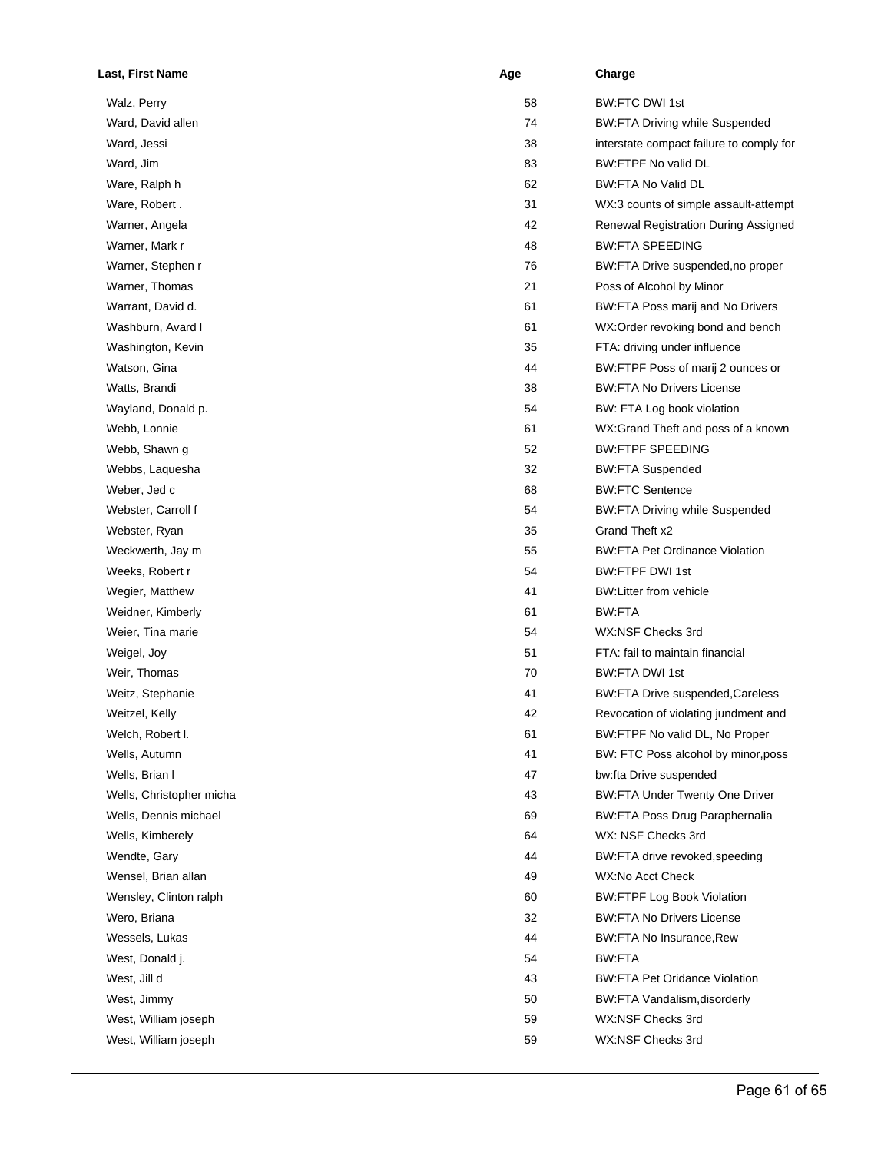| Last, First Name         | Age | Charge                                   |
|--------------------------|-----|------------------------------------------|
| Walz, Perry              | 58  | <b>BW:FTC DWI 1st</b>                    |
| Ward, David allen        | 74  | <b>BW:FTA Driving while Suspended</b>    |
| Ward, Jessi              | 38  | interstate compact failure to comply for |
| Ward, Jim                | 83  | BW:FTPF No valid DL                      |
| Ware, Ralph h            | 62  | <b>BW:FTA No Valid DL</b>                |
| Ware, Robert.            | 31  | WX:3 counts of simple assault-attempt    |
| Warner, Angela           | 42  | Renewal Registration During Assigned     |
| Warner, Mark r           | 48  | <b>BW:FTA SPEEDING</b>                   |
| Warner, Stephen r        | 76  | BW:FTA Drive suspended, no proper        |
| Warner, Thomas           | 21  | Poss of Alcohol by Minor                 |
| Warrant, David d.        | 61  | BW:FTA Poss marij and No Drivers         |
| Washburn, Avard I        | 61  | WX:Order revoking bond and bench         |
| Washington, Kevin        | 35  | FTA: driving under influence             |
| Watson, Gina             | 44  | BW:FTPF Poss of marij 2 ounces or        |
| Watts, Brandi            | 38  | <b>BW:FTA No Drivers License</b>         |
| Wayland, Donald p.       | 54  | BW: FTA Log book violation               |
| Webb, Lonnie             | 61  | WX:Grand Theft and poss of a known       |
| Webb, Shawn g            | 52  | <b>BW:FTPF SPEEDING</b>                  |
| Webbs, Laquesha          | 32  | <b>BW:FTA Suspended</b>                  |
| Weber, Jed c             | 68  | <b>BW:FTC Sentence</b>                   |
| Webster, Carroll f       | 54  | <b>BW:FTA Driving while Suspended</b>    |
| Webster, Ryan            | 35  | Grand Theft x2                           |
| Weckwerth, Jay m         | 55  | <b>BW:FTA Pet Ordinance Violation</b>    |
| Weeks, Robert r          | 54  | <b>BW:FTPF DWI 1st</b>                   |
| Wegier, Matthew          | 41  | <b>BW:Litter from vehicle</b>            |
| Weidner, Kimberly        | 61  | BW:FTA                                   |
| Weier, Tina marie        | 54  | WX:NSF Checks 3rd                        |
| Weigel, Joy              | 51  | FTA: fail to maintain financial          |
| Weir, Thomas             | 70  | <b>BW:FTA DWI 1st</b>                    |
| Weitz, Stephanie         | 41  | <b>BW:FTA Drive suspended, Careless</b>  |
| Weitzel, Kelly           | 42  | Revocation of violating jundment and     |
| Welch, Robert I.         | 61  | BW:FTPF No valid DL, No Proper           |
| Wells, Autumn            | 41  | BW: FTC Poss alcohol by minor, poss      |
| Wells, Brian I           | 47  | bw:fta Drive suspended                   |
| Wells, Christopher micha | 43  | <b>BW:FTA Under Twenty One Driver</b>    |
| Wells, Dennis michael    | 69  | BW:FTA Poss Drug Paraphernalia           |
| Wells, Kimberely         | 64  | WX: NSF Checks 3rd                       |
| Wendte, Gary             | 44  | BW:FTA drive revoked, speeding           |
| Wensel, Brian allan      | 49  | WX:No Acct Check                         |
| Wensley, Clinton ralph   | 60  | <b>BW:FTPF Log Book Violation</b>        |
| Wero, Briana             | 32  | <b>BW:FTA No Drivers License</b>         |
| Wessels, Lukas           | 44  | BW:FTA No Insurance, Rew                 |
| West, Donald j.          | 54  | BW:FTA                                   |
| West, Jill d             | 43  | <b>BW:FTA Pet Oridance Violation</b>     |
| West, Jimmy              | 50  | BW:FTA Vandalism, disorderly             |
| West, William joseph     | 59  | WX:NSF Checks 3rd                        |
| West, William joseph     | 59  | WX:NSF Checks 3rd                        |
|                          |     |                                          |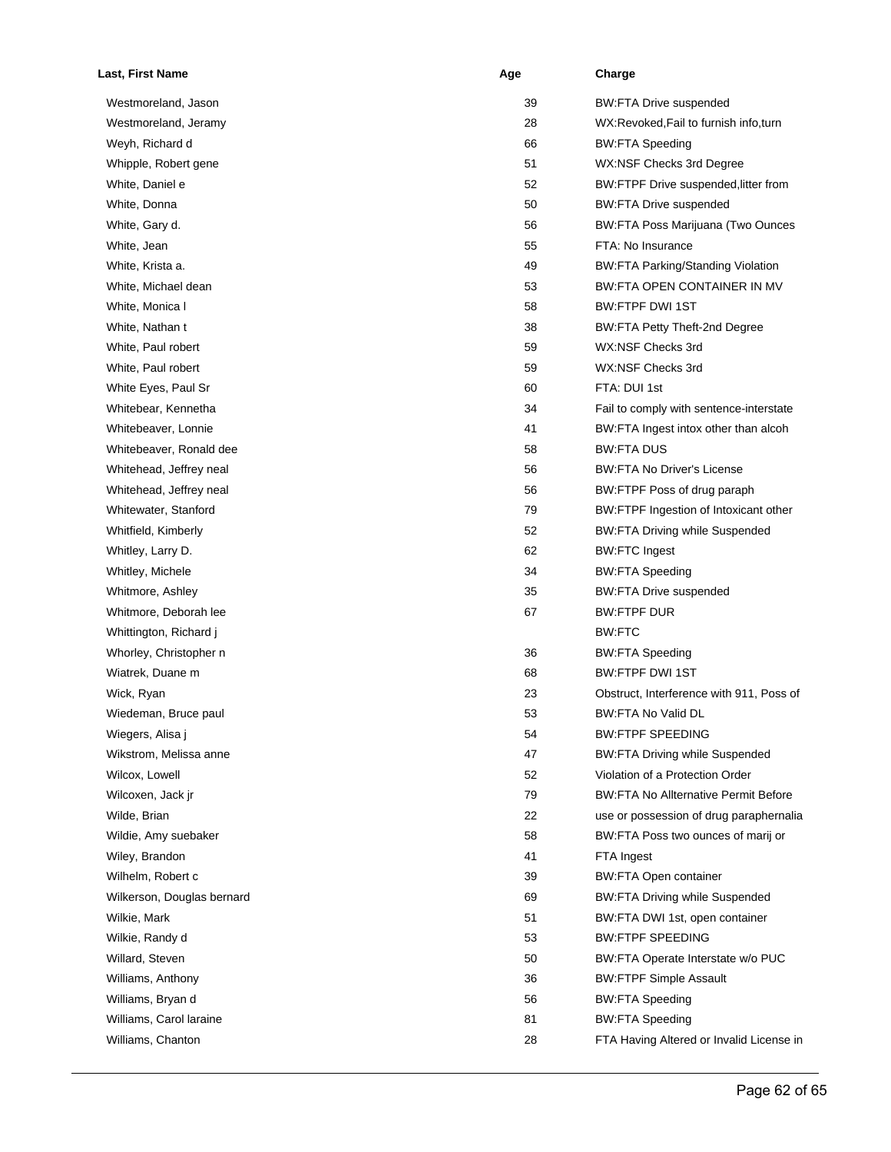| Last, First Name           | Age | Charge                                      |
|----------------------------|-----|---------------------------------------------|
| Westmoreland, Jason        | 39  | <b>BW:FTA Drive suspended</b>               |
| Westmoreland, Jeramy       | 28  | WX:Revoked, Fail to furnish info, turn      |
| Weyh, Richard d            | 66  | <b>BW:FTA Speeding</b>                      |
| Whipple, Robert gene       | 51  | WX:NSF Checks 3rd Degree                    |
| White, Daniel e            | 52  | BW:FTPF Drive suspended, litter from        |
| White, Donna               | 50  | <b>BW:FTA Drive suspended</b>               |
| White, Gary d.             | 56  | BW:FTA Poss Marijuana (Two Ounces           |
| White, Jean                | 55  | FTA: No Insurance                           |
| White, Krista a.           | 49  | <b>BW:FTA Parking/Standing Violation</b>    |
| White, Michael dean        | 53  | BW:FTA OPEN CONTAINER IN MV                 |
| White, Monica I            | 58  | <b>BW:FTPF DWI 1ST</b>                      |
| White, Nathan t            | 38  | BW:FTA Petty Theft-2nd Degree               |
| White, Paul robert         | 59  | WX:NSF Checks 3rd                           |
| White, Paul robert         | 59  | WX:NSF Checks 3rd                           |
| White Eyes, Paul Sr        | 60  | FTA: DUI 1st                                |
| Whitebear, Kennetha        | 34  | Fail to comply with sentence-interstate     |
| Whitebeaver, Lonnie        | 41  | BW:FTA Ingest intox other than alcoh        |
| Whitebeaver, Ronald dee    | 58  | <b>BW:FTA DUS</b>                           |
| Whitehead, Jeffrey neal    | 56  | <b>BW:FTA No Driver's License</b>           |
| Whitehead, Jeffrey neal    | 56  | BW:FTPF Poss of drug paraph                 |
| Whitewater, Stanford       | 79  | BW:FTPF Ingestion of Intoxicant other       |
| Whitfield, Kimberly        | 52  | <b>BW:FTA Driving while Suspended</b>       |
| Whitley, Larry D.          | 62  | <b>BW:FTC Ingest</b>                        |
| Whitley, Michele           | 34  | <b>BW:FTA Speeding</b>                      |
| Whitmore, Ashley           | 35  | <b>BW:FTA Drive suspended</b>               |
| Whitmore, Deborah lee      | 67  | <b>BW:FTPF DUR</b>                          |
| Whittington, Richard j     |     | BW:FTC                                      |
| Whorley, Christopher n     | 36  | <b>BW:FTA Speeding</b>                      |
| Wiatrek, Duane m           | 68  | <b>BW:FTPF DWI 1ST</b>                      |
| Wick, Ryan                 | 23  | Obstruct, Interference with 911, Poss of    |
| Wiedeman, Bruce paul       | 53  | BW:FTA No Valid DL                          |
| Wiegers, Alisa j           | 54  | <b>BW:FTPF SPEEDING</b>                     |
| Wikstrom, Melissa anne     | 47  | <b>BW:FTA Driving while Suspended</b>       |
| Wilcox, Lowell             | 52  | Violation of a Protection Order             |
| Wilcoxen, Jack jr          | 79  | <b>BW:FTA No Allternative Permit Before</b> |
| Wilde, Brian               | 22  | use or possession of drug paraphernalia     |
| Wildie, Amy suebaker       | 58  | BW:FTA Poss two ounces of marij or          |
| Wiley, Brandon             | 41  | FTA Ingest                                  |
| Wilhelm, Robert c          | 39  | <b>BW:FTA Open container</b>                |
| Wilkerson, Douglas bernard | 69  | <b>BW:FTA Driving while Suspended</b>       |
| Wilkie, Mark               | 51  | BW:FTA DWI 1st, open container              |
| Wilkie, Randy d            | 53  | <b>BW:FTPF SPEEDING</b>                     |
| Willard, Steven            | 50  | BW:FTA Operate Interstate w/o PUC           |
| Williams, Anthony          | 36  | <b>BW:FTPF Simple Assault</b>               |
| Williams, Bryan d          | 56  | <b>BW:FTA Speeding</b>                      |
| Williams, Carol laraine    | 81  | <b>BW:FTA Speeding</b>                      |
| Williams, Chanton          | 28  | FTA Having Altered or Invalid License in    |
|                            |     |                                             |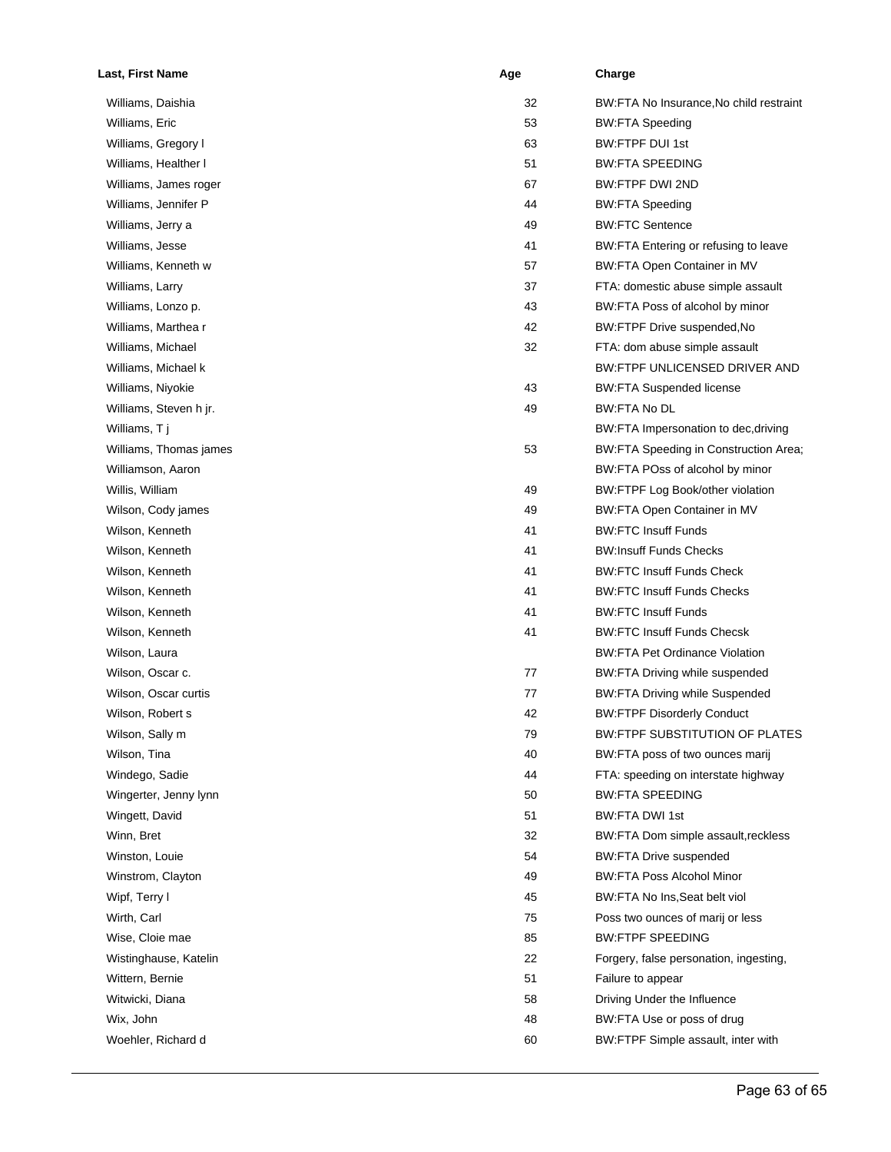| Last, First Name       | Age | Charge                                  |
|------------------------|-----|-----------------------------------------|
| Williams, Daishia      | 32  | BW:FTA No Insurance, No child restraint |
| Williams, Eric         | 53  | <b>BW:FTA Speeding</b>                  |
| Williams, Gregory I    | 63  | <b>BW:FTPF DUI 1st</b>                  |
| Williams, Healther I   | 51  | <b>BW:FTA SPEEDING</b>                  |
| Williams, James roger  | 67  | <b>BW:FTPF DWI 2ND</b>                  |
| Williams, Jennifer P   | 44  | <b>BW:FTA Speeding</b>                  |
| Williams, Jerry a      | 49  | <b>BW:FTC Sentence</b>                  |
| Williams, Jesse        | 41  | BW:FTA Entering or refusing to leave    |
| Williams, Kenneth w    | 57  | BW:FTA Open Container in MV             |
| Williams, Larry        | 37  | FTA: domestic abuse simple assault      |
| Williams, Lonzo p.     | 43  | BW:FTA Poss of alcohol by minor         |
| Williams, Marthea r    | 42  | BW:FTPF Drive suspended, No             |
| Williams, Michael      | 32  | FTA: dom abuse simple assault           |
| Williams, Michael k    |     | BW:FTPF UNLICENSED DRIVER AND           |
| Williams, Niyokie      | 43  | <b>BW:FTA Suspended license</b>         |
| Williams, Steven h jr. | 49  | <b>BW:FTA No DL</b>                     |
| Williams, T j          |     | BW:FTA Impersonation to dec, driving    |
| Williams, Thomas james | 53  | BW:FTA Speeding in Construction Area;   |
| Williamson, Aaron      |     | BW:FTA POss of alcohol by minor         |
| Willis, William        | 49  | BW:FTPF Log Book/other violation        |
| Wilson, Cody james     | 49  | BW:FTA Open Container in MV             |
| Wilson, Kenneth        | 41  | <b>BW:FTC Insuff Funds</b>              |
| Wilson, Kenneth        | 41  | <b>BW:Insuff Funds Checks</b>           |
| Wilson, Kenneth        | 41  | <b>BW:FTC Insuff Funds Check</b>        |
| Wilson, Kenneth        | 41  | <b>BW:FTC Insuff Funds Checks</b>       |
| Wilson, Kenneth        | 41  | <b>BW:FTC Insuff Funds</b>              |
| Wilson, Kenneth        | 41  | <b>BW:FTC Insuff Funds Checsk</b>       |
| Wilson, Laura          |     | <b>BW:FTA Pet Ordinance Violation</b>   |
| Wilson, Oscar c.       | 77  | BW:FTA Driving while suspended          |
| Wilson, Oscar curtis   | 77  | <b>BW:FTA Driving while Suspended</b>   |
| Wilson, Robert s       | 42  | <b>BW:FTPF Disorderly Conduct</b>       |
| Wilson, Sally m        | 79  | <b>BW:FTPF SUBSTITUTION OF PLATES</b>   |
| Wilson, Tina           | 40  | BW:FTA poss of two ounces marij         |
| Windego, Sadie         | 44  | FTA: speeding on interstate highway     |
| Wingerter, Jenny lynn  | 50  | <b>BW:FTA SPEEDING</b>                  |
| Wingett, David         | 51  | <b>BW:FTA DWI 1st</b>                   |
| Winn, Bret             | 32  | BW:FTA Dom simple assault, reckless     |
| Winston, Louie         | 54  | <b>BW:FTA Drive suspended</b>           |
| Winstrom, Clayton      | 49  | <b>BW:FTA Poss Alcohol Minor</b>        |
| Wipf, Terry I          | 45  | BW:FTA No Ins, Seat belt viol           |
| Wirth, Carl            | 75  | Poss two ounces of marij or less        |
| Wise, Cloie mae        | 85  | <b>BW:FTPF SPEEDING</b>                 |
| Wistinghause, Katelin  | 22  | Forgery, false personation, ingesting,  |
| Wittern, Bernie        | 51  | Failure to appear                       |
| Witwicki, Diana        | 58  | Driving Under the Influence             |
| Wix, John              | 48  | BW:FTA Use or poss of drug              |
| Woehler, Richard d     | 60  | BW:FTPF Simple assault, inter with      |
|                        |     |                                         |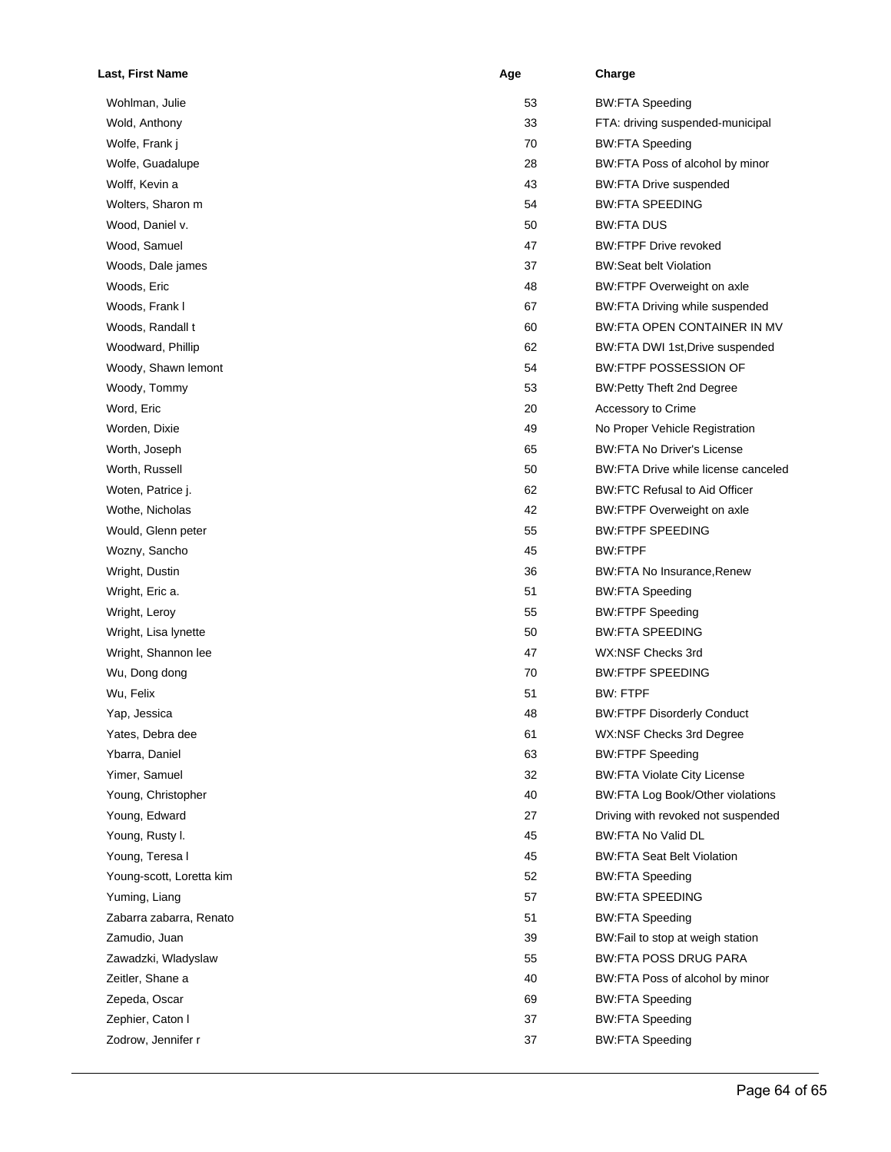| Last, First Name         | Age | Charge                               |
|--------------------------|-----|--------------------------------------|
| Wohlman, Julie           | 53  | <b>BW:FTA Speeding</b>               |
| Wold, Anthony            | 33  | FTA: driving suspended-municipal     |
| Wolfe, Frank j           | 70  | <b>BW:FTA Speeding</b>               |
| Wolfe, Guadalupe         | 28  | BW:FTA Poss of alcohol by minor      |
| Wolff, Kevin a           | 43  | <b>BW:FTA Drive suspended</b>        |
| Wolters, Sharon m        | 54  | <b>BW:FTA SPEEDING</b>               |
| Wood, Daniel v.          | 50  | <b>BW:FTA DUS</b>                    |
| Wood, Samuel             | 47  | <b>BW:FTPF Drive revoked</b>         |
| Woods, Dale james        | 37  | <b>BW:Seat belt Violation</b>        |
| Woods, Eric              | 48  | BW:FTPF Overweight on axle           |
| Woods, Frank I           | 67  | BW:FTA Driving while suspended       |
| Woods, Randall t         | 60  | <b>BW:FTA OPEN CONTAINER IN MV</b>   |
| Woodward, Phillip        | 62  | BW:FTA DWI 1st, Drive suspended      |
| Woody, Shawn lemont      | 54  | <b>BW:FTPF POSSESSION OF</b>         |
| Woody, Tommy             | 53  | <b>BW:Petty Theft 2nd Degree</b>     |
| Word, Eric               | 20  | Accessory to Crime                   |
| Worden, Dixie            | 49  | No Proper Vehicle Registration       |
| Worth, Joseph            | 65  | <b>BW:FTA No Driver's License</b>    |
| Worth, Russell           | 50  | BW:FTA Drive while license canceled  |
| Woten, Patrice j.        | 62  | <b>BW:FTC Refusal to Aid Officer</b> |
| Wothe, Nicholas          | 42  | BW:FTPF Overweight on axle           |
| Would, Glenn peter       | 55  | <b>BW:FTPF SPEEDING</b>              |
| Wozny, Sancho            | 45  | BW:FTPF                              |
| Wright, Dustin           | 36  | BW:FTA No Insurance, Renew           |
| Wright, Eric a.          | 51  | <b>BW:FTA Speeding</b>               |
| Wright, Leroy            | 55  | <b>BW:FTPF Speeding</b>              |
| Wright, Lisa lynette     | 50  | <b>BW:FTA SPEEDING</b>               |
| Wright, Shannon lee      | 47  | WX:NSF Checks 3rd                    |
| Wu, Dong dong            | 70  | <b>BW:FTPF SPEEDING</b>              |
| Wu, Felix                | 51  | BW: FTPF                             |
| Yap, Jessica             | 48  | <b>BW:FTPF Disorderly Conduct</b>    |
| Yates, Debra dee         | 61  | WX:NSF Checks 3rd Degree             |
| Ybarra, Daniel           | 63  | <b>BW:FTPF Speeding</b>              |
| Yimer, Samuel            | 32  | <b>BW:FTA Violate City License</b>   |
| Young, Christopher       | 40  | BW:FTA Log Book/Other violations     |
| Young, Edward            | 27  | Driving with revoked not suspended   |
| Young, Rusty I.          | 45  | <b>BW:FTA No Valid DL</b>            |
| Young, Teresa I          | 45  | <b>BW:FTA Seat Belt Violation</b>    |
| Young-scott, Loretta kim | 52  | <b>BW:FTA Speeding</b>               |
| Yuming, Liang            | 57  | <b>BW:FTA SPEEDING</b>               |
| Zabarra zabarra, Renato  | 51  | <b>BW:FTA Speeding</b>               |
| Zamudio, Juan            | 39  | BW: Fail to stop at weigh station    |
| Zawadzki, Wladyslaw      | 55  | <b>BW:FTA POSS DRUG PARA</b>         |
| Zeitler, Shane a         | 40  | BW:FTA Poss of alcohol by minor      |
| Zepeda, Oscar            | 69  | <b>BW:FTA Speeding</b>               |
| Zephier, Caton I         | 37  | <b>BW:FTA Speeding</b>               |
| Zodrow, Jennifer r       | 37  | <b>BW:FTA Speeding</b>               |
|                          |     |                                      |